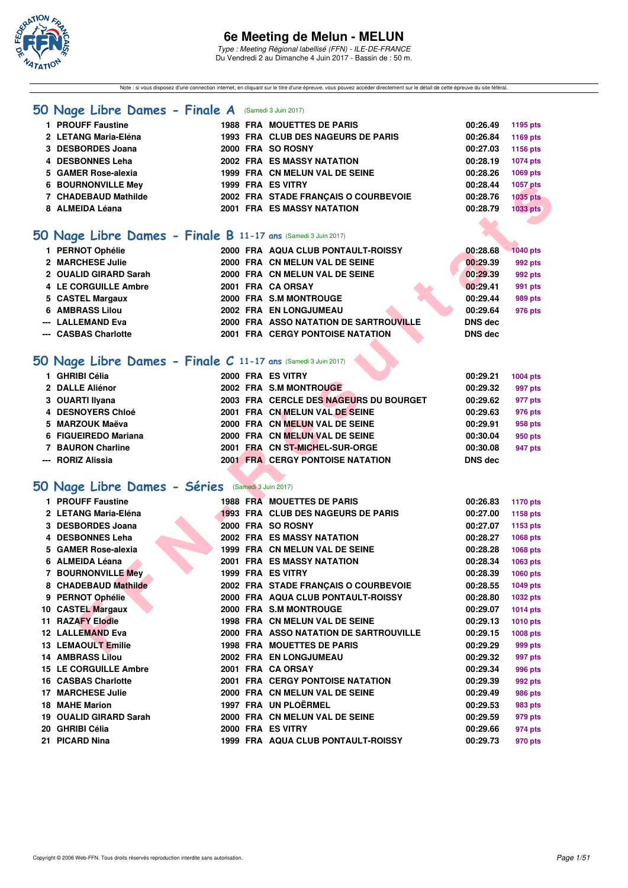

Type : Meeting Régional labellisé (FFN) - ILE-DE-FRANCE Du Vendredi 2 au Dimanche 4 Juin 2017 - Bassin de : 50 m.

Note : si vous disposez d'une connection internet, en cliquant sur le titre d'une épreuve, vous pouvez accéder directement sur le détail de cette épreuve du site féféral.

#### **[50 Nage Libre Dames - Finale A](http://www.ffnatation.fr/webffn/resultats.php?idact=nat&go=epr&idcpt=46973&idepr=1)** (Samedi 3 Juin 2017)

| 1 PROUFF Faustine         |  | <b>1988 FRA MOUETTES DE PARIS</b>    | 00:26.49 | 1195 pts        |
|---------------------------|--|--------------------------------------|----------|-----------------|
| 2 LETANG Maria-Eléna      |  | 1993 FRA CLUB DES NAGEURS DE PARIS   | 00:26.84 | 1169 pts        |
| 3 DESBORDES Joana         |  | 2000 FRA SO ROSNY                    | 00:27.03 | 1156 pts        |
| 4 DESBONNES Leha          |  | <b>2002 FRA ES MASSY NATATION</b>    | 00:28.19 | 1074 pts        |
| 5 GAMER Rose-alexia       |  | 1999 FRA CN MELUN VAL DE SEINE       | 00:28.26 | 1069 pts        |
| <b>6 BOURNONVILLE Mey</b> |  | 1999 FRA ES VITRY                    | 00:28.44 | 1057 pts        |
| 7 CHADEBAUD Mathilde      |  | 2002 FRA STADE FRANCAIS O COURBEVOIE | 00:28.76 | <b>1035 pts</b> |
| 8 ALMEIDA Léana           |  | <b>2001 FRA ES MASSY NATATION</b>    | 00:28.79 | 1033 pts        |
|                           |  |                                      |          |                 |

### **[50 Nage Libre Dames - Finale B](http://www.ffnatation.fr/webffn/resultats.php?idact=nat&go=epr&idcpt=46973&idepr=1) 11-17 ans** (Samedi 3 Juin 2017)

| 1 PERNOT Ophélie      |  | 2000 FRA AQUA CLUB PONTAULT-ROISSY      | 00:28.68       | 1040 pts |
|-----------------------|--|-----------------------------------------|----------------|----------|
| 2 MARCHESE Julie      |  | 2000 FRA CN MELUN VAL DE SEINE          | 00:29.39       | 992 pts  |
| 2 OUALID GIRARD Sarah |  | 2000 FRA CN MELUN VAL DE SEINE          | 00:29.39       | 992 pts  |
| 4 LE CORGUILLE Ambre  |  | 2001 FRA CA ORSAY                       | 00:29.41       | 991 pts  |
| 5 CASTEL Margaux      |  | 2000 FRA S.M MONTROUGE                  | 00:29.44       | 989 pts  |
| 6 AMBRASS Lilou       |  | 2002 FRA EN LONGJUMEAU                  | 00:29.64       | 976 pts  |
| --- LALLEMAND Eva     |  | 2000 FRA ASSO NATATION DE SARTROUVILLE  | <b>DNS</b> dec |          |
| --- CASBAS Charlotte  |  | <b>2001 FRA CERGY PONTOISE NATATION</b> | <b>DNS</b> dec |          |
|                       |  |                                         |                |          |

# **[50 Nage Libre Dames - Finale C](http://www.ffnatation.fr/webffn/resultats.php?idact=nat&go=epr&idcpt=46973&idepr=1) 11-17 ans** (Samedi 3 Juin 2017)

| 1 GHRIBI Célia       |  | 2000 FRA ES VITRY                       | 00:29.21       | 1004 pts |
|----------------------|--|-----------------------------------------|----------------|----------|
| 2 DALLE Aliénor      |  | 2002 FRA S.M MONTROUGE                  | 00:29.32       | 997 pts  |
| 3 OUARTI Ilyana      |  | 2003 FRA CERCLE DES NAGEURS DU BOURGET  | 00:29.62       | 977 pts  |
| 4 DESNOYERS Chloé    |  | 2001 FRA CN MELUN VAL DE SEINE          | 00:29.63       | 976 pts  |
| 5 MARZOUK Maëva      |  | 2000 FRA CN MELUN VAL DE SEINE          | 00:29.91       | 958 pts  |
| 6 FIGUEIREDO Mariana |  | 2000 FRA CN MELUN VAL DE SEINE          | 00:30.04       | 950 pts  |
| 7 BAURON Charline    |  | 2001 FRA CN ST-MICHEL-SUR-ORGE          | 00:30.08       | 947 pts  |
| --- RORIZ Alissia    |  | <b>2001 FRA CERGY PONTOISE NATATION</b> | <b>DNS</b> dec |          |

# **[50 Nage Libre Dames - Séries](http://www.ffnatation.fr/webffn/resultats.php?idact=nat&go=epr&idcpt=46973&idepr=1)** (Samedi 3 Juin 2017)

| 7 CHADEBAUD Mathilde<br>2002 FRA STADE FRANÇAIS O COURBEVOIE<br>00:28.76<br><b>1035 pts</b><br>8 ALMEIDA Léana<br>2001 FRA ES MASSY NATATION<br>00:28.79<br><b>1033 pts</b><br>O Nage Libre Dames - Finale B 11-17 ans (Samedi 3 Juin 2017)<br>1 PERNOT Ophélie<br>2000 FRA AQUA CLUB PONTAULT-ROISSY<br>00:28.68<br><b>1040 pts</b><br>2 MARCHESE Julie<br>2000 FRA CN MELUN VAL DE SEINE<br>00:29.39<br>992 pts |                      |
|-------------------------------------------------------------------------------------------------------------------------------------------------------------------------------------------------------------------------------------------------------------------------------------------------------------------------------------------------------------------------------------------------------------------|----------------------|
|                                                                                                                                                                                                                                                                                                                                                                                                                   |                      |
|                                                                                                                                                                                                                                                                                                                                                                                                                   |                      |
|                                                                                                                                                                                                                                                                                                                                                                                                                   |                      |
|                                                                                                                                                                                                                                                                                                                                                                                                                   |                      |
|                                                                                                                                                                                                                                                                                                                                                                                                                   |                      |
|                                                                                                                                                                                                                                                                                                                                                                                                                   |                      |
|                                                                                                                                                                                                                                                                                                                                                                                                                   |                      |
| 2 OUALID GIRARD Sarah<br>2000 FRA CN MELUN VAL DE SEINE<br>00:29.39<br>992 pts<br>4 LE CORGUILLE Ambre<br>2001 FRA CA ORSAY<br>00:29.41                                                                                                                                                                                                                                                                           |                      |
| 991 pts                                                                                                                                                                                                                                                                                                                                                                                                           |                      |
| 5 CASTEL Margaux<br>2000 FRA S.M MONTROUGE<br>00:29.44<br>989 pts<br><b>6 AMBRASS Lilou</b><br>2002 FRA EN LONGJUMEAU                                                                                                                                                                                                                                                                                             |                      |
| 00:29.64<br>976 pts<br>--- LALLEMAND Eva<br><b>DNS</b> dec                                                                                                                                                                                                                                                                                                                                                        |                      |
| <b>2000 FRA ASSO NATATION DE SARTROUVILLE</b>                                                                                                                                                                                                                                                                                                                                                                     |                      |
| --- CASBAS Charlotte<br><b>2001 FRA CERGY PONTOISE NATATION</b>                                                                                                                                                                                                                                                                                                                                                   |                      |
| O Nage Libre Dames - Finale C 11-17 ans (Samedi 3 Juin 2017)                                                                                                                                                                                                                                                                                                                                                      | <b>DNS dec</b>       |
| 1 GHRIBI Célia<br>2000 FRA ES VITRY                                                                                                                                                                                                                                                                                                                                                                               |                      |
| 2 DALLE Aliénor<br>2002 FRA S.M MONTROUGE                                                                                                                                                                                                                                                                                                                                                                         |                      |
| 2003 FRA CERCLE DES NAGEURS DU BOURGET<br>3 OUARTI Ilyana                                                                                                                                                                                                                                                                                                                                                         | 00:29.21<br>1004 pts |
| 4 DESNOYERS Chloé<br>2001 FRA CN MELUN VAL DE SEINE                                                                                                                                                                                                                                                                                                                                                               | 00:29.32<br>997 pts  |
| 5 MARZOUK Maëva<br>2000 FRA CN MELUN VAL DE SEINE                                                                                                                                                                                                                                                                                                                                                                 | 00:29.62<br>977 pts  |
|                                                                                                                                                                                                                                                                                                                                                                                                                   | 00:29.63<br>976 pts  |
|                                                                                                                                                                                                                                                                                                                                                                                                                   | 00:29.91<br>958 pts  |
| 6 FIGUEIREDO Mariana<br>2000 FRA CN MELUN VAL DE SEINE<br>00:30.04<br>950 pts                                                                                                                                                                                                                                                                                                                                     |                      |
| <b>7 BAURON Charline</b><br>2001 FRA CN ST-MICHEL-SUR-ORGE<br>00:30.08<br>947 pts                                                                                                                                                                                                                                                                                                                                 |                      |
| --- RORIZ Alissia<br><b>2001 FRA CERGY PONTOISE NATATION</b><br><b>DNS</b> dec                                                                                                                                                                                                                                                                                                                                    |                      |
|                                                                                                                                                                                                                                                                                                                                                                                                                   |                      |
| <b>O Nage Libre Dames - Séries</b> (Samedi 3 Juin 2017)                                                                                                                                                                                                                                                                                                                                                           |                      |
| 1 PROUFF Faustine<br><b>1988 FRA MOUETTES DE PARIS</b><br>00:26.83<br><b>1170 pts</b>                                                                                                                                                                                                                                                                                                                             |                      |
| 2 LETANG Maria-Eléna<br>1993 FRA CLUB DES NAGEURS DE PARIS<br>00:27.00<br>1158 pts                                                                                                                                                                                                                                                                                                                                |                      |
| 3 DESBORDES Joana<br>2000 FRA SO ROSNY<br>00:27.07<br>1153 pts                                                                                                                                                                                                                                                                                                                                                    |                      |
| 2002 FRA ES MASSY NATATION<br>4 DESBONNES Leha<br>00:28.27<br>1068 pts                                                                                                                                                                                                                                                                                                                                            |                      |
| 5 GAMER Rose-alexia<br>1999 FRA CN MELUN VAL DE SEINE<br>00:28.28<br>1068 pts                                                                                                                                                                                                                                                                                                                                     |                      |
| 6 ALMEIDA Léana<br><b>2001 FRA ES MASSY NATATION</b><br>00:28.34<br>1063 pts                                                                                                                                                                                                                                                                                                                                      |                      |
| 7 BOURNONVILLE Mey<br>1999 FRA ES VITRY<br>00:28.39<br><b>1060 pts</b>                                                                                                                                                                                                                                                                                                                                            |                      |
| 2002 FRA STADE FRANÇAIS O COURBEVOIE<br>8 CHADEBAUD Mathilde<br>00:28.55<br>1049 pts                                                                                                                                                                                                                                                                                                                              |                      |
| 2000 FRA AQUA CLUB PONTAULT-ROISSY<br>9 PERNOT Ophélie<br>00:28.80<br><b>1032 pts</b>                                                                                                                                                                                                                                                                                                                             |                      |
| 10 CASTEL Margaux<br>2000 FRA S.M MONTROUGE<br>00:29.07<br><b>1014 pts</b>                                                                                                                                                                                                                                                                                                                                        |                      |
| <b>11 RAZAFY Elodie</b><br>1998 FRA CN MELUN VAL DE SEINE<br>00:29.13<br><b>1010 pts</b>                                                                                                                                                                                                                                                                                                                          |                      |
| <b>12 LALLEMAND Eva</b><br><b>2000 FRA ASSO NATATION DE SARTROUVILLE</b><br>00:29.15<br>1008 pts                                                                                                                                                                                                                                                                                                                  |                      |
| <b>13 LEMAOULT Emilie</b><br><b>1998 FRA MOUETTES DE PARIS</b><br>00:29.29<br>999 pts                                                                                                                                                                                                                                                                                                                             |                      |
| 14 AMBRASS Lilou<br>2002 FRA EN LONGJUMEAU<br>00:29.32<br>997 pts                                                                                                                                                                                                                                                                                                                                                 |                      |
| <b>15 LE CORGUILLE Ambre</b><br>2001 FRA CA ORSAY<br>00:29.34<br>996 pts                                                                                                                                                                                                                                                                                                                                          |                      |
| 16 CASBAS Charlotte<br><b>2001 FRA CERGY PONTOISE NATATION</b><br>00:29.39<br>992 pts                                                                                                                                                                                                                                                                                                                             |                      |
| <b>17 MARCHESE Julie</b><br>2000 FRA CN MELUN VAL DE SEINE<br>00:29.49<br>986 pts                                                                                                                                                                                                                                                                                                                                 |                      |
| 1997 FRA UN PLOËRMEL<br><b>18 MAHE Marion</b><br>00:29.53<br>983 pts                                                                                                                                                                                                                                                                                                                                              |                      |
| 19 OUALID GIRARD Sarah<br>2000 FRA CN MELUN VAL DE SEINE<br>00:29.59<br>979 pts                                                                                                                                                                                                                                                                                                                                   |                      |
| 2000 FRA ES VITRY<br>20 GHRIBI Célia<br>00:29.66<br>974 pts                                                                                                                                                                                                                                                                                                                                                       |                      |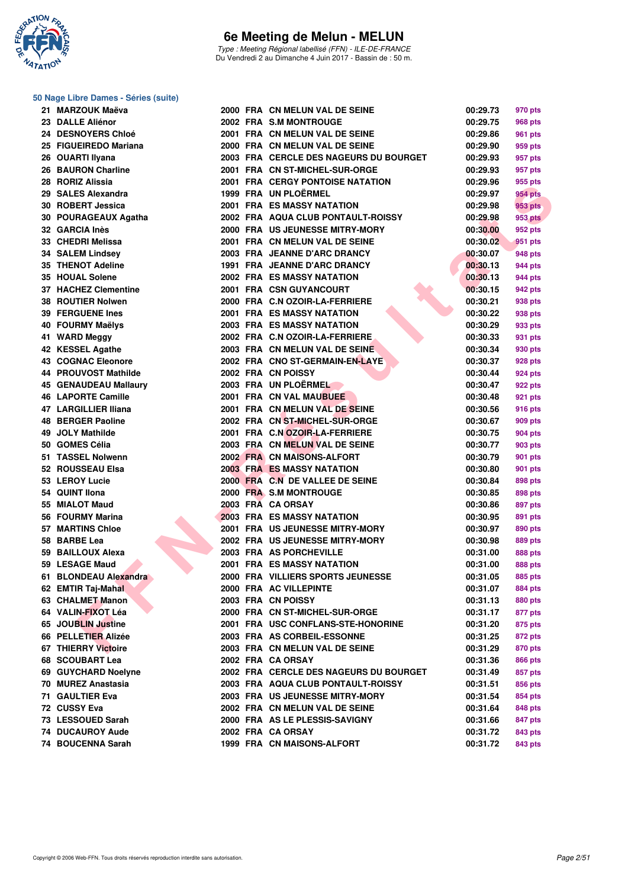

Type : Meeting Régional labellisé (FFN) - ILE-DE-FRANCE Du Vendredi 2 au Dimanche 4 Juin 2017 - Bassin de : 50 m.

#### **50 Nage Libre Dames - Séries (suite)**

| 21 MARZOUK Maëva             |  | 2000 FRA CN MELUN VAL DE SEINE         | 00:29.73 | 970 pts        |
|------------------------------|--|----------------------------------------|----------|----------------|
| 23 DALLE Aliénor             |  | 2002 FRA S.M MONTROUGE                 | 00:29.75 | <b>968 pts</b> |
| 24 DESNOYERS Chloé           |  | 2001 FRA CN MELUN VAL DE SEINE         | 00:29.86 | 961 pts        |
| 25 FIGUEIREDO Mariana        |  | 2000 FRA CN MELUN VAL DE SEINE         | 00:29.90 | 959 pts        |
| 26 OUARTI Ilyana             |  | 2003 FRA CERCLE DES NAGEURS DU BOURGET | 00:29.93 | 957 pts        |
| 26 BAURON Charline           |  | 2001 FRA CN ST-MICHEL-SUR-ORGE         | 00:29.93 | 957 pts        |
| 28 RORIZ Alissia             |  | 2001 FRA CERGY PONTOISE NATATION       | 00:29.96 | 955 pts        |
| 29 SALES Alexandra           |  | 1999 FRA UN PLOËRMEL                   | 00:29.97 | 954 pts        |
| 30 ROBERT Jessica            |  | <b>2001 FRA ES MASSY NATATION</b>      | 00:29.98 | 953 pts        |
| 30 POURAGEAUX Agatha         |  | 2002 FRA AQUA CLUB PONTAULT-ROISSY     | 00:29.98 | <b>953 pts</b> |
| 32 GARCIA Inès               |  | 2000 FRA US JEUNESSE MITRY-MORY        | 00:30.00 | 952 pts        |
| 33 CHEDRI Melissa            |  | 2001 FRA CN MELUN VAL DE SEINE         | 00:30.02 | 951 pts        |
| <b>34 SALEM Lindsey</b>      |  | 2003 FRA JEANNE D'ARC DRANCY           | 00:30.07 | 948 pts        |
| 35 THENOT Adeline            |  | 1991 FRA JEANNE D'ARC DRANCY           | 00:30.13 |                |
|                              |  |                                        |          | 944 pts        |
| 35 HOUAL Solene              |  | <b>2002 FRA ES MASSY NATATION</b>      | 00:30.13 | 944 pts        |
| 37 HACHEZ Clementine         |  | 2001 FRA CSN GUYANCOURT                | 00:30.15 | 942 pts        |
| 38 ROUTIER Nolwen            |  | 2000 FRA C.N OZOIR-LA-FERRIERE         | 00:30.21 | 938 pts        |
| <b>39 FERGUENE Ines</b>      |  | <b>2001 FRA ES MASSY NATATION</b>      | 00:30.22 | 938 pts        |
| 40 FOURMY Maëlys             |  | <b>2003 FRA ES MASSY NATATION</b>      | 00:30.29 | 933 pts        |
| 41 WARD Meggy                |  | 2002 FRA C.N OZOIR-LA-FERRIERE         | 00:30.33 | 931 pts        |
| 42 KESSEL Agathe             |  | 2003 FRA CN MELUN VAL DE SEINE         | 00:30.34 | 930 pts        |
| <b>43 COGNAC Eleonore</b>    |  | 2002 FRA CNO ST-GERMAIN-EN-LAYE        | 00:30.37 | 928 pts        |
| 44 PROUVOST Mathilde         |  | 2002 FRA CN POISSY                     | 00:30.44 | 924 pts        |
| <b>45 GENAUDEAU Mallaury</b> |  | 2003 FRA UN PLOËRMEL                   | 00:30.47 | 922 pts        |
| <b>46 LAPORTE Camille</b>    |  | 2001 FRA CN VAL MAUBUEE                | 00:30.48 | 921 pts        |
| 47 LARGILLIER Iliana         |  | 2001 FRA CN MELUN VAL DE SEINE         | 00:30.56 | <b>916 pts</b> |
| 48 BERGER Paoline            |  | 2002 FRA CN ST-MICHEL-SUR-ORGE         | 00:30.67 | 909 pts        |
| 49 JOLY Mathilde             |  | 2001 FRA C.N OZOIR-LA-FERRIERE         | 00:30.75 | 904 pts        |
| 50 GOMES Célia               |  | 2003 FRA CN MELUN VAL DE SEINE         | 00:30.77 | 903 pts        |
| 51 TASSEL Nolwenn            |  | 2002 FRA CN MAISONS-ALFORT             | 00:30.79 | 901 pts        |
| 52 ROUSSEAU Elsa             |  | <b>2003 FRA ES MASSY NATATION</b>      | 00:30.80 | 901 pts        |
| 53 LEROY Lucie               |  | 2000 FRA C.N DE VALLEE DE SEINE        | 00:30.84 | 898 pts        |
| 54 QUINT Ilona               |  | 2000 FRA S.M MONTROUGE                 | 00:30.85 | 898 pts        |
| 55 MIALOT Maud               |  | 2003 FRA CA ORSAY                      | 00:30.86 | 897 pts        |
| 56 FOURMY Marina             |  | 2003 FRA ES MASSY NATATION             | 00:30.95 | 891 pts        |
| 57 MARTINS Chloe             |  | 2001 FRA US JEUNESSE MITRY-MORY        | 00:30.97 | 890 pts        |
| 58 BARBE Lea                 |  | 2002 FRA US JEUNESSE MITRY-MORY        | 00:30.98 | 889 pts        |
| 59 BAILLOUX Alexa            |  | 2003 FRA AS PORCHEVILLE                | 00:31.00 | 888 pts        |
| 59 LESAGE Maud               |  | <b>2001 FRA ES MASSY NATATION</b>      | 00:31.00 | 888 pts        |
| 61 BLONDEAU Alexandra        |  | 2000 FRA VILLIERS SPORTS JEUNESSE      | 00:31.05 | 885 pts        |
| 62 EMTIR Taj-Mahal           |  | 2000 FRA AC VILLEPINTE                 | 00:31.07 | 884 pts        |
| 63 CHALMET Manon             |  | 2003 FRA CN POISSY                     | 00:31.13 | 880 pts        |
| 64 VALIN-FIXOT Léa           |  | 2000 FRA CN ST-MICHEL-SUR-ORGE         | 00:31.17 | 877 pts        |
| 65 JOUBLIN Justine           |  | 2001 FRA USC CONFLANS-STE-HONORINE     | 00:31.20 | 875 pts        |
| 66 PELLETIER Alizée          |  | 2003 FRA AS CORBEIL-ESSONNE            | 00:31.25 | 872 pts        |
| 67 THIERRY Victoire          |  | 2003 FRA CN MELUN VAL DE SEINE         | 00:31.29 | 870 pts        |
| 68 SCOUBART Lea              |  | 2002 FRA CA ORSAY                      | 00:31.36 | 866 pts        |
| 69 GUYCHARD Noelyne          |  | 2002 FRA CERCLE DES NAGEURS DU BOURGET | 00:31.49 | 857 pts        |
| 70 MUREZ Anastasia           |  | 2003 FRA AQUA CLUB PONTAULT-ROISSY     | 00:31.51 | 856 pts        |
| <b>71 GAULTIER Eva</b>       |  | 2003 FRA US JEUNESSE MITRY-MORY        | 00:31.54 | 854 pts        |
| 72 CUSSY Eva                 |  | 2002 FRA CN MELUN VAL DE SEINE         | 00:31.64 | 848 pts        |
| 73 LESSOUED Sarah            |  | 2000 FRA AS LE PLESSIS-SAVIGNY         | 00:31.66 | 847 pts        |
| <b>74 DUCAUROY Aude</b>      |  | 2002 FRA CA ORSAY                      | 00:31.72 | 843 pts        |
| 74 BOUCENNA Sarah            |  | 1999 FRA CN MAISONS-ALFORT             | 00:31.72 | 843 pts        |
|                              |  |                                        |          |                |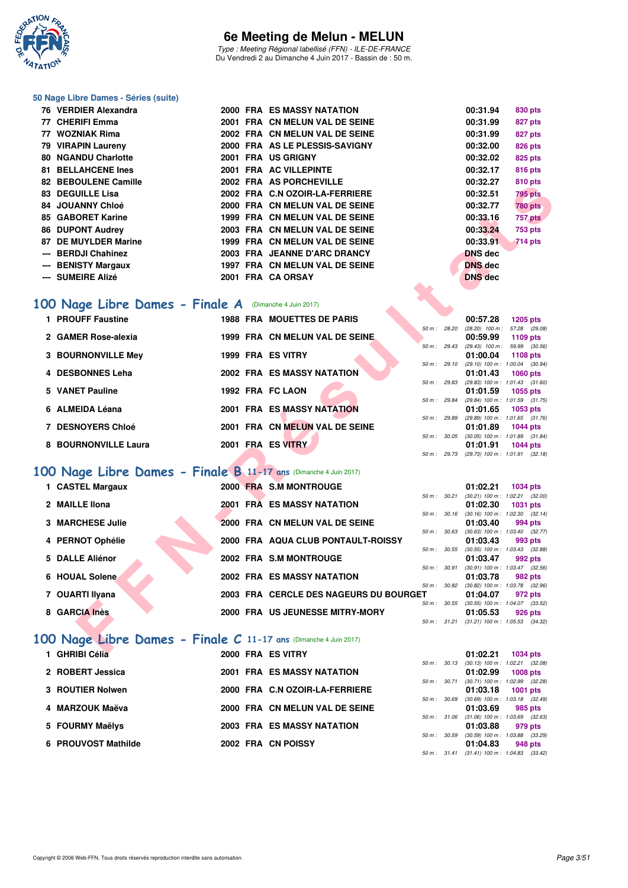

Type : Meeting Régional labellisé (FFN) - ILE-DE-FRANCE Du Vendredi 2 au Dimanche 4 Juin 2017 - Bassin de : 50 m.

#### **50 Nage Libre Dames - Séries (suite)**

| 76 VERDIER Alexandra      |  | <b>2000 FRA ES MASSY NATATION</b> | 00:31.94       | 830 pts        |
|---------------------------|--|-----------------------------------|----------------|----------------|
| 77 CHERIFI Emma           |  | 2001 FRA CN MELUN VAL DE SEINE    | 00:31.99       | 827 pts        |
| 77 WOZNIAK Rima           |  | 2002 FRA CN MELUN VAL DE SEINE    | 00:31.99       | 827 pts        |
| 79 VIRAPIN Laureny        |  | 2000 FRA AS LE PLESSIS-SAVIGNY    | 00:32.00       | 826 pts        |
| 80 NGANDU Charlotte       |  | 2001 FRA US GRIGNY                | 00:32.02       | 825 pts        |
| <b>81 BELLAHCENE Ines</b> |  | 2001 FRA AC VILLEPINTE            | 00:32.17       | <b>816 pts</b> |
| 82 BEBOULENE Camille      |  | 2002 FRA AS PORCHEVILLE           | 00:32.27       | <b>810 pts</b> |
| 83 DEGUILLE Lisa          |  | 2002 FRA C.N OZOIR-LA-FERRIERE    | 00:32.51       | <b>795 pts</b> |
| 84 JOUANNY Chloé          |  | 2000 FRA CN MELUN VAL DE SEINE    | 00:32.77       | <b>780 pts</b> |
| 85 GABORET Karine         |  | 1999 FRA CN MELUN VAL DE SEINE    | 00:33.16       | 757 pts        |
| 86 DUPONT Audrey          |  | 2003 FRA CN MELUN VAL DE SEINE    | 00:33.24       | <b>753 pts</b> |
| 87 DE MUYLDER Marine      |  | 1999 FRA CN MELUN VAL DE SEINE    | 00:33.91       | 714 pts        |
| --- BERDJI Chahinez       |  | 2003 FRA JEANNE D'ARC DRANCY      | <b>DNS</b> dec |                |
| --- BENISTY Margaux       |  | 1997 FRA CN MELUN VAL DE SEINE    | <b>DNS</b> dec |                |
| --- SUMEIRE Alizé         |  | 2001 FRA CA ORSAY                 | <b>DNS</b> dec |                |

### [100 Nage Libre Dames - Finale A](http://www.ffnatation.fr/webffn/resultats.php?idact=nat&go=epr&idcpt=46973&idepr=2) (Dimanche 4 Juin 2017)

| 1 PROUFF Faustine         | <b>1988 FRA MOUETTES DE PARIS</b> |                 | 00:57.28<br>1205 pts                                     |
|---------------------------|-----------------------------------|-----------------|----------------------------------------------------------|
| 2 GAMER Rose-alexia       | 1999 FRA CN MELUN VAL DE SEINE.   | 50 m: 28.20     | (28.20) 100 m : 57.28 (29.<br>00:59.99<br>1109 pts       |
|                           |                                   | 50 m: 29.43     | $(29.43)$ 100 m : 59.99 (30.                             |
| <b>3 BOURNONVILLE Mey</b> | 1999 FRA ES VITRY                 |                 | 01:00.04<br>1108 pts                                     |
| 4 DESBONNES Leha          | <b>2002 FRA ES MASSY NATATION</b> | 50 m: 29.10     | $(29.10)$ 100 m : 1:00.04 (30.<br>01:01.43<br>1060 pts   |
| 5 VANET Pauline           | 1992 FRA FC LAON                  | 50 m: 29.83     | $(29.83)$ 100 m : 1:01.43 (31.<br>01:01.59<br>1055 pts   |
| 6 ALMEIDA Léana           | <b>2001 FRA ES MASSY NATATION</b> | 50 m: 29.84     | (29.84) 100 m: 1:01.59 (31.<br>01:01.65<br>1053 pts      |
| 7 DESNOYERS Chloé         | 2001 FRA CN MELUN VAL DE SEINE    | 50 m: 29.89     | $(29.89)$ 100 m : 1:01.65 (31.<br>01:01.89<br>1044 pts   |
| 8 BOURNONVILLE Laura      | 2001 FRA ES VITRY                 | 50 m :<br>30.05 | $(30.05)$ 100 m : 1:01.89 $(31.$<br>01:01.91<br>1044 pts |
|                           |                                   |                 |                                                          |

# **[100 Nage Libre Dames - Finale B](http://www.ffnatation.fr/webffn/resultats.php?idact=nat&go=epr&idcpt=46973&idepr=2) 11-17 ans** (Dimanche 4 Juin 2017)

| 02 DEDOULENE CANNIE                                             |  | ZUUZ FRA AJFURUILVILLE                 |             |              | 00.JZ.ZI                   | o iu pis                                                      |  |
|-----------------------------------------------------------------|--|----------------------------------------|-------------|--------------|----------------------------|---------------------------------------------------------------|--|
| 83 DEGUILLE Lisa                                                |  | 2002 FRA C.N OZOIR-LA-FERRIERE         |             |              | 00:32.51                   | 795 pts                                                       |  |
| 84 JOUANNY Chloé                                                |  | 2000 FRA CN MELUN VAL DE SEINE         |             |              | 00:32.77                   | <b>780 pts</b>                                                |  |
| 85 GABORET Karine                                               |  | 1999 FRA CN MELUN VAL DE SEINE         |             |              | 00:33.16                   | 757 pts                                                       |  |
| <b>86 DUPONT Audrey</b>                                         |  | 2003 FRA CN MELUN VAL DE SEINE         |             |              | 00:33.24                   | <b>753 pts</b>                                                |  |
| 87 DE MUYLDER Marine                                            |  | 1999 FRA CN MELUN VAL DE SEINE         |             |              | 00:33.91                   | <b>714 pts</b>                                                |  |
| --- BERDJI Chahinez                                             |  | 2003 FRA JEANNE D'ARC DRANCY           |             |              | <b>DNS</b> dec             |                                                               |  |
| --- BENISTY Margaux                                             |  | 1997 FRA CN MELUN VAL DE SEINE         |             |              | <b>DNS dec</b>             |                                                               |  |
| --- SUMEIRE Alizé                                               |  | 2001 FRA CA ORSAY                      |             |              | <b>DNS</b> dec             |                                                               |  |
|                                                                 |  |                                        |             |              |                            |                                                               |  |
| 00 Nage Libre Dames - Finale A (Dimanche 4 Juin 2017)           |  |                                        |             |              |                            |                                                               |  |
| 1 PROUFF Faustine                                               |  | 1988 FRA MOUETTES DE PARIS             |             |              | 00:57.28                   | <b>1205 pts</b>                                               |  |
|                                                                 |  |                                        |             | 50 m : 28.20 |                            | $(28.20)$ 100 m : 57.28 $(29.08)$                             |  |
| 2 GAMER Rose-alexia                                             |  | 1999 FRA CN MELUN VAL DE SEINE         | 50 m: 29.43 |              | 00:59.99                   | 1109 pts<br>$(29.43)$ 100 m : 59.99 $(30.56)$                 |  |
| <b>3 BOURNONVILLE Mey</b>                                       |  | 1999 FRA ES VITRY                      |             |              | 01:00.04                   | 1108 pts                                                      |  |
|                                                                 |  |                                        |             | 50 m: 29.10  |                            | $(29.10)$ 100 m : 1:00.04 $(30.94)$                           |  |
| 4 DESBONNES Leha                                                |  | <b>2002 FRA ES MASSY NATATION</b>      |             |              | 01:01.43                   | <b>1060 pts</b>                                               |  |
| 5 VANET Pauline                                                 |  | 1992 FRA FC LAON                       |             | 50 m : 29.83 | 01:01.59                   | $(29.83)$ 100 m : 1:01.43 $(31.60)$<br>1055 pts               |  |
|                                                                 |  |                                        |             | 50 m : 29.84 |                            | (29.84) 100 m: 1:01.59 (31.75)                                |  |
| 6 ALMEIDA Léana                                                 |  | 2001 FRA ES MASSY NATATION             |             |              | 01:01.65                   | 1053 pts                                                      |  |
| 7 DESNOYERS Chloé                                               |  | 2001 FRA CN MELUN VAL DE SEINE         |             | 50 m: 29.89  | 01:01.89                   | $(29.89)$ 100 m : 1:01.65 $(31.76)$<br><b>1044 pts</b>        |  |
|                                                                 |  |                                        |             |              |                            | 50 m: 30.05 (30.05) 100 m: 1:01.89 (31.84)                    |  |
| 8 BOURNONVILLE Laura                                            |  | 2001 FRA ES VITRY                      |             |              | 01:01.91                   | 1044 pts                                                      |  |
|                                                                 |  |                                        |             |              |                            | 50 m: 29.73 (29.73) 100 m: 1:01.91 (32.18)                    |  |
| 00 Nage Libre Dames - Finale B 11-17 ans (Dimanche 4 Juin 2017) |  |                                        |             |              |                            |                                                               |  |
| 1 CASTEL Margaux                                                |  | 2000 FRA S.M MONTROUGE                 |             |              | 01:02.21                   | 1034 pts                                                      |  |
| 2 MAILLE Ilona                                                  |  | 2001 FRA ES MASSY NATATION             |             | 50 m : 30.21 | 01:02.30                   | $(30.21)$ 100 m : 1:02.21 $(32.00)$                           |  |
|                                                                 |  |                                        |             |              |                            | <b>1031 pts</b><br>50 m: 30.16 (30.16) 100 m: 1:02.30 (32.14) |  |
| <b>3 MARCHESE Julie</b>                                         |  | 2000 FRA CN MELUN VAL DE SEINE         |             |              | 01:03.40                   | 994 pts                                                       |  |
|                                                                 |  |                                        |             | 50 m : 30.63 |                            | $(30.63)$ 100 m : 1:03.40 $(32.77)$                           |  |
| 4 PERNOT Ophélie                                                |  | 2000 FRA AQUA CLUB PONTAULT-ROISSY     |             |              | 01:03.43                   | 993 pts<br>50 m: 30.55 (30.55) 100 m: 1:03.43 (32.88)         |  |
| 5 DALLE Aliénor                                                 |  | 2002 FRA S.M MONTROUGE                 |             |              | 01:03.47                   | 992 pts                                                       |  |
|                                                                 |  |                                        |             | 50 m : 30.91 |                            | $(30.91)$ 100 m : 1:03.47 $(32.56)$                           |  |
| 6 HOUAL Solene                                                  |  | <b>2002 FRA ES MASSY NATATION</b>      |             |              | 01:03.78                   | 982 pts<br>50 m: 30.82 (30.82) 100 m: 1:03.78 (32.96)         |  |
| 7 OUARTI Ilyana                                                 |  | 2003 FRA CERCLE DES NAGEURS DU BOURGET |             |              | 01:04.07                   | 972 pts                                                       |  |
|                                                                 |  |                                        |             | 50 m : 30.55 |                            | $(30.55)$ 100 m : 1:04.07 $(33.52)$                           |  |
| 8 GARCIA Inès                                                   |  | 2000 FRA US JEUNESSE MITRY-MORY        |             |              | 01:05.53                   | 926 pts                                                       |  |
|                                                                 |  |                                        |             |              |                            | 50 m: 31.21 (31.21) 100 m: 1:05.53 (34.32)                    |  |
| 00 Nage Libre Dames - Finale C 11-17 ans (Dimanche 4 Juin 2017) |  |                                        |             |              |                            |                                                               |  |
| <b>4</b> CUDIDI CALL                                            |  | <b>OOOO EDA EC VITDV</b>               |             |              | $0.4 - 0.00 - 0.4 = 40.04$ |                                                               |  |

# **[100 Nage Libre Dames - Finale C](http://www.ffnatation.fr/webffn/resultats.php?idact=nat&go=epr&idcpt=46973&idepr=2) 11-17 ans** (Dimanche 4 Juin 2017)

| 1 GHRIBI Célia      | 2000 FRA ES VITRY |                                   |              | 01:02.21                                | 1034 pts |         |
|---------------------|-------------------|-----------------------------------|--------------|-----------------------------------------|----------|---------|
|                     |                   |                                   |              | 50 m: 30.13 (30.13) 100 m: 1:02.21 (32. |          |         |
| 2 ROBERT Jessica    |                   | <b>2001 FRA ES MASSY NATATION</b> |              | 01:02.99                                | 1008 pts |         |
|                     |                   |                                   | 50 m : 30.71 | (30.71) 100 m : 1:02.99 (32.            |          |         |
| 3 ROUTIER Nolwen    |                   | 2000 FRA C.N OZOIR-LA-FERRIERE    |              | 01:03.18                                | 1001 pts |         |
|                     |                   |                                   |              | 50 m: 30.69 (30.69) 100 m: 1:03.18 (32. |          |         |
| 4 MARZOUK Maëva     |                   | 2000 FRA CN MELUN VAL DE SEINE    |              | 01:03.69                                |          | 985 pts |
|                     |                   |                                   | 50 m: 31.06  | $(31.06)$ 100 m : 1:03.69 $(32.$        |          |         |
| 5 FOURMY Maëlys     |                   | <b>2003 FRA ES MASSY NATATION</b> |              | 01:03.88                                |          | 979 pts |
|                     |                   |                                   |              | 50 m: 30.59 (30.59) 100 m: 1:03.88 (33. |          |         |
| 6 PROUVOST Mathilde |                   | 2002 FRA CN POISSY                |              | 01:04.83                                |          | 948 pts |
|                     |                   |                                   |              |                                         |          |         |

| UU:31.Y4       | 830 DIS        |
|----------------|----------------|
| 00:31.99       | 827 pts        |
| 00:31.99       | 827 pts        |
| 00:32.00       | 826 pts        |
| 00:32.02       | 825 pts        |
| 00:32.17       | <b>816 pts</b> |
| 00:32.27       | <b>810 pts</b> |
| 00:32.51       | <b>795 pts</b> |
| 00:32.77       | <b>780 pts</b> |
| 00:33.16       | 757 pts        |
| 00:33.24       | <b>753 pts</b> |
| 00:33.91       | 714 pts        |
| DNS dec        |                |
| <b>DNS</b> dec |                |
| <b>DNS</b> dec |                |
|                |                |

|             |       | 00:57.28          | 1205 pts            |  |
|-------------|-------|-------------------|---------------------|--|
| 50 m: 28.20 |       | $(28.20)$ 100 m : | 57.28 (29.08)       |  |
|             |       | 00:59.99          | 1109 pts            |  |
| 50 m: 29.43 |       | $(29.43)$ 100 m : | 59.99 (30.56)       |  |
|             |       | 01:00.04          | 1108 pts            |  |
| 50 m: 29.10 |       | $(29.10)$ 100 m : | 1:00.04 (30.94)     |  |
|             |       | 01:01.43          | <b>1060 pts</b>     |  |
| 50 m: 29.83 |       | $(29.83) 100 m$ : | $1:01.43$ $(31.60)$ |  |
|             |       | 01:01.59          | 1055 pts            |  |
| 50 m: 29.84 |       | $(29.84)$ 100 m : | 1:01.59 (31.75)     |  |
|             |       | 01:01.65          | 1053 pts            |  |
| 50 m: 29.89 |       | $(29.89)$ 100 m : | $1:01.65$ $(31.76)$ |  |
|             |       | 01:01.89          | 1044 pts            |  |
| 50 m :      | 30.05 | $(30.05)$ 100 m : | 1:01.89 (31.84)     |  |
|             |       | 01:01.91          | 1044 pts            |  |
| $50 m$ :    | 29.73 | $(29.73)$ 100 m : | $1:01.91$ $(32.18)$ |  |

|                  |       | 01:02.21          | 1034 pts            |  |
|------------------|-------|-------------------|---------------------|--|
| $50 m$ : $30.21$ |       | $(30.21)$ 100 m : | 1:02.21 (32.00)     |  |
|                  |       | 01:02.30          | <b>1031 pts</b>     |  |
| 50 m :           | 30.16 | $(30.16)$ 100 m : | $1:02.30$ $(32.14)$ |  |
|                  |       | 01:03.40 994 pts  |                     |  |
| $50 m$ : $30.63$ |       | $(30.63)$ 100 m : | $1:03.40$ $(32.77)$ |  |
|                  |       | 01:03.43          | 993 pts             |  |
| 50 m: 30.55      |       | $(30.55)$ 100 m : | $1:03.43$ $(32.88)$ |  |
|                  |       | 01:03.47 992 pts  |                     |  |
| 50 m: 30.91      |       | $(30.91)$ 100 m : | $1:03.47$ $(32.56)$ |  |
|                  |       | 01:03.78          | 982 pts             |  |
| $50 m$ :         | 30.82 | $(30.82)$ 100 m : | 1:03.78 (32.96)     |  |
| IТ.              |       | 01:04.07          | 972 pts             |  |
| 50 m : 30.55     |       | $(30.55)$ 100 m : | $1:04.07$ $(33.52)$ |  |
|                  |       | 01:05.53 926 pts  |                     |  |
| 50 m: 31.21      |       | $(31.21)$ 100 m : | 1:05.53 (34.32)     |  |

|                   | 01:02.21 | 1034 pts            |                                                                                                                                                                                             |
|-------------------|----------|---------------------|---------------------------------------------------------------------------------------------------------------------------------------------------------------------------------------------|
| 30.13<br>$50 m$ : |          | $1:02.21$ $(32.08)$ |                                                                                                                                                                                             |
|                   | 01:02.99 | 1008 pts            |                                                                                                                                                                                             |
| 30.71<br>$50 m$ : |          | 1:02.99 (32.28)     |                                                                                                                                                                                             |
|                   |          |                     |                                                                                                                                                                                             |
| 30.69             |          | $1:03.18$ $(32.49)$ |                                                                                                                                                                                             |
|                   |          | 985 pts             |                                                                                                                                                                                             |
| 31.06<br>$50 m$ : |          | 1:03.69 (32.63)     |                                                                                                                                                                                             |
|                   | 01:03.88 | 979 pts             |                                                                                                                                                                                             |
| 30.59<br>$50 m$ : |          | 1:03.88 (33.29)     |                                                                                                                                                                                             |
|                   |          | 948 pts             |                                                                                                                                                                                             |
|                   |          |                     |                                                                                                                                                                                             |
|                   |          |                     | $(30.13)$ 100 m :<br>$(30.71)$ 100 m :<br>01:03.18 1001 pts<br>$(30.69)$ 100 m :<br>01:03.69<br>$(31.06)$ 100 m :<br>$(30.59)$ 100 m :<br>01:04.83<br>31.41 (31.41) 100 m : 1:04.83 (33.42) |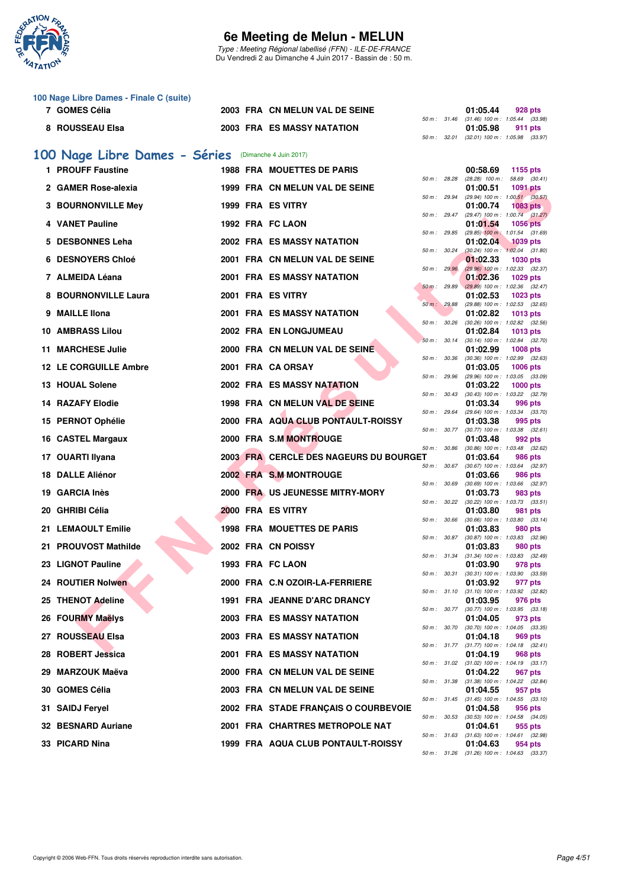

Type : Meeting Régional labellisé (FFN) - ILE-DE-FRANCE Du Vendredi 2 au Dimanche 4 Juin 2017 - Bassin de : 50 m.

|     | 100 Nage Libre Dames - Finale C (suite)              |  |                                        |              |              |                                                                                               |                 |  |
|-----|------------------------------------------------------|--|----------------------------------------|--------------|--------------|-----------------------------------------------------------------------------------------------|-----------------|--|
|     | 7 GOMES Célia                                        |  | 2003 FRA CN MELUN VAL DE SEINE         |              |              | 01:05.44                                                                                      | 928 pts         |  |
|     | 8 ROUSSEAU Elsa                                      |  | <b>2003 FRA ES MASSY NATATION</b>      |              | 50 m: 32.01  | 50 m: 31.46 (31.46) 100 m: 1:05.44 (33.98)<br>01:05.98<br>$(32.01)$ 100 m : 1:05.98 $(33.97)$ | 911 pts         |  |
|     | 100 Nage Libre Dames - Séries (Dimanche 4 Juin 2017) |  |                                        |              |              |                                                                                               |                 |  |
|     | 1 PROUFF Faustine                                    |  | <b>1988 FRA MOUETTES DE PARIS</b>      |              |              | 00:58.69                                                                                      | 1155 pts        |  |
|     | 2 GAMER Rose-alexia                                  |  | 1999 FRA CN MELUN VAL DE SEINE         | 50 m: 28.28  |              | $(28.28)$ 100 m : 58.69 $(30.41)$<br>01:00.51                                                 | <b>1091 pts</b> |  |
|     | 3 BOURNONVILLE Mey                                   |  | 1999 FRA ES VITRY                      | 50 m : 29.94 |              | (29.94) 100 m: 1:00.51 (30.57)                                                                |                 |  |
|     |                                                      |  |                                        |              | 50 m : 29.47 | 01:00.74<br>$(29.47)$ 100 m : 1:00.74 $(31.27)$                                               | 1083 pts        |  |
|     | 4 VANET Pauline                                      |  | 1992 FRA FC LAON                       | 50 m: 29.85  |              | 01:01.54<br>$(29.85)$ 100 m : 1:01.54 $(31.69)$                                               | <b>1056 pts</b> |  |
| 5   | <b>DESBONNES Leha</b>                                |  | <b>2002 FRA ES MASSY NATATION</b>      |              |              | 01:02.04                                                                                      | <b>1039 pts</b> |  |
| 6   | <b>DESNOYERS Chloé</b>                               |  | 2001 FRA CN MELUN VAL DE SEINE         | 50 m: 30.24  |              | $(30.24)$ 100 m : 1:02.04 $(31.80)$<br>01:02.33                                               | <b>1030 pts</b> |  |
|     | 7 ALMEIDA Léana                                      |  | <b>2001 FRA ES MASSY NATATION</b>      | 50 m : 29.96 |              | (29.96) 100 m: 1:02.33 (32.37)<br>01:02.36                                                    | 1029 pts        |  |
|     |                                                      |  |                                        | 50 m: 29.89  |              | $(29.89)$ 100 m : 1:02.36 $(32.47)$                                                           |                 |  |
|     | 8 BOURNONVILLE Laura                                 |  | 2001 FRA ES VITRY                      | 50 m : 29.88 |              | 01:02.53<br>(29.88) 100 m: 1:02.53 (32.65)                                                    | <b>1023 pts</b> |  |
| 9   | <b>MAILLE Ilona</b>                                  |  | <b>2001 FRA ES MASSY NATATION</b>      | 50 m: 30.26  |              | 01:02.82<br>$(30.26)$ 100 m : 1:02.82 $(32.56)$                                               | <b>1013 pts</b> |  |
|     | <b>10 AMBRASS Lilou</b>                              |  | 2002 FRA EN LONGJUMEAU                 |              |              | 01:02.84                                                                                      | 1013 pts        |  |
|     | <b>11 MARCHESE Julie</b>                             |  | 2000 FRA CN MELUN VAL DE SEINE         |              | 50 m: 30.14  | (30.14) 100 m: 1:02.84 (32.70)<br>01:02.99                                                    | <b>1008 pts</b> |  |
|     | <b>12 LE CORGUILLE Ambre</b>                         |  | 2001 FRA CA ORSAY                      | 50 m: 30.36  |              | $(30.36)$ 100 m : 1:02.99 $(32.63)$<br>01:03.05                                               | <b>1006 pts</b> |  |
|     |                                                      |  |                                        | 50 m: 29.96  |              | (29.96) 100 m: 1:03.05 (33.09)                                                                |                 |  |
|     | 13 HOUAL Solene                                      |  | <b>2002 FRA ES MASSY NATATION</b>      | 50 m: 30.43  |              | 01:03.22<br>(30.43) 100 m: 1:03.22 (32.79)                                                    | $1000$ pts      |  |
|     | 14 RAZAFY Elodie                                     |  | 1998 FRA CN MELUN VAL DE SEINE         | 50 m : 29.64 |              | 01:03.34<br>(29.64) 100 m: 1:03.34 (33.70)                                                    | 996 pts         |  |
|     | 15 PERNOT Ophélie                                    |  | 2000 FRA AQUA CLUB PONTAULT-ROISSY     |              |              | 01:03.38                                                                                      | 995 pts         |  |
|     | 16 CASTEL Margaux                                    |  | 2000 FRA S.M MONTROUGE                 |              | 50 m : 30.77 | $(30.77)$ 100 m : 1:03.38 $(32.61)$<br>01:03.48                                               | 992 pts         |  |
|     | 17 OUARTI Ilyana                                     |  | 2003 FRA CERCLE DES NAGEURS DU BOURGET | 50 m: 30.86  |              | (30.86) 100 m : 1:03.48 (32.62)<br>01:03.64                                                   | 986 pts         |  |
|     |                                                      |  |                                        |              |              | 50 m: 30.67 (30.67) 100 m: 1:03.64 (32.97)                                                    |                 |  |
|     | <b>18 DALLE Aliénor</b>                              |  | 2002 FRA S.M MONTROUGE                 | 50 m : 30.69 |              | 01:03.66<br>$(30.69)$ 100 m : 1:03.66 $(32.97)$                                               | 986 pts         |  |
|     | 19 GARCIA Inès                                       |  | 2000 FRA US JEUNESSE MITRY-MORY        |              | 50 m : 30.22 | 01:03.73<br>$(30.22)$ 100 m : 1:03.73 $(33.51)$                                               | 983 pts         |  |
|     | 20 GHRIBI Célia                                      |  | 2000 FRA ES VITRY                      |              |              | 01:03.80                                                                                      | 981 pts         |  |
|     | 21 LEMAOULT Emilie                                   |  | <b>1998 FRA MOUETTES DE PARIS</b>      | 50 m: 30.66  |              | $(30.66)$ 100 m : 1:03.80 $(33.14)$<br>01:03.83                                               | 980 pts         |  |
|     | 21 PROUVOST Mathilde                                 |  | 2002 FRA CN POISSY                     |              | 50 m : 30.87 | $(30.87)$ 100 m : 1:03.83 $(32.96)$                                                           |                 |  |
|     |                                                      |  |                                        |              | 50 m : 31.34 | 01:03.83<br>$(31.34)$ 100 m : 1:03.83 $(32.49)$                                               | 980 pts         |  |
|     | 23 LIGNOT Pauline                                    |  | 1993 FRA FC LAON                       |              |              | 01:03.90<br>50 m: 30.31 (30.31) 100 m: 1:03.90 (33.59)                                        | 978 pts         |  |
|     | 24 ROUTIER Nolwen                                    |  | 2000 FRA C.N OZOIR-LA-FERRIERE         |              |              | 01:03.92                                                                                      | 977 pts         |  |
|     | 25 THENOT Adeline                                    |  | 1991 FRA JEANNE D'ARC DRANCY           |              |              | 50 m: 31.10 (31.10) 100 m: 1:03.92 (32.82)<br>01:03.95                                        | 976 pts         |  |
|     | 26 FOURMY Maelys                                     |  | <b>2003 FRA ES MASSY NATATION</b>      |              |              | 50 m: 30.77 (30.77) 100 m: 1:03.95 (33.18)<br>01:04.05                                        | 973 pts         |  |
|     |                                                      |  |                                        |              | 50 m : 30.70 | (30.70) 100 m: 1:04.05 (33.35)                                                                |                 |  |
|     | 27 ROUSSEAU Elsa                                     |  | <b>2003 FRA ES MASSY NATATION</b>      |              | 50 m : 31.77 | 01:04.18<br>$(31.77)$ 100 m : 1:04.18 $(32.41)$                                               | 969 pts         |  |
|     | 28 ROBERT Jessica                                    |  | <b>2001 FRA ES MASSY NATATION</b>      |              |              | 01:04.19<br>50 m: 31.02 (31.02) 100 m: 1:04.19 (33.17)                                        | <b>968 pts</b>  |  |
| 29. | MARZOUK Maëva                                        |  | 2000 FRA CN MELUN VAL DE SEINE         |              |              | 01:04.22                                                                                      | 967 pts         |  |
|     | 30 GOMES Célia                                       |  | 2003 FRA CN MELUN VAL DE SEINE         |              |              | 50 m: 31.38 (31.38) 100 m: 1:04.22 (32.84)<br>01:04.55                                        | 957 pts         |  |
|     |                                                      |  |                                        |              |              | 50 m: 31.45 (31.45) 100 m: 1:04.55 (33.10)                                                    |                 |  |

31 SAIDJ Feryel 2002 FRA STADE FRANÇAIS O COURBEVOIE

- **32 BESNARD Auriane 2001 FRA CHARTRES METROPOLE NAT**
- **33 PICARD Nina** 1999 FRA AQUA CLUB PONTAULT-ROISSY

 $01:04.58$   $03.53$   $(30.53)$  100 m : 1:04.58  $(34.05)$ 

50 m : 30.50 (30.50) 100 m : 100.50 pts<br> **60 m** : 31.63 (31.63) 100 m : 1:04.61 (32.98)<br> **61:04.63** 954 pts

50 m : 31.26 (31.26) 100 m : 1:04.63 (33.37)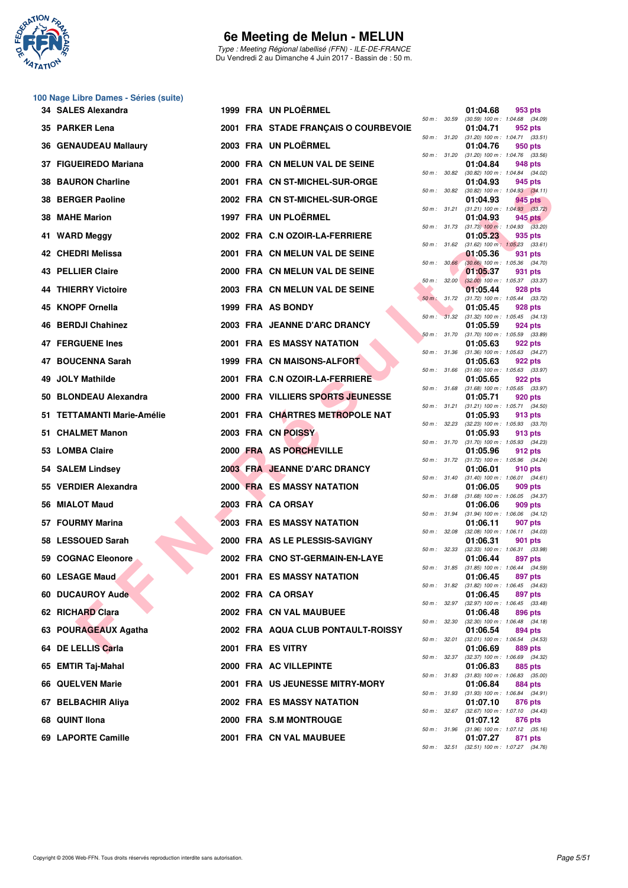

Type : Meeting Régional labellisé (FFN) - ILE-DE-FRANCE Du Vendredi 2 au Dimanche 4 Juin 2017 - Bassin de : 50 m.

| 100 Nage Libre Dames - Séries (suite) |  |  |  |  |
|---------------------------------------|--|--|--|--|
|---------------------------------------|--|--|--|--|

| 34 SALES Alexandra           |  | 1999 FRA UN PLOËRMEL                 |              |              | 01:04.68 | 953 pts                                                                                      |
|------------------------------|--|--------------------------------------|--------------|--------------|----------|----------------------------------------------------------------------------------------------|
| 35 PARKER Lena               |  | 2001 FRA STADE FRANÇAIS O COURBEVOIE |              |              | 01:04.71 | 50 m: 30.59 (30.59) 100 m: 1:04.68 (34.09)<br>952 pts                                        |
| <b>36 GENAUDEAU Mallaury</b> |  | 2003 FRA UN PLOËRMEL                 |              |              | 01:04.76 | 50 m: 31.20 (31.20) 100 m: 1:04.71 (33.51)<br>950 pts                                        |
| 37 FIGUEIREDO Mariana        |  | 2000 FRA CN MELUN VAL DE SEINE       |              | 50 m : 31.20 | 01:04.84 | $(31.20)$ 100 m : 1:04.76 $(33.56)$<br>948 pts                                               |
| <b>38 BAURON Charline</b>    |  | 2001 FRA CN ST-MICHEL-SUR-ORGE       |              |              | 01:04.93 | 50 m : 30.82 (30.82) 100 m : 1:04.84 (34.02)<br>945 pts                                      |
| 38 BERGER Paoline            |  | 2002 FRA CN ST-MICHEL-SUR-ORGE       | 50 m : 30.82 |              | 01:04.93 | $(30.82)$ 100 m : 1:04.93 $(34.11)$<br>945 pts                                               |
| 38 MAHE Marion               |  | 1997 FRA UN PLOËRMEL                 |              | 50 m : 31.21 | 01:04.93 | $(31.21)$ 100 m : 1:04.93 $(33.72)$<br>945 pts                                               |
| 41 WARD Meggy                |  | 2002 FRA C.N OZOIR-LA-FERRIERE       |              |              | 01:05.23 | 50 m : 31.73 (31.73) 100 m : 1:04.93 (33.20)<br>935 pts                                      |
| 42 CHEDRI Melissa            |  | 2001 FRA CN MELUN VAL DE SEINE       |              |              | 01:05.36 | 50 m: 31.62 (31.62) 100 m: 1:05.23 (33.61)<br>931 pts                                        |
| <b>43 PELLIER Claire</b>     |  | 2000 FRA CN MELUN VAL DE SEINE       |              |              | 01:05.37 | 50 m : 30.66 (30.66) 100 m : 1:05.36 (34.70)<br>931 pts                                      |
| 44 THIERRY Victoire          |  | 2003 FRA CN MELUN VAL DE SEINE       |              | 50 m: 32.00  | 01:05.44 | $(32.00)$ 100 m : 1:05.37 $(33.37)$<br>928 pts                                               |
| 45 KNOPF Ornella             |  | 1999 FRA AS BONDY                    |              | 50 m : 31.32 | 01:05.45 | 50 m : 31.72 (31.72) 100 m : 1:05.44 (33.72)<br>928 pts                                      |
| 46 BERDJI Chahinez           |  | 2003 FRA JEANNE D'ARC DRANCY         |              | 50 m: 31.70  | 01:05.59 | $(31.32)$ 100 m : 1:05.45 $(34.13)$<br>924 pts                                               |
| <b>47 FERGUENE Ines</b>      |  | <b>2001 FRA ES MASSY NATATION</b>    |              |              | 01:05.63 | $(31.70)$ 100 m : 1:05.59 $(33.89)$<br>922 pts<br>50 m: 31.36 (31.36) 100 m: 1:05.63 (34.27) |
| 47 BOUCENNA Sarah            |  | 1999 FRA CN MAISONS-ALFORT           |              | 50 m : 31.66 | 01:05.63 | 922 pts<br>$(31.66)$ 100 m : 1:05.63 $(33.97)$                                               |
| 49 JOLY Mathilde             |  | 2001 FRA C.N OZOIR-LA-FERRIERE       |              |              | 01:05.65 | 922 pts<br>50 m: 31.68 (31.68) 100 m: 1:05.65 (33.97)                                        |
| 50 BLONDEAU Alexandra        |  | 2000 FRA VILLIERS SPORTS JEUNESSE    |              | 50 m : 31.21 | 01:05.71 | 920 pts<br>$(31.21)$ 100 m : 1:05.71 $(34.50)$                                               |
| 51 TETTAMANTI Marie-Amélie   |  | 2001 FRA CHARTRES METROPOLE NAT      |              | 50 m : 32.23 | 01:05.93 | 913 pts<br>$(32.23)$ 100 m : 1:05.93 $(33.70)$                                               |
| 51 CHALMET Manon             |  | 2003 FRA CN POISSY                   |              | 50 m : 31.70 | 01:05.93 | 913 pts<br>$(31.70)$ 100 m : 1:05.93 $(34.23)$                                               |
| 53 LOMBA Claire              |  | 2000 FRA AS PORCHEVILLE              |              |              | 01:05.96 | 912 pts<br>50 m: 31.72 (31.72) 100 m: 1:05.96 (34.24)                                        |
| 54 SALEM Lindsey             |  | 2003 FRA JEANNE D'ARC DRANCY         |              |              | 01:06.01 | 910 pts<br>50 m: 31.40 (31.40) 100 m: 1:06.01 (34.61)                                        |
| 55 VERDIER Alexandra         |  | <b>2000 FRA ES MASSY NATATION</b>    |              |              | 01:06.05 | 909 pts<br>50 m: 31.68 (31.68) 100 m: 1:06.05 (34.37)                                        |
| 56 MIALOT Maud               |  | 2003 FRA CA ORSAY                    |              |              | 01:06.06 | 909 pts<br>50 m: 31.94 (31.94) 100 m: 1:06.06 (34.12)                                        |
| 57 FOURMY Marina             |  | <b>2003 FRA ES MASSY NATATION</b>    | 50 m : 32.08 |              | 01:06.11 | 907 pts<br>$(32.08)$ 100 m : 1:06.11 $(34.03)$                                               |
| 58 LESSOUED Sarah            |  | 2000 FRA AS LE PLESSIS-SAVIGNY       |              |              | 01:06.31 | 901 pts<br>50 m: 32.33 (32.33) 100 m: 1:06.31 (33.98)                                        |
| 59 COGNAC Eleonore           |  | 2002 FRA CNO ST-GERMAIN-EN-LAYE      |              |              | 01:06.44 | 897 pts<br>50 m: 31.85 (31.85) 100 m: 1:06.44 (34.59)                                        |
| 60 LESAGE Maud               |  | 2001 FRA ES MASSY NATATION           |              |              | 01:06.45 | 897 pts<br>50 m : 31.82 (31.82) 100 m : 1:06.45 (34.63)                                      |
| 60 DUCAUROY Aude             |  | 2002 FRA CA ORSAY                    |              |              | 01:06.45 | 897 pts<br>50 m: 32.97 (32.97) 100 m: 1:06.45 (33.48)                                        |
| 62 RICHARD Clara             |  | 2002 FRA CN VAL MAUBUEE              | 50 m : 32.30 |              | 01:06.48 | 896 pts<br>$(32.30)$ 100 m : 1:06.48 $(34.18)$                                               |
| 63 POURAGEAUX Agatha         |  | 2002 FRA AQUA CLUB PONTAULT-ROISSY   | 50 m : 32.01 |              | 01:06.54 | 894 pts<br>$(32.01)$ 100 m : 1:06.54 $(34.53)$                                               |
| 64 DE LELLIS Carla           |  | 2001 FRA ES VITRY                    |              | 50 m : 32.37 | 01:06.69 | 889 pts<br>(32.37) 100 m : 1:06.69 (34.32)                                                   |
| 65 EMTIR Taj-Mahal           |  | 2000 FRA AC VILLEPINTE               |              |              | 01:06.83 | 885 pts<br>50 m: 31.83 (31.83) 100 m: 1:06.83 (35.00)                                        |
| 66 QUELVEN Marie             |  | 2001 FRA US JEUNESSE MITRY-MORY      |              |              | 01:06.84 | 884 pts<br>50 m : 31.93 (31.93) 100 m : 1:06.84 (34.91)                                      |
| 67 BELBACHIR Aliya           |  | 2002 FRA ES MASSY NATATION           |              |              | 01:07.10 | 876 pts<br>50 m: 32.67 (32.67) 100 m: 1:07.10 (34.43)                                        |
| 68 QUINT Ilona               |  | 2000 FRA S.M MONTROUGE               |              |              | 01:07.12 | 876 pts<br>50 m: 31.96 (31.96) 100 m: 1:07.12 (35.16)                                        |
| 69 LAPORTE Camille           |  | 2001 FRA CN VAL MAUBUEE              |              |              | 01:07.27 | 871 pts<br>$50 \text{ m}$ : $32.51$ $(32.51)$ $100 \text{ m}$ : $1:07.27$ $(34.76)$          |

| $50 m$ : | 30.59 | 01:04.68<br>$(30.59)$ 100 m : | 953 pts<br>1:04.68<br>(34.09)        |
|----------|-------|-------------------------------|--------------------------------------|
|          |       | 01:04.71                      | 952 pts                              |
| 50 m :   | 31.20 | $(31.20)$ 100 m :<br>01:04.76 | 1:04.71<br>(33.51)<br>950 pts        |
| $50 m$ : | 31.20 | $(31.20)$ 100 m :             | 1:04.76<br>(33.56)                   |
| $50 m$ : | 30.82 | 01:04.84<br>$(30.82)$ 100 m : | 948 pts<br>1:04.84<br>(34.02)        |
|          |       | 01:04.93                      | 945 pts                              |
| $50 m$ : | 30.82 | $(30.82)$ 100 m :             | 1:04.93<br>(34.11)                   |
| $50 m$ : | 31.21 | 01:04.93<br>$(31.21)$ 100 m : | 945 pts<br>1:04.93<br>(33.72)        |
|          |       | 01:04.93                      | <b>945 pts</b>                       |
| $50 m$ : | 31.73 | $(31.73)$ 100 m :<br>01:05.23 | 1:04.93<br>(33.20)<br>935 pts        |
| $50 m$ : | 31.62 | $(31.62) 100 m$ :             | 1:05.23<br>(33.61)                   |
| $50 m$ : | 30.66 | 01:05.36<br>$(30.66)$ 100 m : | 931<br>pts<br>1:05.36<br>(34.70)     |
|          |       | 01:05.37                      | 931 pts                              |
| $50 m$ : | 32.00 | $(32.00)$ 100 m :<br>01:05.44 | 1:05.37<br>(33.37)<br>928 pts        |
| $50 m$ : | 31.72 | $(31.72) 100 m$ :             | 1:05.44<br>(33.72)                   |
| $50 m$ : | 31.32 | 01:05.45<br>$(31.32) 100 m$ : | <b>928 pts</b><br>1:05.45<br>(34.13) |
|          |       | 01:05.59                      | 924 pts                              |
| $50 m$ : | 31.70 | $(31.70)$ 100 m :             | 1:05.59<br>(33.89)                   |
| $50 m$ : | 31.36 | 01:05.63<br>$(31.36) 100 m$ : | 922 pts<br>1:05.63<br>(34.27)        |
|          |       | 01:05.63                      | 922 pts                              |
| $50 m$ : | 31.66 | $(31.66) 100 m$ :<br>01:05.65 | (33.97)<br>1:05.63<br>922 pts        |
| $50 m$ : | 31.68 | $(31.68) 100 m$ :             | 1:05.65<br>(33.97)                   |
| $50 m$ : | 31.21 | 01:05.71<br>$(31.21)$ 100 m : | 920 pts<br>1:05.71<br>(34.50)        |
|          |       | 01:05.93                      | 913 pts                              |
| 50 m :   | 32.23 | $(32.23)$ 100 m :<br>01:05.93 | 1:05.93<br>(33.70)<br>913 pts        |
| $50 m$ : | 31.70 | $(31.70)$ 100 m :             | 1:05.93<br>(34.23)                   |
| 50 m :   | 31.72 | 01:05.96<br>$(31.72) 100 m$ : | 912 pts<br>1:05.96<br>(34.24)        |
|          |       | 01:06.01                      | 910 pts                              |
| 50 m :   | 31.40 | $(31.40) 100 m$ :<br>01:06.05 | 1:06.01<br>(34.61)<br>909 pts        |
| $50 m$ : | 31.68 | $(31.68) 100 m$ :             | 1:06.05<br>(34.37)                   |
| 50 m :   | 31.94 | 01:06.06<br>$(31.94) 100 m$ : | 909 pts<br>1:06.06<br>(34.12)        |
|          |       | 01:06.11                      | 907 pts                              |
| $50 m$ : | 32.08 | $(32.08)$ 100 m :             | 1:06.11<br>(34.03)                   |
| $50 m$ : | 32.33 | 01:06.31<br>$(32.33)$ 100 m : | 901 pts<br>1:06.31<br>(33.98)        |
|          |       | 01:06.44                      | 897 pts                              |
| $50 m$ : | 31.85 | $(31.85) 100 m$ :<br>01:06.45 | 1:06.44<br>(34.59)<br>897 pts        |
| 50 m :   | 31.82 | $(31.82) 100 m$ :             | 1:06.45<br>(34.63)                   |
| $50 m$ : | 32.97 | 01:06.45<br>$(32.97) 100 m$ : | 897 pts<br>1:06.45<br>(33.48)        |
|          |       | 01:06.48                      | 896 pts                              |
| $50 m$ : | 32.30 | $(32.30)$ 100 m :<br>01:06.54 | 1:06.48<br>(34.18)<br><b>894 pts</b> |
| $50 m$ : | 32.01 | $(32.01)$ 100 m :             | 1:06.54<br>(34.53)                   |
| $50 m$ : | 32.37 | 01:06.69<br>(32.37) 100 m :   | 889 pts<br>1:06.69<br>(34.32)        |
|          |       | 01:06.83                      | 885 pts                              |
| $50 m$ : | 31.83 | $(31.83) 100 m$ :<br>01:06.84 | 1:06.83<br>(35.00)<br><b>884 pts</b> |
| $50 m$ : | 31.93 | $(31.93) 100 m$ :             | 1:06.84<br>(34.91)                   |
| $50 m$ : | 32.67 | 01:07.10<br>(32.67) 100 m :   | 876 pts<br>1:07.10<br>(34.43)        |
|          |       | 01:07.12                      | 876 pts                              |
| 50 m :   | 31.96 | $(31.96) 100 m$ :<br>01:07.27 | 1:07.12<br>(35.16)<br>871 pts        |
| $50 m$ : | 32.51 | $(32.51)$ 100 m :             | 1:07.27<br>(34.76)                   |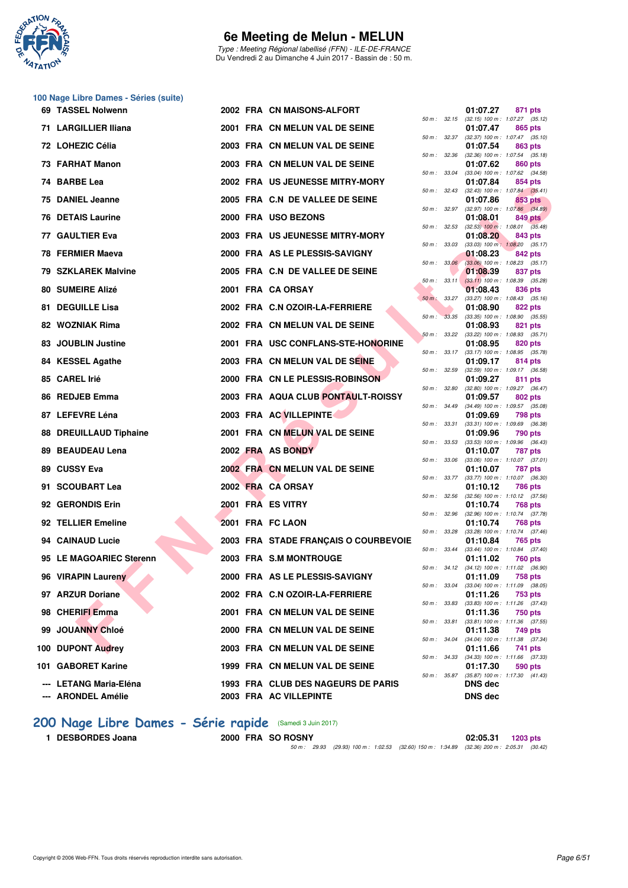

Type : Meeting Régional labellisé (FFN) - ILE-DE-FRANCE Du Vendredi 2 au Dimanche 4 Juin 2017 - Bassin de : 50 m.

#### **100 Nage Libre Dames - Séries (suite)**

| 69 TASSEL Nolwenn                            |  | 2002 FRA CN MAISONS-ALFORT                                   |              |                  | 01:07.27                                               | 871 pts        |  |
|----------------------------------------------|--|--------------------------------------------------------------|--------------|------------------|--------------------------------------------------------|----------------|--|
| 71 LARGILLIER Iliana                         |  | 2001 FRA CN MELUN VAL DE SEINE                               |              |                  | 50 m: 32.15 (32.15) 100 m: 1:07.27 (35.12)<br>01:07.47 | 865 pts        |  |
| 72 LOHEZIC Célia                             |  | 2003 FRA CN MELUN VAL DE SEINE                               |              | 50 m : 32.37     | $(32.37)$ 100 m : 1:07.47 $(35.10)$<br>01:07.54        | 863 pts        |  |
| 73 FARHAT Manon                              |  | 2003 FRA CN MELUN VAL DE SEINE                               | 50 m : 32.36 |                  | $(32.36)$ 100 m : 1:07.54 $(35.18)$<br>01:07.62        | 860 pts        |  |
| 74 BARBE Lea                                 |  | 2002 FRA US JEUNESSE MITRY-MORY                              |              | 50 m : 33.04     | $(33.04)$ 100 m : 1:07.62 $(34.58)$<br>01:07.84        | 854 pts        |  |
| 75 DANIEL Jeanne                             |  | 2005 FRA C.N DE VALLEE DE SEINE                              |              | 50 m : 32.43     | $(32.43)$ 100 m : 1:07.84 $(35.41)$<br>01:07.86        | 853 pts        |  |
| <b>76 DETAIS Laurine</b>                     |  | 2000 FRA USO BEZONS                                          | 50 m: 32.97  |                  | $(32.97)$ 100 m : 1:07.86 $(34.89)$<br>01:08.01        | 849 pts        |  |
| 77 GAULTIER Eva                              |  | 2003 FRA US JEUNESSE MITRY-MORY                              | 50 m: 32.53  |                  | $(32.53)$ 100 m : 1:08.01 $(35.48)$<br>01:08.20        | 843 pts        |  |
| 78 FERMIER Maeva                             |  | 2000 FRA AS LE PLESSIS-SAVIGNY                               | 50 m : 33.03 |                  | $(33.03)$ 100 m : 1:08.20 $(35.17)$<br>01:08.23        | 842 pts        |  |
| 79 SZKLAREK Malvine                          |  | 2005 FRA C.N DE VALLEE DE SEINE                              |              | $50 m$ : $33.06$ | $(33.06)$ 100 m : 1:08.23 $(35.17)$<br>01:08.39        | 837 pts        |  |
| 80 SUMEIRE Alizé                             |  | 2001 FRA CA ORSAY                                            |              | $50 m$ : $33.11$ | $(33.11)$ 100 m : 1:08.39 $(35.28)$<br>01:08.43        | 836 pts        |  |
| 81 DEGUILLE Lisa                             |  |                                                              |              | 50 m : 33.27     | $(33.27)$ 100 m : 1:08.43 $(35.16)$                    |                |  |
|                                              |  | 2002 FRA C.N OZOIR-LA-FERRIERE                               | $50 m$ :     | 33.35            | 01:08.90<br>$(33.35)$ 100 m : 1:08.90 $(35.55)$        | <b>822 pts</b> |  |
| 82 WOZNIAK Rima                              |  | 2002 FRA CN MELUN VAL DE SEINE                               | 50 m: 33.22  |                  | 01:08.93<br>$(33.22)$ 100 m : 1:08.93 $(35.71)$        | 821 pts        |  |
| 83 JOUBLIN Justine                           |  | 2001 FRA USC CONFLANS-STE-HONORINE                           |              | 50 m : 33.17     | 01:08.95<br>$(33.17)$ 100 m : 1:08.95 $(35.78)$        | 820 pts        |  |
| 84 KESSEL Agathe                             |  | 2003 FRA CN MELUN VAL DE SEINE                               |              |                  | 01:09.17                                               | 814 pts        |  |
| 85 CAREL Irié                                |  | 2000 FRA CN LE PLESSIS-ROBINSON                              | 50 m: 32.59  |                  | $(32.59)$ 100 m : 1:09.17 $(36.58)$<br>01:09.27        | 811 pts        |  |
| 86 REDJEB Emma                               |  | 2003 FRA AQUA CLUB PONTAULT-ROISSY                           | 50 m : 32.80 |                  | (32.80) 100 m: 1:09.27 (36.47)<br>01:09.57             | 802 pts        |  |
| 87 LEFEVRE Léna                              |  | 2003 FRA AC VILLEPINTE                                       | 50 m : 34.49 |                  | (34.49) 100 m: 1:09.57 (35.08)<br>01:09.69             | 798 pts        |  |
| 88 DREUILLAUD Tiphaine                       |  | 2001 FRA CN MELUN VAL DE SEINE                               | 50 m : 33.31 |                  | $(33.31)$ 100 m : 1:09.69 $(36.38)$<br>01:09.96        | 790 pts        |  |
| 89 BEAUDEAU Lena                             |  | 2002 FRA AS BONDY                                            | 50 m: 33.53  |                  | (33.53) 100 m: 1:09.96 (36.43)<br>01:10.07             | <b>787 pts</b> |  |
| 89 CUSSY Eva                                 |  | 2002 FRA CN MELUN VAL DE SEINE                               | 50 m: 33.06  |                  | $(33.06)$ 100 m : 1:10.07 $(37.01)$<br>01:10.07        | 787 pts        |  |
| 91 SCOUBART Lea                              |  | 2002 FRA CA ORSAY                                            | 50 m : 33.77 |                  | (33.77) 100 m : 1:10.07 (36.30)<br>01:10.12            | 786 pts        |  |
|                                              |  |                                                              | 50 m : 32.56 |                  | $(32.56)$ 100 m : 1:10.12 $(37.56)$                    |                |  |
| 92 GERONDIS Erin                             |  | 2001 FRA ES VITRY                                            |              | 50 m : 32.96     | 01:10.74<br>$(32.96)$ 100 m : 1:10.74 $(37.78)$        | 768 pts        |  |
| 92 TELLIER Emeline                           |  | 2001 FRA FC LAON                                             | 50 m : 33.28 |                  | 01:10.74<br>$(33.28)$ 100 m : 1:10.74 $(37.46)$        | <b>768 pts</b> |  |
| 94 CAINAUD Lucie                             |  | 2003 FRA STADE FRANÇAIS O COURBEVOIE                         |              |                  | 01:10.84<br>50 m: 33.44 (33.44) 100 m: 1:10.84 (37.40) | 765 pts        |  |
| 95 LE MAGOARIEC Sterenn                      |  | 2003 FRA S.M MONTROUGE                                       |              |                  | 01:11.02<br>50 m: 34.12 (34.12) 100 m: 1:11.02 (36.90) | <b>760 pts</b> |  |
| 96 VIRAPIN Laureny                           |  | 2000 FRA AS LE PLESSIS-SAVIGNY                               |              |                  | 01:11.09                                               | 758 pts        |  |
| 97 ARZUR Doriane                             |  | 2002 FRA C.N OZOIR-LA-FERRIERE                               |              | 50 m : 33.04     | $(33.04)$ 100 m : 1:11.09 $(38.05)$<br>01:11.26        | 753 pts        |  |
| 98 CHERIFI Emma                              |  | 2001 FRA CN MELUN VAL DE SEINE                               |              | 50 m : 33.83     | $(33.83)$ 100 m : 1:11.26 $(37.43)$<br>01:11.36        | 750 pts        |  |
| 99 JOUANNY Chloé                             |  | 2000 FRA CN MELUN VAL DE SEINE                               |              | 50 m : 33.81     | $(33.81)$ 100 m : 1:11.36 $(37.55)$<br>01:11.38        | 749 pts        |  |
| 100 DUPONT Audrey                            |  | 2003 FRA CN MELUN VAL DE SEINE                               |              |                  | 50 m: 34.04 (34.04) 100 m: 1:11.38 (37.34)<br>01:11.66 | 741 pts        |  |
| 101 GABORET Karine                           |  | 1999 FRA CN MELUN VAL DE SEINE                               |              |                  | 50 m: 34.33 (34.33) 100 m: 1:11.66 (37.33)<br>01:17.30 | 590 pts        |  |
|                                              |  |                                                              |              | 50 m : 35.87     | (35.87) 100 m: 1:17.30 (41.43)                         |                |  |
| --- LETANG Maria-Eléna<br>--- ARONDEL Amélie |  | 1993 FRA CLUB DES NAGEURS DE PARIS<br>2003 FRA AC VILLEPINTE |              |                  | <b>DNS</b> dec<br><b>DNS dec</b>                       |                |  |

|          |       | 01:07.27                      | 871 pts                              |
|----------|-------|-------------------------------|--------------------------------------|
| $50 m$ : | 32.15 | $(32.15)$ 100 m :             | 1:07.27<br>(35.12)                   |
|          |       | 01:07.47                      | 865 pts                              |
| 50 m :   | 32.37 | $(32.37) 100 m$ :<br>01:07.54 | 1:07.47<br>(35.10)<br>863 pts        |
| 50 m :   | 32.36 | $(32.36) 100 m$ :             | 1:07.54<br>(35.18)                   |
|          |       | 01:07.62                      | <b>860 pts</b>                       |
| $50 m$ : | 33.04 | $(33.04) 100 m$ :             | 1:07.62<br>(34.58)                   |
|          |       | 01:07.84                      | 854 pts                              |
| 50 m :   | 32.43 | $(32.43) 100 m$ :<br>01:07.86 | 1:07.84<br>(35.41)<br><b>853 pts</b> |
| $50 m$ : | 32.97 | (32.97) 100 m :               | 1:07.86<br>(34.89)                   |
|          |       | 01:08.01                      | <b>849 pts</b>                       |
| $50 m$ : | 32.53 | $(32.53)$ 100 m :             | 1:08.01<br>(35.48)                   |
|          |       | 01:08.20                      | 843 pts                              |
| $50 m$ : | 33.03 | $(33.03)$ 100 m :<br>01:08.23 | 1:08.20<br>(35.17)<br><b>842 pts</b> |
| $50 m$ : | 33.06 | $(33.06)$ 100 m :             | 1:08.23<br>(35.17)                   |
|          |       | 01:08.39                      | 837<br>pts                           |
| 50 m :   | 33.11 | $(33.11)$ 100 m :             | 1:08.39<br>(35.28)                   |
|          | 33.27 | 01:08.43<br>$(33.27) 100 m$ : | 836<br>pts                           |
| $50 m$ : |       | 01:08.90                      | (35.16)<br>1:08.43<br>822 pts        |
| $50 m$ : | 33.35 | $(33.35) 100 m$ :             | 1:08.90<br>(35.55)                   |
|          |       | 01:08.93                      | 821<br>pts                           |
| $50 m$ : | 33.22 | $(33.22)$ 100 m :             | 1:08.93<br>(35.71)                   |
| 50 m :   | 33.17 | 01:08.95<br>$(33.17) 100 m$ : | 820 pts<br>1:08.95<br>(35.78)        |
|          |       | 01:09.17                      | 814 pts                              |
| $50 m$ : | 32.59 | $(32.59)$ 100 m :             | 1:09.17<br>(36.58)                   |
|          |       | 01:09.27                      | 811<br>pts                           |
| $50 m$ : | 32.80 | $(32.80)$ 100 m :             | 1:09.27<br>(36.47)                   |
| 50 m :   | 34.49 | 01:09.57<br>$(34.49) 100 m$ : | 802 pts<br>1:09.57<br>(35.08)        |
|          |       | 01:09.69                      | 798<br>pts                           |
| $50 m$ : | 33.31 | $(33.31) 100 m$ :             | 1:09.69<br>(36.38)                   |
|          |       | 01:09.96                      | 790 pts                              |
| 50 m :   | 33.53 | $(33.53) 100 m$ :             | 1:09.96<br>(36.43)                   |
| 50 m :   | 33.06 | 01:10.07<br>$(33.06)$ 100 m : | 787<br>pts<br>1:10.07<br>(37.01)     |
|          |       | 01:10.07                      | 787<br>pts                           |
| $50 m$ : | 33.77 | $(33.77) 100 m$ :             | 1:10.07<br>(36.30)                   |
|          |       | 01:10.12                      | <b>786 pts</b>                       |
| 50 m :   | 32.56 | $(32.56)$ 100 m :<br>01:10.74 | 1:10.12<br>(37.56)<br>768 pts        |
| 50 m :   | 32.96 | $(32.96)$ 100 m :             | 1:10.74<br>(37.78)                   |
|          |       | 01:10.74                      | <b>768 pts</b>                       |
| $50 m$ : | 33.28 | $(33.28) 100 m$ :             | 1:10.74<br>(37.46)                   |
| $50 m$ : | 33.44 | 01:10.84<br>$(33.44) 100 m$ : | 765 pts<br>1:10.84<br>(37.40)        |
|          |       | 01:11.02                      | <b>760 pts</b>                       |
| $50 m$ : | 34.12 | $(34.12) 100 m$ :             | 1:11.02<br>(36.90)                   |
|          |       | 01:11.09                      | <b>758 pts</b>                       |
| 50 m :   | 33.04 | $(33.04)$ 100 m :             | 1:11.09<br>(38.05)                   |
| $50 m$ : | 33.83 | 01:11.26<br>$(33.83) 100 m$ : | <b>753 pts</b><br>1:11.26<br>(37.43) |
|          |       | 01:11.36                      | <b>750 pts</b>                       |
| $50 m$ : | 33.81 | $(33.81)$ 100 m :             | 1:11.36<br>(37.55)                   |
|          |       | 01:11.38                      | 749 pts                              |
| $50 m$ : | 34.04 | $(34.04)$ 100 m :<br>01:11.66 | 1:11.38<br>(37.34)<br>741            |
| $50 m$ : | 34.33 | $(34.33) 100 m$ :             | pts<br>1:11.66<br>(37.33)            |
|          |       | 01:17.30                      | 590 pts                              |
| $50 m$ : | 35.87 | $(35.87) 100 m$ :             | 1:17.30<br>(41.43)                   |
|          |       | <b>DNS</b> dec                |                                      |
|          |       | <b>DNS dec</b>                |                                      |

# [200 Nage Libre Dames - Série rapide](http://www.ffnatation.fr/webffn/resultats.php?idact=nat&go=epr&idcpt=46973&idepr=3) (Samedi 3 Juin 2017)<br>1 DESBORDES Joana 2000 FRA SO ROSNY

**1 DESBORDES Joana 2000 FRA SO ROSNY 02:05.31 1203 pts** 50 m : 29.93 (29.93) 100 m : 1:02.53 (32.60) 150 m : 1:34.89 (32.36) 200 m : 2:05.31 (30.42)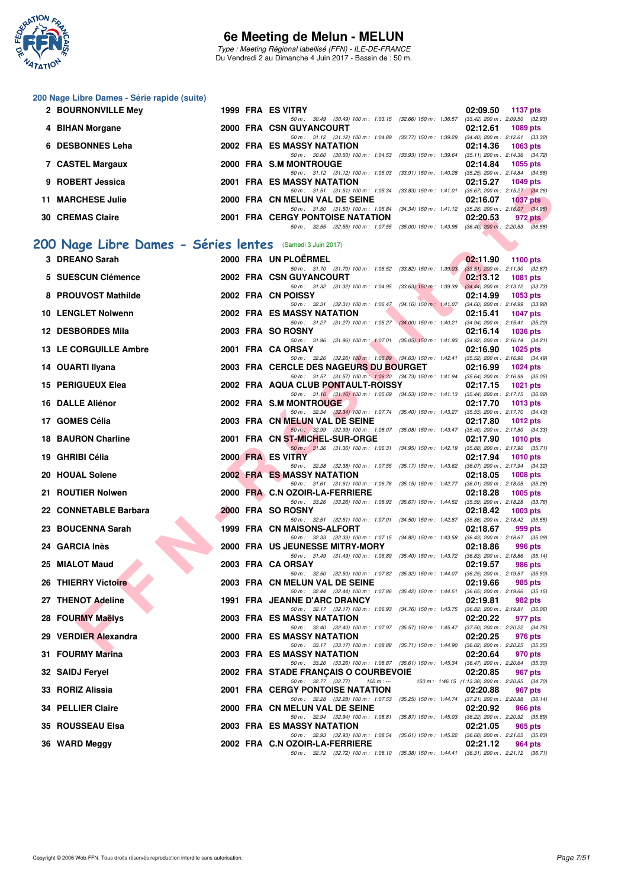

Type : Meeting Régional labellisé (FFN) - ILE-DE-FRANCE Du Vendredi 2 au Dimanche 4 Juin 2017 - Bassin de : 50 m.

#### **200 Nage Libre Dames - Série rapide (suite)**

|    | 2 BOURNONVILLE Mey                                        |  | 1999 FRA ES VITRY                                                                                                                   | 02:09.50<br>1137 pts                                                   |
|----|-----------------------------------------------------------|--|-------------------------------------------------------------------------------------------------------------------------------------|------------------------------------------------------------------------|
|    | 4 BIHAN Morgane                                           |  | 50 m : 30.49 (30.49) 100 m : 1:03.15 (32.66) 150 m : 1:36.57<br>2000 FRA CSN GUYANCOURT                                             | $(33.42)$ 200 m : 2:09.50 $(32.93)$<br>02:12.61<br>1089 pts            |
| 6. | <b>DESBONNES Leha</b>                                     |  | 50 m: 31.12 (31.12) 100 m: 1:04.89 (33.77) 150 m: 1:39.29<br>2002 FRA ES MASSY NATATION                                             | $(34.40)$ 200 m : 2:12.61 $(33.32)$<br>02:14.36<br>$1063$ pts          |
|    | 7 CASTEL Margaux                                          |  | 50 m : 30.60 (30.60) 100 m : 1:04.53 (33.93) 150 m : 1:39.64<br>2000 FRA S.M MONTROUGE                                              | $(35.11)$ 200 m : 2:14.36 $(34.72)$<br>02:14.84<br>1055 pts            |
|    | 9 ROBERT Jessica                                          |  | 50 m: 31.12 (31.12) 100 m: 1:05.03 (33.91) 150 m: 1:40.28<br>2001 FRA ES MASSY NATATION                                             | $(35.25)$ 200 m : 2:14.84 $(34.56)$<br>02:15.27<br><b>1049 pts</b>     |
|    | 11 MARCHESE Julie                                         |  | 50 m: 31.51 (31.51) 100 m: 1:05.34 (33.83) 150 m: 1:41.01 (35.67) 200 m: 2:15.27 (34.26)<br>2000 FRA CN MELUN VAL DE SEINE          | 02:16.07<br>1037 pts                                                   |
|    | <b>30 CREMAS Claire</b>                                   |  | 50 m: 31.50 (31.50) 100 m: 1:05.84 (34.34) 150 m: 1:41.12 (35.28) 200 m: 2:16.07 (34.95)<br><b>2001 FRA CERGY PONTOISE NATATION</b> | 02:20.53<br>972 pts                                                    |
|    |                                                           |  | 50 m: 32.55 (32.55) 100 m: 1:07.55 (35.00) 150 m: 1:43.95 (36.40) 200 m: 2:20.53 (36.58)                                            |                                                                        |
|    | 200 Nage Libre Dames - Séries lentes (Samedi 3 Juin 2017) |  |                                                                                                                                     |                                                                        |
|    | 3 DREANO Sarah                                            |  | 2000 FRA UN PLOËRMEL<br>50 m: 31.70 (31.70) 100 m: 1:05.52 (33.82) 150 m: 1:39.03                                                   | 02:11.90<br>1100 $pts$<br>$(33.51)$ 200 m : 2:11.90 $(32.87)$          |
|    | 5 SUESCUN Clémence                                        |  | 2002 FRA CSN GUYANCOURT<br>50 m: 31.32 (31.32) 100 m: 1:04.95 (33.63) 150 m: 1:39.39 (34.44) 200 m: 2:13.12 (33.73)                 | 02:13.12<br>1081 pts                                                   |
|    | 8 PROUVOST Mathilde                                       |  | 2002 FRA CN POISSY<br>50 m: 32.31 (32.31) 100 m: 1:06.47 (34.16) 150 m: 1:41.07                                                     | 02:14.99<br>1053 pts<br>$(34.60)$ 200 m : 2:14.99 $(33.92)$            |
|    | 10 LENGLET Nolwenn                                        |  | 2002 FRA ES MASSY NATATION                                                                                                          | 02:15.41<br><b>1047 pts</b>                                            |
|    | <b>12 DESBORDES Mila</b>                                  |  | 50 m: 31.27 (31.27) 100 m: 1:05.27 (34.00) 150 m: 1:40.21<br>2003 FRA SO ROSNY                                                      | $(34.94)$ 200 m : 2:15.41 $(35.20)$<br>02:16.14<br><b>1036 pts</b>     |
|    | <b>13 LE CORGUILLE Ambre</b>                              |  | 50 m: 31.96 (31.96) 100 m: 1:07.01 (35.05) 150 m: 1:41.93 (34.92) 200 m: 2:16.14 (34.21)<br>2001 FRA CA ORSAY                       | 02:16.90<br>$1025$ pts                                                 |
|    | 14 OUARTI Ilyana                                          |  | 50 m: 32.26 (32.26) 100 m: 1:06.89 (34.63) 150 m: 1:42.41 (35.52) 200 m: 2:16.90 (34.49)<br>2003 FRA CERCLE DES NAGEURS DU BOURGET  | 02:16.99<br>$1024$ pts                                                 |
|    | 15 PERIGUEUX Elea                                         |  | 50 m: 31.57 (31.57) 100 m: 1:06.30 (34.73) 150 m: 1:41.94 (35.64) 200 m: 2:16.99 (35.05)<br>2002 FRA AQUA CLUB PONTAULT-ROISSY      | 02:17.15<br>1021 pts                                                   |
|    | 16 DALLE Aliénor                                          |  | 50 m: 31.16 (31.16) 100 m: 1:05.69 (34.53) 150 m: 1:41.13 (35.44) 200 m: 2:17.15 (36.02)<br>2002 FRA S.M MONTROUGE                  | 02:17.70<br>$1013$ pts                                                 |
|    | 17 GOMES Célia                                            |  | 50 m: 32.34 (32.34) 100 m: 1:07.74 (35.40) 150 m: 1:43.27 (35.53) 200 m: 2:17.70 (34.43)<br>2003 FRA CN MELUN VAL DE SEINE          | 02:17.80<br><b>1012 pts</b>                                            |
|    | <b>18 BAURON Charline</b>                                 |  | 50 m: 32.99 (32.99) 100 m: 1:08.07 (35.08) 150 m: 1:43.47 (35.40) 200 m: 2:17.80 (34.33)<br>2001 FRA CN ST-MICHEL-SUR-ORGE          | 02:17.90<br>1010 pts                                                   |
|    | 19 GHRIBI Célia                                           |  | 50 m: 31.36 (31.36) 100 m: 1:06.31 (34.95) 150 m: 1:42.19<br>2000 FRA ES VITRY                                                      | $(35.88)$ 200 m : 2:17.90 $(35.71)$<br>02:17.94<br><b>1010 pts</b>     |
|    | 20 HOUAL Solene                                           |  | 50 m : 32.38 (32.38) 100 m : 1:07.55 (35.17) 150 m : 1:43.62<br><b>2002 FRA ES MASSY NATATION</b>                                   | (36.07) 200 m : 2:17.94 (34.32)<br>02:18.05<br>$1008$ pts              |
|    | 21 ROUTIER Nolwen                                         |  | 50 m: 31.61 (31.61) 100 m: 1.06.76 (35.15) 150 m: 1.42.77 (36.01) 200 m: 2.18.05 (35.28)<br>2000 FRA C.N OZOIR-LA-FERRIERE          | 02:18.28<br>$1005$ pts                                                 |
|    | 22 CONNETABLE Barbara                                     |  | 50 m : 33.26 (33.26) 100 m : 1:08.93 (35.67) 150 m : 1:44.52<br>2000 FRA SO ROSNY                                                   | $(35.59)$ 200 m : 2:18.28 $(33.76)$<br>02:18.42<br>$1003$ pts          |
|    | 23 BOUCENNA Sarah                                         |  | 50 m : 32.51 (32.51) 100 m : 1:07.01 (34.50) 150 m : 1:42.87<br>1999 FRA CN MAISONS-ALFORT                                          | $(35.86)$ 200 m : 2:18.42 $(35.55)$<br>02:18.67<br>999 pts             |
|    |                                                           |  | 50 m: 32.33 (32.33) 100 m: 1:07.15 (34.82) 150 m: 1:43.58 (36.43) 200 m: 2:18.67 (35.09)                                            |                                                                        |
|    | 24 GARCIA Inès                                            |  | 2000 FRA US JEUNESSE MITRY-MORY<br>50 m: 31.49 (31.49) 100 m: 1:06.89 (35.40) 150 m: 1:43.72 (36.83) 200 m: 2:18.86 (35.14)         | 02:18.86<br>996 pts                                                    |
|    | 25 MIALOT Maud                                            |  | 2003 FRA CA ORSAY<br>50 m: 32.50 (32.50) 100 m: 1:07.82 (35.32) 150 m: 1:44.07 (36.25) 200 m: 2:19.57 (35.50)                       | 02:19.57<br>986 pts                                                    |
|    | 26 THIERRY Victoire                                       |  | 2003 FRA CN MELUN VAL DE SEINE<br>50 m: 32.44 (32.44) 100 m: 1:07.86 (35.42) 150 m: 1:44.51                                         | 985 pts<br>02:19.66<br>$(36.65)$ 200 m : 2:19.66 $(35.15)$             |
|    | 27 THENOT Adeline                                         |  | 1991 FRA JEANNE D'ARC DRANCY<br>50 m : 32.17 (32.17) 100 m : 1:06.93 (34.76) 150 m : 1:43.75 (36.82) 200 m : 2:19.81 (36.06)        | 02:19.81<br>982 pts                                                    |
|    | 28 FOURMY Maëlys                                          |  | 2003 FRA ES MASSY NATATION<br>50 m: 32.40 (32.40) 100 m: 1:07.97 (35.57) 150 m: 1:45.47 (37.50) 200 m: 2:20.22 (34.75)              | 02:20.22<br>977 pts                                                    |
|    | 29 VERDIER Alexandra                                      |  | 2000 FRA ES MASSY NATATION<br>50 m: 33.17 (33.17) 100 m: 1:08.88 (35.71) 150 m: 1:44.90 (36.02) 200 m: 2:20.25 (35.35)              | 02:20.25<br>976 pts                                                    |
|    | 31 FOURMY Marina                                          |  | 2003 FRA ES MASSY NATATION<br>50 m: 33.26 (33.26) 100 m: 1:08.87 (35.61) 150 m: 1:45.34 (36.47) 200 m: 2:20.64 (35.30)              | 02:20.64<br>970 pts                                                    |
|    | 32 SAIDJ Feryel                                           |  | 2002 FRA STADE FRANÇAIS O COURBEVOIE<br>$100 m: -$                                                                                  | 02:20.85<br>967 pts                                                    |
|    | 33 RORIZ Alissia                                          |  | 50 m : 32.77 (32.77)<br><b>2001 FRA CERGY PONTOISE NATATION</b>                                                                     | 150 m: 1:46.15 (1:13.38) 200 m: 2:20.85 (34.70)<br>02:20.88<br>967 pts |
|    | <b>34 PELLIER Claire</b>                                  |  | 50 m: 32.28 (32.28) 100 m: 1:07.53 (35.25) 150 m: 1:44.74 (37.21) 200 m: 2:20.88 (36.14)<br>2000 FRA CN MELUN VAL DE SEINE          | 02:20.92<br>966 pts                                                    |
|    | 35 ROUSSEAU Elsa                                          |  | 50 m: 32.94 (32.94) 100 m: 1:08.81 (35.87) 150 m: 1:45.03 (36.22) 200 m: 2:20.92 (35.89)<br>2003 FRA ES MASSY NATATION              | 02:21.05<br>965 pts                                                    |
|    | 36 WARD Meggy                                             |  | 50 m: 32.93 (32.93) 100 m: 1:08.54 (35.61) 150 m: 1:45.22 (36.68) 200 m: 2:21.05 (35.83)<br>2002 FRA C.N OZOIR-LA-FERRIERE          | 02:21.12<br>964 pts                                                    |
|    |                                                           |  | 50 m: 32.72 (32.72) 100 m: 1:08.10 (35.38) 150 m: 1:44.41 (36.31) 200 m: 2:21.12 (36.71)                                            |                                                                        |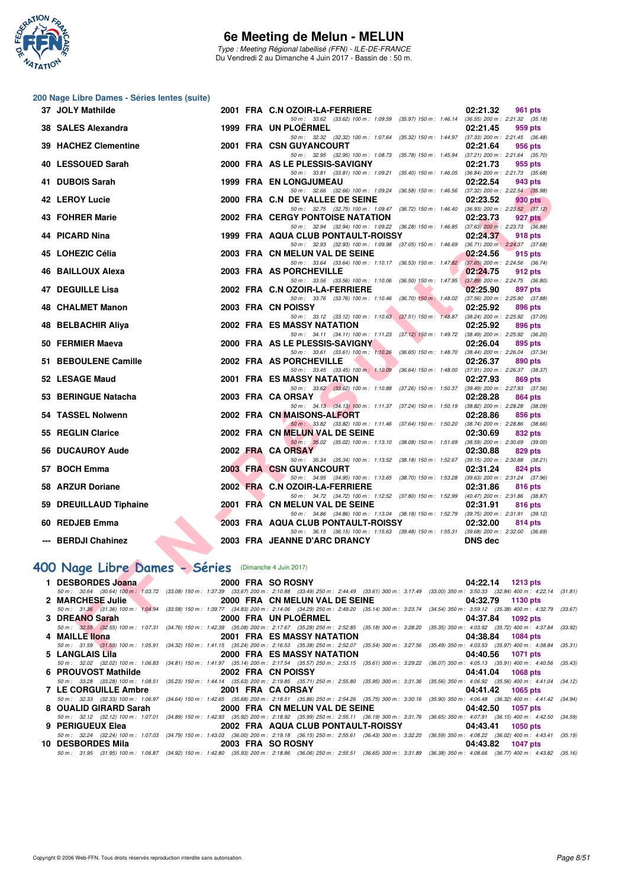

Type : Meeting Régional labellisé (FFN) - ILE-DE-FRANCE Du Vendredi 2 au Dimanche 4 Juin 2017 - Bassin de : 50 m.

#### **200 Nage Libre Dames - Séries lentes (suite)**

| 37 JOLY Mathilde                                    |  | 2001 FRA C.N OZOIR-LA-FERRIERE<br>02:21.32<br><b>961 pts</b>                                                                                                                                                                                                                       |
|-----------------------------------------------------|--|------------------------------------------------------------------------------------------------------------------------------------------------------------------------------------------------------------------------------------------------------------------------------------|
| 38 SALES Alexandra                                  |  | 50 m: 33.62 (33.62) 100 m: 1:09.59 (35.97) 150 m: 1:46.14 (36.55) 200 m: 2:21.32 (35.18)<br>1999 FRA UN PLOERMEL<br>02:21.45<br>959 pts                                                                                                                                            |
| 39 HACHEZ Clementine                                |  | 50 m: 32.32 (32.32) 100 m: 1:07.64 (35.32) 150 m: 1:44.97 (37.33) 200 m: 2:21.45 (36.48)<br>2001 FRA CSN GUYANCOURT<br>02:21.64<br>956 pts                                                                                                                                         |
|                                                     |  | 50 m: 32.95 (32.95) 100 m: 1:08.73 (35.78) 150 m: 1:45.94 (37.21) 200 m: 2:21.64 (35.70)                                                                                                                                                                                           |
| 40 LESSOUED Sarah                                   |  | 2000 FRA AS LE PLESSIS-SAVIGNY<br>02:21.73<br>955 pts<br>50 m: 33.81 (33.81) 100 m: 1:09.21 (35.40) 150 m: 1:46.05 (36.84) 200 m: 2:21.73 (35.68)                                                                                                                                  |
| 41 DUBOIS Sarah                                     |  | <b>1999 FRA EN LONGJUMEAU</b><br>02:22.54<br>943 pts                                                                                                                                                                                                                               |
| 42 LEROY Lucie                                      |  | 50 m: 32.66 (32.66) 100 m: 1:09.24 (36.58) 150 m: 1:46.56 (37.32) 200 m: 2:22.54 (35.98)<br>2000 FRA C.N DE VALLEE DE SEINE<br>02:23.52<br>930 pts                                                                                                                                 |
|                                                     |  | 50 m: 32.75 (32.75) 100 m: 1:09.47 (36.72) 150 m: 1:46.40 (36.93) 200 m: 2:23.52 (37.12)                                                                                                                                                                                           |
| 43 FOHRER Marie                                     |  | 2002 FRA CERGY PONTOISE NATATION<br>02:23.73<br>927 pts<br>50 m: 32.94 (32.94) 100 m: 1:09.22 (36.28) 150 m: 1:46.85 (37.63) 200 m: 2:23.73 (36.88)                                                                                                                                |
| 44 PICARD Nina                                      |  | 1999 FRA AQUA CLUB PONTAULT-ROISSY<br>02:24.37<br>918 pts                                                                                                                                                                                                                          |
| 45 LOHEZIC Célia                                    |  | 50 m: 32.93 (32.93) 100 m: 1:09.98<br>(37.05) 150 m : 1:46.69 (36.71) 200 m : 2:24.37 (37.68)<br>2003 FRA CN MELUN VAL DE SEINE<br>02:24.56<br>915 pts                                                                                                                             |
|                                                     |  | 50 m: 33.64 (33.64) 100 m: 1:10.17 (36.53) 150 m: 1:47.82 (37.65) 200 m: 2:24.56 (36.74)                                                                                                                                                                                           |
| 46 BAILLOUX Alexa                                   |  | 2003 FRA AS PORCHEVILLE<br>02:24.75<br>912 pts                                                                                                                                                                                                                                     |
| <b>47 DEGUILLE Lisa</b>                             |  | 50 m: 33.56 (33.56) 100 m: 1:10.06 (36.50) 150 m: 1:47.95<br>$(37.89)$ 200 m : 2:24.75 $(36.80)$<br>2002 FRA C.N OZOIR-LA-FERRIERE<br>02:25.90<br>897 pts                                                                                                                          |
|                                                     |  | 50 m: 33.76 (33.76) 100 m: 1:10.46 (36.70) 150 m: 1:48.02 (37.56) 200 m: 2:25.90 (37.88)                                                                                                                                                                                           |
| 48 CHALMET Manon                                    |  | 2003 FRA CN POISSY<br>02:25.92<br>896 pts<br>50 m: 33.12 (33.12) 100 m: 1:10.63 (37.51) 150 m: 1:48.87 (38.24) 200 m: 2:25.92 (37.05)                                                                                                                                              |
| 48 BELBACHIR Aliya                                  |  | <b>2002 FRA ES MASSY NATATION</b><br>02:25.92<br>896 pts                                                                                                                                                                                                                           |
| 50 FERMIER Maeva                                    |  | 50 m: 34.11 (34.11) 100 m: 1:11.23 (37.12) 150 m: 1:49.72 (38.49) 200 m: 2:25.92 (36.20)<br>2000 FRA AS LE PLESSIS-SAVIGNY<br>02:26.04<br>895 pts                                                                                                                                  |
|                                                     |  | 50 m: 33.61 (33.61) 100 m: 1:10.26 (36.65) 150 m: 1:48.70 (38.44) 200 m: 2:26.04 (37.34)                                                                                                                                                                                           |
| 51 BEBOULENE Camille                                |  | 2002 FRA AS PORCHEVILLE<br>02:26.37<br>890 pts<br>50 m: 33.45 (33.45) 100 m: 1:10.09 (36.64) 150 m: 1:48.00 (37.91) 200 m: 2:26.37 (38.37)                                                                                                                                         |
| 52 LESAGE Maud                                      |  | <b>2001 FRA ES MASSY NATATION</b><br>02:27.93<br>869 pts                                                                                                                                                                                                                           |
| 53 BERINGUE Natacha                                 |  | 50 m: 33.62 (33.62) 100 m: 1:10.88 (37.26) 150 m: 1:50.37<br>$(39.49)$ 200 m : 2:27.93 $(37.56)$<br>2003 FRA CA ORSAY                                                                                                                                                              |
|                                                     |  | 02:28.28<br>864 pts<br>50 m: 34.13 (34.13) 100 m: 1:11.37 (37.24) 150 m: 1:50.19 (38.82) 200 m: 2:28.28 (38.09)                                                                                                                                                                    |
| 54 TASSEL Nolwenn                                   |  | 2002 FRA CN MAISONS-ALFORT<br>02:28.86<br>856 pts                                                                                                                                                                                                                                  |
| 55 REGLIN Clarice                                   |  | 50 m: 33.82 (33.82) 100 m: 1:11.46 (37.64) 150 m: 1:50.20 (38.74) 200 m: 2:28.86 (38.66)<br>2002 FRA CN MELUN VAL DE SEINE<br>02:30.69<br>832 pts                                                                                                                                  |
|                                                     |  | 50 m: 35.02 (35.02) 100 m: 1:13.10 (38.08) 150 m: 1:51.69<br>$(38.59)$ 200 m : 2:30.69 $(39.00)$                                                                                                                                                                                   |
| 56 DUCAUROY Aude                                    |  | 2002 FRA CA ORSAY<br>02:30.88<br>829 pts<br>50 m: 35.34 (35.34) 100 m: 1:13.52 (38.18) 150 m: 1:52.67 (39.15) 200 m: 2:30.88 (38.21)                                                                                                                                               |
| 57 BOCH Emma                                        |  | 2003 FRA CSN GUYANCOURT<br>02:31.24<br>824 pts                                                                                                                                                                                                                                     |
| 58 ARZUR Doriane                                    |  | 50 m: 34.95 (34.95) 100 m: 1:13.65 (38.70) 150 m: 1:53.28 (39.63) 200 m: 2:31.24 (37.96)<br>2002 FRA C.N OZOIR-LA-FERRIERE<br>02:31.86<br>816 pts                                                                                                                                  |
|                                                     |  | 50 m: 34.72 (34.72) 100 m: 1:12.52 (37.80) 150 m: 1:52.99 (40.47) 200 m: 2:31.86 (38.87)                                                                                                                                                                                           |
| 59 DREUILLAUD Tiphaine                              |  | 2001 FRA CN MELUN VAL DE SEINE<br>02:31.91<br>816 pts<br>50 m: 34.86 (34.86) 100 m: 1:13.04 (38.18) 150 m: 1:52.79 (39.75) 200 m: 2:31.91 (39.12)                                                                                                                                  |
| 60 REDJEB Emma                                      |  | 2003 FRA AQUA CLUB PONTAULT-ROISSY<br>02:32.00<br>814 pts                                                                                                                                                                                                                          |
| --- BERDJI Chahinez                                 |  | 50 m: 36.15 (36.15) 100 m: 1:15.63 (39.48) 150 m: 1:55.31 (39.68) 200 m: 2:32.00 (36.69)<br>2003 FRA JEANNE D'ARC DRANCY<br><b>DNS dec</b>                                                                                                                                         |
|                                                     |  |                                                                                                                                                                                                                                                                                    |
|                                                     |  |                                                                                                                                                                                                                                                                                    |
| OO Nage Libre Dames - Séries (Dimanche 4 Juin 2017) |  |                                                                                                                                                                                                                                                                                    |
| 1 DESBORDES Joana                                   |  | 2000 FRA SO ROSNY<br>04:22.14<br><b>1213 pts</b><br>50 m : 30.64 (30.64) 100 m : 1:03.72 (33.08) 150 m : 1:37.39 (33.67) 200 m : 2:10.88 (33.49) 250 m : 2:44.49 (33.61) 300 m : 3:17.49 (33.00) 350 m : 3:50.33 (32.84) 400 m : 4:22.14 (3                                        |
| 2 MARCHESE Julie                                    |  | 2000 FRA CN MELUN VAL DE SEINE<br>04:32.79<br>1130 pts                                                                                                                                                                                                                             |
| 3 DREANO Sarah                                      |  | 50 m: 31.36 (31.36) 100 m: 1:04.94 (33.58) 150 m: 1:39.77 (34.83) 200 m: 2:14.06 (34.29) 250 m: 2:49.20 (35.14) 300 m: 3:23.74 (34.54) 350 m: 3:59.12 (35.38) 400 m: 4:32.79 (3.<br>2000 FRA UN PLOERMEL<br>04:37.84<br><b>1092 pts</b>                                            |
|                                                     |  | 50 m: 32.55 (32.55) 100 m: 1:07.31 (34.76) 150 m: 1:42.39 (35.08) 200 m: 2:17.67 (35.28) 250 m: 2:52.85 (35.18) 300 m: 328.20 (35.35) 350 m: 4:03.92 (35.72) 400 m: 4:37.84 (3:                                                                                                    |
| 4 MAILLE llona                                      |  | 2001 FRA ES MASSY NATATION<br>04:38.84<br><b>1084 pts</b>                                                                                                                                                                                                                          |
| <b>LAMOLAIOLU-</b>                                  |  | 50 m: 31.59 (31.59) 100 m: 1:05.91 (34.32) 150 m: 1:41.15 (35.24) 200 m: 2:16.53 (35.38) 250 m: 2:52.07 (35.54) 300 m: 3:27.56 (35.49) 350 m: 4:03.53 (35.97) 400 m: 4:38.84 (3:<br>COOL FRA FO MACOV NATATION<br>0.4.40 E <sub>c</sub><br>$\sim$ 4.0 $\sim$ 4.4 $\sim$ 4.4 $\sim$ |

# **[400 Nage Libre Dames - Séries](http://www.ffnatation.fr/webffn/resultats.php?idact=nat&go=epr&idcpt=46973&idepr=4)** (Dimanche 4 Juin 2017)

|                                        | 1 DESBORDES Joana 2000 2000 FRA SO ROSNY                                                                                                                                                     | 04:22.14 1213 pts           |  |
|----------------------------------------|----------------------------------------------------------------------------------------------------------------------------------------------------------------------------------------------|-----------------------------|--|
|                                        | 50 m: 30.64 (30.64) 100 m: 1:03.72 (33.08) 150 m: 1:37.39 (33.67) 200 m: 2:10.88 (33.49) 250 m: 2:44.49 (33.61) 300 m: 3:17.49 (33.00) 350 m: 3:50.33 (32.84) 400 m: 4:22.14 (31.81)         |                             |  |
| 2 MARCHESE Julie                       | 2000 FRA CN MELUN VAL DE SEINE 04:32.79                                                                                                                                                      | 1130 pts                    |  |
|                                        | 50 m: 31.36 (31.36) 100 m: 1:04.94 (33.58) 150 m: 1:39.77 (34.83) 200 m: 2:14.06 (34.29) 250 m: 2:49.20 (35.14) 300 m: 3:23.74 (34.54) 350 m: 3:59.12 (35.38) 400 m: 4:32.79 (33.67)         |                             |  |
| 3 DREANO Sarah                         | 2000 FRA UN PLOERMEL <b>AUGUST 1999</b>                                                                                                                                                      | 04:37.84<br>1092 pts        |  |
|                                        | 50 m: 32.55 (32.55) 100 m: 1:07.31 (34.76) 150 m: 1:42.39 (35.08) 200 m: 2:17.67 (35.28) 250 m: 2:52.85 (35.18) 300 m: 3:28.20 (35.35) 350 m: 4:03.92 (35.72) 400 m: 4:37.84 (33.92)         |                             |  |
| 4 MAILLE llona                         | <b>2001 FRA ES MASSY NATATION</b>                                                                                                                                                            | 04:38.84<br>1084 pts        |  |
|                                        | 50 m: 31.59 (31.59) 100 m: 1:05.91 (34.32) 150 m: 1:41.15 (35.24) 200 m: 2:16.53 (35.38) 250 m: 2:52.07 (35.54) 300 m: 3:27.56 (35.49) 350 m: 4:03.53 (35.97) 400 m: 4:38.84 (35.31)         |                             |  |
| 5 LANGLAIS Lila                        | <b>2000 FRA ES MASSY NATATION</b>                                                                                                                                                            | 04:40.56<br>1071 pts        |  |
|                                        | 50 m: 32.02 (32.02) 100 m: 1:06.83 (34.81) 150 m: 1:41.97 (35.14) 200 m: 2:17.54 (35.57) 250 m: 2:53.15 (35.61) 300 m: 3:29.22 (36.07) 350 m: 4:05.13 (35.91) 400 m: 4:40.56 (35.43)         |                             |  |
|                                        | 6 PROUVOST Mathilde 2002 FRA CN POISSY                                                                                                                                                       | 04:41.04<br>1068 pts        |  |
|                                        | 50 m: 33.28 (33.28) 100 m: 1:08.51 (35.23) 150 m: 1:44.14 (35.63) 200 m: 2:19.85 (35.71) 250 m: 2:55.80 (35.95) 300 m: 3:31.36 (35.56) 350 m: 4:06.92 (35.56) 400 m: 4:41.04 (34.12)         |                             |  |
| 7 LE CORGUILLE Ambre 2001 FRA CA ORSAY |                                                                                                                                                                                              | 04:41.42 1065 pts           |  |
|                                        | 50 m: 32.33 (32.33) 100 m: 1:06.97 (34.64) 150 m: 1:42.65 (35.68) 200 m: 2:18.51 (35.86) 250 m: 2:54.26 (35.75) 300 m: 3:30.16 (35.90) 350 m: 4:06.48 (36.32) 400 m: 4:41.42 (34.94)         |                             |  |
|                                        |                                                                                                                                                                                              | 04:42.50<br><b>1057 pts</b> |  |
|                                        | 50 m: 32.12 (32.12) 100 m: 1:07.01 (34.89) 150 m: 1:42.93 (35.92) 200 m: 2:18.92 (35.99) 250 m: 2:55.11 (36.19) 300 m: 3:31.76 (36.65) 350 m: 4:07.91 (36.15) 400 m: 4:42.50 (34.59)         |                             |  |
|                                        |                                                                                                                                                                                              | 1050 pts                    |  |
|                                        | 50 m: 32.24 (32.24) 100 m: 1:07.03 (34.79) 150 m: 1:43.03 (36.00) 200 m: 2:19.18 (36.15) 250 m: 2:55.61 (36.43) 300 m: 3:32.20 (36.59) 350 m: 4:08.22 (36.02) 400 m: 4:43.41 (35.19          |                             |  |
|                                        |                                                                                                                                                                                              | 04:43.82<br><b>1047 pts</b> |  |
|                                        | 50 m : 31.95 (31.95) 100 m : 1:06.87 (34.92) 150 m : 1:42.80 (35.93) 200 m : 2:18.86 (36.06) 250 m : 2:55.51 (36.65) 300 m : 3:31.89 (36.38) 350 m : 4:08.66 (36.77) 400 m : 4:43.82 (35.16) |                             |  |
|                                        |                                                                                                                                                                                              |                             |  |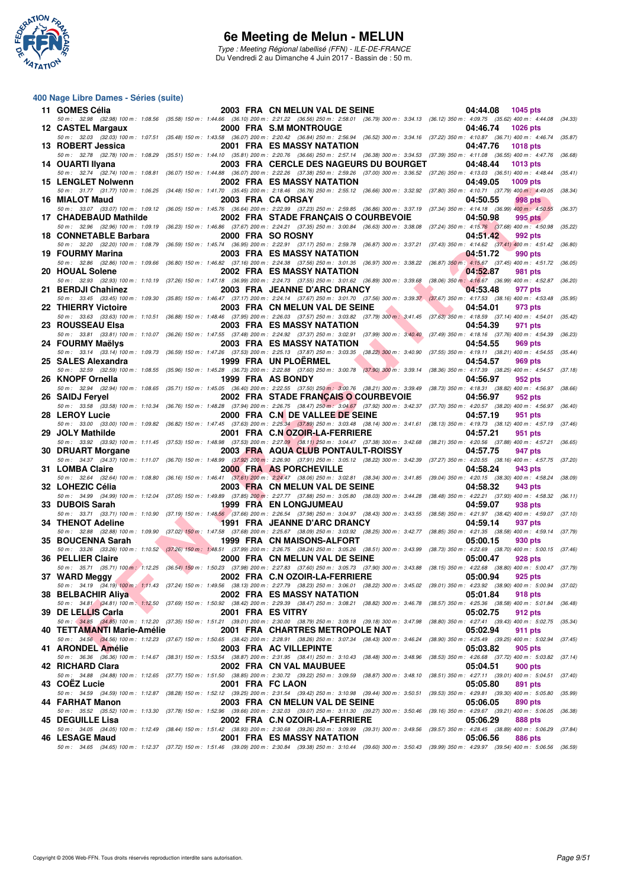

Type : Meeting Régional labellisé (FFN) - ILE-DE-FRANCE Du Vendredi 2 au Dimanche 4 Juin 2017 - Bassin de : 50 m.

#### **400 Nage Libre Dames - Séries (suite)**

| 11 GOMES Célia                                                                                                                                                                                                                                        |                   | 2003 FRA CN MELUN VAL DE SEINE                                                                                                                                                                                                  | 04:44.08<br>1045 pts                                                              |
|-------------------------------------------------------------------------------------------------------------------------------------------------------------------------------------------------------------------------------------------------------|-------------------|---------------------------------------------------------------------------------------------------------------------------------------------------------------------------------------------------------------------------------|-----------------------------------------------------------------------------------|
|                                                                                                                                                                                                                                                       |                   | 50 m : 32.98 (32.98) 100 m : 1:08.56 (35.58) 150 m : 1:44.66 (36.10) 200 m : 2:21.22 (36.56) 250 m : 2:58.01 (36.79) 300 m : 3:34.13 (36.12) 350 m : 4:09.75 (35.62) 400 m : 4:44.08 (34.33)                                    |                                                                                   |
| 12 CASTEL Margaux                                                                                                                                                                                                                                     |                   | 2000 FRA S.M MONTROUGE<br>50 m: 32.03 (32.03) 100 m: 1:07.51 (35.48) 150 m: 1:43.58 (36.07) 200 m: 2:20.42 (36.84) 250 m: 2:56.94 (36.52) 300 m: 3:34.16 (37.22) 350 m: 4:10.87 (36.71) 400 m: 4:46.74 (35.87)                  | 04:46.74<br><b>1026 pts</b>                                                       |
| 13 ROBERT Jessica                                                                                                                                                                                                                                     |                   | 2001 FRA ES MASSY NATATION                                                                                                                                                                                                      | 04:47.76<br><b>1018 pts</b>                                                       |
| 50 m : 32.78 (32.78) 100 m : 1:08.29                                                                                                                                                                                                                  |                   | (35.51) 150 m: 1:44.10 (35.81) 200 m: 2:20.76 (36.66) 250 m: 2:57.14 (36.38) 300 m: 3:34.53 (37.39) 350 m: 4:11.08 (36.55) 400 m: 4:47.76                                                                                       | (36.68)                                                                           |
| 14 OUARTI Ilyana                                                                                                                                                                                                                                      |                   | 2003 FRA CERCLE DES NAGEURS DU BOURGET                                                                                                                                                                                          | 04:48.44<br>1013 pts                                                              |
| 50 m : 32.74 (32.74) 100 m : 1:08.81<br>15 LENGLET Nolwenn                                                                                                                                                                                            |                   | (36.07) 150 m : 1:44.88 (36.07) 200 m : 2:22.26 (37.38) 250 m : 2:59.26 (37.00) 300 m : 3:36.52 (37.26) 350 m : 4:13.03 (36.51) 400 m : 4:48.44<br>2002 FRA ES MASSY NATATION                                                   | (35.41)<br>04:49.05<br>$1009$ pts                                                 |
|                                                                                                                                                                                                                                                       |                   | 50 m: 31.77 (31.77) 100 m: 1:06.25 (34.48) 150 m: 1:41.70 (35.45) 200 m: 2:18.46 (36.76) 250 m: 2:55.12 (36.66) 300 m: 3:32.92 (37.80) 350 m: 4:10.71 (37.79) 400 m: 4:49.05                                                    | (38.34)                                                                           |
| 16 MIALOT Maud                                                                                                                                                                                                                                        |                   | 2003 FRA CA ORSAY                                                                                                                                                                                                               | 04:50.55<br>998 pts                                                               |
| 17 CHADEBAUD Mathilde                                                                                                                                                                                                                                 |                   | 50 m : 33.07 (33.07) 100 m : 1:09.12 (36.05) 150 m : 1:45.76 (36.64) 200 m : 2:22.99 (37.23) 250 m : 2:59.85 (36.86) 300 m : 3:37.19 (37.34) 350 m : 4:14.18 (36.99) 400 m : 4:50.55<br>2002 FRA STADE FRANÇAIS O COURBEVOIE    | (36.37)<br>04:50.98<br>995 pts                                                    |
|                                                                                                                                                                                                                                                       |                   | 50 m: 32.96 (32.96) 100 m: 1:09.19 (36.23) 150 m: 1:46.86 (37.67) 200 m: 2:24.21 (37.35) 250 m: 3:00.84 (36.63) 300 m: 3:38.08 (37.24) 350 m: 4:15.76 (37.68) 400 m: 4:50.98 (35.22)                                            |                                                                                   |
| 18 CONNETABLE Barbara                                                                                                                                                                                                                                 |                   | 2000 FRA SO ROSNY                                                                                                                                                                                                               | 04:51.42<br>992 pts                                                               |
|                                                                                                                                                                                                                                                       |                   | 50 m: 32.20 (32.20) 100 m: 1:08.79 (36.59) 150 m: 1:45.74 (36.95) 200 m: 2:22.91 (37.17) 250 m: 2:59.78 (36.87) 300 m: 3:37.21 (37.43) 350 m: 4:14.62 (37.41) 400 m: 4:51.42                                                    | (36.80)                                                                           |
| 19 FOURMY Marina                                                                                                                                                                                                                                      |                   | <b>2003 FRA ES MASSY NATATION</b><br>50 m : 32.86 (32.86) 100 m : 1:09.66 (36.80) 150 m : 1:46.82 (37.16) 200 m : 2:24.38 (37.56) 250 m : 3:01.35 (36.87) 300 m : 3:38.22 (36.87) 350 m : 4:15.67 (37.45) 400 m : 4:51.72       | 04:51.72<br>990 pts<br>(36.05)                                                    |
| 20 HOUAL Solene                                                                                                                                                                                                                                       |                   | 2002 FRA ES MASSY NATATION                                                                                                                                                                                                      | 04:52.87<br>981 pts                                                               |
|                                                                                                                                                                                                                                                       |                   | 50 m : 32.93 (32.93) 100 m : 1:10.19 (37.26) 150 m : 1:47.18 (36.99) 200 m : 2:24.73 (37.55) 250 m : 3:01.62 (36.89) 300 m : 3:39.68 (38.06) 350 m : 4:16.67 (36.99) 400 m : 4:52.87                                            | (36.20)                                                                           |
| 21 BERDJI Chahinez                                                                                                                                                                                                                                    |                   | 2003 FRA JEANNE D'ARC DRANCY<br>50 m: 33.45 (33.45) 100 m: 1:09.30 (35.85) 150 m: 1:46.47 (37.17) 200 m: 2:24.14 (37.67) 250 m: 3:01.70 (37.56) 300 m: 3:39.37 (37.67) 350 m: 4:17.53 (38.16) 400 m: 4:53.48                    | 04:53.48<br>977 pts<br>(35.95)                                                    |
| 22 THIERRY Victoire                                                                                                                                                                                                                                   |                   | 2003 FRA CN MELUN VAL DE SEINE                                                                                                                                                                                                  | 04:54.01<br>973 pts                                                               |
|                                                                                                                                                                                                                                                       |                   | 50 m: 33.63 (33.63) 100 m: 1:10.51 (36.88) 150 m: 1:48.46 (37.95) 200 m: 2:26.03 (37.57) 250 m: 3:03.82 (37.79) 300 m: 3:41.45 (37.63) 350 m: 4:18.59 (37.14) 400 m: 4:54.01 (35.42)                                            |                                                                                   |
| 23 ROUSSEAU Elsa                                                                                                                                                                                                                                      |                   | <b>2003 FRA ES MASSY NATATION</b>                                                                                                                                                                                               | 04:54.39<br>971 pts                                                               |
| 24 FOURMY Maëlys                                                                                                                                                                                                                                      |                   | 50 m: 33.81 (33.81) 100 m: 1:10.07 (36.26) 150 m: 1:47.55 (37.48) 200 m: 2:24.92 (37.37) 250 m: 3:02.91 (37.99) 300 m: 3:40.40 (37.49) 350 m: 4:18.16 (37.76) 400 m: 4:54.39<br><b>2003 FRA ES MASSY NATATION</b>               | (36.23)<br>04:54.55<br>969 pts                                                    |
|                                                                                                                                                                                                                                                       |                   | 50 m: 33.14 (33.14) 100 m: 1:09.73 (36.59) 150 m: 1:47.26 (37.53) 200 m: 2:25.13 (37.87) 250 m: 3:03.35 (38.22) 300 m: 3:40.90 (37.55) 350 m: 4:19.11 (38.21) 400 m: 4:54.55 (35.44)                                            |                                                                                   |
| 25 SALES Alexandra                                                                                                                                                                                                                                    |                   | 1999 FRA UN PLOERMEL                                                                                                                                                                                                            | 04:54.57<br>969 pts                                                               |
| 26 KNOPF Ornella                                                                                                                                                                                                                                      |                   | 50 m : 32.59 (32.59) 100 m : 1:08.55 (35.96) 150 m : 1:45.28 (36.73) 200 m : 2:22.88 (37.60) 250 m : 3:00.78 (37.90) 300 m : 3:39.14<br>1999 FRA AS BONDY                                                                       | (38.36) 350 m : 4:17.39 (38.25) 400 m : 4:54.57<br>(37.18)<br>04:56.97<br>952 pts |
|                                                                                                                                                                                                                                                       |                   | 50 m: 32.94 (32.94) 100 m: 1:08.65 (35.71) 150 m: 1:45.05 (36.40) 200 m: 2:22.55 (37.50) 250 m 3:00.76 (38.21) 300 m: 3:39.49 (38.73) 350 m: 4:18.31 (38.82) 400 m: 4:56.97                                                     | (38.66)                                                                           |
| 26 SAIDJ Feryel                                                                                                                                                                                                                                       |                   | 2002 FRA STADE FRANÇAIS O COURBEVOIE                                                                                                                                                                                            | 04:56.97<br>952 pts                                                               |
|                                                                                                                                                                                                                                                       |                   | 50 m: 33.58 (33.58) 100 m: 1:10.34 (36.76) 150 m: 1:48.28 (37.94) 200 m: 2:26.75 (38.47) 250 m: 3:04.67 (37.92) 300 m: 3:42.37 (37.70) 350 m: 4:20.57 (38.20) 400 m: 4:56.97                                                    | (36.40)                                                                           |
| 28 LEROY Lucie                                                                                                                                                                                                                                        |                   | 2000 FRA C.N DE VALLEE DE SEINE<br>50 m : 33.00 (33.00) 100 m : 1:09.82 (36.82) 150 m : 1:47.45 (37.63) 200 m : 2:25.34 (37.89) 250 m : 3:03.48 (38.14) 300 m : 3:41.61 (38.13) 350 m : 4:19.73 (38.12) 400 m : 4:57.19 (37.46) | 04:57.19<br>951 pts                                                               |
| 29 JOLY Mathilde                                                                                                                                                                                                                                      |                   | 2001 FRA C.NOZOIR-LA-FERRIERE                                                                                                                                                                                                   | 04:57.21<br>951 pts                                                               |
|                                                                                                                                                                                                                                                       |                   | 50 m : 33.92 (33.92) 100 m : 1:11.45 (37.53) 150 m : 1:48.98 (37.53) 200 m : 2:27.09 (38.11) 250 m : 3:04.47 (37.38) 300 m : 3:42.68 (38.21) 350 m : 4:20.56 (37.88) 400 m : 4:57.21 (36.65)                                    |                                                                                   |
| 30 DRUART Morgane                                                                                                                                                                                                                                     |                   | 2003 FRA AQUA CLUB PONTAULT-ROISSY<br>50 m: 34.37 (34.37) 100 m: 1:11.07 (36.70) 150 m: 1:48.99 (37.92) 200 m: 2:26.90 (37.91) 250 m: 3:05.12 (38.22) 300 m: 3:42.39 (37.27) 350 m: 4:20.55 (38.16) 400 m: 4:57.75              | 04:57.75<br>947 pts<br>(37.20)                                                    |
| 31 LOMBA Claire                                                                                                                                                                                                                                       |                   | 2000 FRA AS PORCHEVILLE                                                                                                                                                                                                         | 04:58.24<br>943 pts                                                               |
|                                                                                                                                                                                                                                                       |                   | 50 m: 32.64 (32.64) 100 m: 1:08.80 (36.16) 150 m: 1:46.41 (37.61) 200 m: 2:24.47 (38.06) 250 m: 3:02.81 (38.34) 300 m: 3:41.85 (39.04) 350 m: 4:20.15 (38.30) 400 m: 4:58.24 (38.09)                                            |                                                                                   |
| 32 LOHEZIC Célia                                                                                                                                                                                                                                      |                   | 2003 FRA CN MELUN VAL DE SEINE<br>50 m : 34.99 (34.99) 100 m : 1:12.04 (37.05) 150 m : 1:49.89 (37.85) 200 m : 2:27.77 (37.88) 250 m : 3:05.80 (38.03) 300 m : 3:44.28                                                          | 04:58.32<br>943 pts<br>(38.48) 350 m: 4:22.21 (37.93) 400 m: 4:58.32<br>(36.11)   |
| 33 DUBOIS Sarah                                                                                                                                                                                                                                       |                   | <b>1999 FRA EN LONGJUMEAU</b>                                                                                                                                                                                                   | 04:59.07<br>938 pts                                                               |
|                                                                                                                                                                                                                                                       |                   | 50 m: 33.71 (33.71) 100 m: 1:10.90 (37.19) 150 m: 1:48.56 (37.66) 200 m: 2:26.54 (37.98) 250 m: 3:04.97 (38.43) 300 m: 3:43.55 (38.58) 350 m: 4:21.97 (38.42) 400 m: 4:59.07 (37.10)                                            |                                                                                   |
| 34 THENOT Adeline                                                                                                                                                                                                                                     |                   | 1991 FRA JEANNE D'ARC DRANCY                                                                                                                                                                                                    | 04:59.14<br>937 pts                                                               |
| 35 BOUCENNA Sarah                                                                                                                                                                                                                                     |                   | 50 m: 32.88 (32.88) 100 m: 1:09.90 (37.02) 150 m: 1:47.58 (37.68) 200 m: 2:25.67 (38.09) 250 m: 3:03.92 (38.25) 300 m: 3:42.77 (38.85) 350 m: 4:21.35 (38.58) 400 m: 4:59.14 (37.79)<br>1999 FRA CN MAISONS-ALFORT              | 05:00.15<br>930 pts                                                               |
|                                                                                                                                                                                                                                                       |                   | 50 m: 33.26 (33.26) 100 m: 1:10.52 (37.26) 150 m: 1:48.51 (37.99) 200 m: 2:26.75 (38.24) 250 m: 3:05.26 (38.51) 300 m: 3:43.99 (38.73) 350 m: 4:22.69 (38.70) 400 m: 5:00.15 (37.46)                                            |                                                                                   |
| 36 PELLIER Claire                                                                                                                                                                                                                                     |                   | 2000 FRA CN MELUN VAL DE SEINE                                                                                                                                                                                                  | 05:00.47<br>928 pts                                                               |
| 37 WARD Meggy<br><u>and the second second in the second second in the second second second in the second second in the second second in the second second second in the second second second second second second second second second second sec</u> |                   | 50 m: 35.71 (35.71) 100 m: 1:12.25 (36.54) 150 m: 1:50.23 (37.98) 200 m: 2:27.83 (37.60) 250 m: 3:05.73 (37.90) 300 m: 3:43.88 (38.15) 350 m: 4:22.68 (38.80) 400 m: 5:00.47 (37.79)<br>2002 FRA C.N OZOIR-LA-FERRIERE          | 05:00.94<br>925 pts                                                               |
|                                                                                                                                                                                                                                                       |                   | 50 m: 34.19 (34.19) 100 m: 1:11.43 (37.24) 150 m: 1:49.56 (38.13) 200 m: 2:27.79 (38.23) 250 m: 3:06.01 (38.22) 300 m: 3:45.02 (39.01) 350 m: 4:23.92 (38.90) 400 m: 5:00.94 (37.02)                                            |                                                                                   |
| 38 BELBACHIR Aliya                                                                                                                                                                                                                                    |                   | 2002 FRA ES MASSY NATATION                                                                                                                                                                                                      | 05:01.84<br>918 pts                                                               |
| 39 DE LELLIS Carla                                                                                                                                                                                                                                    | 2001 FRA ES VITRY | 50 m: 34.81 (34.81) 100 m: 1:12.50 (37.69) 150 m: 1:50.92 (38.42) 200 m: 2:29.39 (38.47) 250 m: 3:08.21 (38.82) 300 m: 3:46.78 (38.57) 350 m: 4:25.36 (38.58) 400 m: 5:01.84                                                    | (36.48)<br>05:02.75<br>912 pts                                                    |
|                                                                                                                                                                                                                                                       |                   | 50 m: 34.85 (34.85) 100 m: 1:12.20 (37.35) 150 m: 1:51.21 (39.01) 200 m: 2:30.00 (38.79) 250 m: 3:09.18 (39.18) 300 m: 3:47.98 (38.80) 350 m: 4:27.41 (39.43) 400 m: 5:02.75 (35.34)                                            |                                                                                   |
| 40 TETTAMANTI Marie-Amélie                                                                                                                                                                                                                            |                   | 2001 FRA CHARTRES METROPOLE NAT                                                                                                                                                                                                 | 05:02.94<br>911 pts                                                               |
|                                                                                                                                                                                                                                                       |                   | 50 m : 34.56 (34.56) 100 m : 1:12.23 (37.67) 150 m : 1:50.65 (38.42) 200 m : 2:28.91 (38.26) 250 m : 3:07.34 (38.43) 300 m : 3:46.24 (38.90) 350 m : 4:25.49 (39.25) 400 m : 5:02.94 (37.45)                                    |                                                                                   |
| 41 ARONDEL Amélie                                                                                                                                                                                                                                     |                   | 2003 FRA AC VILLEPINTE<br>50 m: 36.36 (36.36) 100 m: 1:14.67 (38.31) 150 m: 1:53.54 (38.87) 200 m: 2:31.95 (38.41) 250 m: 3:10.43 (38.48) 300 m: 3:48.96 (38.53) 350 m: 4:26.68 (37.72) 400 m: 5:03.82 (37.14)                  | 05:03.82<br>905 pts                                                               |
| 42 RICHARD Clara                                                                                                                                                                                                                                      |                   | 2002 FRA CN VAL MAUBUEE                                                                                                                                                                                                         | 05:04.51<br>900 pts                                                               |
|                                                                                                                                                                                                                                                       |                   | 50 m: 34.88 (34.88) 100 m: 1:12.65 (37.77) 150 m: 1:51.50 (38.85) 200 m: 2:30.72 (39.22) 250 m: 3:09.59 (38.87) 300 m: 3:48.10 (38.51) 350 m: 4:27.11 (39.01) 400 m: 5:04.51 (37.40)                                            |                                                                                   |
| 43 COEZ Lucie                                                                                                                                                                                                                                         | 2001 FRA FC LAON  | 50 m: 34.59 (34.59) 100 m: 1:12.87 (38.28) 150 m: 1:52.12 (39.25) 200 m: 2:31.54 (39.42) 250 m: 3:10.98 (39.44) 300 m: 3:50.51 (39.53) 350 m: 4:29.81 (39.30) 400 m: 5:05.80                                                    | 05:05.80<br>891 pts<br>(35.99)                                                    |
| 44 FARHAT Manon                                                                                                                                                                                                                                       |                   | 2003 FRA CN MELUN VAL DE SEINE                                                                                                                                                                                                  | 05:06.05<br>890 pts                                                               |
|                                                                                                                                                                                                                                                       |                   | 50 m: 35.52 (35.52) 100 m: 1:13.30 (37.78) 150 m: 1:52.96 (39.66) 200 m: 2:32.03 (39.07) 250 m: 3:11.30 (39.27) 300 m: 3:50.46 (39.16) 350 m: 4:29.67 (39.21) 400 m: 5:06.05                                                    | (36.38)                                                                           |
| 45 DEGUILLE Lisa                                                                                                                                                                                                                                      |                   | 2002 FRA C.N OZOIR-LA-FERRIERE<br>50 m : 34.05 (34.05) 100 m : 1:12.49 (38.44) 150 m : 1:51.42 (38.93) 200 m : 2:30.68 (39.26) 250 m : 3:09.99 (39.31) 300 m : 3:49.56 (39.57) 350 m : 4:28.45 (38.89) 400 m : 5:06.29 (37.84)  | 05:06.29<br>888 pts                                                               |
| 46 LESAGE Maud                                                                                                                                                                                                                                        |                   | 2001 FRA ES MASSY NATATION                                                                                                                                                                                                      | 05:06.56<br>886 pts                                                               |
|                                                                                                                                                                                                                                                       |                   | 50 m: 34.65 (34.65) 100 m: 1:12.37 (37.72) 150 m: 1:51.46 (39.09) 200 m: 2:30.84 (39.38) 250 m: 3:10.44 (39.60) 300 m: 3:50.43 (39.99) 350 m: 4:29.97 (39.54) 400 m: 5:06.56 (36.59)                                            |                                                                                   |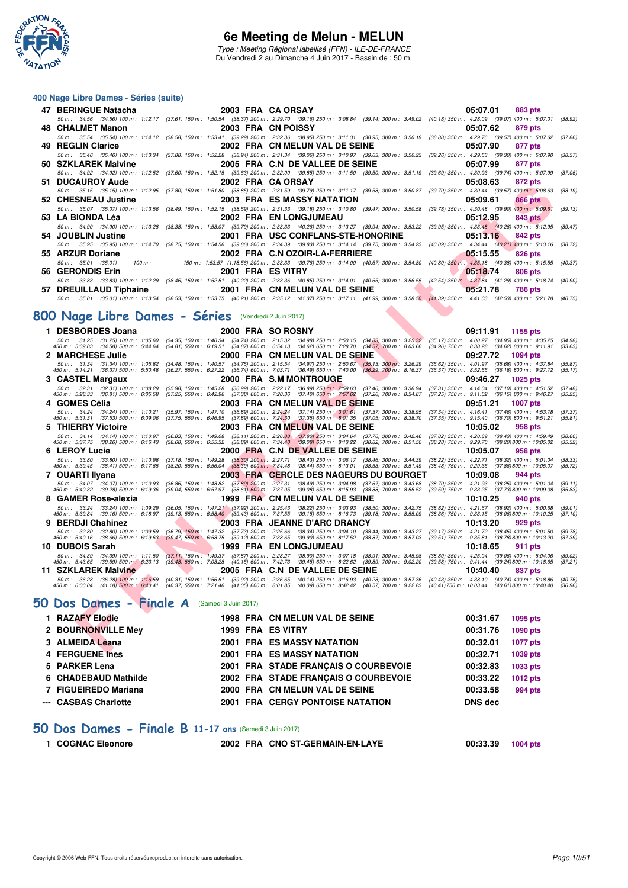

Type : Meeting Régional labellisé (FFN) - ILE-DE-FRANCE Du Vendredi 2 au Dimanche 4 Juin 2017 - Bassin de : 50 m.

#### **400 Nage Libre Dames - Séries (suite)**

| 47 BERINGUE Natacha                 |                   | 2003 FRA CA ORSAY AND THE SAME OF THE SAME OF THE SAME OF THE SAME OF THE SAME OF THE SAME OF THE SAME OF THE                                                                                | 05:07.01<br>883 pts        |
|-------------------------------------|-------------------|----------------------------------------------------------------------------------------------------------------------------------------------------------------------------------------------|----------------------------|
|                                     |                   | 50 m: 34.56 (34.56) 100 m: 1:12.17 (37.61) 150 m: 1:50.54 (38.37) 200 m: 2:29.70 (39.16) 250 m: 3:08.84 (39.14) 300 m: 3:49.02 (40.18) 350 m: 4:28.09 (39.07) 400 m: 5:07.01                 | (38.92)                    |
| 48 CHALMET Manon 2003 FRA CN POISSY |                   |                                                                                                                                                                                              | 05:07.62<br>879 pts        |
|                                     |                   | 50 m : 35.54 (35.54) 100 m : 1:14.12 (38.58) 150 m : 1:53.41 (39.29) 200 m : 2:32.36 (38.95) 250 m : 3:11.31 (38.95) 300 m : 3:50.19 (38.88) 350 m : 4:29.76 (39.57) 400 m : 5:07.62 (37.86) |                            |
| 49 REGLIN Clarice                   |                   | 2002 FRA CN MELUN VAL DE SEINE                                                                                                                                                               | 05:07.90<br>877 pts        |
|                                     |                   | 50 m: 35.46 (35.46) 100 m: 1:13.34 (37.88) 150 m: 1:52.28 (38.94) 200 m: 2:31.34 (39.06) 250 m: 3:10.97 (39.63) 300 m: 3:50.23 (39.26) 350 m: 4:29.53 (39.30) 400 m: 5:07.90 (38.37)         |                            |
| 50 SZKLAREK Malvine                 |                   | 2005 FRA C.N DE VALLEE DE SEINE                                                                                                                                                              | 05:07.99<br>877 pts        |
|                                     |                   | 50 m : 34.92 (34.92) 100 m : 1:12.52 (37.60) 150 m : 1:52.15 (39.63) 200 m : 2:32.00 (39.85) 250 m : 3:11.50 (39.50) 300 m : 3:51.19 (39.69) 350 m : 4:30.93 (39.74) 400 m : 5:07.99 (37.06) |                            |
| 51 DUCAUROY Aude                    | 2002 FRA CAORSAY  |                                                                                                                                                                                              | 05:08.63<br>872 pts        |
|                                     |                   | 50 m: 35.15 (35.15) 100 m: 1:12.95 (37.80) 150 m: 1:51.80 (38.85) 200 m: 2:31.59 (39.79) 250 m: 3:11.17 (39.58) 300 m: 3:50.87 (39.70) 350 m: 4:30.44 (39.57) 400 m: 5:08.63                 | (38.19)                    |
| 52 CHESNEAU Justine                 |                   | 2003 FRA ES MASSY NATATION                                                                                                                                                                   | 05:09.61<br>866 pts        |
|                                     |                   | 50 m: 35.07 (35.07) 100 m: 1:13.56 (38.49) 150 m: 1:52.15 (38.59) 200 m: 2:31.33 (39.18) 250 m: 3:10.80 (39.47) 300 m: 3:50.58 (39.78) 350 m: 4:30.48 (39.90) 400 m: 5:09.61                 | (39.13)                    |
| 53 LA BIONDA Léa                    |                   | 2002 FRA EN LONGJUMEAU                                                                                                                                                                       | 05:12.95<br>843 pts        |
|                                     |                   | 50 m : 34.90 (34.90) 100 m : 1:13.28 (38.38) 150 m : 1:53.07 (39.79) 200 m : 2:33.33 (40.26) 250 m : 3:13.27 (39.94) 300 m : 3:53.22 (39.95) 350 m : 4:33.48 (40.26) 400 m : 5:12.95 (39.47) |                            |
| 54 JOUBLIN Justine                  |                   | 2001 FRA USC CONFLANS-STE-HONORINE                                                                                                                                                           | 05:13.16<br>842 pts        |
|                                     |                   | 50 m: 35.95 (35.95) 100 m: 1:14.70 (38.75) 150 m: 1:54.56 (39.86) 200 m: 2:34.39 (39.83) 250 m: 3:14.14 (39.75) 300 m: 3:54.23 (40.09) 350 m: 4:34.44 (40.21) 400 m: 5:13.16 (38.72)         |                            |
| 55 ARZUR Doriane                    |                   | 2002 FRA C.N OZOIR-LA-FERRIERE                                                                                                                                                               | 05:15.55<br>826 pts        |
|                                     |                   | 50 m: 35.01 (35.01) 100 m: --- 150 m: 1:53.57 (1:18.56) 200 m: 2:33.33 (39.76) 250 m: 3:14.00 (40.67) 300 m: 3:54.80 (40.80) 350 m: 4:35.18 (40.38) 400 m: 5:15.55 (40.37)                   |                            |
| 56 GERONDIS Erin                    | 2001 FRA ES VITRY |                                                                                                                                                                                              | 05:18.74<br>806 pts        |
|                                     |                   | 50 m: 33.83 (33.83) 100 m: 1:12.29 (38.46) 150 m: 1:52.51 (40.22) 200 m: 2:33.36 (40.85) 250 m: 3:14.01 (40.65) 300 m: 3:56.55 (42.54) 350 m: 4:37.84 (41.29) 400 m: 5:18.74 (40.90)         |                            |
|                                     |                   | 57 DREUILLAUD Tiphaine 2001 FRA CN MELUN VAL DE SEINE                                                                                                                                        | 05:21.78<br><b>786 pts</b> |
|                                     |                   | 50 m: 35.01 (35.01) 100 m: 1:13.54 (38.53) 150 m: 1:53.75 (40.21) 200 m: 2:35.12 (41.37) 250 m: 3:17.11 (41.99) 300 m: 3:58.50 (41.39) 350 m: 4:41.03 (42.53) 400 m: 5:21.78 (40.75)         |                            |

# **[800 Nage Libre Dames - Séries](http://www.ffnatation.fr/webffn/resultats.php?idact=nat&go=epr&idcpt=46973&idepr=5)** (Vendredi 2 Juin 2017)

| DUCAUNUT AUUC                                                                   |                                                                               | ZUVZ FRA VAVRJAI                                                                                                                                                                                                   | UJ.UO.UJ<br>$012 \mu s$                                                                                                                |
|---------------------------------------------------------------------------------|-------------------------------------------------------------------------------|--------------------------------------------------------------------------------------------------------------------------------------------------------------------------------------------------------------------|----------------------------------------------------------------------------------------------------------------------------------------|
|                                                                                 |                                                                               | 50 m: 35.15 (35.15) 100 m: 1:12.95 (37.80) 150 m: 1:51.80 (38.85) 200 m: 2:31.59 (39.79) 250 m: 3:11.17 (39.58) 300 m: 3:50.87 (39.70) 350 m: 4:30.44 (39.57) 400 m: 5:08.63                                       | (38.19)                                                                                                                                |
| 52   CHESNEAU Justine                                                           |                                                                               | <b>2003 FRA ES MASSY NATATION</b>                                                                                                                                                                                  | 05:09.61<br><b>866 pts</b>                                                                                                             |
|                                                                                 |                                                                               | 50 m: 35.07 (35.07) 100 m: 1:13.56 (38.49) 150 m: 1:52.15 (38.59) 200 m: 2:31.33 (39.18) 250 m: 3:10.80 (39.47) 300 m: 3:50.58                                                                                     | (39.78) 350 m : 4:30.48 (39.90) 400 m : 5:09.61<br>(39.13)                                                                             |
| 53   LA BIONDA Léa                                                              |                                                                               | <b>2002 FRA EN LONGJUMEAU</b>                                                                                                                                                                                      | 05:12.95<br>843 pts                                                                                                                    |
|                                                                                 |                                                                               | 50 m : 34.90 (34.90) 100 m : 1:13.28 (38.38) 150 m : 1:53.07 (39.79) 200 m : 2:33.33 (40.26) 250 m : 3:13.27 (39.94) 300 m : 3:53.22                                                                               | (39.95) 350 m : 4:33.48 (40.26) 400 m : 5:12.95<br>(39.47)                                                                             |
| 54   JOUBLIN Justine                                                            |                                                                               | 2001 FRA USC CONFLANS-STE-HONORINE                                                                                                                                                                                 | <b>842 pts</b><br>05:13.16                                                                                                             |
|                                                                                 |                                                                               | 50 m : 35.95 (35.95) 100 m : 1:14.70 (38.75) 150 m : 1:54.56 (39.86) 200 m : 2:34.39 (39.83) 250 m : 3:14.14 (39.75) 300 m : 3:54.23                                                                               | (40.09) 350 m : 4:34.44 (40.21) 400 m : 5:13.16<br>(38.72)                                                                             |
| 55 ARZUR Doriane                                                                |                                                                               | 2002 FRA C.N OZOIR-LA-FERRIERE                                                                                                                                                                                     | 05:15.55<br>826 pts                                                                                                                    |
| 50 m: 35.01 (35.01)<br>$100 m: -$                                               |                                                                               | 150 m: 1:53.57 (1:18.56) 200 m: 2:33.33 (39.76) 250 m: 3:14.00 (40.67) 300 m: 3:54.80 (40.80) 350 m: 4:35.18 (40.38) 400 m: 5:15.55                                                                                | (40.37)                                                                                                                                |
| 56 GERONDIS Erin                                                                | 2001 FRA ES VITRY                                                             |                                                                                                                                                                                                                    | 05:18.74<br><b>806 pts</b>                                                                                                             |
|                                                                                 |                                                                               | 50 m : 33.83 (33.83) 100 m : 1:12.29 (38.46) 150 m : 1:52.51 (40.22) 200 m : 2:33.36 (40.85) 250 m : 3:14.01 (40.65) 300 m : 3:56.55                                                                               | (42.54) 350 m: 4:37.84 (41.29) 400 m: 5:18.74<br>(40.90)                                                                               |
| 57 DREUILLAUD Tiphaine                                                          |                                                                               | 2001 FRA CN MELUN VAL DE SEINE                                                                                                                                                                                     | 05:21.78<br>786 pts                                                                                                                    |
|                                                                                 |                                                                               | 50 m : 35.01 (35.01) 100 m : 1:13.54 (38.53) 150 m : 1:53.75 (40.21) 200 m : 2:35.12 (41.37) 250 m : 3:17.11 (41.99) 300 m : 3:58.50 (41.39) 350 m : 4:41.03 (42.53) 400 m : 5:21.78                               | (40.75)                                                                                                                                |
|                                                                                 |                                                                               |                                                                                                                                                                                                                    |                                                                                                                                        |
| 00 Nage Libre Dames - Séries                                                    |                                                                               | (Vendredi 2 Juin 2017)                                                                                                                                                                                             |                                                                                                                                        |
| 1 DESBORDES Joana                                                               |                                                                               | 2000 FRA SO ROSNY                                                                                                                                                                                                  | 09:11.91<br>1155 pts                                                                                                                   |
| 50 m: 31.25 (31.25) 100 m: 1.05.60                                              |                                                                               | (34.35) 150 m : 1:40.34 (34.74) 200 m : 2:15.32 (34.98) 250 m : 2:50.15 (34.83) 300 m : 3:25.32                                                                                                                    | $(35.17)$ 350 m : 4:00.27<br>$(34.95)$ 400 m : 4:35.25<br>(34.98)                                                                      |
| 450 m : 5:09.83 (34.58) 500 m : 5:44.64                                         |                                                                               | (34.81) 550 m : 6:19.51 (34.87) 600 m : 6:54.13 (34.62) 650 m : 7:28.70 (34.57) 700 m : 8:03.66                                                                                                                    | $(34.62)$ 800 m : 9:11.91<br>$(34.96)$ 750 m : 8:38.28<br>(33.63)                                                                      |
| 2   MARCHESE Julie                                                              |                                                                               | 2000 FRA CN MELUN VAL DE SEINE                                                                                                                                                                                     | 09:27.72<br>1094 pts                                                                                                                   |
| 50 m: 31.34 (31.34) 100 m: 1:05.82<br>450 m: 5:14.21 (36.37) 500 m: 5:50.48     | $(34.48)$ 150 m : 1:40.57<br>$(36.27)$ 550 m : 6:27.22                        | $(34.75)$ 200 m : 2:15.54 $(34.97)$ 250 m : 2:50.67 $(35.13)$ 300 m : 3:26.29<br>(36.74) 600 m : 7:03.71 (36.49) 650 m : 7:40.00<br>$(36.29)$ 700 m : 8:16.37                                                      | (35.62) 350 m : 4:01.97<br>$(35.68)$ 400 m : 4:37.84<br>(35.87)<br>$(36.37)$ 750 m : $8.52.55$<br>$(36.18)$ 800 m : 9:27.72<br>(35.17) |
| 3 CASTEL Margaux                                                                |                                                                               | 2000 FRA S.M MONTROUGE                                                                                                                                                                                             | 09:46.27<br><b>1025 pts</b>                                                                                                            |
| 50 m: 32.31 (32.31) 100 m: 1:08.29                                              | $(35.98)$ 150 m : 1:45.28                                                     | (36.99) 200 m : 2:22.17 (36.89) 250 m : 2:59.63<br>(37.46) 300 m : 3:36.94                                                                                                                                         | $(37.31)$ 350 m : 4:14.04<br>$(37.10)$ 400 m : 4:51.52<br>(37.48)                                                                      |
| 450 m : 5:28.33 (36.81) 500 m : 6:05.58                                         | $(37.25)$ 550 m : 6:42.96                                                     | (37.38) 600 m : 7:20.36 (37.40) 650 m : 7:57.62<br>(37.26) 700 m : 8:34.87                                                                                                                                         | (37.25) 750 m : 9:11.02 (36.15) 800 m : 9:46.27<br>(35.25)                                                                             |
| 4   GOMES Cèlia                                                                 |                                                                               | 2003 FRA CN MELUN VAL DE SEINE                                                                                                                                                                                     | 09:51.21<br><b>1007 pts</b>                                                                                                            |
| 50 m: 34.24 (34.24) 100 m: 1:10.21<br>450 m : 5:31.31 (37.53) 500 m : 6:09.06   | (35.97) 150 m : 1:47.10 (36.89) 200 m : 2:24.24 (37.14) 250 m : 3:01.61       | $(37.37)$ 300 m : 3:38.95<br>(37.75) 550 m : 6:46.95 (37.89) 600 m : 7:24.30 (37.35) 650 m : 8:01.35 (37.05) 700 m : 8:38.70                                                                                       | $(37.34)$ 350 m : 4:16.41<br>$(37.46)$ 400 m : 4:53.78<br>(37.37)<br>(37.35) 750 m : 9:15.40 (36.70) 800 m : 9:51.21<br>(35.81)        |
| 5 THIERRY Victoire                                                              |                                                                               | 2003 FRA CN MELUN VAL DE SEINE                                                                                                                                                                                     | 10:05.02<br>958 pts                                                                                                                    |
| 50 m : 34.14 (34.14) 100 m : 1:10.97                                            |                                                                               | (36.83) 150 m : 1:49.08 (38.11) 200 m : 2:26.88 (37.80) 250 m : 3:04.64 (37.76) 300 m : 3:42.46                                                                                                                    | (37.82) 350 m : 4:20.89<br>$(38.43)$ 400 m : 4:59.49<br>(38.60)                                                                        |
| 450 m : 5:37.75<br>$(38.26)$ 500 m : 6:16.43                                    | $(38.68)$ 550 m : 6:55.32 $(38.89)$ 600 m : 7:34.40 $(39.08)$ 650 m : 8:13.22 | $(38.82)$ 700 m : $8.51.50$                                                                                                                                                                                        | (38.28) 750 m : 9:29.70 (38.20) 800 m : 10:05.02<br>(35.32)                                                                            |
| 6 LEROY Lucie                                                                   |                                                                               | 2000 FRA C.N DE VALLEE DE SEINE                                                                                                                                                                                    | 10:05.07<br>958 pts                                                                                                                    |
| 50 m : 33.80 (33.80) 100 m : 1:10.98<br>450 m : 5:39.45 (38.41) 500 m : 6:17.65 |                                                                               | (37.18) 150 m : 1:49.28 (38.30) 200 m : 2:27.71 (38.43) 250 m : 3:06.17 (38.46) 300 m : 3:44.39<br>$(38.20)$ 550 m $: 6:56.04$ $(38.39)$ 600 m $: 7:34.48$ $(38.44)$ 650 m $: 8:13.01$ $(38.53)$ 700 m $: 8:51.49$ | (38.22) 350 m : 4:22.71<br>$(38.32)$ 400 m : 5:01.04<br>(38.33)<br>(38.48) 750 m: 9:29.35 (37.86) 800 m: 10:05.07<br>(35.72)           |
| 7 OUARTI Ilyana                                                                 |                                                                               | 2003 FRA CERCLE DES NAGEURS DU BOURGET                                                                                                                                                                             | 10:09.08<br>944 pts                                                                                                                    |
| 50 m: 34.07 (34.07) 100 m: 1:10.93                                              |                                                                               | (36.86) 150 m : 1:48.82 (37.89) 200 m : 2:27.31 (38.49) 250 m : 3:04.98 (37.67) 300 m : 3:43.68                                                                                                                    | (38.70) 350 m : 4:21.93<br>$(38.25)$ 400 m : 5:01.04<br>(39.11)                                                                        |
| 450 m : 5:40.32 (39.28) 500 m : 6:19.36                                         |                                                                               | (39.04) 550 m: 6:57.97 (38.61) 600 m: 7:37.05 (39.08) 650 m: 8:15.93 (38.88) 700 m: 8:55.52                                                                                                                        | (39.59) 750 m : 9:33.25 (37.73) 800 m : 10:09.08<br>(35.83)                                                                            |
| 8 GAMER Rose-alexia<br>50 m: 33.24 (33.24) 100 m: 1:09.29                       |                                                                               | 1999 FRA CN MELUN VAL DE SEINE                                                                                                                                                                                     | 10:10.25<br>940 pts<br>(38.82) 350 m : 4:21.67 (38.92) 400 m : 5:00.68<br>(39.01)                                                      |
| 450 m: 5:39.84 (39.16) 500 m: 6:18.97                                           |                                                                               | (36.05) 150 m: 1:47.21 (37.92) 200 m: 2:25.43 (38.22) 250 m: 3:03.93 (38.50) 300 m: 3:42.75<br>(39.13) 550 m : 6:58.40 (39.43) 600 m : 7:37.55 (39.15) 650 m : 8:16.73 (39.18) 700 m : 8:55.09                     | (38.36) 750 m : 9:33.15 (38.06) 800 m : 10:10.25<br>(37.10)                                                                            |
| 9 BERDJI Chahinez                                                               |                                                                               | 2003 FRA JEANNE D'ARC DRANCY                                                                                                                                                                                       | 10:13.20<br>929 pts                                                                                                                    |
| 50 m : 32.80<br>(32.80) 100 m : 1:09.59                                         |                                                                               | (36.79) 150 m : 1:47.32 (37.73) 200 m : 2:25.66 (38.34) 250 m : 3:04.10 (38.44) 300 m : 3:43.27                                                                                                                    | (39.17) 350 m: 4:21.72 (38.45) 400 m: 5:01.50<br>(39.78)                                                                               |
| 450 m : 5:40.16 (38.66) 500 m : 6:19.63                                         |                                                                               | (39.47) 550 m : 6:58.75 (39.12) 600 m : 7:38.65 (39.90) 650 m : 8:17.52 (38.87) 700 m : 8:57.03                                                                                                                    | (39.51) 750 m: 9:35.81 (38.78) 800 m: 10:13.20<br>(37.39)                                                                              |
| 10 DUBOIS Sarah<br>50 m : 34.39<br>$(34.39)$ 100 m : 1:11.50                    |                                                                               | 1999 FRA EN LONGJUMEAU<br>(37.11) 150 m : 1:49.37 (37.87) 200 m : 2:28.27 (38.90) 250 m : 3:07.18 (38.91) 300 m : 3:45.98                                                                                          | 10:18.65<br>911 pts<br>$(38.80)$ 350 m : 4:25.04<br>$(39.06)$ 400 m : 5:04.06<br>(39.02)                                               |
| $(39.59)$ 500 m : 6:23.13<br>450 m : 5:43.65                                    |                                                                               | (39.48) 550 m : 7:03.28 (40.15) 600 m : 7:42.73 (39.45) 650 m : 8:22.62 (39.89) 700 m : 9:02.20                                                                                                                    | (39.58) 750 m : 9:41.44 (39.24) 800 m : 10:18.65<br>(37.21)                                                                            |
| 11 SZKLAREK Malvine                                                             |                                                                               | 2005 FRA C.N DE VALLEE DE SEINE                                                                                                                                                                                    | 10:40.40<br>837 pts                                                                                                                    |
| 50 m: 36.28                                                                     |                                                                               | (36.28) 100 m: 1:16.59 (40.31) 150 m: 1:56.51 (39.92) 200 m: 2:36.65 (40.14) 250 m: 3:16.93 (40.28) 300 m: 3:57.36                                                                                                 | (40.43) 350 m: 4:38.10 (40.74) 400 m: 5:18.86<br>(40.76)                                                                               |
| $(41.18)$ 500 m : 6:40.41<br>450 m : 6:00.04                                    |                                                                               | (40.37) 550 m : 7:21.46 (41.05) 600 m : 8:01.85 (40.39) 650 m : 8:42.42 (40.57) 700 m : 9:22.83                                                                                                                    | (40.41) 750 m : 10:03.44 (40.61) 800 m : 10:40.40<br>(36.96)                                                                           |
|                                                                                 |                                                                               |                                                                                                                                                                                                                    |                                                                                                                                        |
| Dos Dames - Finale A (Samedi 3 Juin 2017)                                       |                                                                               |                                                                                                                                                                                                                    |                                                                                                                                        |
| 1 RAZAFY Elodie                                                                 |                                                                               | 1998 FRA CN MELUN VAL DE SEINE                                                                                                                                                                                     | 00:31.67<br>1095 pts                                                                                                                   |
| 2 BOURNONVILLE Mey                                                              | 1999 FRA ES VITRY                                                             |                                                                                                                                                                                                                    | 00:31.76<br>1090 pts                                                                                                                   |
|                                                                                 |                                                                               |                                                                                                                                                                                                                    |                                                                                                                                        |
| 3 ALMEIDA Léana                                                                 |                                                                               | <b>2001 FRA ES MASSY NATATION</b>                                                                                                                                                                                  | 00:32.01<br>1077 pts                                                                                                                   |
| <b>A. EEDOUENE Inco</b>                                                         |                                                                               | <b>2004 EDA EC MACCV NATATION</b>                                                                                                                                                                                  | 00.227<br>$1000 - 14$                                                                                                                  |

# **[50 Dos Dames - Finale A](http://www.ffnatation.fr/webffn/resultats.php?idact=nat&go=epr&idcpt=46973&idepr=11)** (Samedi 3 Juin 2017)

| 1 RAZAFY Elodie      |  | 1998 FRA CN MELUN VAL DE SEINE       | 00:31.67 | 1095 pts |
|----------------------|--|--------------------------------------|----------|----------|
| 2 BOURNONVILLE Mey   |  | 1999 FRA ES VITRY                    | 00:31.76 | 1090 pts |
| 3 ALMEIDA Léana      |  | <b>2001 FRA ES MASSY NATATION</b>    | 00:32.01 | 1077 pts |
| 4 FERGUENE Ines      |  | 2001 FRA ES MASSY NATATION           | 00:32.71 | 1039 pts |
| 5 PARKER Lena        |  | 2001 FRA STADE FRANCAIS O COURBEVOIE | 00:32.83 | 1033 pts |
| 6 CHADEBAUD Mathilde |  | 2002 FRA STADE FRANCAIS O COURBEVOIE | 00:33.22 | 1012 pts |
| 7 FIGUEIREDO Mariana |  | 2000 FRA CN MELUN VAL DE SEINE       | 00:33.58 | 994 pts  |
| --- CASBAS Charlotte |  | 2001 FRA CERGY PONTOISE NATATION     | DNS dec  |          |

#### **[50 Dos Dames - Finale B](http://www.ffnatation.fr/webffn/resultats.php?idact=nat&go=epr&idcpt=46973&idepr=11) 11-17 ans** (Samedi 3 Juin 2017)

| 1 COGNAC Eleonore | 2002 FRA CNO ST-GERMAIN-EN-LAYE | 00:33.39 | 1004 pts |
|-------------------|---------------------------------|----------|----------|
|                   |                                 |          |          |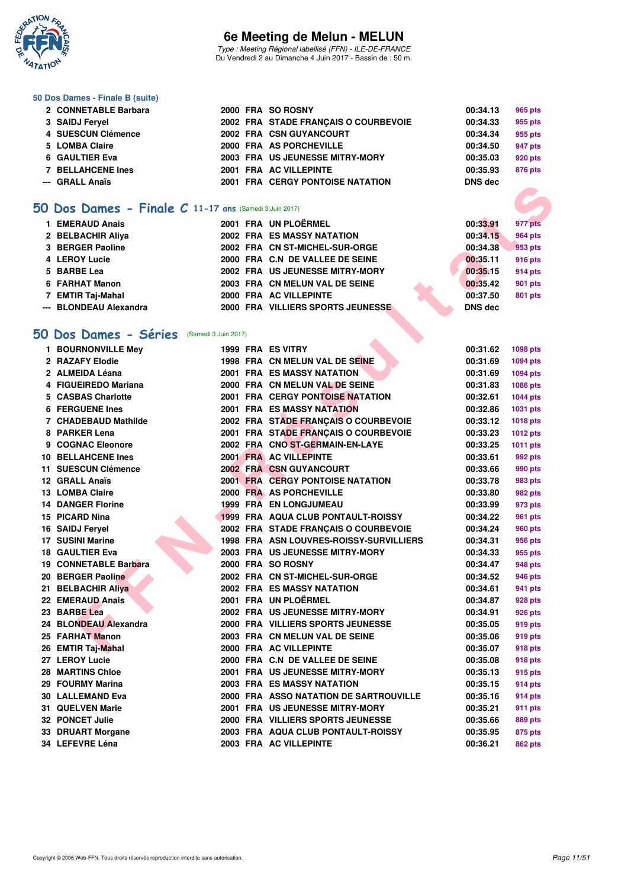

Type : Meeting Régional labellisé (FFN) - ILE-DE-FRANCE Du Vendredi 2 au Dimanche 4 Juin 2017 - Bassin de : 50 m.

#### **50 Dos Dames - Finale B (suite)**

| 2002 FRA STADE FRANCAIS O COURBEVOIE<br>3 SAIDJ Fervel<br>00:34.33    | 955 pts |
|-----------------------------------------------------------------------|---------|
|                                                                       |         |
| 4 SUESCUN Clémence<br>2002 FRA CSN GUYANCOURT<br>00:34.34             | 955 pts |
| 2000 FRA AS PORCHEVILLE<br>5 LOMBA Claire<br>00:34.50                 | 947 pts |
| 2003 FRA US JEUNESSE MITRY-MORY<br>6 GAULTIER Eva<br>00:35.03         | 920 pts |
| 7 BELLAHCENE Ines<br>2001 FRA AC VILLEPINTE<br>00:35.93               | 876 pts |
| 2001 FRA CERGY PONTOISE NATATION<br>--- GRALL Anaïs<br><b>DNS</b> dec |         |

#### **[50 Dos Dames - Finale C](http://www.ffnatation.fr/webffn/resultats.php?idact=nat&go=epr&idcpt=46973&idepr=11) 11-17 ans** (Samedi 3 Juin 2017)

| <b>EMERAUD Anais</b>   |  | 2001 FRA UN PLOËRMEL              | 00:33.91       | 977 pts        |
|------------------------|--|-----------------------------------|----------------|----------------|
| 2 BELBACHIR Aliya      |  | <b>2002 FRA ES MASSY NATATION</b> | 00:34.15       | <b>964 pts</b> |
| 3 BERGER Paoline       |  | 2002 FRA CN ST-MICHEL-SUR-ORGE    | 00:34.38       | 953 pts        |
| 4 LEROY Lucie          |  | 2000 FRA C.N DE VALLEE DE SEINE   | 00:35.11       | 916 pts        |
| 5 BARBE Lea            |  | 2002 FRA US JEUNESSE MITRY-MORY   | 00:35.15       | 914 pts        |
| 6 FARHAT Manon         |  | 2003 FRA CN MELUN VAL DE SEINE    | 00:35.42       | 901 pts        |
| 7 EMTIR Taj-Mahal      |  | 2000 FRA AC VILLEPINTE            | 00:37.50       | 801 pts        |
| --- BLONDEAU Alexandra |  | 2000 FRA VILLIERS SPORTS JEUNESSE | <b>DNS</b> dec |                |

### **[50 Dos Dames - Séries](http://www.ffnatation.fr/webffn/resultats.php?idact=nat&go=epr&idcpt=46973&idepr=11)** (Samedi 3 Juin 2017)

| O Dos Dames - Finale C 11-17 ans (Samedi 3 Juin 2017) |  |                                         |                |                 |
|-------------------------------------------------------|--|-----------------------------------------|----------------|-----------------|
| 1 EMERAUD Anais                                       |  | 2001 FRA UN PLOËRMEL                    | 00:33.91       | 977 pts         |
| 2 BELBACHIR Aliya                                     |  | <b>2002 FRA ES MASSY NATATION</b>       | 00:34.15       | <b>964 pts</b>  |
| 3 BERGER Paoline                                      |  | 2002 FRA CN ST-MICHEL-SUR-ORGE          | 00:34.38       | 953 pts         |
| 4 LEROY Lucie                                         |  | 2000 FRA C.N DE VALLEE DE SEINE         | 00:35.11       | 916 pts         |
| 5 BARBE Lea                                           |  | 2002 FRA US JEUNESSE MITRY-MORY         | 00:35.15       | 914 pts         |
| 6 FARHAT Manon                                        |  | 2003 FRA CN MELUN VAL DE SEINE          | 00:35.42       | 901 pts         |
| 7 EMTIR Taj-Mahal                                     |  | 2000 FRA AC VILLEPINTE                  | 00:37.50       | 801 pts         |
| --- BLONDEAU Alexandra                                |  | 2000 FRA VILLIERS SPORTS JEUNESSE       | <b>DNS dec</b> |                 |
|                                                       |  |                                         |                |                 |
| 0 Dos Dames - Séries<br>(Samedi 3 Juin 2017)          |  |                                         |                |                 |
| 1 BOURNONVILLE Mey                                    |  | 1999 FRA ES VITRY                       | 00:31.62       | 1098 pts        |
| 2 RAZAFY Elodie                                       |  | 1998 FRA CN MELUN VAL DE SEINE          | 00:31.69       | 1094 pts        |
| 2 ALMEIDA Léana                                       |  | <b>2001 FRA ES MASSY NATATION</b>       | 00:31.69       | 1094 pts        |
| 4 FIGUEIREDO Mariana                                  |  | 2000 FRA CN MELUN VAL DE SEINE          | 00:31.83       | 1086 pts        |
| 5 CASBAS Charlotte                                    |  | <b>2001 FRA CERGY PONTOISE NATATION</b> | 00:32.61       | <b>1044 pts</b> |
| 6 FERGUENE Ines                                       |  | <b>2001 FRA ES MASSY NATATION</b>       | 00:32.86       | <b>1031 pts</b> |
| 7 CHADEBAUD Mathilde                                  |  | 2002 FRA STADE FRANÇAIS O COURBEVOIE    | 00:33.12       | <b>1018 pts</b> |
| 8 PARKER Lena                                         |  | 2001 FRA STADE FRANCAIS O COURBEVOIE    | 00:33.23       | 1012 pts        |
| 9 COGNAC Eleonore                                     |  | 2002 FRA CNO ST-GERMAIN-EN-LAYE         | 00:33.25       | 1011 pts        |
| <b>10 BELLAHCENE Ines</b>                             |  | 2001 FRA AC VILLEPINTE                  | 00:33.61       | 992 pts         |
| 11 SUESCUN Clémence                                   |  | <b>2002 FRA CSN GUYANCOURT</b>          | 00:33.66       | 990 pts         |
| 12 GRALL Anaïs                                        |  | <b>2001 FRA CERGY PONTOISE NATATION</b> | 00:33.78       | 983 pts         |
| 13 LOMBA Claire                                       |  | 2000 FRA AS PORCHEVILLE                 | 00:33.80       | 982 pts         |
| <b>14 DANGER Florine</b>                              |  | <b>1999 FRA EN LONGJUMEAU</b>           | 00:33.99       | 973 pts         |
| 15 PICARD Nina                                        |  | 1999 FRA AQUA CLUB PONTAULT-ROISSY      | 00:34.22       | 961 pts         |
| 16 SAIDJ Feryel                                       |  | 2002 FRA STADE FRANÇAIS O COURBEVOIE    | 00:34.24       | <b>960 pts</b>  |
| 17 SUSINI Marine                                      |  | 1998 FRA ASN LOUVRES-ROISSY-SURVILLIERS | 00:34.31       | 956 pts         |
| 18 GAULTIER Eva                                       |  | 2003 FRA US JEUNESSE MITRY-MORY         | 00:34.33       | 955 pts         |
| 19 CONNETABLE Barbara                                 |  | 2000 FRA SO ROSNY                       | 00:34.47       | 948 pts         |
| 20 BERGER Paoline                                     |  | 2002 FRA CN ST-MICHEL-SUR-ORGE          | 00:34.52       | 946 pts         |
| 21 BELBACHIR Aliya                                    |  | <b>2002 FRA ES MASSY NATATION</b>       | 00:34.61       | 941 pts         |
| 22 EMERAUD Anais                                      |  | 2001 FRA UN PLOËRMEL                    | 00:34.87       | 928 pts         |
| 23 BARBE Lea                                          |  | 2002 FRA US JEUNESSE MITRY-MORY         | 00:34.91       | 926 pts         |
| 24 BLONDEAU Alexandra                                 |  | 2000 FRA VILLIERS SPORTS JEUNESSE       | 00:35.05       | 919 pts         |
| 25 FARHAT Manon                                       |  | 2003 FRA CN MELUN VAL DE SEINE          | 00:35.06       | 919 pts         |
| 26 EMTIR Taj-Mahal                                    |  | 2000 FRA AC VILLEPINTE                  | 00:35.07       | 918 pts         |
| 27 LEROY Lucie                                        |  | 2000 FRA C.N DE VALLEE DE SEINE         | 00:35.08       | 918 pts         |
| <b>28 MARTINS Chloe</b>                               |  | 2001 FRA US JEUNESSE MITRY-MORY         | 00:35.13       | 915 pts         |
| 29 FOURMY Marina                                      |  | 2003 FRA ES MASSY NATATION              | 00:35.15       | 914 pts         |
| 30 LALLEMAND Eva                                      |  | 2000 FRA ASSO NATATION DE SARTROUVILLE  | 00:35.16       | 914 pts         |
| 31 QUELVEN Marie                                      |  | 2001 FRA US JEUNESSE MITRY-MORY         | 00:35.21       | 911 pts         |
| 32 PONCET Julie                                       |  | 2000 FRA VILLIERS SPORTS JEUNESSE       | 00:35.66       | 889 pts         |
| 33 DRUART Morgane                                     |  | 2003 FRA AQUA CLUB PONTAULT-ROISSY      | 00:35.95       | 875 pts         |
| 34 LEFEVRE Léna                                       |  | 2003 FRA AC VILLEPINTE                  | 00:36.21       | <b>862 pts</b>  |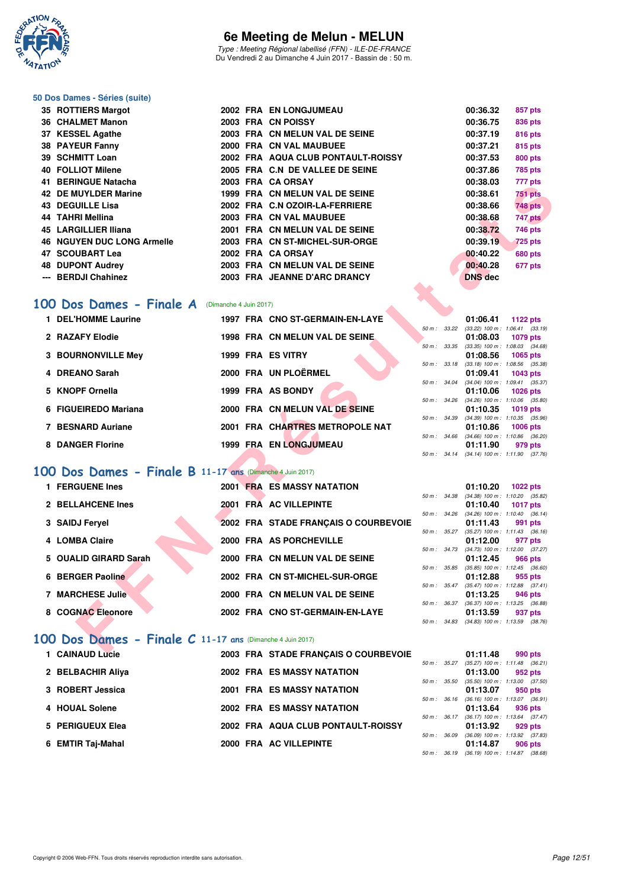

Type : Meeting Régional labellisé (FFN) - ILE-DE-FRANCE Du Vendredi 2 au Dimanche 4 Juin 2017 - Bassin de : 50 m.

#### **50 Dos Dames - Séries (suite)**

| 35 ROTTIERS Margot                |  | 2002 FRA EN LONGJUMEAU             | 00:36.32       | 857 pts        |
|-----------------------------------|--|------------------------------------|----------------|----------------|
| 36 CHALMET Manon                  |  | 2003 FRA CN POISSY                 | 00:36.75       | 836 pts        |
| 37 KESSEL Agathe                  |  | 2003 FRA CN MELUN VAL DE SEINE     | 00:37.19       | 816 pts        |
| 38 PAYEUR Fanny                   |  | 2000 FRA CN VAL MAUBUEE            | 00:37.21       | 815 pts        |
| 39 SCHMITT Loan                   |  | 2002 FRA AQUA CLUB PONTAULT-ROISSY | 00:37.53       | <b>800 pts</b> |
| 40 FOLLIOT Milene                 |  | 2005 FRA C.N DE VALLEE DE SEINE    | 00:37.86       | 785 pts        |
| 41 BERINGUE Natacha               |  | 2003 FRA CA ORSAY                  | 00:38.03       | 777 pts        |
| 42 DE MUYLDER Marine              |  | 1999 FRA CN MELUN VAL DE SEINE     | 00:38.61       | <b>751 pts</b> |
| 43 DEGUILLE Lisa                  |  | 2002 FRA C.N OZOIR-LA-FERRIERE     | 00:38.66       | <b>748 pts</b> |
| 44 TAHRI Mellina                  |  | 2003 FRA CN VAL MAUBUEE            | 00:38.68       | 747 pts        |
| 45 LARGILLIER Iliana              |  | 2001 FRA CN MELUN VAL DE SEINE     | 00:38.72       | <b>746 pts</b> |
| <b>46 NGUYEN DUC LONG Armelle</b> |  | 2003 FRA CN ST-MICHEL-SUR-ORGE     | 00:39.19       | <b>725 pts</b> |
| 47 SCOUBART Lea                   |  | 2002 FRA CA ORSAY                  | 00:40.22       | <b>680 pts</b> |
| <b>48 DUPONT Audrey</b>           |  | 2003 FRA CN MELUN VAL DE SEINE     | 00:40.28       | 677 pts        |
| --- BERDJI Chahinez               |  | 2003 FRA JEANNE D'ARC DRANCY       | <b>DNS</b> dec |                |
|                                   |  |                                    |                |                |

#### **[100 Dos Dames - Finale A](http://www.ffnatation.fr/webffn/resultats.php?idact=nat&go=epr&idcpt=46973&idepr=12)** (Dimanche 4 Juin 2017)

| DENINGUE INGLACIIA                                                                                                                                                                                                                                                                                                                             |                        | ZUUJ FRA VAURJAI                      |                  | UU.JU.JJ       | $111 \mu s$                                                                         |
|------------------------------------------------------------------------------------------------------------------------------------------------------------------------------------------------------------------------------------------------------------------------------------------------------------------------------------------------|------------------------|---------------------------------------|------------------|----------------|-------------------------------------------------------------------------------------|
| <b>42 DE MUYLDER Marine</b>                                                                                                                                                                                                                                                                                                                    |                        | 1999 FRA CN MELUN VAL DE SEINE        |                  | 00:38.61       | 751 pts                                                                             |
| <b>43 DEGUILLE Lisa</b>                                                                                                                                                                                                                                                                                                                        |                        | 2002 FRA C.N OZOIR-LA-FERRIERE        |                  | 00:38.66       | <b>748 pts</b>                                                                      |
| 44 TAHRI Mellina                                                                                                                                                                                                                                                                                                                               |                        | 2003 FRA CN VAL MAUBUEE               |                  | 00:38.68       | 747 pts                                                                             |
| <b>45 LARGILLIER Iliana</b>                                                                                                                                                                                                                                                                                                                    |                        | 2001 FRA CN MELUN VAL DE SEINE        |                  | 00:38.72       | 746 pts                                                                             |
| <b>46 NGUYEN DUC LONG Armelle</b>                                                                                                                                                                                                                                                                                                              |                        | 2003 FRA CN ST-MICHEL-SUR-ORGE        |                  | 00:39.19       | <b>725 pts</b>                                                                      |
| 47 SCOUBART Lea                                                                                                                                                                                                                                                                                                                                |                        | 2002 FRA CA ORSAY                     |                  | 00:40.22       | 680 pts                                                                             |
| <b>48 DUPONT Audrey</b>                                                                                                                                                                                                                                                                                                                        |                        | 2003 FRA CN MELUN VAL DE SEINE        |                  | 00:40.28       | 677 pts                                                                             |
| --- BERDJI Chahinez                                                                                                                                                                                                                                                                                                                            |                        | 2003 FRA JEANNE D'ARC DRANCY          |                  | <b>DNS</b> dec |                                                                                     |
|                                                                                                                                                                                                                                                                                                                                                |                        |                                       |                  |                |                                                                                     |
|                                                                                                                                                                                                                                                                                                                                                |                        |                                       |                  |                |                                                                                     |
| 00 Dos Dames - Finale A                                                                                                                                                                                                                                                                                                                        | (Dimanche 4 Juin 2017) |                                       |                  |                |                                                                                     |
| 1 DEL'HOMME Laurine                                                                                                                                                                                                                                                                                                                            |                        | 1997 FRA CNO ST-GERMAIN-EN-LAYE       |                  |                | 01:06.41 1122 pts                                                                   |
|                                                                                                                                                                                                                                                                                                                                                |                        |                                       | 50 m : 33.22     |                | $(33.22)$ 100 m : 1:06.41 $(33.19)$                                                 |
| 2 RAZAFY Elodie                                                                                                                                                                                                                                                                                                                                |                        | 1998 FRA CN MELUN VAL DE SEINE        |                  | 01:08.03       | 1079 pts                                                                            |
| 3 BOURNONVILLE Mey                                                                                                                                                                                                                                                                                                                             |                        | 1999 FRA ES VITRY                     | $50 m$ : $33.35$ | 01:08.56       | $(33.35)$ 100 m : 1:08.03 $(34.68)$<br>1065 pts                                     |
|                                                                                                                                                                                                                                                                                                                                                |                        |                                       | 50 m : 33.18     |                | $(33.18)$ 100 m : 1:08.56 $(35.38)$                                                 |
| 4 DREANO Sarah                                                                                                                                                                                                                                                                                                                                 |                        | 2000 FRA UN PLOËRMEL                  |                  | 01:09.41       | 1043 pts                                                                            |
|                                                                                                                                                                                                                                                                                                                                                |                        |                                       | $50 m$ : 34.04   |                | $(34.04)$ 100 m : 1:09.41 $(35.37)$                                                 |
| 5 KNOPF Ornella                                                                                                                                                                                                                                                                                                                                |                        | 1999 FRA AS BONDY                     |                  | 01:10.06       | <b>1026 pts</b>                                                                     |
| 6 FIGUEIREDO Mariana                                                                                                                                                                                                                                                                                                                           |                        | 2000 FRA CN MELUN VAL DE SEINE        |                  | 01:10.35       | 50 m: 34.26 (34.26) 100 m: 1:10.06 (35.80)<br>$1019$ pts                            |
|                                                                                                                                                                                                                                                                                                                                                |                        |                                       |                  |                | 50 m: 34.39 (34.39) 100 m: 1:10.35 (35.96)                                          |
| 7 BESNARD Auriane                                                                                                                                                                                                                                                                                                                              |                        | 2001 FRA CHARTRES METROPOLE NAT       |                  | 01:10.86       | 1006 pts                                                                            |
|                                                                                                                                                                                                                                                                                                                                                |                        |                                       |                  |                | 50 m : 34.66 (34.66) 100 m : 1:10.86 (36.20)                                        |
| 8 DANGER Florine                                                                                                                                                                                                                                                                                                                               |                        | 1999 FRA EN LONGJUMEAU                |                  | 01:11.90       | 979 pts<br>50 m: 34.14 (34.14) 100 m: 1:11.90 (37.76)                               |
|                                                                                                                                                                                                                                                                                                                                                |                        |                                       |                  |                |                                                                                     |
| 00 Dos Dames - Finale B 11-17 ans (Dimanche 4 Juin 2017)                                                                                                                                                                                                                                                                                       |                        |                                       |                  |                |                                                                                     |
| 1 FERGUENE Ines                                                                                                                                                                                                                                                                                                                                |                        | <b>2001 FRA ES MASSY NATATION</b>     |                  | 01:10.20       | <b>1022 pts</b>                                                                     |
|                                                                                                                                                                                                                                                                                                                                                |                        |                                       | 50 m : 34.38     |                | $(34.38)$ 100 m : 1:10.20 $(35.82)$                                                 |
| 2 BELLAHCENE Ines                                                                                                                                                                                                                                                                                                                              |                        | 2001 FRA AC VILLEPINTE                |                  | 01:10.40       | <b>1017 pts</b>                                                                     |
|                                                                                                                                                                                                                                                                                                                                                |                        |                                       |                  |                | 50 m : 34.26 (34.26) 100 m : 1:10.40 (36.14)                                        |
| 3 SAIDJ Feryel                                                                                                                                                                                                                                                                                                                                 |                        | 2002 FRA STADE FRANÇAIS O COURBEVOIE  |                  | 01:11.43       | 991 pts<br>50 m: 35.27 (35.27) 100 m: 1:11.43 (36.16)                               |
| 4 LOMBA Claire                                                                                                                                                                                                                                                                                                                                 |                        | 2000 FRA AS PORCHEVILLE               |                  | 01:12.00       | 977 pts                                                                             |
|                                                                                                                                                                                                                                                                                                                                                |                        |                                       |                  |                | 50 m: 34.73 (34.73) 100 m: 1:12.00 (37.27)                                          |
| 5 OUALID GIRARD Sarah                                                                                                                                                                                                                                                                                                                          |                        | 2000 FRA CN MELUN VAL DE SEINE        |                  | 01:12.45       | 966 pts                                                                             |
| 6 BERGER Paoline                                                                                                                                                                                                                                                                                                                               |                        | 2002 FRA CN ST-MICHEL-SUR-ORGE        |                  |                | 50 m: 35.85 (35.85) 100 m: 1:12.45 (36.60)                                          |
|                                                                                                                                                                                                                                                                                                                                                |                        |                                       |                  | 01:12.88       | 955 pts<br>$50\ m: \quad 35.47 \quad (35.47) \ 100\ m: \quad 1:12.88 \quad (37.41)$ |
| <b>7 MARCHESE Julie</b>                                                                                                                                                                                                                                                                                                                        |                        | 2000 FRA CN MELUN VAL DE SEINE        |                  | 01:13.25       | 946 pts                                                                             |
|                                                                                                                                                                                                                                                                                                                                                |                        |                                       |                  |                | 50 m: 36.37 (36.37) 100 m: 1:13.25 (36.88)                                          |
| 8 COGNAC Eleonore                                                                                                                                                                                                                                                                                                                              |                        | 2002 FRA CNO ST-GERMAIN-EN-LAYE       |                  | 01:13.59       | 937 pts                                                                             |
|                                                                                                                                                                                                                                                                                                                                                |                        |                                       |                  |                | 50 m: 34.83 (34.83) 100 m: 1:13.59 (38.76)                                          |
| $100$ Dos Dames - Finale C 11-17 ans (Dimanche 4 Juin 2017)                                                                                                                                                                                                                                                                                    |                        |                                       |                  |                |                                                                                     |
| $\left\{$ $\right\}$ $\left\{$ $\right\}$ $\left\{$ $\right\}$ $\left\{$ $\right\}$ $\left\{$ $\right\}$ $\left\{$ $\right\}$ $\left\{$ $\right\}$ $\left\{$ $\right\}$ $\left\{$ $\right\}$ $\left\{$ $\right\}$ $\left\{$ $\right\}$ $\left\{$ $\right\}$ $\left\{$ $\right\}$ $\left\{$ $\right\}$ $\left\{$ $\right\}$ $\left\{$ $\right\$ |                        | 3002 EDA, CTADE EDANCAIO O COUDDEVOIE |                  | 04-44-40       | $000 - 1$                                                                           |
|                                                                                                                                                                                                                                                                                                                                                |                        |                                       |                  |                |                                                                                     |

### **[100 Dos Dames - Finale B](http://www.ffnatation.fr/webffn/resultats.php?idact=nat&go=epr&idcpt=46973&idepr=12) 11-17 ans** (Dimanche 4 Juin 2017)

| 1 FERGUENE Ines       |  | <b>2001 FRA ES MASSY NATATION</b>    |                  |                          | 01:10.20                                            | 1022 pts |         |
|-----------------------|--|--------------------------------------|------------------|--------------------------|-----------------------------------------------------|----------|---------|
| 2 BELLAHCENE Ines     |  | 2001 FRA AC VILLEPINTE               |                  | 50 m: 34.38              | $(34.38)$ 100 m : 1:10.20 $(35.$<br>01:10.40        | 1017 pts |         |
| 3 SAIDJ Fervel        |  | 2002 FRA STADE FRANÇAIS O COURBEVOIE |                  | $50 \text{ m}$ : $34.26$ | $(34.26)$ 100 m : 1:10.40 (36.<br>01:11.43          | 991 pts  |         |
| 4 LOMBA Claire        |  | 2000 FRA AS PORCHEVILLE              |                  | $50 m$ : $35.27$         | $(35.27)$ 100 m : 1:11.43 (36.<br>01:12.00          | 977 pts  |         |
| 5 OUALID GIRARD Sarah |  | 2000 FRA CN MELUN VAL DE SEINE       |                  |                          | 50 m: 34.73 (34.73) 100 m: 1:12.00 (37.<br>01:12.45 |          | 966 pts |
| 6 BERGER Paoline      |  | 2002 FRA CN ST-MICHEL-SUR-ORGE       |                  | 50 m : 35.85             | $(35.85)$ 100 m : 1:12.45 (36.<br>01:12.88          | 955 pts  |         |
| 7 MARCHESE Julie      |  | 2000 FRA CN MELUN VAL DE SEINE       |                  | $50 m$ : $35.47$         | $(35.47)$ 100 m : 1:12.88 $(37.$<br>01:13.25        |          | 946 pts |
| 8 COGNAC Eleonore     |  | 2002 FRA CNO ST-GERMAIN-EN-LAYE      | $50 m$ : $36.37$ |                          | $(36.37)$ 100 m : 1:13.25 $(36.$<br>01:13.59        |          | 937 pts |
|                       |  |                                      |                  |                          |                                                     |          |         |

### **[100 Dos Dames - Finale C](http://www.ffnatation.fr/webffn/resultats.php?idact=nat&go=epr&idcpt=46973&idepr=12) 11-17 ans** (Dimanche 4 Juin 2017)

|  | 1 CAINAUD Lucie   |  | 2003 FRA STADE FRANCAIS O COURBEVOIE |                        | 01:11.48                                | 990 pts |  |
|--|-------------------|--|--------------------------------------|------------------------|-----------------------------------------|---------|--|
|  |                   |  |                                      |                        | 50 m: 35.27 (35.27) 100 m: 1:11.48 (36. |         |  |
|  | 2 BELBACHIR Aliya |  | <b>2002 FRA ES MASSY NATATION</b>    |                        | 01:13.00                                | 952 pts |  |
|  |                   |  |                                      |                        | 50 m: 35.50 (35.50) 100 m: 1:13.00 (37. |         |  |
|  | 3 ROBERT Jessica  |  | <b>2001 FRA ES MASSY NATATION</b>    |                        | 01:13.07                                | 950 pts |  |
|  |                   |  |                                      |                        | 50 m: 36.16 (36.16) 100 m: 1:13.07 (36. |         |  |
|  | 4 HOUAL Solene    |  | <b>2002 FRA ES MASSY NATATION</b>    |                        | 01:13.64                                | 936 pts |  |
|  |                   |  |                                      | $50 \text{ m}$ : 36.17 | $(36.17)$ 100 m : 1:13.64 $(37.$        |         |  |
|  | 5 PERIGUEUX Elea  |  | 2002 FRA AQUA CLUB PONTAULT-ROISSY   |                        | 01:13.92                                | 929 pts |  |
|  |                   |  |                                      | 50 m : 36.09           | $(36.09)$ 100 m : 1:13.92 $(37.0)$      |         |  |
|  | 6 EMTIR Taj-Mahal |  | 2000 FRA AC VILLEPINTE               |                        | 01:14.87                                | 906 pts |  |
|  |                   |  |                                      |                        |                                         |         |  |

|                |       | 01:06.41          | 1122 pts            |
|----------------|-------|-------------------|---------------------|
| $50 m$ :       | 33.22 | $(33.22)$ 100 m : | $1:06.41$ $(33.19)$ |
|                |       | 01:08.03          | 1079 pts            |
| $50 m$ :       | 33.35 | $(33.35)$ 100 m : | 1:08.03 (34.68)     |
|                |       | 01:08.56          | 1065 pts            |
| $50 m$ :       | 33.18 | $(33.18) 100 m$ : | 1:08.56 (35.38)     |
|                |       | 01:09.41          | 1043 pts            |
| $50 m$ :       | 34.04 | $(34.04)$ 100 m : | $1:09.41$ $(35.37)$ |
|                |       |                   |                     |
|                |       | 01:10.06          | 1026 pts            |
| $50 m$ :       | 34.26 | $(34.26)$ 100 m : | $1:10.06$ $(35.80)$ |
|                |       | 01:10.35          | 1019 pts            |
| 50 m: 34.39    |       | $(34.39)$ 100 m : | $1:10.35$ $(35.96)$ |
|                |       | 01:10.86          | 1006 pts            |
| $50 m$ : 34.66 |       | $(34.66) 100 m$ : | 1:10.86 (36.20)     |
|                |       | 01:11.90 979 pts  |                     |
| $50 m$ :       | 34.14 | $(34.14) 100 m$ : | $1:11.90$ $(37.76)$ |

|                  |              | 01:10.20                            | 1022 pts            |  |
|------------------|--------------|-------------------------------------|---------------------|--|
| $50 m$ :         | 34.38        | $(34.38) 100 m$ :                   | $1:10.20$ $(35.82)$ |  |
|                  |              | 01:10.40                            | 1017 pts            |  |
| 50 m: 34.26      |              | $(34.26)$ 100 m :                   | $1:10.40$ $(36.14)$ |  |
|                  |              | 01:11.43 991 pts                    |                     |  |
| $50 m$ : $35.27$ |              | $(35.27)$ 100 m :                   | $1:11.43$ (36.16)   |  |
|                  |              | 01:12.00 977 pts                    |                     |  |
| $50 m$ : 34.73   |              | $(34.73)$ 100 m :                   | $1:12.00$ $(37.27)$ |  |
|                  |              | $01:12.45$ 966 pts                  |                     |  |
| $50 m$ : $35.85$ |              | $(35.85)$ 100 m :                   | $1:12.45$ $(36.60)$ |  |
|                  |              | 01:12.88 955 pts                    |                     |  |
| $50 m$ : $35.47$ |              | $(35.47)$ 100 m :                   | $1:12.88$ $(37.41)$ |  |
|                  |              | 01:13.25 946 pts                    |                     |  |
|                  | 50 m : 36.37 | $(36.37)$ 100 m :                   | 1:13.25 (36.88)     |  |
|                  |              | 01:13.59 937 pts                    |                     |  |
| 50 m : 34.83     |              | $(34.83)$ 100 m : 1:13.59 $(38.76)$ |                     |  |

|                  |                  | 01:11.48         | 990 pts                             |
|------------------|------------------|------------------|-------------------------------------|
|                  | $50 m$ : $35.27$ |                  | $(35.27)$ 100 m : 1:11.48 $(36.21)$ |
|                  |                  | 01:13.00 952 pts |                                     |
| $50 m$ : $35.50$ |                  |                  | $(35.50)$ 100 m : 1:13.00 $(37.50)$ |
|                  |                  | 01:13.07 950 pts |                                     |
|                  | $50 m$ : $36.16$ |                  | $(36.16)$ 100 m : 1:13.07 $(36.91)$ |
|                  |                  | 01:13.64 936 pts |                                     |
|                  | $50 m$ : $36.17$ |                  | $(36.17)$ 100 m : 1:13.64 $(37.47)$ |
|                  |                  | 01:13.92 929 pts |                                     |
| $50 m$ : $36.09$ |                  |                  | $(36.09)$ 100 m : 1:13.92 $(37.83)$ |
|                  |                  | 01:14.87 906 pts |                                     |
| 50 m :           | 36.19            |                  | $(36.19)$ 100 m : 1:14.87 $(38.68)$ |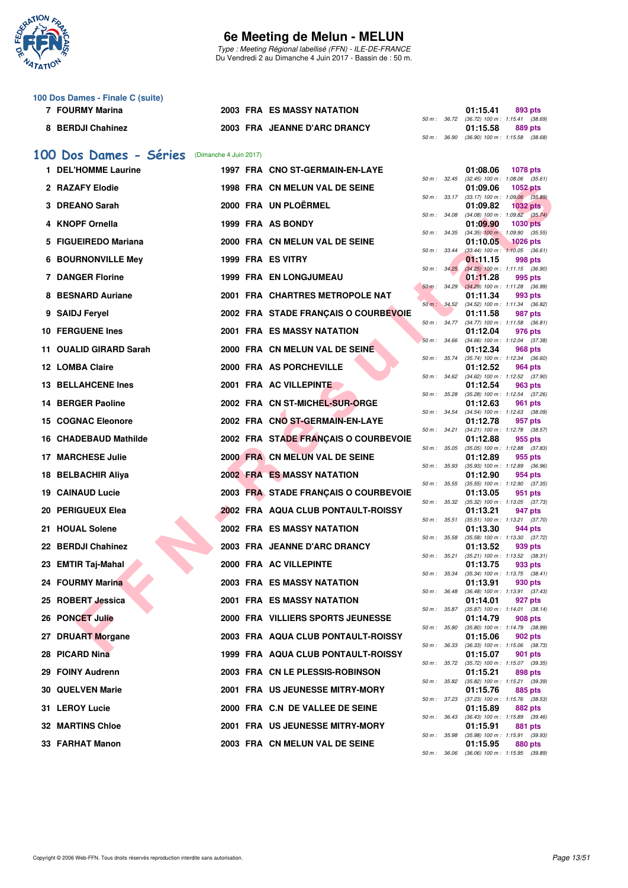

Type : Meeting Régional labellisé (FFN) - ILE-DE-FRANCE Du Vendredi 2 au Dimanche 4 Juin 2017 - Bassin de : 50 m.

|   | 100 Dos Dames - Finale C (suite) |                        |                                      |              |              |                                                                    |
|---|----------------------------------|------------------------|--------------------------------------|--------------|--------------|--------------------------------------------------------------------|
|   | 7 FOURMY Marina                  |                        | 2003 FRA ES MASSY NATATION           |              |              | 01:15.41<br>893 pts<br>50 m: 36.72 (36.72) 100 m: 1:15.41 (38.69)  |
|   | 8 BERDJI Chahinez                |                        | 2003 FRA JEANNE D'ARC DRANCY         |              |              | 01:15.58<br>889 pts                                                |
|   |                                  |                        |                                      | 50 m : 36.90 |              | $(36.90)$ 100 m : 1:15.58 $(38.68)$                                |
|   | 100 Dos Dames - Séries           | (Dimanche 4 Juin 2017) |                                      |              |              |                                                                    |
|   | 1 DEL'HOMME Laurine              |                        | 1997 FRA CNO ST-GERMAIN-EN-LAYE      | 50 m : 32.45 |              | 01:08.06<br><b>1078 pts</b><br>$(32.45)$ 100 m : 1:08.06 $(35.61)$ |
|   | 2 RAZAFY Elodie                  |                        | 1998 FRA CN MELUN VAL DE SEINE       | 50 m : 33.17 |              | 01:09.06<br>1052 pts<br>$(33.17)$ 100 m : 1:09.06 $(35.89)$        |
|   | 3 DREANO Sarah                   |                        | 2000 FRA UN PLOËRMEL                 | 50 m : 34.08 |              | 01:09.82<br><b>1032 pts</b><br>$(34.08)$ 100 m : 1:09.82 $(35.74)$ |
|   | 4 KNOPF Ornella                  |                        | 1999 FRA AS BONDY                    | 50 m : 34.35 |              | 01:09.90<br>1030 pts<br>$(34.35)$ 100 m : 1:09.90 $(35.55)$        |
| 5 | <b>FIGUEIREDO Mariana</b>        |                        | 2000 FRA CN MELUN VAL DE SEINE       |              |              | <b>1026 pts</b><br>01:10.05                                        |
|   | <b>6 BOURNONVILLE Mey</b>        |                        | 1999 FRA ES VITRY                    | 50 m: 33.44  |              | $(33.44)$ 100 m : 1:10.05 $(36.61)$<br>01:11.15<br>998 pts         |
|   | <b>7 DANGER Florine</b>          |                        | <b>1999 FRA EN LONGJUMEAU</b>        | 50 m: 34.25  |              | $(34.25)$ 100 m : 1:11.15 $(36.90)$<br>01:11.28<br>995 pts         |
| 8 | <b>BESNARD Auriane</b>           |                        | 2001 FRA CHARTRES METROPOLE NAT      |              | 50 m: 34.29  | $(34.29)$ 100 m : 1:11.28 $(36.99)$<br>01:11.34<br>993 pts         |
|   | 9 SAIDJ Feryel                   |                        | 2002 FRA STADE FRANÇAIS O COURBEVOIE |              | 50 m : 34.52 | (34.52) 100 m: 1:11.34 (36.82)<br>01:11.58<br>987 pts              |
|   |                                  |                        | <b>2001 FRA ES MASSY NATATION</b>    | 50 m : 34.77 |              | (34.77) 100 m: 1:11.58 (36.81)                                     |
|   | <b>10 FERGUENE Ines</b>          |                        |                                      |              |              | 01:12.04<br>976 pts<br>50 m: 34.66 (34.66) 100 m: 1:12.04 (37.38)  |
|   | 11 OUALID GIRARD Sarah           |                        | 2000 FRA CN MELUN VAL DE SEINE       | 50 m : 35.74 |              | 01:12.34<br>968 pts<br>(35.74) 100 m: 1:12.34 (36.60)              |
|   | 12 LOMBA Claire                  |                        | 2000 FRA AS PORCHEVILLE              | 50 m : 34.62 |              | 01:12.52<br>964 pts<br>(34.62) 100 m: 1:12.52 (37.90)              |
|   | <b>13 BELLAHCENE Ines</b>        |                        | 2001 FRA AC VILLEPINTE               | 50 m : 35.28 |              | 01:12.54<br>963 pts<br>(35.28) 100 m: 1:12.54 (37.26)              |
|   | <b>14 BERGER Paoline</b>         |                        | 2002 FRA CN ST-MICHEL-SUR-ORGE       |              |              | 01:12.63<br>961 pts                                                |
|   | <b>15 COGNAC Eleonore</b>        |                        | 2002 FRA CNO ST-GERMAIN-EN-LAYE      | 50 m : 34.54 |              | (34.54) 100 m: 1:12.63 (38.09)<br>01:12.78<br>957 pts              |
|   | 16 CHADEBAUD Mathilde            |                        | 2002 FRA STADE FRANÇAIS O COURBEVOIE | 50 m : 34.21 |              | (34.21) 100 m: 1:12.78 (38.57)<br>01:12.88<br>955 pts              |
|   | 17 MARCHESE Julie                |                        | 2000 FRA CN MELUN VAL DE SEINE       | 50 m : 35.05 |              | (35.05) 100 m: 1:12.88 (37.83)<br>01:12.89<br>955 pts              |
|   | 18 BELBACHIR Aliya               |                        | <b>2002 FRA ES MASSY NATATION</b>    | 50 m : 35.93 |              | $(35.93)$ 100 m : 1:12.89 $(36.96)$<br>01:12.90<br>954 pts         |
|   | <b>19 CAINAUD Lucie</b>          |                        | 2003 FRA STADE FRANÇAIS O COURBEVOIE | 50 m: 35.55  |              | $(35.55)$ 100 m : 1:12.90 $(37.35)$<br>01:13.05<br>951 pts         |
|   |                                  |                        | 2002 FRA AQUA CLUB PONTAULT-ROISSY   | 50 m : 35.32 |              | (35.32) 100 m: 1:13.05 (37.73)                                     |
|   | 20 PERIGUEUX Elea                |                        |                                      | 50 m : 35.51 |              | 01:13.21<br>947 pts<br>$(35.51)$ 100 m : 1:13.21 $(37.70)$         |
|   | 21 HOUAL Solene                  |                        | 2002 FRA ES MASSY NATATION           | 50 m : 35.58 |              | 01:13.30<br>944 pts<br>(35.58) 100 m: 1:13.30 (37.72)              |
|   | 22 BERDJI Chahinez               |                        | 2003 FRA JEANNE D'ARC DRANCY         | 50 m: 35.21  |              | 01:13.52<br>939 pts<br>(35.21) 100 m: 1:13.52 (38.31)              |
|   | 23 EMTIR Taj-Mahal               |                        | 2000 FRA AC VILLEPINTE               |              |              | 01:13.75<br>933 pts<br>50 m: 35.34 (35.34) 100 m: 1:13.75 (38.41)  |
|   | 24 FOURMY Marina                 |                        | 2003 FRA ES MASSY NATATION           | 50 m : 36.48 |              | 01:13.91<br>930 pts<br>$(36.48)$ 100 m : 1:13.91 $(37.43)$         |
|   | 25 ROBERT Jessica                |                        | 2001 FRA ES MASSY NATATION           |              |              | 01:14.01<br>927 pts                                                |
|   | 26 PONCET Julie                  |                        | 2000 FRA VILLIERS SPORTS JEUNESSE    | 50 m : 35.87 |              | $(35.87)$ 100 m : 1:14.01 $(38.14)$<br>01:14.79<br>908 pts         |
|   | 27 DRUART Morgane                |                        | 2003 FRA AQUA CLUB PONTAULT-ROISSY   | 50 m : 35.80 |              | (35.80) 100 m: 1:14.79 (38.99)<br>01:15.06<br>902 pts              |
|   | 28 PICARD Nina                   |                        | 1999 FRA AQUA CLUB PONTAULT-ROISSY   | 50 m : 36.33 |              | (36.33) 100 m: 1:15.06 (38.73)<br>01:15.07<br>901 pts              |
|   | 29 FOINY Audrenn                 |                        | 2003 FRA CN LE PLESSIS-ROBINSON      |              |              | 50 m: 35.72 (35.72) 100 m: 1:15.07 (39.35)<br>01:15.21<br>898 pts  |
|   |                                  |                        | 2001 FRA US JEUNESSE MITRY-MORY      |              |              | 50 m : 35.82 (35.82) 100 m : 1:15.21 (39.39)                       |
|   | <b>30 QUELVEN Marie</b>          |                        |                                      |              |              | 01:15.76<br>885 pts<br>50 m: 37.23 (37.23) 100 m: 1:15.76 (38.53)  |
|   | 31 LEROY Lucie                   |                        | 2000 FRA C.N DE VALLEE DE SEINE      | 50 m : 36.43 |              | 01:15.89<br>882 pts<br>(36.43) 100 m: 1:15.89 (39.46)              |
|   | <b>32 MARTINS Chloe</b>          |                        | 2001 FRA US JEUNESSE MITRY-MORY      | 50 m : 35.98 |              | 01:15.91<br>881 pts<br>(35.98) 100 m: 1:15.91 (39.93)              |
|   | 33 FARHAT Manon                  |                        | 2003 FRA CN MELUN VAL DE SEINE       |              |              | 01:15.95<br>880 pts<br>50 m: 36.06 (36.06) 100 m: 1:15.95 (39.89)  |
|   |                                  |                        |                                      |              |              |                                                                    |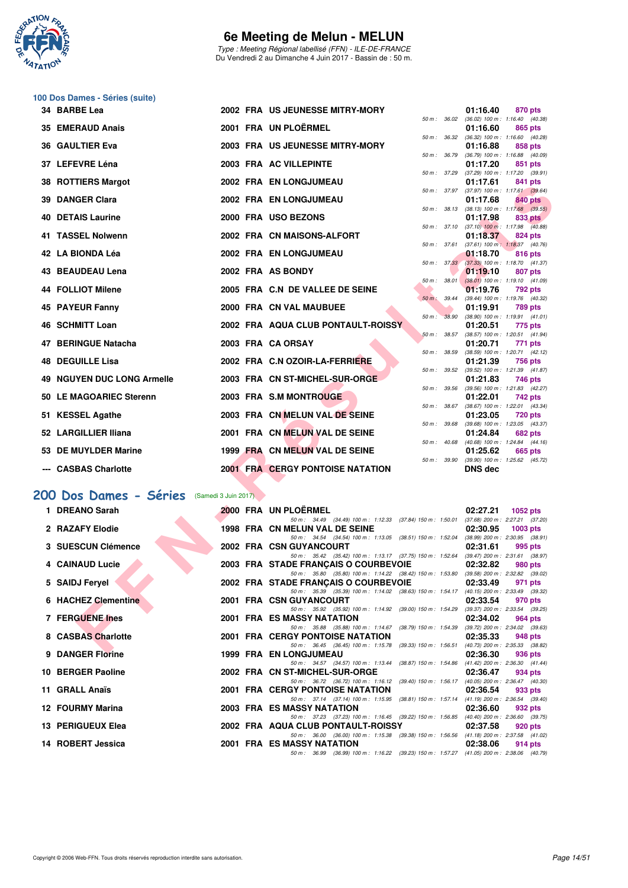

Type : Meeting Régional labellisé (FFN) - ILE-DE-FRANCE Du Vendredi 2 au Dimanche 4 Juin 2017 - Bassin de : 50 m.

|     | 100 Dos Dames - Séries (suite)              |  |                                                                                                                                  |          |                                                   |
|-----|---------------------------------------------|--|----------------------------------------------------------------------------------------------------------------------------------|----------|---------------------------------------------------|
|     | 34 BARBE Lea                                |  | 2002 FRA US JEUNESSE MITRY-MORY                                                                                                  | 01:16.40 | 870 pts                                           |
|     | 35 EMERAUD Anais                            |  | 50 m: 36.02<br>2001 FRA UN PLOËRMEL                                                                                              | 01:16.60 | $(36.02)$ 100 m : 1:16.40 $(40.38)$<br>865 pts    |
|     |                                             |  | 50 m : 36.32                                                                                                                     |          | (36.32) 100 m: 1:16.60 (40.28)                    |
| 36. | <b>GAULTIER Eva</b>                         |  | 2003 FRA US JEUNESSE MITRY-MORY<br>50 m : 36.79                                                                                  | 01:16.88 | 858 pts<br>$(36.79)$ 100 m : 1:16.88 $(40.09)$    |
|     | 37 LEFEVRE Léna                             |  | 2003 FRA AC VILLEPINTE                                                                                                           | 01:17.20 | 851 pts                                           |
| 38  | <b>ROTTIERS Margot</b>                      |  | 50 m : 37.29<br>2002 FRA EN LONGJUMEAU                                                                                           | 01:17.61 | $(37.29)$ 100 m : 1:17.20 $(39.91)$<br>841 pts    |
|     |                                             |  |                                                                                                                                  |          | 50 m: 37.97 (37.97) 100 m: 1:17.61 (39.64)        |
| 39. | <b>DANGER Clara</b>                         |  | 2002 FRA EN LONGJUMEAU<br>50 m : 38.13                                                                                           | 01:17.68 | 840 pts<br>$(38.13)$ 100 m : 1:17.68 $(39.55)$    |
|     | 40 DETAIS Laurine                           |  | 2000 FRA USO BEZONS                                                                                                              | 01:17.98 | 833 pts                                           |
|     | 41 TASSEL Nolwenn                           |  | 50 m : 37.10<br>2002 FRA CN MAISONS-ALFORT                                                                                       | 01:18.37 | $(37.10)$ 100 m : 1:17.98 $(40.88)$<br>824 pts    |
|     |                                             |  | 50 m : 37.61                                                                                                                     |          | $(37.61)$ 100 m : 1:18.37 $(40.76)$               |
|     | 42 LA BIONDA Léa                            |  | 2002 FRA EN LONGJUMEAU<br>50 m: 37.33                                                                                            | 01:18.70 | 816 pts<br>$(37.33)$ 100 m : 1:18.70 $(41.37)$    |
|     | 43 BEAUDEAU Lena                            |  | 2002 FRA AS BONDY                                                                                                                | 01:19.10 | 807 pts                                           |
|     | 44 FOLLIOT Milene                           |  | 50 m: 38.01<br>2005 FRA C.N DE VALLEE DE SEINE                                                                                   | 01:19.76 | $(38.01)$ 100 m : 1:19.10 $(41.09)$<br>792 pts    |
|     |                                             |  | 50 m : 39.44                                                                                                                     |          | (39.44) 100 m: 1:19.76 (40.32)                    |
|     | <b>45 PAYEUR Fanny</b>                      |  | 2000 FRA CN VAL MAUBUEE<br>50 m: 38.90                                                                                           | 01:19.91 | 789 pts<br>$(38.90)$ 100 m : 1:19.91 $(41.01)$    |
|     | 46 SCHMITT Loan                             |  | 2002 FRA AQUA CLUB PONTAULT-ROISSY                                                                                               | 01:20.51 | 775 pts                                           |
|     | 47 BERINGUE Natacha                         |  | 50 m: 38.57<br>2003 FRA CA ORSAY                                                                                                 | 01:20.71 | (38.57) 100 m: 1:20.51 (41.94)<br>771 pts         |
|     |                                             |  | 50 m : 38.59                                                                                                                     |          | (38.59) 100 m: 1:20.71 (42.12)                    |
| 48  | <b>DEGUILLE Lisa</b>                        |  | 2002 FRA C.N OZOIR-LA-FERRIERE                                                                                                   | 01:21.39 | 756 pts                                           |
|     | <b>49 NGUYEN DUC LONG Armelle</b>           |  | 50 m: 39.52<br>2003 FRA CN ST-MICHEL-SUR-ORGE                                                                                    | 01:21.83 | (39.52) 100 m: 1:21.39 (41.87)<br>746 pts         |
|     |                                             |  | 50 m : 39.56                                                                                                                     |          | (39.56) 100 m: 1:21.83 (42.27)                    |
|     | 50 LE MAGOARIEC Sterenn                     |  | 2003 FRA S.M MONTROUGE<br>50 m : 38.67                                                                                           | 01:22.01 | 742 pts<br>$(38.67)$ 100 m : 1:22.01 $(43.34)$    |
| 51. | <b>KESSEL Agathe</b>                        |  | 2003 FRA CN MELUN VAL DE SEINE                                                                                                   | 01:23.05 | <b>720 pts</b>                                    |
|     | 52 LARGILLIER Iliana                        |  | 50 m : 39.68<br>2001 FRA CN MELUN VAL DE SEINE                                                                                   | 01:24.84 | (39.68) 100 m: 1:23.05 (43.37)<br>682 pts         |
|     |                                             |  | 50 m: 40.68                                                                                                                      |          | $(40.68)$ 100 m : 1:24.84 $(44.16)$               |
|     | 53 DE MUYLDER Marine                        |  | 1999 FRA CN MELUN VAL DE SEINE<br>50 m : 39.90                                                                                   | 01:25.62 | 665 pts<br>(39.90) 100 m : 1:25.62 (45.72)        |
|     | --- CASBAS Charlotte                        |  | <b>2001 FRA CERGY PONTOISE NATATION</b>                                                                                          | DNS dec  |                                                   |
|     |                                             |  |                                                                                                                                  |          |                                                   |
|     | 200 Dos Dames - Séries (Samedi 3 Juin 2017) |  |                                                                                                                                  |          |                                                   |
|     | 1 DREANO Sarah                              |  | 2000 FRA UN PLOERMEL                                                                                                             | 02:27.21 | 1052 pts                                          |
|     |                                             |  | 50 m: 34.49 (34.49) 100 m: 1:12.33 (37.84) 150 m: 1:50.01 (37.68) 200 m: 2:27.21 (37.20)                                         |          |                                                   |
|     | 2 RAZAFY Elodie                             |  | 1998 FRA CN MELUN VAL DE SEINE<br>50 m: 34.54 (34.54) 100 m: 1:13.05 (38.51) 150 m: 1:52.04                                      | 02:30.95 | $1003$ pts<br>$(38.99)$ 200 m : 2:30.95 $(38.91)$ |
|     | 3 SUESCUN Clémence                          |  | <b>2002 FRA CSN GUYANCOURT</b>                                                                                                   | 02:31.61 | 995 pts                                           |
|     | 4 CAINAUD Lucie                             |  | 50 m: 35.42 (35.42) 100 m: 1:13.17 (37.75) 150 m: 1:52.64<br>2003 FRA STADE FRANÇAIS O COURBEVOIE                                | 02:32.82 | $(39.47)$ 200 m : 2:31.61 $(38.97)$<br>980 pts    |
|     |                                             |  | 50 m: 35.80 (35.80) 100 m: 1:14.22 (38.42) 150 m: 1:53.80                                                                        |          | (39.58) 200 m : 2:32.82 (39.02)                   |
|     | 5 SAIDJ Feryel                              |  | 2002 FRA STADE FRANÇAIS O COURBEVOIE<br>50 m: 35.39 (35.39) 100 m: 1:14.02 (38.63) 150 m: 1:54.17 (40.15) 200 m: 2:33.49 (39.32) | 02:33.49 | 971 pts                                           |
|     | 6 HACHEZ Clementine                         |  | 2001 FRA CSN GUYANCOURT                                                                                                          | 02:33.54 | 970 pts                                           |
|     | <b>7 FERGUENE Ines</b>                      |  | 50 m : 35.92 (35.92) 100 m : 1:14.92 (39.00) 150 m : 1:54.29<br><b>2001 FRA ES MASSY NATATION</b>                                | 02:34.02 | (39.37) 200 m : 2:33.54 (39.25)                   |
|     |                                             |  | 50 m: 35.88 (35.88) 100 m: 1:14.67 (38.79) 150 m: 1:54.39                                                                        |          | 964 pts<br>(39.72) 200 m : 2:34.02 (39.63)        |
|     | 8 CASBAS Charlotte                          |  | 2001 FRA CERGY PONTOISE NATATION                                                                                                 | 02:35.33 | 948 pts                                           |
|     | 0. DANCED Flaving                           |  | 50 m : 36.45 (36.45) 100 m : 1:15.78 (39.33) 150 m : 1:56.51<br>1000 EDA EN LONG HIMEAH                                          | 00.96.90 | (40.73) 200 m : 2:35.33 (38.82)                   |

#### [200 Dos Dames - Séries](http://www.ffnatation.fr/webffn/resultats.php?idact=nat&go=epr&idcpt=46973&idepr=13) (Samedi 3 Juin 2017)

| 1 DREANO Sarah      |  | 2000 FRA UN PLOËRMEL                                                                                                      | 02:27.21 | 1052 pts |  |
|---------------------|--|---------------------------------------------------------------------------------------------------------------------------|----------|----------|--|
|                     |  | 50 m: 34.49 (34.49) 100 m: 1:12.33 (37.84) 150 m: 1:50.01 (37.68) 200 m: 2:27.21 (37.20)                                  |          |          |  |
| 2 RAZAFY Elodie     |  | 1998 FRA CN MELUN VAL DE SEINE                                                                                            | 02:30.95 | 1003 pts |  |
|                     |  | 50 m: 34.54 (34.54) 100 m: 1:13.05 (38.51) 150 m: 1:52.04 (38.99) 200 m: 2:30.95 (38.91)                                  |          |          |  |
| 3 SUESCUN Clémence  |  | 2002 FRA CSN GUYANCOURT                                                                                                   | 02:31.61 | 995 pts  |  |
|                     |  | 50 m: 35.42 (35.42) 100 m: 1:13.17 (37.75) 150 m: 1:52.64 (39.47) 200 m: 2:31.61 (38.97)                                  |          |          |  |
| 4 CAINAUD Lucie     |  | 2003 FRA STADE FRANÇAIS O COURBEVOIE                                                                                      | 02:32.82 | 980 pts  |  |
|                     |  | 50 m: 35.80 (35.80) 100 m: 1:14.22 (38.42) 150 m: 1:53.80 (39.58) 200 m: 2:32.82 (39.02)                                  |          |          |  |
| 5 SAIDJ Feryel      |  | 2002 FRA STADE FRANCAIS O COURBEVOIE 02:33.49                                                                             |          | 971 pts  |  |
|                     |  | 50 m: 35.39 (35.39) 100 m: 1:14.02 (38.63) 150 m: 1:54.17 (40.15) 200 m: 2:33.49 (39.32)                                  |          |          |  |
| 6 HACHEZ Clementine |  | 2001 FRA CSN GUYANCOURT                                                                                                   | 02:33.54 | 970 pts  |  |
|                     |  | 50 m: 35.92 (35.92) 100 m: 1:14.92 (39.00) 150 m: 1:54.29 (39.37) 200 m: 2:33.54 (39.25)                                  |          |          |  |
| 7 FERGUENE Ines     |  | 2001 FRA ES MASSY NATATION                                                                                                | 02:34.02 | 964 pts  |  |
|                     |  | 50 m: 35.88 (35.88) 100 m: 1:14.67 (38.79) 150 m: 1:54.39 (39.72) 200 m: 2:34.02 (39.63)                                  |          |          |  |
| 8 CASBAS Charlotte  |  | 2001 FRA CERGY PONTOISE NATATION                                                                                          | 02:35.33 | 948 pts  |  |
| 9 DANGER Florine    |  | 50 m: 36.45 (36.45) 100 m: 1:15.78 (39.33) 150 m: 1:56.51 (40.73) 200 m: 2:35.33 (38.82)<br><b>1999 FRA EN LONGJUMEAU</b> | 02:36.30 |          |  |
|                     |  | 50 m: 34.57 (34.57) 100 m: 1:13.44 (38.87) 150 m: 1:54.86 (41.42) 200 m: 2:36.30 (41.44)                                  |          | 936 pts  |  |
| 10 BERGER Paoline   |  | 2002 FRA CN ST-MICHEL-SUR-ORGE                                                                                            | 02:36.47 | 934 pts  |  |
|                     |  | 50 m: 36.72 (36.72) 100 m: 1:16.12 (39.40) 150 m: 1:56.17 (40.05) 200 m: 2:36.47 (40.30)                                  |          |          |  |
| 11 GRALL Anaïs      |  | 2001 FRA CERGY PONTOISE NATATION                                                                                          | 02:36.54 | 933 pts  |  |
|                     |  | 50 m: 37.14 (37.14) 100 m: 1:15.95 (38.81) 150 m: 1:57.14 (41.19) 200 m: 2:36.54 (39.40)                                  |          |          |  |
| 12 FOURMY Marina    |  | <b>2003 FRA ES MASSY NATATION</b>                                                                                         | 02:36.60 | 932 pts  |  |
|                     |  | 50 m: 37.23 (37.23) 100 m: 1:16.45 (39.22) 150 m: 1:56.85 (40.40) 200 m: 2:36.60 (39.75)                                  |          |          |  |
| 13 PERIGUEUX Elea   |  | 2002 FRA AQUA CLUB PONTAULT-ROISSY 02:37.58                                                                               |          | 920 pts  |  |
|                     |  | 50 m: 36.00 (36.00) 100 m: 1:15.38 (39.38) 150 m: 1:56.56 (41.18) 200 m: 2:37.58 (41.02)                                  |          |          |  |
| 14 ROBERT Jessica   |  | 2001 FRA ES MASSY NATATION                                                                                                | 02:38.06 | 914 pts  |  |
|                     |  | 50 m: 36.99 (36.99) 100 m: 1:16.22 (39.23) 150 m: 1:57.27 (41.05) 200 m: 2:38.06 (40.79)                                  |          |          |  |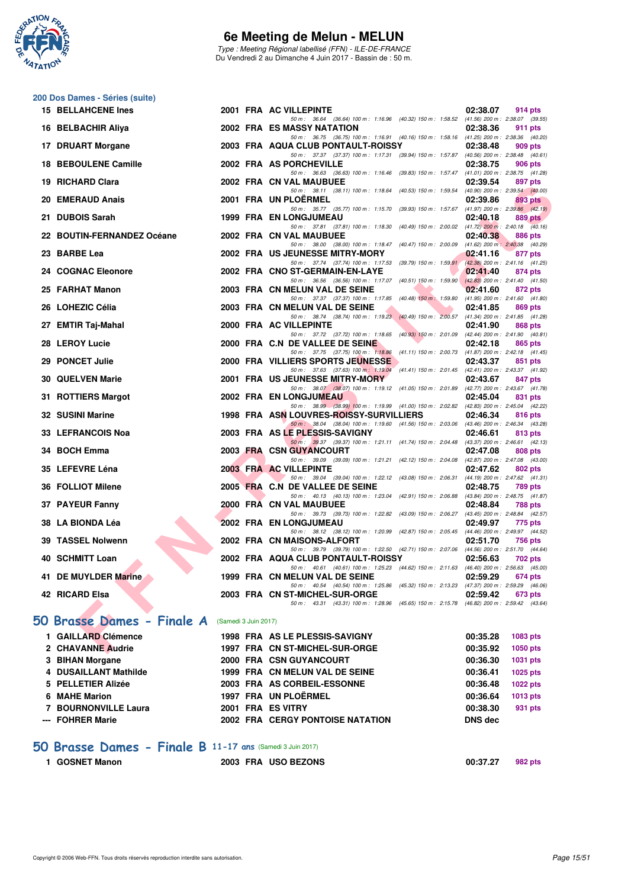

Type : Meeting Régional labellisé (FFN) - ILE-DE-FRANCE Du Vendredi 2 au Dimanche 4 Juin 2017 - Bassin de : 50 m.

#### **200 Dos Dames - Séries (suite)**

|     | <b>15 BELLAHCENE Ines</b>      |                      | 2001 FRA AC VILLEPINTE                                                                                                                  | 02:38.07 | 914 pts                                        |
|-----|--------------------------------|----------------------|-----------------------------------------------------------------------------------------------------------------------------------------|----------|------------------------------------------------|
|     | 16 BELBACHIR Aliya             |                      | 50 m: 36.64 (36.64) 100 m: 1:16.96 (40.32) 150 m: 1:58.52 (41.56) 200 m: 2:38.07 (39.55)<br>2002 FRA ES MASSY NATATION                  | 02:38.36 | 911 pts                                        |
|     | 17 DRUART Morgane              |                      | 50 m: 36.75 (36.75) 100 m: 1:16.91 (40.16) 150 m: 1:58.16 (41.25) 200 m: 2:38.36 (40.20)<br>2003 FRA AQUA CLUB PONTAULT-ROISSY          | 02:38.48 | 909 pts                                        |
|     |                                |                      | 50 m: 37.37 (37.37) 100 m: 1:17.31 (39.94) 150 m: 1:57.87 (40.56) 200 m: 2:38.48 (40.61)                                                |          |                                                |
|     | <b>18 BEBOULENE Camille</b>    |                      | 2002 FRA AS PORCHEVILLE<br>50 m: 36.63 (36.63) 100 m: 1:16.46 (39.83) 150 m: 1:57.47 (41.01) 200 m: 2:38.75 (41.28)                     | 02:38.75 | 906 pts                                        |
| 19  | <b>RICHARD Clara</b>           |                      | 2002 FRA CN VAL MAUBUEE                                                                                                                 | 02:39.54 | 897 pts                                        |
|     | 20 EMERAUD Anais               |                      | 50 m: 38.11 (38.11) 100 m: 1:18.64 (40.53) 150 m: 1:59.54<br>2001 FRA UN PLOERMEL                                                       | 02:39.86 | $(40.90)$ 200 m : 2:39.54 $(40.00)$<br>893 pts |
|     |                                |                      | 50 m : 35.77 (35.77) 100 m : 1:15.70 (39.93) 150 m : 1:57.67                                                                            |          | $(41.97)$ 200 m : 2:39.86 $(42.19)$            |
| 21. | <b>DUBOIS Sarah</b>            |                      | 1999 FRA EN LONGJUMEAU<br>50 m: 37.81 (37.81) 100 m: 1:18.30 (40.49) 150 m: 2:00.02 (41.72) 200 m: 2:40.18 (40.16)                      | 02:40.18 | 889 pts                                        |
| 22. | <b>BOUTIN-FERNANDEZ Océane</b> |                      | 2002 FRA CN VAL MAUBUEE                                                                                                                 | 02:40.38 | 886 pts                                        |
|     | 23 BARBE Lea                   |                      | 50 m: 38.00 (38.00) 100 m: 1:18.47 (40.47) 150 m: 2:00.09 (41.62) 200 m: 2:40.38 (40.29)<br>2002 FRA US JEUNESSE MITRY-MORY             | 02:41.16 | 877 pts                                        |
|     |                                |                      | 50 m: 37.74 (37.74) 100 m: 1:17.53 (39.79) 150 m: 1:59.91                                                                               |          | (42.38) 200 m : 2:41.16 (41.25)                |
| 24. | <b>COGNAC Eleonore</b>         |                      | 2002 FRA CNO ST-GERMAIN-EN-LAYE                                                                                                         | 02:41.40 | 874 pts                                        |
|     | 25 FARHAT Manon                |                      | 50 m: 36.56 (36.56) 100 m: 1:17.07 (40.51) 150 m: 1:59.90<br>2003 FRA CN MELUN VAL DE SEINE                                             | 02:41.60 | $(42.83)$ 200 m : 2:41.40 $(41.50)$<br>872 pts |
|     |                                |                      | 50 m: 37.37 (37.37) 100 m: 1:17.85 (40.48) 150 m: 1:59.80 (41.95) 200 m: 2:41.60 (41.80)                                                |          |                                                |
|     | 26 LOHEZIC Célia               |                      | 2003 FRA CN MELUN VAL DE SEINE<br>50 m: 38.74 (38.74) 100 m: 1:19.23 (40.49) 150 m: 2:00.57 (41.34) 200 m: 2:41.85 (41.28)              | 02:41.85 | 869 pts                                        |
|     | 27 EMTIR Taj-Mahal             |                      | 2000 FRA AC VILLEPINTE                                                                                                                  | 02:41.90 | 868 pts                                        |
|     | 28 LEROY Lucie                 |                      | 50 m: 37.72 (37.72) 100 m: 1:18.65 (40.93) 150 m: 2:01.09 (42.44) 200 m: 2:41.90 (40.81)<br>2000 FRA C.N DE VALLEE DE SEINE             | 02:42.18 | 865 pts                                        |
|     |                                |                      | 50 m: 37.75 (37.75) 100 m: 1:18.86 (41.11) 150 m: 2:00.73 (41.87) 200 m: 2:42.18 (41.45)                                                |          |                                                |
|     | 29 PONCET Julie                |                      | 2000 FRA VILLIERS SPORTS JEUNESSE<br>50 m: 37.63 (37.63) 100 m: 1:19.04 (41.41) 150 m: 2:01.45 (42.41) 200 m: 2:43.37 (41.92)           | 02:43.37 | 851 pts                                        |
|     | <b>30 QUELVEN Marie</b>        |                      | 2001 FRA US JEUNESSE MITRY-MORY                                                                                                         | 02:43.67 | 847 pts                                        |
|     | 31 ROTTIERS Margot             |                      | 50 m: 38.07 (38.07) 100 m: 1:19.12 (41.05) 150 m: 2:01.89 (42.77) 200 m: 2:43.67 (41.78)<br>2002 FRA EN LONGJUMEAU                      | 02:45.04 | 831 pts                                        |
|     |                                |                      | 50 m: 38.99 (38.99) 100 m: 1:19.99 (41.00) 150 m: 2:02.82 (42.83) 200 m: 2:45.04 (42.22)                                                |          |                                                |
|     | 32 SUSINI Marine               |                      | 1998 FRA ASN LOUVRES-ROISSY-SURVILLIERS<br>50 m : 38.04 (38.04) 100 m : 1:19.60 (41.56) 150 m : 2:03.06 (43.46) 200 m : 2:46.34 (43.28) | 02:46.34 | 816 pts                                        |
|     | 33 LEFRANCOIS Noa              |                      | 2003 FRA AS LE PLESSIS-SAVIGNY                                                                                                          | 02:46.61 | 813 pts                                        |
|     | 34 BOCH Emma                   |                      | 50 m: 39.37 (39.37) 100 m: 1:21.11 (41.74) 150 m: 2:04.48 (43.37) 200 m: 2:46.61 (42.13)<br>2003 FRA CSN GUYANCOURT                     | 02:47.08 | 808 pts                                        |
|     |                                |                      | 50 m : 39.09 (39.09) 100 m : 1:21.21 (42.12) 150 m : 2:04.08                                                                            |          | $(42.87)$ 200 m : 2:47.08 $(43.00)$            |
|     | 35 LEFEVRE Léna                |                      | 2003 FRA AC VILLEPINTE<br>50 m: 39.04 (39.04) 100 m: 1:22.12 (43.08) 150 m: 2:06.31                                                     | 02:47.62 | 802 pts<br>(44.19) 200 m : 2:47.62 (41.31)     |
|     | 36 FOLLIOT Milene              |                      | 2005 FRA C.N DE VALLEE DE SEINE                                                                                                         | 02:48.75 | <b>789 pts</b>                                 |
|     | 37 PAYEUR Fanny                |                      | 50 m : 40.13 (40.13) 100 m : 1:23.04 (42.91) 150 m : 2:06.88<br>2000 FRA CN VAL MAUBUEE                                                 |          | (43.84) 200 m : 2:48.75 (41.87)                |
|     |                                |                      | 50 m : 39.73 (39.73) 100 m : 1:22.82 (43.09) 150 m : 2:06.27                                                                            | 02:48.84 | 788 pts<br>(43.45) 200 m : 2:48.84 (42.57)     |
|     | 38 LA BIONDA Léa               |                      | 2002 FRA EN LONGJUMEAU                                                                                                                  | 02:49.97 | 775 pts                                        |
|     | 39 TASSEL Nolwenn              |                      | 50 m: 38.12 (38.12) 100 m: 1:20.99 (42.87) 150 m: 2:05.45 (44.46) 200 m: 2:49.97 (44.52)<br>2002 FRA CN MAISONS-ALFORT                  | 02:51.70 | 756 pts                                        |
|     |                                |                      | 50 m: 39.79 (39.79) 100 m: 1:22.50 (42.71) 150 m: 2:07.06 (44.56) 200 m: 2:51.70 (44.64)                                                |          |                                                |
|     | 40 SCHMITT Loan                |                      | 2002 FRA AQUA CLUB PONTAULT-ROISSY<br>50 m: 40.61 (40.61) 100 m: 1:25.23 (44.62) 150 m: 2:11.63 (46.40) 200 m: 2:56.63 (45.00)          | 02:56.63 | 702 pts                                        |
| 41. | <b>DE MUYLDER Marine</b>       |                      | 1999 FRA CN MELUN VAL DE SEINE                                                                                                          | 02:59.29 | <b>674 pts</b>                                 |
|     | 42 RICARD Elsa                 |                      | 50 m: 40.54 (40.54) 100 m: 1:25.86 (45.32) 150 m: 2:13.23 (47.37) 200 m: 2:59.29 (46.06)<br>2003 FRA CN ST-MICHEL-SUR-ORGE              | 02:59.42 | 673 pts                                        |
|     |                                |                      | 50 m: 43.31 (43.31) 100 m: 1:28.96 (45.65) 150 m: 2:15.78 (46.82) 200 m: 2:59.42 (43.64)                                                |          |                                                |
|     | 50 Brasse Dames - Finale A     | (Samedi 3 Juin 2017) |                                                                                                                                         |          |                                                |
|     | 1 GAILLARD Clémence            |                      | 1998 FRA AS LE PLESSIS-SAVIGNY                                                                                                          | 00:35.28 | 1083 pts                                       |
|     | 2 CHAVANNE Audrie              |                      | 1997 FRA CN ST-MICHEL-SUR-ORGE                                                                                                          | 00:35.92 | 1050 pts                                       |
|     | 3 BIHAN Morgane                |                      | 2000 FRA CSN GUYANCOURT                                                                                                                 | 00:36.30 | 1031 pts                                       |
|     |                                |                      |                                                                                                                                         |          |                                                |

|                       |  |                                         |          | .        |
|-----------------------|--|-----------------------------------------|----------|----------|
| 4 DUSAILLANT Mathilde |  | 1999 FRA CN MELUN VAL DE SEINE          | 00:36.41 | 1025 pts |
| 5 PELLETIER Alizée    |  | 2003 FRA AS CORBEIL-ESSONNE             | 00:36.48 | 1022 pts |
| 6 MAHE Marion         |  | 1997 FRA UN PLOËRMEL                    | 00:36.64 | 1013 pts |
| 7 BOURNONVILLE Laura  |  | 2001 FRA ES VITRY                       | 00:38.30 | 931 pts  |
| --- FOHRER Marie      |  | <b>2002 FRA CERGY PONTOISE NATATION</b> | DNS dec  |          |

### **[50 Brasse Dames - Finale B](http://www.ffnatation.fr/webffn/resultats.php?idact=nat&go=epr&idcpt=46973&idepr=21) 11-17 ans** (Samedi 3 Juin 2017)

| <b>GOSNET Manon</b> | 2003 FRA USO BEZONS | 00:37.27 | 982 pts |
|---------------------|---------------------|----------|---------|
|                     |                     |          |         |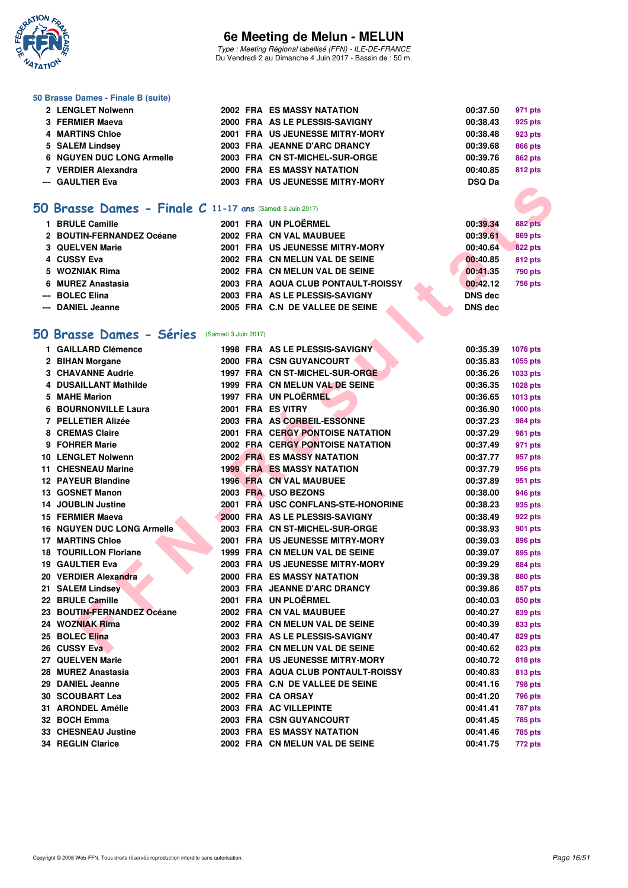

Type : Meeting Régional labellisé (FFN) - ILE-DE-FRANCE Du Vendredi 2 au Dimanche 4 Juin 2017 - Bassin de : 50 m.

#### **50 Brasse Dames - Finale B (suite)**

| 2 LENGLET Nolwenn         |  | 2002 FRA ES MASSY NATATION        | 00:37.50      | 971 pts        |
|---------------------------|--|-----------------------------------|---------------|----------------|
| 3 FERMIER Maeva           |  | 2000 FRA AS LE PLESSIS-SAVIGNY    | 00:38.43      | 925 pts        |
| 4 MARTINS Chloe           |  | 2001 FRA US JEUNESSE MITRY-MORY   | 00:38.48      | 923 pts        |
| 5 SALEM Lindsey           |  | 2003 FRA JEANNE D'ARC DRANCY      | 00:39.68      | <b>866 pts</b> |
| 6 NGUYEN DUC LONG Armelle |  | 2003 FRA CN ST-MICHEL-SUR-ORGE    | 00:39.76      | <b>862 pts</b> |
| 7 VERDIER Alexandra       |  | <b>2000 FRA ES MASSY NATATION</b> | 00:40.85      | <b>812 pts</b> |
| --- GAULTIER Eva          |  | 2003 FRA US JEUNESSE MITRY-MORY   | <b>DSQ Da</b> |                |

#### **[50 Brasse Dames - Finale C](http://www.ffnatation.fr/webffn/resultats.php?idact=nat&go=epr&idcpt=46973&idepr=21) 11-17 ans** (Samedi 3 Juin 2017)

| <b>BRULE Camille</b>      | 2001 FRA UN PLOËRMEL               | 00:39.34       | <b>882 pts</b> |
|---------------------------|------------------------------------|----------------|----------------|
| 2 BOUTIN-FERNANDEZ Océane | 2002 FRA CN VAL MAUBUEE            | 00:39.61       | <b>869 pts</b> |
| 3 QUELVEN Marie           | 2001 FRA US JEUNESSE MITRY-MORY    | 00:40.64       | 822 pts        |
|                           | 2002 FRA CN MELUN VAL DE SEINE     | 00:40.85       | <b>812 pts</b> |
| 5 WOZNIAK Rima            | 2002 FRA CN MELUN VAL DE SEINE     | 00:41.35       | 790 pts        |
| 6 MUREZ Anastasia         | 2003 FRA AQUA CLUB PONTAULT-ROISSY | 00:42.12       | <b>756 pts</b> |
|                           | 2003 FRA AS LE PLESSIS-SAVIGNY     | <b>DNS</b> dec |                |
| --- DANIEL Jeanne         | 2005 FRA C.N DE VALLEE DE SEINE    | <b>DNS</b> dec |                |
|                           |                                    |                |                |

#### **[50 Brasse Dames - Séries](http://www.ffnatation.fr/webffn/resultats.php?idact=nat&go=epr&idcpt=46973&idepr=21)** (Samedi 3 Juin 2017)

|   | iO Brasse Dames - Finale C 11-17 ans (Samedi 3 Juin 2017) |  |                                         |                |                 |
|---|-----------------------------------------------------------|--|-----------------------------------------|----------------|-----------------|
|   | 1 BRULE Camille                                           |  | 2001 FRA UN PLOËRMEL                    | 00:39.34       | <b>882 pts</b>  |
|   | 2 BOUTIN-FERNANDEZ Océane                                 |  | 2002 FRA CN VAL MAUBUEE                 | 00:39.61       | <b>869 pts</b>  |
|   | 3 QUELVEN Marie                                           |  | 2001 FRA US JEUNESSE MITRY-MORY         | 00:40.64       | <b>822 pts</b>  |
|   | 4 CUSSY Eva                                               |  | 2002 FRA CN MELUN VAL DE SEINE          | 00:40.85       | 812 pts         |
|   | 5 WOZNIAK Rima                                            |  | 2002 FRA CN MELUN VAL DE SEINE          | 00:41.35       | 790 pts         |
| 6 | <b>MUREZ Anastasia</b>                                    |  | 2003 FRA AQUA CLUB PONTAULT-ROISSY      | 00:42.12       | <b>756 pts</b>  |
|   | <b>BOLEC Elina</b>                                        |  | 2003 FRA AS LE PLESSIS-SAVIGNY          | <b>DNS dec</b> |                 |
|   | <b>DANIEL Jeanne</b>                                      |  | 2005 FRA C.N DE VALLEE DE SEINE         | <b>DNS dec</b> |                 |
|   |                                                           |  |                                         |                |                 |
|   | <b>iO Brasse Dames - Séries</b> (Samedi 3 Juin 2017)      |  |                                         |                |                 |
|   | 1 GAILLARD Clémence                                       |  | 1998 FRA AS LE PLESSIS-SAVIGNY          | 00:35.39       | 1078 pts        |
|   | 2 BIHAN Morgane                                           |  | 2000 FRA CSN GUYANCOURT                 | 00:35.83       | 1055 pts        |
|   | <b>3 CHAVANNE Audrie</b>                                  |  | 1997 FRA CN ST-MICHEL-SUR-ORGE          | 00:36.26       | 1033 pts        |
|   | 4 DUSAILLANT Mathilde                                     |  | 1999 FRA CN MELUN VAL DE SEINE          | 00:36.35       | 1028 pts        |
|   | 5 MAHE Marion                                             |  | 1997 FRA UN PLOËRMEL                    | 00:36.65       | 1013 pts        |
|   | <b>6 BOURNONVILLE Laura</b>                               |  | 2001 FRA ES VITRY                       | 00:36.90       | <b>1000 pts</b> |
|   | 7 PELLETIER Alizée                                        |  | 2003 FRA AS CORBEIL-ESSONNE             | 00:37.23       | 984 pts         |
|   | 8 CREMAS Claire                                           |  | <b>2001 FRA CERGY PONTOISE NATATION</b> | 00:37.29       | 981 pts         |
|   | 9 FOHRER Marie                                            |  | <b>2002 FRA CERGY PONTOISE NATATION</b> | 00:37.49       | 971 pts         |
|   | <b>10 LENGLET Nolwenn</b>                                 |  | <b>2002 FRA ES MASSY NATATION</b>       | 00:37.77       | 957 pts         |
|   | <b>11 CHESNEAU Marine</b>                                 |  | <b>1999 FRA ES MASSY NATATION</b>       | 00:37.79       | 956 pts         |
|   | <b>12 PAYEUR Blandine</b>                                 |  | 1996 FRA CN VAL MAUBUEE                 | 00:37.89       | 951 pts         |
|   | 13 GOSNET Manon                                           |  | 2003 FRA USO BEZONS                     | 00:38.00       | 946 pts         |
|   | <b>14 JOUBLIN Justine</b>                                 |  | 2001 FRA USC CONFLANS-STE-HONORINE      | 00:38.23       | 935 pts         |
|   | 15 FERMIER Maeva                                          |  | 2000 FRA AS LE PLESSIS-SAVIGNY          | 00:38.49       | 922 pts         |
|   | <b>16 NGUYEN DUC LONG Armelle</b>                         |  | 2003 FRA CN ST-MICHEL-SUR-ORGE          | 00:38.93       | 901 pts         |
|   | <b>17 MARTINS Chloe</b>                                   |  | 2001 FRA US JEUNESSE MITRY-MORY         | 00:39.03       | 896 pts         |
|   | <b>18 TOURILLON Floriane</b>                              |  | 1999 FRA CN MELUN VAL DE SEINE          | 00:39.07       | 895 pts         |
|   | <b>19 GAULTIER Eva</b>                                    |  | 2003 FRA US JEUNESSE MITRY-MORY         | 00:39.29       | 884 pts         |
|   | 20 VERDIER Alexandra                                      |  | 2000 FRA ES MASSY NATATION              | 00:39.38       | 880 pts         |
|   | 21 SALEM Lindsey                                          |  | 2003 FRA JEANNE D'ARC DRANCY            | 00:39.86       | 857 pts         |
|   | 22 BRULE Camille                                          |  | 2001 FRA UN PLOËRMEL                    | 00:40.03       | 850 pts         |
|   | 23 BOUTIN-FERNANDEZ Océane                                |  | 2002 FRA CN VAL MAUBUEE                 | 00:40.27       | 839 pts         |
|   | 24 WOZNIAK Rima                                           |  | 2002 FRA CN MELUN VAL DE SEINE          | 00:40.39       | 833 pts         |
|   | 25 BOLEC Elina                                            |  | 2003 FRA AS LE PLESSIS-SAVIGNY          | 00:40.47       | 829 pts         |
|   | 26 CUSSY Eva                                              |  | 2002 FRA CN MELUN VAL DE SEINE          | 00:40.62       | 823 pts         |
|   | 27 QUELVEN Marie                                          |  | 2001 FRA US JEUNESSE MITRY-MORY         | 00:40.72       | <b>818 pts</b>  |
|   | 28 MUREZ Anastasia                                        |  | 2003 FRA AQUA CLUB PONTAULT-ROISSY      | 00:40.83       | 813 pts         |
|   | 29 DANIEL Jeanne                                          |  | 2005 FRA C.N DE VALLEE DE SEINE         | 00:41.16       | 798 pts         |
|   | 30 SCOUBART Lea                                           |  | 2002 FRA CA ORSAY                       | 00:41.20       | 796 pts         |
|   | 31 ARONDEL Amélie                                         |  | 2003 FRA AC VILLEPINTE                  | 00:41.41       | <b>787 pts</b>  |
|   | 32 BOCH Emma                                              |  | 2003 FRA CSN GUYANCOURT                 | 00:41.45       | 785 pts         |
|   | 33 CHESNEAU Justine                                       |  | <b>2003 FRA ES MASSY NATATION</b>       | 00:41.46       | 785 pts         |
|   | <b>34 REGLIN Clarice</b>                                  |  | 2002 FRA CN MELUN VAL DE SEINE          | 00:41.75       | 772 pts         |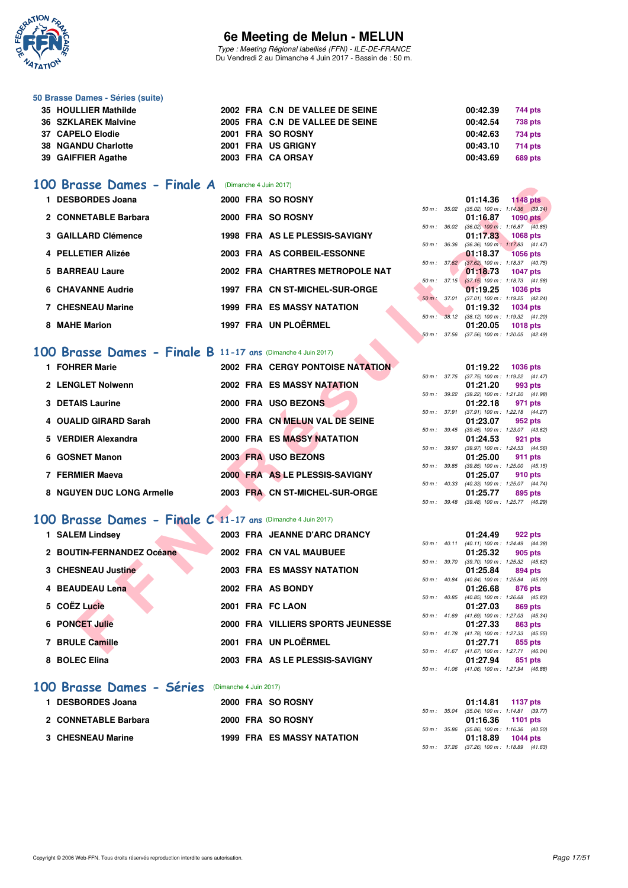

Type : Meeting Régional labellisé (FFN) - ILE-DE-FRANCE Du Vendredi 2 au Dimanche 4 Juin 2017 - Bassin de : 50 m.

#### **50 Brasse Dames - Séries (suite)**

|                                                                                                              |  |                                                                                                                                    | 744 pts                                                  |
|--------------------------------------------------------------------------------------------------------------|--|------------------------------------------------------------------------------------------------------------------------------------|----------------------------------------------------------|
|                                                                                                              |  |                                                                                                                                    | 738 pts                                                  |
|                                                                                                              |  |                                                                                                                                    | 734 pts                                                  |
|                                                                                                              |  |                                                                                                                                    | 714 pts                                                  |
|                                                                                                              |  |                                                                                                                                    | 689 pts                                                  |
| 35 HOULLIER Mathilde<br>36 SZKLAREK Malvine<br>37 CAPELO Elodie<br>38 NGANDU Charlotte<br>39 GAIFFIER Agathe |  | 2002 FRA C.N DE VALLEE DE SEINE<br>2005 FRA C.N DE VALLEE DE SEINE<br>2001 FRA SO ROSNY<br>2001 FRA US GRIGNY<br>2003 FRA CA ORSAY | 00:42.39<br>00:42.54<br>00:42.63<br>00:43.10<br>00:43.69 |

#### **[100 Brasse Dames - Finale A](http://www.ffnatation.fr/webffn/resultats.php?idact=nat&go=epr&idcpt=46973&idepr=22)** (Dimanche 4 Juin 2017)

| Brasse Dames - Finale A                                               | (Dimanche 4 Juin 2017) |                                         |              |                          |                                                                          |
|-----------------------------------------------------------------------|------------------------|-----------------------------------------|--------------|--------------------------|--------------------------------------------------------------------------|
| 1 DESBORDES Joana                                                     |                        | 2000 FRA SO ROSNY                       |              |                          | 01:14.36<br><b>1148 pts</b>                                              |
| 2 CONNETABLE Barbara                                                  |                        | 2000 FRA SO ROSNY                       | 50 m: 35.02  |                          | $(35.02)$ 100 m : 1:14.36 $(39.34)$<br>01:16.87<br><b>1090 pts</b>       |
|                                                                       |                        |                                         | 50 m : 36.02 |                          | $(36.02)$ 100 m : 1:16.87 $(40.85)$                                      |
| 3 GAILLARD Clémence                                                   |                        | 1998 FRA AS LE PLESSIS-SAVIGNY          |              |                          | 01:17.83<br>1068 pts                                                     |
| 4 PELLETIER Alizée                                                    |                        | 2003 FRA AS CORBEIL-ESSONNE             | 50 m : 36.36 |                          | $(36.36)$ 100 m : 1:17.83 $(41.47)$<br>01:18.37<br><b>1056 pts</b>       |
|                                                                       |                        |                                         |              | $50 \text{ m}$ : $37.62$ | $(37.62)$ 100 m : 1:18.37 (40.75)                                        |
| 5 BARREAU Laure                                                       |                        | 2002 FRA CHARTRES METROPOLE NAT         |              |                          | 01:18.73<br><b>1047 pts</b>                                              |
|                                                                       |                        |                                         |              | 50 m: 37.15              | $(37.15)$ 100 m : 1:18.73 $(41.58)$                                      |
| <b>6 CHAVANNE Audrie</b>                                              |                        | 1997 FRA CN ST-MICHEL-SUR-ORGE          |              | 50 m : 37.01             | 01:19.25<br><b>1036 pts</b><br>(37.01) 100 m: 1:19.25 (42.24)            |
| <b>7 CHESNEAU Marine</b>                                              |                        | <b>1999 FRA ES MASSY NATATION</b>       |              |                          | 01:19.32<br><b>1034 pts</b>                                              |
|                                                                       |                        |                                         |              |                          | 50 m : 38.12 (38.12) 100 m : 1:19.32 (41.20)                             |
| 8 MAHE Marion                                                         |                        | 1997 FRA UN PLOËRMEL                    |              |                          | 01:20.05<br><b>1018 pts</b>                                              |
|                                                                       |                        |                                         | 50 m: 37.56  |                          | $(37.56)$ 100 m : 1:20.05 $(42.49)$                                      |
| Brasse Dames - Finale B 11-17 ans (Dimanche 4 Juin 2017)<br><b>OO</b> |                        |                                         |              |                          |                                                                          |
| 1 FOHRER Marie                                                        |                        | <b>2002 FRA CERGY PONTOISE NATATION</b> |              |                          | 01:19.22<br><b>1036 pts</b>                                              |
|                                                                       |                        |                                         |              |                          | 50 m: 37.75 (37.75) 100 m: 1:19.22 (41.47)                               |
| 2 LENGLET Nolwenn                                                     |                        | <b>2002 FRA ES MASSY NATATION</b>       |              |                          | 01:21.20<br>993 pts                                                      |
|                                                                       |                        |                                         |              | 50 m : 39.22             | (39.22) 100 m: 1:21.20 (41.98)                                           |
| <b>3 DETAIS Laurine</b>                                               |                        | 2000 FRA USO BEZONS                     |              |                          | 01:22.18<br>971 pts                                                      |
| 4 OUALID GIRARD Sarah                                                 |                        | 2000 FRA CN MELUN VAL DE SEINE          |              | 50 m : 37.91             | (37.91) 100 m: 1:22.18 (44.27)<br>01:23.07<br>952 pts                    |
|                                                                       |                        |                                         |              |                          | 50 m: 39.45 (39.45) 100 m: 1:23.07 (43.62)                               |
| 5 VERDIER Alexandra                                                   |                        | <b>2000 FRA ES MASSY NATATION</b>       |              |                          | 01:24.53<br>921 pts                                                      |
|                                                                       |                        |                                         |              | 50 m : 39.97             | (39.97) 100 m: 1:24.53 (44.56)                                           |
| 6 GOSNET Manon                                                        |                        | 2003 FRA USO BEZONS                     |              |                          | 01:25.00<br><b>911 pts</b><br>50 m: 39.85 (39.85) 100 m: 1:25.00 (45.15) |
| 7 FERMIER Maeva                                                       |                        | 2000 FRA AS LE PLESSIS-SAVIGNY          |              |                          | 01:25.07<br>910 pts                                                      |
|                                                                       |                        |                                         | 50 m: 40.33  |                          | (40.33) 100 m: 1:25.07 (44.74)                                           |
| 8 NGUYEN DUC LONG Armelle                                             |                        | 2003 FRA CN ST-MICHEL-SUR-ORGE          |              |                          | 01:25.77<br>895 pts                                                      |
|                                                                       |                        |                                         | 50 m : 39.48 |                          | (39.48) 100 m: 1:25.77 (46.29)                                           |
| 00 Brasse Dames - Finale C 11-17 ans (Dimanche 4 Juin 2017)           |                        |                                         |              |                          |                                                                          |
| 1 SALEM Lindsey                                                       |                        | 2003 FRA JEANNE D'ARC DRANCY            |              |                          | 01:24.49<br>922 pts                                                      |
|                                                                       |                        |                                         |              |                          | 50 m: 40.11 (40.11) 100 m: 1:24.49 (44.38)                               |
| 2 BOUTIN-FERNANDEZ Océane                                             |                        | 2002 FRA CN VAL MAUBUEE                 |              |                          | 01:25.32<br>905 pts                                                      |
|                                                                       |                        |                                         | 50 m : 39.70 |                          | (39.70) 100 m : 1:25.32 (45.62)                                          |
| 3 CHESNEAU Justine                                                    |                        | <b>2003 FRA ES MASSY NATATION</b>       | 50 m : 40.84 |                          | 01:25.84<br>894 pts<br>(40.84) 100 m: 1:25.84 (45.00)                    |
| 4 BEAUDEAU Lena                                                       |                        | 2002 FRA AS BONDY                       |              |                          | 01:26.68<br>876 pts                                                      |
|                                                                       |                        |                                         | 50 m: 40.85  |                          | (40.85) 100 m: 1:26.68 (45.83)                                           |
| 5 COËZ Lucie                                                          |                        | 2001 FRA FC LAON                        |              |                          | 01:27.03<br>869 pts                                                      |
| <b>6 PONCET Julie</b>                                                 |                        | 2000 FRA VILLIERS SPORTS JEUNESSE       | 50 m: 41.69  |                          | $(41.69)$ 100 m : 1:27.03 $(45.34)$                                      |
|                                                                       |                        |                                         |              |                          | 01:27.33<br>863 pts<br>50 m: 41.78 (41.78) 100 m: 1:27.33 (45.55)        |
| 7 BRULE Camille                                                       |                        | 2001 FRA UN PLOËRMEL                    |              |                          | 01:27.71<br>855 pts                                                      |
|                                                                       |                        |                                         |              |                          | 50 m: 41.67 (41.67) 100 m: 1:27.71 (46.04)                               |

### **[100 Brasse Dames - Finale B](http://www.ffnatation.fr/webffn/resultats.php?idact=nat&go=epr&idcpt=46973&idepr=22) 11-17 ans** (Dimanche 4 Juin 2017)

| 1 FOHRER Marie            |  | 2002 FRA CERGY PONTOISE NATATION  |        |                  | 01:19.22                                     | 1036 pts |         |
|---------------------------|--|-----------------------------------|--------|------------------|----------------------------------------------|----------|---------|
| 2 LENGLET Nolwenn         |  | 2002 FRA ES MASSY NATATION        |        | 50 m : 37.75     | $(37.75)$ 100 m : 1:19.22 $(41)$<br>01:21.20 |          | 993 pts |
| 3 DETAIS Laurine          |  | 2000 FRA USO BEZONS               |        | 50 m : 39.22     | (39.22) 100 m : 1:21.20 (41.<br>01:22.18     |          | 971 pts |
| 4 OUALID GIRARD Sarah     |  | 2000 FRA CN MELUN VAL DE SEINE    |        | 50 m: 37.91      | (37.91) 100 m : 1:22.18 (44.<br>01:23.07     |          | 952 pts |
| 5 VERDIER Alexandra       |  | <b>2000 FRA ES MASSY NATATION</b> |        | $50 m$ : $39.45$ | (39.45) 100 m : 1:23.07 (43.<br>01:24.53     |          | 921 pts |
| 6 GOSNET Manon            |  | 2003 FRA USO BEZONS               |        | 50 m: 39.97      | (39.97) 100 m : 1:24.53 (44.<br>01:25.00     |          | 911 pts |
|                           |  |                                   | 50 m : | 39.85            | (39.85) 100 m : 1:25.00 (45.                 |          |         |
| 7 FERMIER Maeva           |  | 2000 FRA AS LE PLESSIS-SAVIGNY    | 50 m : | 40.33            | 01:25.07<br>(40.33) 100 m : 1:25.07 (44.     |          | 910 pts |
| 8 NGUYEN DUC LONG Armelle |  | 2003 FRA CN ST-MICHEL-SUR-ORGE    |        |                  | 01:25.77                                     |          | 895 pts |

# **[100 Brasse Dames - Finale C](http://www.ffnatation.fr/webffn/resultats.php?idact=nat&go=epr&idcpt=46973&idepr=22) 11-17 ans** (Dimanche 4 Juin 2017)

| 1 SALEM Lindsey           |  | 2003 FRA JEANNE D'ARC DRANCY      |        |                          | 01:24.49                                                              | 922 pts |  |
|---------------------------|--|-----------------------------------|--------|--------------------------|-----------------------------------------------------------------------|---------|--|
| 2 BOUTIN-FERNANDEZ Océane |  | 2002 FRA CN VAL MAUBUEE           |        | $50 m$ : $40.11$         | $(40.11)$ 100 m : 1:24.49 $(44)$<br>01:25.32                          | 905 pts |  |
| 3 CHESNEAU Justine        |  | <b>2003 FRA ES MASSY NATATION</b> |        | 50 m : 39.70             | $(39.70)$ 100 m : 1:25.32 (45.<br>01:25.84                            | 894 pts |  |
|                           |  |                                   | 50 m : | 40.84                    | (40.84) 100 m: 1:25.84 (45.                                           |         |  |
| 4 BEAUDEAU Lena           |  | 2002 FRA AS BONDY                 |        | $50 \text{ m}$ : $40.85$ | 01:26.68<br>$(40.85)$ 100 m : 1:26.68 (45.                            | 876 pts |  |
| 5 COËZ Lucie              |  | 2001 FRA FC LAON                  |        | $50 m$ : $41.69$         | 01:27.03<br>$(41.69)$ 100 m : 1:27.03 (45.                            | 869 pts |  |
| <b>6 PONCET Julie</b>     |  | 2000 FRA VILLIERS SPORTS JEUNESSE |        | $50 m$ : $41.78$         | 01:27.33<br>(41.78) 100 m : 1:27.33 (45.                              | 863 pts |  |
| 7 BRULE Camille           |  | 2001 FRA UN PLOËRMEL              |        |                          | 01:27.71                                                              | 855 pts |  |
| 8 BOLEC Elina             |  | 2003 FRA AS LE PLESSIS-SAVIGNY    |        | $50 m$ : $41.67$         | $(41.67)$ 100 m : 1:27.71 (46.<br>01:27.94                            | 851 pts |  |
|                           |  |                                   |        |                          | $50 \text{ m}$ : $41.06$ $(41.06)$ $100 \text{ m}$ : $1.27.94$ $(46.$ |         |  |

#### **[100 Brasse Dames - Séries](http://www.ffnatation.fr/webffn/resultats.php?idact=nat&go=epr&idcpt=46973&idepr=22)** (Dimanche 4 Juin 2017)

| 1 DESBORDES Joana    |  | 2000 FRA SO ROSNY                 |  | 01:14.81 1137 pts                                            |          |  |
|----------------------|--|-----------------------------------|--|--------------------------------------------------------------|----------|--|
| 2 CONNETABLE Barbara |  | 2000 FRA SO ROSNY                 |  | 50 m: 35.04 (35.04) 100 m: 1:14.81 (39.<br>01:16.36 1101 pts |          |  |
| 3 CHESNEAU Marine    |  | <b>1999 FRA ES MASSY NATATION</b> |  | 50 m : 35.86 (35.86) 100 m : 1:16.36 (40.<br>01:18.89        | 1044 pts |  |

| $50 m$ :               | 36.02 | $(36.02)$ 100 m :                   | $1:16.87$ (40.85)   |  |
|------------------------|-------|-------------------------------------|---------------------|--|
|                        |       | 01:17.83                            | 1068 pts            |  |
| 50 m : 36.36           |       | $(36.36) 100 m$ :                   | $1:17.83$ $(41.47)$ |  |
|                        |       | $01:18.37$ 1056 pts                 |                     |  |
| 50 m : 37.62           |       | $(37.62)$ 100 m :                   | $1:18.37$ $(40.75)$ |  |
|                        |       | 01:18.73 1047 pts                   |                     |  |
| $50 m$ : $37.15$       |       | $(37.15)$ 100 m :                   | $1:18.73$ $(41.58)$ |  |
|                        |       | 01:19.25 1036 pts                   |                     |  |
| $50 \text{ m}$ ; 37.01 |       | $(37.01)$ 100 m :                   | $1:19.25$ $(42.24)$ |  |
|                        |       | 01:19.32                            | 1034 pts            |  |
| 50 m: 38.12            |       | $(38.12)$ 100 m :                   | $1:19.32$ $(41.20)$ |  |
|                        |       | 01:20.05 1018 pts                   |                     |  |
| 50 m : 37.56           |       | $(37.56)$ 100 m : 1:20.05 $(42.49)$ |                     |  |
|                        |       |                                     |                     |  |
|                        |       |                                     |                     |  |
|                        |       |                                     |                     |  |

|                |       | 01:19.22          | 1036 pts            |
|----------------|-------|-------------------|---------------------|
| $50 m$ :       | 37.75 | $(37.75)$ 100 m : | $1:19.22$ $(41.47)$ |
|                |       | 01:21.20          | 993 pts             |
| $50 m$ :       | 39.22 | $(39.22)$ 100 m : | 1:21.20 (41.98)     |
|                |       | 01:22.18          | 971 pts             |
| 50 m: 37.91    |       | $(37.91)$ 100 m : | $1:22.18$ $(44.27)$ |
|                |       | 01:23.07          | 952 pts             |
| $50 m$ : 39.45 |       | $(39.45)$ 100 m : | 1:23.07 (43.62)     |
|                |       |                   |                     |
|                |       | 01:24.53          | 921 pts             |
| 50 m :         | 39.97 | $(39.97) 100 m$ : | $1:24.53$ $(44.56)$ |
|                |       | 01:25.00          | 911 pts             |
| 50 m : 39.85   |       | $(39.85) 100 m$ : | $1:25.00$ $(45.15)$ |
|                |       | 01:25.07          | 910 pts             |
| 50 m: 40.33    |       | $(40.33)$ 100 m : | 1:25.07 (44.74)     |
|                |       | 01:25.77 895 pts  |                     |

|                  |                  | 01:24.49          | 922 pts         |  |
|------------------|------------------|-------------------|-----------------|--|
|                  | $50 m$ : $40.11$ | $(40.11)$ 100 m : | 1:24.49 (44.38) |  |
|                  |                  | 01:25.32          | 905 pts         |  |
| $50 m$ : 39.70   |                  | $(39.70)$ 100 m : | 1:25.32 (45.62) |  |
|                  |                  | 01:25.84          | 894 pts         |  |
| $50 m$ : $40.84$ |                  | $(40.84)$ 100 m : | 1:25.84 (45.00) |  |
|                  |                  | 01:26.68          | 876 pts         |  |
| 50 m: 40.85      |                  | $(40.85)$ 100 m : | 1:26.68 (45.83) |  |
|                  |                  | 01:27.03          | 869 pts         |  |
| 50 m: 41.69      |                  | $(41.69) 100 m$ : | 1:27.03 (45.34) |  |
|                  |                  | 01:27.33 863 pts  |                 |  |
| 50 m: 41.78      |                  | $(41.78) 100 m$ : | 1:27.33 (45.55) |  |
|                  |                  | 01:27.71 855 pts  |                 |  |
| $50 m$ : $41.67$ |                  | $(41.67) 100 m$ : | 1:27.71 (46.04) |  |
|                  |                  | 01:27.94 851 pts  |                 |  |
|                  |                  |                   |                 |  |
| $50 m$ : $41.06$ |                  | $(41.06) 100 m$ : | 1:27.94 (46.88) |  |

|  | 01:14.81 1137 pts                            |  |
|--|----------------------------------------------|--|
|  | 50 m: 35.04 (35.04) 100 m: 1:14.81 (39.77)   |  |
|  | 01:16.36 1101 pts                            |  |
|  | 50 m : 35.86 (35.86) 100 m : 1:16.36 (40.50) |  |
|  | 01:18.89 1044 pts                            |  |
|  | 50 m : 37.26 (37.26) 100 m : 1:18.89 (41.63) |  |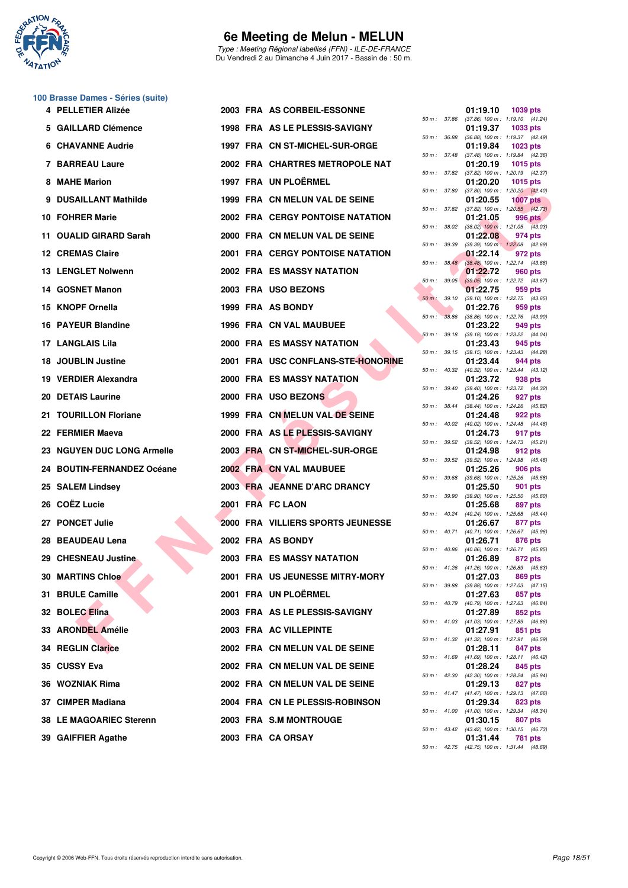

Type : Meeting Régional labellisé (FFN) - ILE-DE-FRANCE Du Vendredi 2 au Dimanche 4 Juin 2017 - Bassin de : 50 m.

# **100 Brasse Dames - Séries (suite)**

| 4 PELLETIER Alizée         |  | 2003 FRA AS CORBEIL-ESSONNE             |              |              | 01:19.10 | 1039 pts                                                      |
|----------------------------|--|-----------------------------------------|--------------|--------------|----------|---------------------------------------------------------------|
| 5 GAILLARD Clémence        |  | 1998 FRA AS LE PLESSIS-SAVIGNY          |              |              | 01:19.37 | 50 m: 37.86 (37.86) 100 m: 1:19.10 (41.24)<br>1033 pts        |
| <b>6 CHAVANNE Audrie</b>   |  | 1997 FRA CN ST-MICHEL-SUR-ORGE          |              | 50 m : 36.88 | 01:19.84 | $(36.88)$ 100 m : 1:19.37 $(42.49)$<br>1023 pts               |
| 7 BARREAU Laure            |  | 2002 FRA CHARTRES METROPOLE NAT         |              | 50 m : 37.48 | 01:20.19 | $(37.48)$ 100 m : 1:19.84 $(42.36)$<br>1015 pts               |
| 8 MAHE Marion              |  | 1997 FRA UN PLOËRMEL                    |              |              | 01:20.20 | 50 m: 37.82 (37.82) 100 m: 1:20.19 (42.37)<br><b>1015 pts</b> |
| 9 DUSAILLANT Mathilde      |  | 1999 FRA CN MELUN VAL DE SEINE          | 50 m: 37.80  |              | 01:20.55 | $(37.80)$ 100 m : 1:20.20 $(42.40)$<br><b>1007 pts</b>        |
| 10 FOHRER Marie            |  | <b>2002 FRA CERGY PONTOISE NATATION</b> | 50 m : 37.82 |              | 01:21.05 | $(37.82)$ 100 m : 1:20.55 $(42.73)$<br>996 pts                |
| 11 OUALID GIRARD Sarah     |  | 2000 FRA CN MELUN VAL DE SEINE          |              |              | 01:22.08 | 50 m : 38.02 (38.02) 100 m : 1:21.05 (43.03)<br>974 pts       |
| <b>12 CREMAS Claire</b>    |  | <b>2001 FRA CERGY PONTOISE NATATION</b> | 50 m : 39.39 |              | 01:22.14 | $(39.39)$ 100 m : 1:22.08 $(42.69)$<br>972 pts                |
| <b>13 LENGLET Nolwenn</b>  |  | <b>2002 FRA ES MASSY NATATION</b>       |              | 50 m : 38.48 | 01:22.72 | $(38.48)$ 100 m : 1:22.14 $(43.66)$<br>960 pts                |
| 14 GOSNET Manon            |  | 2003 FRA USO BEZONS                     |              |              | 01:22.75 | 50 m : 39.05 (39.05) 100 m : 1:22.72 (43.67)<br>959 pts       |
| 15 KNOPF Ornella           |  | 1999 FRA AS BONDY                       | 50 m: 39.10  |              | 01:22.76 | (39.10) 100 m: 1:22.75 (43.65)<br>959 pts                     |
| 16 PAYEUR Blandine         |  | 1996 FRA CN VAL MAUBUEE                 | $50 m$ :     | 38.86        | 01:23.22 | $(38.86)$ 100 m : 1:22.76 $(43.90)$<br>949 pts                |
| 17 LANGLAIS Lila           |  | 2000 FRA ES MASSY NATATION              |              | 50 m: 39.18  | 01:23.43 | $(39.18)$ 100 m : 1:23.22 $(44.04)$<br>945 pts                |
|                            |  | 2001 FRA USC CONFLANS-STE-HONORINE      |              |              |          | 50 m: 39.15 (39.15) 100 m: 1:23.43 (44.28)                    |
| 18 JOUBLIN Justine         |  |                                         |              |              | 01:23.44 | 944 pts<br>50 m: 40.32 (40.32) 100 m: 1:23.44 (43.12)         |
| 19 VERDIER Alexandra       |  | <b>2000 FRA ES MASSY NATATION</b>       |              | 50 m : 39.40 | 01:23.72 | 938 pts<br>$(39.40)$ 100 m : 1:23.72 $(44.32)$                |
| 20 DETAIS Laurine          |  | 2000 FRA USO BEZONS                     | 50 m: 38.44  |              | 01:24.26 | 927 pts<br>(38.44) 100 m: 1:24.26 (45.82)                     |
| 21 TOURILLON Floriane      |  | 1999 FRA CN MELUN VAL DE SEINE          |              |              | 01:24.48 | 922 pts<br>50 m: 40.02 (40.02) 100 m: 1:24.48 (44.46)         |
| 22 FERMIER Maeva           |  | 2000 FRA AS LE PLESSIS-SAVIGNY          |              |              | 01:24.73 | 917 pts<br>50 m: 39.52 (39.52) 100 m: 1:24.73 (45.21)         |
| 23 NGUYEN DUC LONG Armelle |  | 2003 FRA CN ST-MICHEL-SUR-ORGE          | 50 m : 39.52 |              | 01:24.98 | 912 pts<br>$(39.52)$ 100 m : 1:24.98 $(45.46)$                |
| 24 BOUTIN-FERNANDEZ Océane |  | 2002 FRA CN VAL MAUBUEE                 |              |              | 01:25.26 | <b>906 pts</b><br>50 m: 39.68 (39.68) 100 m: 1:25.26 (45.58)  |
| 25 SALEM Lindsey           |  | 2003 FRA JEANNE D'ARC DRANCY            | 50 m: 39.90  |              | 01:25.50 | 901 pts<br>$(39.90)$ 100 m : 1:25.50 $(45.60)$                |
| 26 COËZ Lucie              |  | 2001 FRA FC LAON                        |              |              | 01:25.68 | 897 pts<br>50 m: 40.24 (40.24) 100 m: 1:25.68 (45.44)         |
| 27 PONCET Julie            |  | 2000 FRA VILLIERS SPORTS JEUNESSE       |              |              | 01:26.67 | 877 pts                                                       |
| 28 BEAUDEAU Lena           |  | 2002 FRA AS BONDY                       |              | 50 m: 40.71  | 01:26.71 | $(40.71)$ 100 m : 1:26.67 $(45.96)$<br>876 pts                |
| 29 CHESNEAU Justine        |  | <b>2003 FRA ES MASSY NATATION</b>       |              |              | 01:26.89 | 50 m : 40.86 (40.86) 100 m : 1:26.71 (45.85)<br>872 pts       |
| 30 MARTINS Chloe           |  | 2001 FRA US JEUNESSE MITRY-MORY         |              |              | 01:27.03 | 50 m: 41.26 (41.26) 100 m: 1:26.89 (45.63)<br>869 pts         |
| 31 BRULE Camille           |  | 2001 FRA UN PLOËRMEL                    |              |              | 01:27.63 | 50 m: 39.88 (39.88) 100 m: 1:27.03 (47.15)<br>857 pts         |
| 32 BOLEC Elina             |  | 2003 FRA AS LE PLESSIS-SAVIGNY          |              |              | 01:27.89 | 50 m: 40.79 (40.79) 100 m: 1:27.63 (46.84)<br>852 pts         |
| 33 ARONDEL Amélie          |  | 2003 FRA AC VILLEPINTE                  |              |              | 01:27.91 | 50 m: 41.03 (41.03) 100 m: 1:27.89 (46.86)<br>851 pts         |
| <b>34 REGLIN Clarice</b>   |  | 2002 FRA CN MELUN VAL DE SEINE          |              |              | 01:28.11 | 50 m: 41.32 (41.32) 100 m: 1:27.91 (46.59)<br>847 pts         |
| 35 CUSSY Eva               |  | 2002 FRA CN MELUN VAL DE SEINE          |              |              | 01:28.24 | 50 m: 41.69 (41.69) 100 m: 1:28.11 (46.42)<br>845 pts         |
| 36 WOZNIAK Rima            |  | 2002 FRA CN MELUN VAL DE SEINE          |              |              | 01:29.13 | 50 m: 42.30 (42.30) 100 m: 1:28.24 (45.94)<br>827 pts         |
| 37 CIMPER Madiana          |  | 2004 FRA CN LE PLESSIS-ROBINSON         |              |              | 01:29.34 | 50 m: 41.47 (41.47) 100 m: 1:29.13 (47.66)<br>823 pts         |
| 38 LE MAGOARIEC Sterenn    |  | 2003 FRA S.M MONTROUGE                  |              |              | 01:30.15 | 50 m: 41.00 (41.00) 100 m: 1:29.34 (48.34)<br>807 pts         |
| 39 GAIFFIER Agathe         |  | 2003 FRA CA ORSAY                       |              |              | 01:31.44 | 50 m: 43.42 (43.42) 100 m: 1:30.15 (46.73)<br>781 pts         |
|                            |  |                                         |              |              |          |                                                               |

| 50 m :   | 37.86 | 01:19.10<br>$(37.86) 100 m$ : | 1039 pts<br>1:19.10<br>(41.24)       |
|----------|-------|-------------------------------|--------------------------------------|
|          |       | 01:19.37                      | 1033 pts                             |
| 50 m :   | 36.88 | $(36.88) 100 m$ :             | 1:19.37<br>(42.49)                   |
| $50 m$ : | 37.48 | 01:19.84<br>$(37.48) 100 m$ : | 1023 pts<br>1:19.84<br>(42.36)       |
|          |       | 01:20.19                      | 1015 pts                             |
| 50 m :   | 37.82 | (37.82) 100 m :<br>01:20.20   | 1:20.19<br>(42.37)<br>1015 pts       |
| $50 m$ : | 37.80 | $(37.80)$ 100 m :             | 1:20.20<br>(42.40)                   |
|          | 37.82 | 01:20.55                      | <b>1007 pts</b>                      |
| $50 m$ : |       | (37.82) 100 m :<br>01:21.05   | 1:20.55 (42.73)<br><b>996 pts</b>    |
| 50 m :   | 38.02 | $(38.02)$ 100 m :             | 1:21.05<br>(43.03)                   |
| $50 m$ : | 39.39 | 01:22.08<br>$(39.39) 100 m$ : | 974 pts<br>1:22.08<br>(42.69)        |
|          |       | 01:22.14                      | 972 pts                              |
| $50 m$ : | 38.48 | $(38.48) 100 m$ :             | 1:22.14<br>(43.66)                   |
| 50 m :   | 39.05 | 01:22.72<br>$(39.05)$ 100 m : | <b>960 pts</b><br>1:22.72<br>(43.67) |
|          |       | 01:22.75                      | 959 pts                              |
| $50 m$ : | 39.10 | $(39.10) 100 m$ :<br>01:22.76 | 1:22.75<br>(43.65)<br>959 pts        |
| $50 m$ : | 38.86 | $(38.86) 100 m$ :             | 1:22.76<br>(43.90)                   |
|          | 39.18 | 01:23.22<br>$(39.18) 100 m$ : | 949 pts<br>1:23.22<br>(44.04)        |
| 50 m :   |       | 01:23.43                      | 945 pts                              |
| 50 m :   | 39.15 | $(39.15) 100 m$ :             | 1:23.43<br>(44.28)                   |
| $50 m$ : | 40.32 | 01:23.44<br>$(40.32) 100 m$ : | 944 pts<br>1:23.44<br>(43.12)        |
|          |       | 01:23.72                      | 938 pts                              |
| 50 m :   | 39.40 | $(39.40)$ 100 m :<br>01:24.26 | 1:23.72<br>(44.32)<br>927 pts        |
| $50 m$ : | 38.44 | $(38.44) 100 m$ :             | 1:24.26<br>(45.82)                   |
|          |       | 01:24.48                      | <b>922 pts</b>                       |
| $50 m$ : | 40.02 | $(40.02)$ 100 m :<br>01:24.73 | 1:24.48<br>(44.46)<br>917 pts        |
| 50 m :   | 39.52 | $(39.52)$ 100 m :             | 1:24.73<br>(45.21)                   |
| $50 m$ : | 39.52 | 01:24.98<br>$(39.52) 100 m$ : | 912 pts<br>1:24.98<br>(45.46)        |
|          |       | 01:25.26                      | <b>906 pts</b>                       |
| $50 m$ : | 39.68 | $(39.68) 100 m$ :<br>01:25.50 | 1:25.26<br>(45.58)<br>901 pts        |
| 50 m :   | 39.90 | $(39.90)$ 100 m :             | 1:25.50<br>(45.60)                   |
|          | 40.24 | 01:25.68                      | 897 pts<br>1:25.68                   |
| $50 m$ : |       | (40.24) 100 m :<br>01:26.67   | (45.44)<br>877 pts                   |
| $50 m$ : | 40.71 | $(40.71)$ 100 m :             | 1:26.67<br>(45.96)                   |
| 50 m :   | 40.86 | 01:26.71<br>(40.86) 100 m :   | 876 pts<br>1:26.71<br>(45.85)        |
|          |       | 01:26.89                      | 872 pts                              |
| $50 m$ : | 41.26 | $(41.26) 100 m$ :<br>01:27.03 | 1:26.89<br>(45.63)<br><b>869 pts</b> |
| 50 m :   | 39.88 | (39.88) 100 m :               | 1:27.03<br>(47.15)                   |
| $50 m$ : | 40.79 | 01:27.63<br>$(40.79)$ 100 m : | 857 pts<br>1:27.63                   |
|          |       | 01:27.89                      | (46.84)<br>852 pts                   |
| $50 m$ : | 41.03 | $(41.03) 100 m$ :             | 1:27.89<br>(46.86)                   |
| $50 m$ : | 41.32 | 01:27.91<br>$(41.32) 100 m$ : | 851<br>pts<br>1:27.91<br>(46.59)     |
|          |       | 01:28.11                      | 847 pts                              |
| $50 m$ : | 41.69 | $(41.69) 100 m$ :<br>01:28.24 | 1:28.11<br>(46.42)<br>845 pts        |
| $50 m$ : | 42.30 | $(42.30)$ 100 m :             | 1:28.24<br>(45.94)                   |
| $50 m$ : | 41.47 | 01:29.13                      | 827<br>pts                           |
|          |       | $(41.47) 100 m$ :<br>01:29.34 | 1:29.13<br>(47.66)<br>823 pts        |
| $50 m$ : | 41.00 | $(41.00) 100 m$ :             | 1:29.34<br>(48.34)                   |
| $50 m$ : | 43.42 | 01:30.15<br>(43.42) 100 m :   | 807 pts<br>1:30.15<br>(46.73)        |
|          |       | 01:31.44                      | 781<br>pts                           |
| $50 m$ : | 42.75 | (42.75) 100 m :               | 1:31.44<br>(48.69)                   |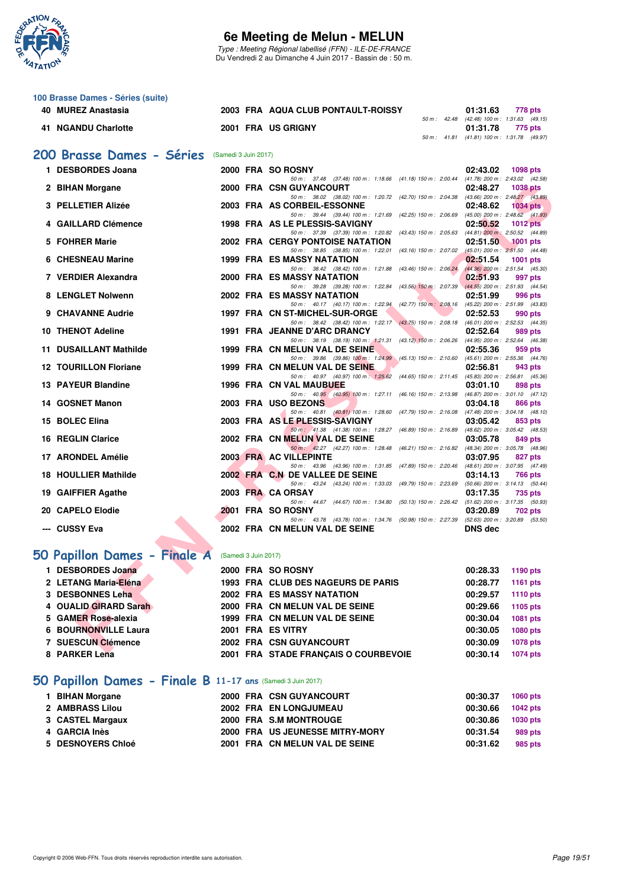

Type : Meeting Régional labellisé (FFN) - ILE-DE-FRANCE Du Vendredi 2 au Dimanche 4 Juin 2017 - Bassin de : 50 m.

| 100 Brasse Dames - Séries (suite)                           |                      |                      |                                                                                                                                 |                                                                    |
|-------------------------------------------------------------|----------------------|----------------------|---------------------------------------------------------------------------------------------------------------------------------|--------------------------------------------------------------------|
| 40 MUREZ Anastasia                                          |                      |                      | 2003 FRA AQUA CLUB PONTAULT-ROISSY                                                                                              | 01:31.63<br>778 pts<br>50 m: 42.48 (42.48) 100 m: 1:31.63 (49.15)  |
| 41 NGANDU Charlotte                                         |                      |                      | 2001 FRA US GRIGNY                                                                                                              | 01:31.78<br>775 pts<br>50 m: 41.81 (41.81) 100 m: 1:31.78 (49.97)  |
| 200 Brasse Dames - Séries                                   | (Samedi 3 Juin 2017) |                      |                                                                                                                                 |                                                                    |
| 1 DESBORDES Joana                                           |                      |                      |                                                                                                                                 |                                                                    |
|                                                             |                      |                      | 2000 FRA SO ROSNY<br>50 m: 37.48 (37.48) 100 m: 1:18.66 (41.18) 150 m: 2:00.44 (41.78) 200 m: 2:43.02 (42.58)                   | 02:43.02<br><b>1098 pts</b>                                        |
| 2 BIHAN Morgane                                             |                      |                      | 2000 FRA CSN GUYANCOURT<br>50 m: 38.02 (38.02) 100 m: 1:20.72 (42.70) 150 m: 2:04.38 (43.66) 200 m: 2:48.27 (43.89)             | 02:48.27<br><b>1038 pts</b>                                        |
| 3 PELLETIER Alizée                                          |                      |                      | 2003 FRA AS CORBEIL-ESSONNE<br>50 m: 39.44 (39.44) 100 m: 1:21.69 (42.25) 150 m: 2:06.69                                        | 02:48.62<br><b>1034 pts</b><br>$(45.00)$ 200 m : 2:48.62 $(41.93)$ |
| 4 GAILLARD Clémence                                         |                      |                      | 1998 FRA AS LE PLESSIS-SAVIGNY                                                                                                  | 02:50.52<br>$1012$ pts                                             |
| 5 FOHRER Marie                                              |                      |                      | 50 m: 37.39 (37.39) 100 m: 1:20.82 (43.43) 150 m: 2:05.63<br><b>2002 FRA CERGY PONTOISE NATATION</b>                            | $(44.81)$ 200 m : 2:50.52 $(44.89)$<br>02:51.50<br><b>1001 pts</b> |
| 6 CHESNEAU Marine                                           |                      |                      | 50 m: 38.85 (38.85) 100 m: 1:22.01 (43.16) 150 m: 2:07.02<br><b>1999 FRA ES MASSY NATATION</b>                                  | $(45.01)$ 200 m : $2:51.50$ $(44.48)$<br>02:51.54<br>1001 pts      |
| 7 VERDIER Alexandra                                         |                      |                      | 50 m: 38.42 (38.42) 100 m: 1:21.88 (43.46) 150 m: 2:06.24<br><b>2000 FRA ES MASSY NATATION</b>                                  | (44.36) 200 m : 2:51.54 (45.30)<br>02:51.93<br>997 pts             |
| 8 LENGLET Nolwenn                                           |                      |                      | 50 m: 39.28 (39.28) 100 m: 1:22.84 (43.56) 150 m: 2:07.39<br><b>2002 FRA ES MASSY NATATION</b>                                  | (44.55) 200 m : 2:51.93 (44.54)<br>02:51.99<br>996 pts             |
| 9 CHAVANNE Audrie                                           |                      |                      | 50 m: 40.17 (40.17) 100 m: 1:22.94 (42.77) 150 m: 2:08.16 (45.22) 200 m: 2:51.99 (43.83)<br>1997 FRA CN ST-MICHEL-SUR-ORGE      | 02:52.53<br>990 pts                                                |
| 10 THENOT Adeline                                           |                      |                      | 50 m: 38.42 (38.42) 100 m: 1:22.17 (43.75) 150 m: 2:08.18 (46.01) 200 m: 2:52.53 (44.35)<br><b>1991 FRA JEANNE D'ARC DRANCY</b> | 02:52.64<br>989 pts                                                |
|                                                             |                      |                      | 50 m: 38.19 (38.19) 100 m: 1:21.31 (43.12) 150 m: 2:06.26                                                                       | (44.95) 200 m : 2:52.64 (46.38)                                    |
| 11 DUSAILLANT Mathilde                                      |                      |                      | 1999 FRA CN MELUN VAL DE SEINE<br>50 m: 39.86 (39.86) 100 m: 1:24.99 (45.13) 150 m: 2:10.60                                     | 02:55.36<br>959 pts<br>(45.61) 200 m : 2:55.36 (44.76)             |
| <b>12 TOURILLON Floriane</b>                                |                      |                      | 1999 FRA CN MELUN VAL DE SEINE<br>50 m: 40.97 (40.97) 100 m: 1:25.62 (44.65) 150 m: 2:11.45 (45.83) 200 m: 2:56.81 (45.36)      | 02:56.81<br>943 pts                                                |
| 13 PAYEUR Blandine                                          |                      |                      | 1996 FRA CN VAL MAUBUEE<br>50 m: 40.95 (40.95) 100 m: 1:27.11 (46.16) 150 m: 2:13.98                                            | 03:01.10<br>898 pts<br>(46.87) 200 m : 3:01.10 (47.12)             |
| 14 GOSNET Manon                                             |                      |                      | 2003 FRA USO BEZONS                                                                                                             | 03:04.18<br>866 pts                                                |
| 15 BOLEC Elina                                              |                      |                      | 50 m: 40.81 (40.81) 100 m: 1:28.60 (47.79) 150 m: 2:16.08<br>2003 FRA AS LE PLESSIS-SAVIGNY                                     | $(47.48)$ 200 m : 3:04.18 $(48.10)$<br>03:05.42<br>853 pts         |
| <b>16 REGLIN Clarice</b>                                    |                      |                      | 50 m: 41.38 (41.38) 100 m: 1:28.27 (46.89) 150 m: 2:16.89<br>2002 FRA CN MELUN VAL DE SEINE                                     | (48.62) 200 m : 3:05.42 (48.53)<br>03:05.78<br>849 pts             |
| 17 ARONDEL Amélie                                           |                      |                      | 50 m: 42.27 (42.27) 100 m: 1:28.48 (46.21) 150 m: 2:16.82<br>2003 FRA AC VILLEPINTE                                             | (48.34) 200 m : 3:05.78 (48.96)<br>03:07.95<br>827 pts             |
| 18 HOULLIER Mathilde                                        |                      |                      | 50 m: 43.96 (43.96) 100 m: 1:31.85 (47.89) 150 m: 2:20.46<br>2002 FRA C.N DE VALLEE DE SEINE                                    | (48.61) 200 m : 3:07.95 (47.49)<br>03:14.13<br>766 pts             |
| 19 GAIFFIER Agathe                                          |                      |                      | 50 m: 43.24 (43.24) 100 m: 1:33.03 (49.79) 150 m: 2:23.69<br>2003 FRA CA ORSAY                                                  | (50.66) 200 m : 3:14.13 (50.44)<br>03:17.35<br>735 pts             |
| 20 CAPELO Elodie                                            |                      |                      | 50 m: 44.67 (44.67) 100 m: 1:34.80 (50.13) 150 m: 2:26.42<br>2001 FRA SO ROSNY                                                  | (51.62) 200 m : 3:17.35 (50.93)<br>03:20.89<br>702 pts             |
|                                                             |                      |                      | 50 m : 43.78 (43.78) 100 m : 1:34.76 (50.98) 150 m : 2:27.39                                                                    | $(52.63)$ 200 m : 3:20.89 $(53.50)$                                |
| --- CUSSY Eva                                               |                      |                      | 2002 FRA CN MELUN VAL DE SEINE                                                                                                  | <b>DNS dec</b>                                                     |
| 50 Papillon Dames - Finale A                                |                      | (Samedi 3 Juin 2017) |                                                                                                                                 |                                                                    |
| 1 DESBORDES Joana                                           |                      |                      | 2000 FRA SO ROSNY                                                                                                               | 00:28.33<br>1190 pts                                               |
| 2 LETANG Maria-Eléna                                        |                      |                      | 1993 FRA CLUB DES NAGEURS DE PARIS                                                                                              | 00:28.77<br><b>1161 pts</b>                                        |
| 3 DESBONNES Leha                                            |                      |                      | 2002 FRA ES MASSY NATATION                                                                                                      | 00:29.57<br>1110 pts                                               |
| 4 OUALID GIRARD Sarah                                       |                      |                      | 2000 FRA CN MELUN VAL DE SEINE                                                                                                  | 00:29.66<br>1105 pts                                               |
| 5 GAMER Rose-alexia<br><b>6 BOURNONVILLE Laura</b>          |                      |                      | 1999 FRA CN MELUN VAL DE SEINE<br>2001 FRA ES VITRY                                                                             | 00:30.04<br>1081 pts<br>00:30.05<br>1080 pts                       |
| 7 SUESCUN Clémence                                          |                      |                      | <b>2002 FRA CSN GUYANCOURT</b>                                                                                                  | 00:30.09<br>1078 pts                                               |
| 8 PARKER Lena                                               |                      |                      | 2001 FRA STADE FRANÇAIS O COURBEVOIE                                                                                            | 00:30.14<br>1074 pts                                               |
|                                                             |                      |                      |                                                                                                                                 |                                                                    |
| 50 Papillon Dames - Finale B 11-17 ans (Samedi 3 Juin 2017) |                      |                      |                                                                                                                                 |                                                                    |
| 1 BIHAN Morgane                                             |                      |                      | 2000 FRA CSN GUYANCOURT                                                                                                         | 00:30.37<br>1060 pts                                               |

| 1 BIHAN Morgane   |  | 2000 FRA CSN GUYANCOURT         | 00.30.37 | 1060 pts |
|-------------------|--|---------------------------------|----------|----------|
| 2 AMBRASS Lilou   |  | 2002 FRA EN LONGJUMEAU          | 00:30.66 | 1042 pts |
| 3 CASTEL Margaux  |  | 2000 FRA S.M MONTROUGE          | 00:30.86 | 1030 pts |
| 4 GARCIA Inès     |  | 2000 FRA US JEUNESSE MITRY-MORY | 00:31.54 | 989 pts  |
| 5 DESNOYERS Chloé |  | 2001 FRA CN MELUN VAL DE SEINE  | 00:31.62 | 985 pts  |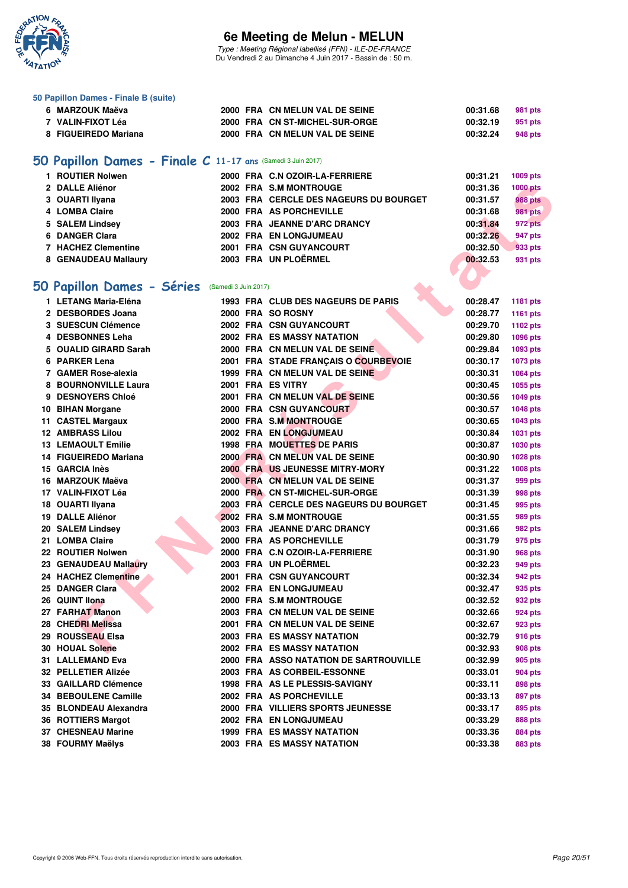

Type : Meeting Régional labellisé (FFN) - ILE-DE-FRANCE Du Vendredi 2 au Dimanche 4 Juin 2017 - Bassin de : 50 m.

| 50 Papillon Dames - Finale B (suite)                        |                      |                                               |          |                 |
|-------------------------------------------------------------|----------------------|-----------------------------------------------|----------|-----------------|
| 6 MARZOUK Maëva                                             |                      | 2000 FRA CN MELUN VAL DE SEINE                | 00:31.68 | 981 pts         |
| 7 VALIN-FIXOT Léa                                           |                      | 2000 FRA CN ST-MICHEL-SUR-ORGE                | 00:32.19 | 951 pts         |
| 8 FIGUEIREDO Mariana                                        |                      | 2000 FRA CN MELUN VAL DE SEINE                | 00:32.24 | 948 pts         |
| 50 Papillon Dames - Finale C 11-17 ans (Samedi 3 Juin 2017) |                      |                                               |          |                 |
| 1 ROUTIER Nolwen                                            |                      | 2000 FRA C.N OZOIR-LA-FERRIERE                | 00:31.21 | 1009 pts        |
| 2 DALLE Aliénor                                             |                      | 2002 FRA S.M MONTROUGE                        | 00:31.36 | <b>1000 pts</b> |
| 3 OUARTI Ilyana                                             |                      | <b>2003 FRA CERCLE DES NAGEURS DU BOURGET</b> | 00:31.57 | <b>988 pts</b>  |
| 4 LOMBA Claire                                              |                      | 2000 FRA AS PORCHEVILLE                       | 00:31.68 | <b>981 pts</b>  |
| 5 SALEM Lindsey                                             |                      | 2003 FRA JEANNE D'ARC DRANCY                  | 00:31.84 | 972 pts         |
| 6 DANGER Clara                                              |                      | 2002 FRA EN LONGJUMEAU                        | 00:32.26 | 947 pts         |
| <b>7 HACHEZ Clementine</b>                                  |                      | 2001 FRA CSN GUYANCOURT                       | 00:32.50 | 933 pts         |
| 8 GENAUDEAU Mallaury                                        |                      | 2003 FRA UN PLOËRMEL                          | 00:32.53 | 931 pts         |
|                                                             |                      |                                               |          |                 |
| 50 Papillon Dames - Séries                                  | (Samedi 3 Juin 2017) |                                               |          |                 |
| 1 LETANG Maria-Eléna                                        |                      | 1993 FRA CLUB DES NAGEURS DE PARIS            | 00:28.47 | 1181 pts        |
| 2 DESBORDES Joana                                           |                      | 2000 FRA SO ROSNY                             | 00:28.77 | 1161 pts        |
| <b>3 SUESCUN Clémence</b>                                   |                      | 2002 FRA CSN GUYANCOURT                       | 00:29.70 | 1102 pts        |
| 4 DESBONNES Leha                                            |                      | 2002 FRA ES MASSY NATATION                    | 00:29.80 | 1096 pts        |
| 5 OUALID GIRARD Sarah                                       |                      | 2000 FRA CN MELUN VAL DE SEINE                | 00:29.84 | 1093 pts        |
| 6 PARKER Lena                                               |                      | 2001 FRA STADE FRANCAIS O COURBEVOIE          | 00:30.17 | 1073 pts        |
| 7 GAMER Rose-alexia                                         |                      | 1999 FRA CN MELUN VAL DE SEINE                | 00:30.31 | 1064 pts        |
| <b>8 BOURNONVILLE Laura</b>                                 |                      | 2001 FRA ES VITRY                             | 00:30.45 | 1055 pts        |
| 9 DESNOYERS Chloé                                           |                      | 2001 FRA CN MELUN VAL DE SEINE                | 00:30.56 | 1049 pts        |
| 10 BIHAN Morgane                                            |                      | 2000 FRA CSN GUYANCOURT                       | 00:30.57 | 1048 pts        |
| 11 CASTEL Margaux                                           |                      | 2000 FRA S.M MONTROUGE                        | 00:30.65 | 1043 pts        |
| <b>12 AMBRASS Lilou</b>                                     |                      | 2002 FRA EN LONGJUMEAU                        | 00:30.84 | 1031 pts        |
| <b>13 LEMAOULT Emilie</b>                                   |                      | 1998 FRA MOUETTES DE PARIS                    | 00:30.87 | 1030 pts        |
| 14 FIGUEIREDO Mariana                                       |                      | 2000 FRA CN MELUN VAL DE SEINE                | 00:30.90 | 1028 pts        |
| 15 GARCIA Inès                                              |                      | 2000 FRA US JEUNESSE MITRY-MORY               | 00:31.22 | 1008 pts        |
| 16 MARZOUK Maëva                                            |                      | 2000 FRA CN MELUN VAL DE SEINE                | 00:31.37 | 999 pts         |
| 17 VALIN-FIXOT Léa                                          |                      | 2000 FRA CN ST-MICHEL-SUR-ORGE                | 00:31.39 | 998 pts         |
| 18 OUARTI Ilyana                                            |                      | <b>2003 FRA CERCLE DES NAGEURS DU BOURGET</b> | 00:31.45 | 995 pts         |
| 19 DALLE Aliénor                                            |                      | 2002 FRA S.M MONTROUGE                        | 00:31.55 | 989 pts         |
| 20 SALEM Lindsey                                            |                      | 2003 FRA JEANNE D'ARC DRANCY                  | 00:31.66 | 982 pts         |
| 21 LOMBA Claire                                             |                      | 2000 FRA AS PORCHEVILLE                       | 00:31.79 | 975 pts         |
| 22 ROUTIER Nolwen                                           |                      | 2000 FRA C.N OZOIR-LA-FERRIERE                | 00:31.90 | <b>968 pts</b>  |
| 23 GENAUDEAU Mallaury                                       |                      | 2003 FRA UN PLOËRMEL                          | 00:32.23 | 949 pts         |
| 24 HACHEZ Clementine                                        |                      | 2001 FRA CSN GUYANCOURT                       | 00:32.34 | 942 pts         |
| 25 DANGER Clara                                             |                      | 2002 FRA EN LONGJUMEAU                        | 00:32.47 | 935 pts         |
| 26 QUINT Ilona                                              |                      | 2000 FRA S.M MONTROUGE                        | 00:32.52 | 932 pts         |
| 27 FARHAT Manon                                             |                      | 2003 FRA CN MELUN VAL DE SEINE                | 00:32.66 | 924 pts         |
| 28 CHEDRI Melissa                                           |                      | 2001 FRA CN MELUN VAL DE SEINE                | 00:32.67 | 923 pts         |
| 29 ROUSSEAU Elsa                                            |                      | <b>2003 FRA ES MASSY NATATION</b>             | 00:32.79 | <b>916 pts</b>  |
| 30 HOUAL Solene                                             |                      | 2002 FRA ES MASSY NATATION                    | 00:32.93 | 908 pts         |
| 31 LALLEMAND Eva                                            |                      | 2000 FRA ASSO NATATION DE SARTROUVILLE        | 00:32.99 | 905 pts         |
| 32 PELLETIER Alizée                                         |                      | 2003 FRA AS CORBEIL-ESSONNE                   | 00:33.01 | 904 pts         |
| 33 GAILLARD Clémence                                        |                      | 1998 FRA AS LE PLESSIS-SAVIGNY                | 00:33.11 | 898 pts         |
| 34 BEBOULENE Camille                                        |                      | 2002 FRA AS PORCHEVILLE                       | 00:33.13 | 897 pts         |
| 35 BLONDEAU Alexandra                                       |                      | 2000 FRA VILLIERS SPORTS JEUNESSE             | 00:33.17 | 895 pts         |
| 36 ROTTIERS Margot                                          |                      | 2002 FRA EN LONGJUMEAU                        | 00:33.29 | 888 pts         |
| 37 CHESNEAU Marine                                          |                      | <b>1999 FRA ES MASSY NATATION</b>             | 00:33.36 | 884 pts         |

**38 FOURMY Maëlys 2003 FRA ES MASSY NATATION 00:33.38 883 pts**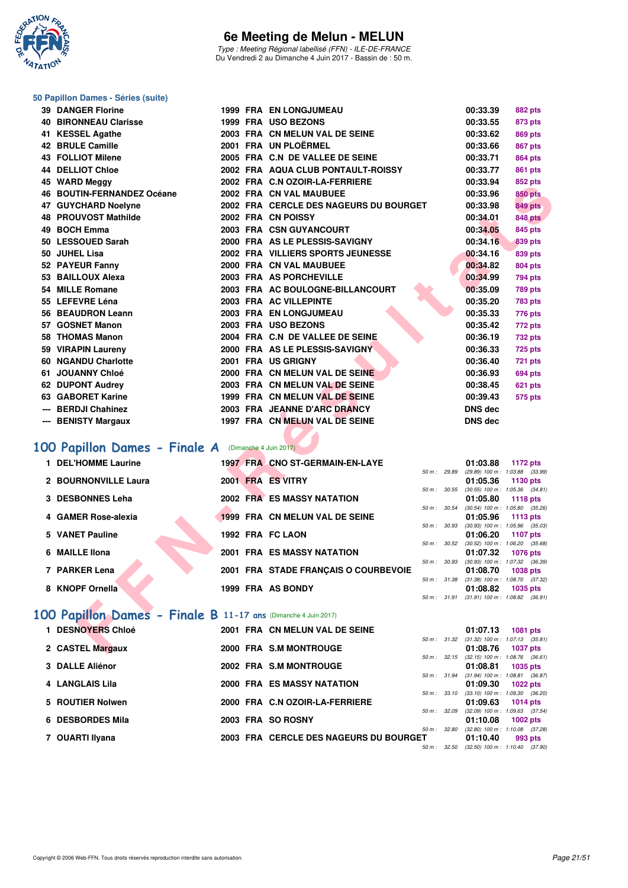

Type : Meeting Régional labellisé (FFN) - ILE-DE-FRANCE Du Vendredi 2 au Dimanche 4 Juin 2017 - Bassin de : 50 m.

#### **50 Papillon Dames - Séries (suite)**

| <b>39 DANGER Florine</b>                                      |  | <b>1999 FRA EN LONGJUMEAU</b>          |              | 00:33.39       | <b>882 pts</b>                                                   |  |
|---------------------------------------------------------------|--|----------------------------------------|--------------|----------------|------------------------------------------------------------------|--|
| <b>40 BIRONNEAU Clarisse</b>                                  |  | 1999 FRA USO BEZONS                    |              | 00:33.55       | 873 pts                                                          |  |
| 41 KESSEL Agathe                                              |  | 2003 FRA CN MELUN VAL DE SEINE         |              | 00:33.62       | <b>869 pts</b>                                                   |  |
| 42 BRULE Camille                                              |  | 2001 FRA UN PLOËRMEL                   |              | 00:33.66       | <b>867 pts</b>                                                   |  |
| 43 FOLLIOT Milene                                             |  | 2005 FRA C.N DE VALLEE DE SEINE        |              | 00:33.71       | 864 pts                                                          |  |
| <b>44 DELLIOT Chloe</b>                                       |  | 2002 FRA AQUA CLUB PONTAULT-ROISSY     |              | 00:33.77       | 861 pts                                                          |  |
| 45 WARD Meggy                                                 |  | 2002 FRA C.N OZOIR-LA-FERRIERE         |              | 00:33.94       | 852 pts                                                          |  |
| 46 BOUTIN-FERNANDEZ Océane                                    |  | 2002 FRA CN VAL MAUBUEE                |              | 00:33.96       | <b>850 pts</b>                                                   |  |
| 47 GUYCHARD Noelyne                                           |  | 2002 FRA CERCLE DES NAGEURS DU BOURGET |              | 00:33.98       | <b>849 pts</b>                                                   |  |
| <b>48 PROUVOST Mathilde</b>                                   |  | 2002 FRA CN POISSY                     |              | 00:34.01       | <b>848 pts</b>                                                   |  |
| 49 BOCH Emma                                                  |  | 2003 FRA CSN GUYANCOURT                |              | 00:34.05       | 845 pts                                                          |  |
| 50 LESSOUED Sarah                                             |  | 2000 FRA AS LE PLESSIS-SAVIGNY         |              | 00:34.16       | <b>839 pts</b>                                                   |  |
| 50   JUHEL Lisa                                               |  | 2002 FRA VILLIERS SPORTS JEUNESSE      |              | 00:34.16       | 839 pts                                                          |  |
| 52 PAYEUR Fanny                                               |  | 2000 FRA CN VAL MAUBUEE                |              | 00:34.82       | <b>804 pts</b>                                                   |  |
| 53 BAILLOUX Alexa                                             |  | 2003 FRA AS PORCHEVILLE                |              | 00:34.99       | <b>794 pts</b>                                                   |  |
| 54 MILLE Romane                                               |  | 2003 FRA AC BOULOGNE-BILLANCOURT       |              | 00:35.09       | <b>789 pts</b>                                                   |  |
| 55 LEFEVRE Léna                                               |  | 2003 FRA AC VILLEPINTE                 |              | 00:35.20       | <b>783 pts</b>                                                   |  |
| 56 BEAUDRON Leann                                             |  | 2003 FRA EN LONGJUMEAU                 |              | 00:35.33       | 776 pts                                                          |  |
| 57 GOSNET Manon                                               |  | 2003 FRA USO BEZONS                    |              | 00:35.42       | 772 pts                                                          |  |
| 58 THOMAS Manon                                               |  | 2004 FRA C.N DE VALLEE DE SEINE        |              | 00:36.19       | <b>732 pts</b>                                                   |  |
| 59 VIRAPIN Laureny                                            |  | 2000 FRA AS LE PLESSIS-SAVIGNY         |              | 00:36.33       | <b>725 pts</b>                                                   |  |
| 60 NGANDU Charlotte                                           |  | 2001 FRA US GRIGNY                     |              | 00:36.40       | 721 pts                                                          |  |
| 61 JOUANNY Chloé                                              |  | 2000 FRA CN MELUN VAL DE SEINE         |              | 00:36.93       | 694 pts                                                          |  |
| 62 DUPONT Audrey                                              |  | 2003 FRA CN MELUN VAL DE SEINE         |              | 00:38.45       | 621 pts                                                          |  |
| 63 GABORET Karine                                             |  | 1999 FRA CN MELUN VAL DE SEINE         |              | 00:39.43       | <b>575 pts</b>                                                   |  |
| --- BERDJI Chahinez                                           |  | 2003 FRA JEANNE D'ARC DRANCY           |              | <b>DNS</b> dec |                                                                  |  |
| --- BENISTY Margaux                                           |  | 1997 FRA CN MELUN VAL DE SEINE         |              | <b>DNS dec</b> |                                                                  |  |
|                                                               |  |                                        |              |                |                                                                  |  |
| <b>00 Papillon Dames - Finale A</b> (Dimanche 4 Juin 2017)    |  |                                        |              |                |                                                                  |  |
| 1 DEL'HOMME Laurine                                           |  | 1997 FRA CNO ST-GERMAIN-EN-LAYE        |              | 01:03.88       | 1172 pts                                                         |  |
|                                                               |  |                                        | 50 m : 29.89 |                | $(29.89)$ 100 m : 1:03.88 $(33.99)$                              |  |
| 2 BOURNONVILLE Laura                                          |  | 2001 FRA ES VITRY                      |              | 01:05.36       | 1130 pts<br>$50 m$ : $30.55$ (30.55) $100 m$ : $1.05.36$ (34.81) |  |
| 3 DESBONNES Leha                                              |  | 2002 FRA ES MASSY NATATION             |              | 01:05.80       | 1118 pts                                                         |  |
| 4 GAMER Rose-alexia                                           |  | 1999 FRA CN MELUN VAL DE SEINE         | 50 m : 30.54 |                | $(30.54)$ 100 m : 1:05.80 $(35.26)$                              |  |
|                                                               |  |                                        |              | 01:05.96       | 1113 pts<br>50 m: 30.93 (30.93) 100 m: 1:05.96 (35.03)           |  |
| 5 VANET Pauline                                               |  | 1992 FRA FC LAON                       |              | 01:06.20       | <b>1107 pts</b>                                                  |  |
|                                                               |  |                                        | 50 m : 30.52 |                | $(30.52)$ 100 m : 1:06.20 $(35.68)$                              |  |
| 6 MAILLE Ilona                                                |  | <b>2001 FRA ES MASSY NATATION</b>      |              | 01:07.32       | <b>1076 pts</b><br>50 m: 30.93 (30.93) 100 m: 1:07.32 (36.39)    |  |
| 7 PARKER Lena                                                 |  | 2001 FRA STADE FRANÇAIS O COURBEVOIE   |              | 01:08.70       | <b>1038 pts</b>                                                  |  |
|                                                               |  |                                        |              |                | 50 m: 31.38 (31.38) 100 m: 1:08.70 (37.32)                       |  |
| 8 KNOPF Ornella                                               |  | 1999 FRA AS BONDY                      |              | 01:08.82       | <b>1035 pts</b><br>50 m: 31.91 (31.91) 100 m: 1:08.82 (36.91)    |  |
|                                                               |  |                                        |              |                |                                                                  |  |
| 00 Papillon Dames - Finale B 11-17 ans (Dimanche 4 Juin 2017) |  |                                        |              |                |                                                                  |  |
| 1 DESNOYERS Chloé                                             |  | 2001 FRA CN MELUN VAL DE SEINE         |              | 01:07.13       | 1081 pts                                                         |  |
|                                                               |  |                                        |              |                | 50 m: 31.32 (31.32) 100 m: 1:07.13 (35.81)                       |  |
| 2 CASTEL Margaux                                              |  | 2000 FRA S.M MONTROUGE                 |              | 01:08.76       | <b>1037 pts</b>                                                  |  |

# **[100 Papillon Dames - Finale A](http://www.ffnatation.fr/webffn/resultats.php?idact=nat&go=epr&idcpt=46973&idepr=32)** (Dimanche 4 Juin 2017)

| 1 DEL'HOMME Laurine              | 1997 FRA CNO ST-GERMAIN-EN-LAYE      |                  | 01:03.88<br>1172 pts                                               |
|----------------------------------|--------------------------------------|------------------|--------------------------------------------------------------------|
| 2 BOURNONVILLE Laura             | 2001 FRA ES VITRY                    | 50 m: 29.89      | (29.89) 100 m: 1:03.88 (33.99)<br>01:05.36<br>1130 pts             |
| 3 DESBONNES Leha                 | 2002 FRA ES MASSY NATATION           | 50 m : 30.55     | $(30.55)$ 100 m : 1:05.36 $(34.81)$<br>01:05.80<br>1118 pts        |
| 4 GAMER Rose-alexia              | 1999 FRA CN MELUN VAL DE SEINE       | $50 m$ : $30.54$ | $(30.54)$ 100 m : 1:05.80 $(35.26)$<br>01:05.96 1113 pts           |
| 5 VANET Pauline                  | 1992 FRA FC LAON                     | 50 m: 30.93      | $(30.93)$ 100 m : 1:05.96 $(35.03)$<br>01:06.20<br>1107 pts        |
| 6 MAILLE IIona                   | <b>2001 FRA ES MASSY NATATION</b>    | 50 m: 30.52      | $(30.52)$ 100 m : 1:06.20 $(35.68)$<br>01:07.32<br><b>1076 pts</b> |
| 7 PARKER Lena                    | 2001 FRA STADE FRANCAIS O COURBEVOIE | 50 m: 30.93      | (30.93) 100 m : 1:07.32 (36.39)<br>01:08.70<br>1038 pts            |
| 8 KNOPF Ornella                  | 1999 FRA AS BONDY                    | 50 m: 31.38      | $(31.38)$ 100 m : 1:08.70 $(37.32)$<br>01:08.82<br>1035 pts        |
| <b>Service Contract Advisers</b> |                                      | $50 m$ : $31.91$ | $(31.91)$ 100 m : 1:08.82 $(36.91)$                                |

# **[100 Papillon Dames - Finale B](http://www.ffnatation.fr/webffn/resultats.php?idact=nat&go=epr&idcpt=46973&idepr=32) 11-17 ans** (Dimanche 4 Juin 2017)

| 1 DESNOYERS Chloé |  | 2001 FRA CN MELUN VAL DE SEINE         |                        | 01:07.13                            | <b>1081 pts</b> |         |
|-------------------|--|----------------------------------------|------------------------|-------------------------------------|-----------------|---------|
|                   |  |                                        | 50 m: 31.32            | $(31.32)$ 100 m : 1:07.13 $(35.81)$ |                 |         |
| 2 CASTEL Margaux  |  | 2000 FRA S.M MONTROUGE                 |                        | 01:08.76                            | <b>1037 pts</b> |         |
|                   |  |                                        | $50 m$ : $32.15$       | $(32.15)$ 100 m : 1:08.76 $(36.61)$ |                 |         |
| 3 DALLE Aliénor   |  | 2002 FRA S.M MONTROUGE                 |                        | 01:08.81 1035 pts                   |                 |         |
|                   |  |                                        | 50 m: 31.94            | $(31.94)$ 100 m : 1:08.81 $(36.87)$ |                 |         |
| 4 LANGLAIS Lila   |  | <b>2000 FRA ES MASSY NATATION</b>      |                        | 01:09.30                            | $1022$ pts      |         |
|                   |  |                                        | 50 m: 33.10            | $(33.10)$ 100 m : 1:09.30 $(36.20)$ |                 |         |
| 5 ROUTIER Nolwen  |  | 2000 FRA C.N OZOIR-LA-FERRIERE         |                        | 01:09.63                            | 1014 $pts$      |         |
|                   |  |                                        | $50 \text{ m}$ : 32.09 | $(32.09)$ 100 m : 1:09.63 $(37.54)$ |                 |         |
| 6 DESBORDES Mila  |  | 2003 FRA SO ROSNY                      |                        | 01:10.08                            | $1002$ pts      |         |
|                   |  |                                        | 50 m: 32.80            | $(32.80)$ 100 m : 1:10.08 $(37.28)$ |                 |         |
| 7 OUARTI Ilyana   |  | 2003 FRA CERCLE DES NAGEURS DU BOURGET |                        | 01:10.40                            |                 | 993 pts |
|                   |  |                                        | 50 m: 32.50            | $(32.50)$ 100 m : 1:10.40 $(37.90)$ |                 |         |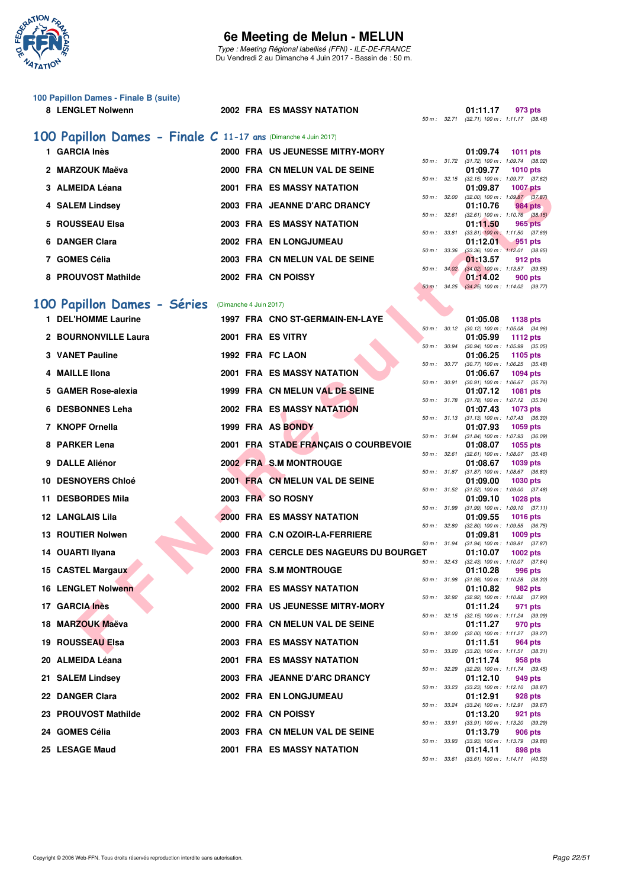

Type : Meeting Régional labellisé (FFN) - ILE-DE-FRANCE Du Vendredi 2 au Dimanche 4 Juin 2017 - Bassin de : 50 m.

| 100 Papillon Dames - Finale B (suite)<br>8 LENGLET Nolwenn     |                        | <b>2002 FRA ES MASSY NATATION</b>      |              |              | 01:11.17<br>973 pts<br>50 m: 32.71 (32.71) 100 m: 1:11.17 (38.46)         |
|----------------------------------------------------------------|------------------------|----------------------------------------|--------------|--------------|---------------------------------------------------------------------------|
| 100 Papillon Dames - Finale C 11-17 ans (Dimanche 4 Juin 2017) |                        |                                        |              |              |                                                                           |
| 1 GARCIA Inès                                                  |                        | 2000 FRA US JEUNESSE MITRY-MORY        |              |              | 01:09.74<br><b>1011 pts</b>                                               |
| 2 MARZOUK Maëva                                                |                        | 2000 FRA CN MELUN VAL DE SEINE         |              |              | 50 m: 31.72 (31.72) 100 m: 1:09.74 (38.02)<br>01:09.77<br><b>1010 pts</b> |
| 3 ALMEIDA Léana                                                |                        | 2001 FRA ES MASSY NATATION             |              |              | 50 m: 32.15 (32.15) 100 m: 1:09.77 (37.62)<br>01:09.87<br><b>1007 pts</b> |
| 4 SALEM Lindsey                                                |                        | 2003 FRA JEANNE D'ARC DRANCY           |              | 50 m : 32.00 | $(32.00)$ 100 m : 1:09.87 $(37.87)$<br>01:10.76<br>984 pts                |
| 5 ROUSSEAU Elsa                                                |                        | <b>2003 FRA ES MASSY NATATION</b>      |              | 50 m : 32.61 | $(32.61)$ 100 m : 1:10.76 $(38.15)$                                       |
|                                                                |                        |                                        | 50 m : 33.81 |              | 01:11.50<br>965 pts<br>$(33.81)$ 100 m : 1:11.50 $(37.69)$                |
| 6 DANGER Clara                                                 |                        | 2002 FRA EN LONGJUMEAU                 | 50 m : 33.36 |              | 01:12.01<br>951 pts<br>$(33.36)$ 100 m : 1:12.01 $(38.65)$                |
| 7 GOMES Célia                                                  |                        | 2003 FRA CN MELUN VAL DE SEINE         | 50 m: 34.02  |              | 01:13.57<br>912 pts<br>$(34.02)$ 100 m : 1:13.57 $(39.55)$                |
| 8 PROUVOST Mathilde                                            |                        | 2002 FRA CN POISSY                     | 50 m : 34.25 |              | 01:14.02<br>900 pts<br>$(34.25)$ 100 m : 1:14.02 $(39.77)$                |
| 100 Papillon Dames - Séries                                    | (Dimanche 4 Juin 2017) |                                        |              |              |                                                                           |
| 1 DEL'HOMME Laurine                                            |                        | 1997 FRA CNO ST-GERMAIN-EN-LAYE        |              |              | 01:05.08<br>1138 pts                                                      |
| 2 BOURNONVILLE Laura                                           |                        | 2001 FRA ES VITRY                      | 50 m: 30.12  |              | $(30.12)$ 100 m : 1:05.08 $(34.96)$<br>01:05.99<br><b>1112 pts</b>        |
| <b>3 VANET Pauline</b>                                         |                        | 1992 FRA FC LAON                       | 50 m : 30.94 |              | $(30.94)$ 100 m : 1:05.99 $(35.05)$<br>01:06.25<br>1105 pts               |
| <b>MAILLE Ilona</b>                                            |                        | <b>2001 FRA ES MASSY NATATION</b>      | 50 m : 30.77 |              | $(30.77)$ 100 m : 1:06.25 $(35.48)$<br>01:06.67<br>1094 pts               |
| 5 GAMER Rose-alexia                                            |                        | 1999 FRA CN MELUN VAL DE SEINE         | 50 m : 30.91 |              | $(30.91)$ 100 m : 1:06.67 $(35.76)$<br>01:07.12<br><b>1081 pts</b>        |
| 6 DESBONNES Leha                                               |                        | <b>2002 FRA ES MASSY NATATION</b>      |              | 50 m : 31.78 | $(31.78)$ 100 m : 1:07.12 $(35.34)$<br>01:07.43<br>1073 pts               |
| 7 KNOPF Ornella                                                |                        | 1999 FRA AS BONDY                      |              |              | 50 m: 31.13 (31.13) 100 m: 1:07.43 (36.30)<br>01:07.93<br>1059 pts        |
|                                                                |                        |                                        |              | 50 m : 31.84 | $(31.84)$ 100 m : 1:07.93 $(36.09)$                                       |
| 8 PARKER Lena                                                  |                        | 2001 FRA STADE FRANÇAIS O COURBEVOIE   |              | 50 m : 32.61 | 01:08.07<br>1055 pts<br>$(32.61)$ 100 m : 1:08.07 $(35.46)$               |
| 9 DALLE Aliénor                                                |                        | 2002 FRA S.M MONTROUGE                 | 50 m : 31.87 |              | 01:08.67<br>1039 pts<br>$(31.87)$ 100 m : 1:08.67 $(36.80)$               |
| 10 DESNOYERS Chloé                                             |                        | 2001 FRA CN MELUN VAL DE SEINE         |              | 50 m : 31.52 | 01:09.00<br><b>1030 pts</b><br>$(31.52)$ 100 m : 1:09.00 $(37.48)$        |
| 11 DESBORDES Mila                                              |                        | 2003 FRA SO ROSNY                      |              | 50 m : 31.99 | 01:09.10<br><b>1028 pts</b><br>$(31.99)$ 100 m : 1:09.10 $(37.11)$        |
| <b>12 LANGLAIS Lila</b>                                        |                        | <b>2000 FRA ES MASSY NATATION</b>      | 50 m : 32.80 |              | <b>1016 pts</b><br>01:09.55<br>$(32.80)$ 100 m : 1:09.55 $(36.75)$        |
| 13 ROUTIER Nolwen                                              |                        | 2000 FRA C.N OZOIR-LA-FERRIERE         | 50 m : 31.94 |              | 01:09.81<br>1009 pts<br>$(31.94)$ 100 m : 1:09.81 $(37.87)$               |
| 14 OUARTI Ilyana                                               |                        | 2003 FRA CERCLE DES NAGEURS DU BOURGET |              |              | 01:10.07<br>1002 pts<br>50 m: 32.43 (32.43) 100 m: 1:10.07 (37.64)        |
| 15 CASTEL Margaux                                              |                        | 2000 FRA S.M MONTROUGE                 |              |              | 01:10.28<br>996 pts                                                       |
| <b>16 LENGLET Nolwenn</b>                                      |                        | <b>2002 FRA ES MASSY NATATION</b>      | 50 m : 31.98 |              | $(31.98)$ 100 m : 1:10.28 $(38.30)$<br>01:10.82<br>982 pts                |
| 17 GARCIA Inès                                                 |                        | 2000 FRA US JEUNESSE MITRY-MORY        |              | 50 m : 32.92 | (32.92) 100 m : 1:10.82 (37.90)<br>01:11.24<br>971 pts                    |
| 18 MARZOUK Maëva                                               |                        | 2000 FRA CN MELUN VAL DE SEINE         |              |              | 50 m: 32.15 (32.15) 100 m: 1:11.24 (39.09)<br>01:11.27<br>970 pts         |
| 19 ROUSSEAU Elsa                                               |                        | <b>2003 FRA ES MASSY NATATION</b>      |              | 50 m : 32.00 | (32.00) 100 m: 1:11.27 (39.27)<br>01:11.51<br>964 pts                     |
| 20 ALMEIDA Léana                                               |                        | 2001 FRA ES MASSY NATATION             |              | 50 m : 33.20 | $(33.20)$ 100 m : 1:11.51 $(38.31)$<br>01:11.74<br>958 pts                |
| 21 SALEM Lindsey                                               |                        | 2003 FRA JEANNE D'ARC DRANCY           |              | 50 m : 32.29 | $(32.29)$ 100 m : 1:11.74 $(39.45)$<br>01:12.10<br>949 pts                |
| 22 DANGER Clara                                                |                        | 2002 FRA EN LONGJUMEAU                 | 50 m : 33.23 |              | $(33.23)$ 100 m : 1:12.10 $(38.87)$<br>01:12.91<br>928 pts                |
| 23 PROUVOST Mathilde                                           |                        | 2002 FRA CN POISSY                     | 50 m : 33.24 |              | (33.24) 100 m: 1:12.91 (39.67)<br>01:13.20<br>921 pts                     |
|                                                                |                        |                                        |              | 50 m : 33.91 | (33.91) 100 m: 1:13.20 (39.29)                                            |
| 24 GOMES Célia                                                 |                        | 2003 FRA CN MELUN VAL DE SEINE         | 50 m : 33.93 |              | 01:13.79<br><b>906 pts</b><br>$(33.93)$ 100 m : 1:13.79 $(39.86)$         |
| 25 LESAGE Maud                                                 |                        | 2001 FRA ES MASSY NATATION             |              |              | 01:14.11<br>898 pts                                                       |

50 m : 33.61 (33.61) 100 m : 1:14.11 (40.50)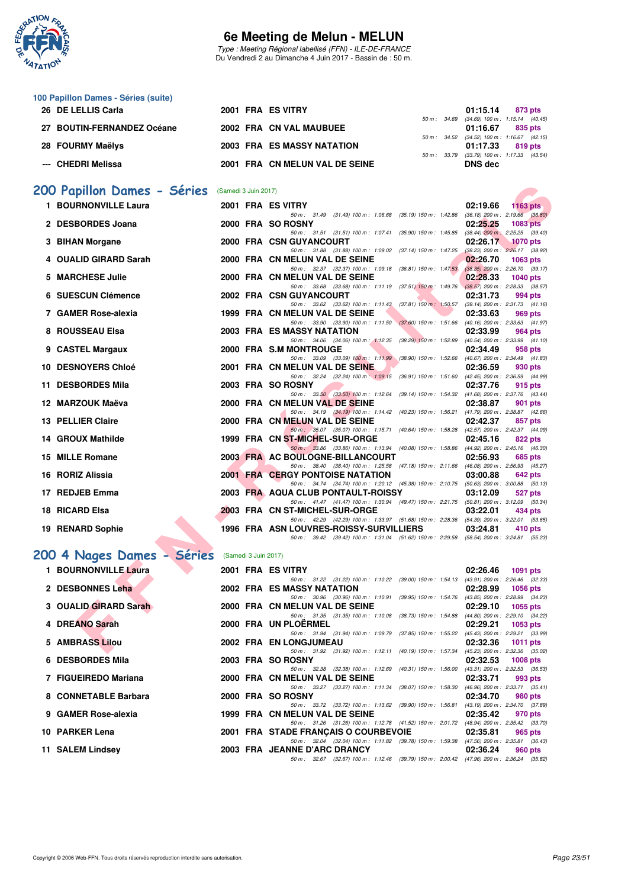

Type : Meeting Régional labellisé (FFN) - ILE-DE-FRANCE Du Vendredi 2 au Dimanche 4 Juin 2017 - Bassin de : 50 m.

| 100 Papillon Dames - Séries (suite) |                                   |             |                                            |
|-------------------------------------|-----------------------------------|-------------|--------------------------------------------|
| 26 DE LELLIS Carla                  | 2001 FRA ES VITRY                 |             | 01:15.14<br>873 pts                        |
|                                     |                                   |             | 50 m: 34.69 (34.69) 100 m: 1:15.14 (40.45) |
| 27 BOUTIN-FERNANDEZ Océane          | 2002 FRA CN VAL MAUBUEE           |             | 01:16.67<br>835 pts                        |
|                                     |                                   |             | 50 m: 34.52 (34.52) 100 m: 1:16.67 (42.15  |
| 28 FOURMY Maëlys                    | <b>2003 FRA ES MASSY NATATION</b> |             | 01:17.33<br>819 pts                        |
|                                     |                                   | 50 m: 33.79 | (33.79) 100 m : 1:17.33 (43.54             |
| --- CHEDRI Melissa                  | 2001 FRA CN MELUN VAL DE SEINE    |             | DNS dec                                    |
|                                     |                                   |             |                                            |

# **200 Papillon Dames - Séries** (Samedi 3 Juin 2017)<br>1 BOURNONVILLE Laura 2001 FRA ES

| 00 Papillon Dames - Séries | (Samedi 3 Juin 2017) |                      |                                                                                                                            |          |                                     |
|----------------------------|----------------------|----------------------|----------------------------------------------------------------------------------------------------------------------------|----------|-------------------------------------|
| 1 BOURNONVILLE Laura       |                      |                      | 2001 FRA ES VITRY                                                                                                          | 02:19.66 | $1163$ pts                          |
| 2 DESBORDES Joana          |                      |                      | 50 m: 31.49 (31.49) 100 m: 1:06.68 (35.19) 150 m: 1:42.86 (36.18) 200 m: 2:19.66 (36.80)<br>2000 FRA SO ROSNY              | 02:25.25 | <b>1083 pts</b>                     |
|                            |                      |                      | 50 m: 31.51 (31.51) 100 m: 1:07.41 (35.90) 150 m: 1:45.85 (38.44) 200 m: 2:25.25 (39.40)                                   |          |                                     |
| 3 BIHAN Morgane            |                      |                      | 2000 FRA CSN GUYANCOURT                                                                                                    | 02:26.17 | <b>1070 pts</b>                     |
|                            |                      |                      | 50 m: 31.88 (31.88) 100 m: 1:09.02<br>(37.14) 150 m : 1:47.25                                                              |          | $(38.23)$ 200 m : 2:26.17 $(38.92)$ |
| 4 OUALID GIRARD Sarah      |                      |                      | 2000 FRA CN MELUN VAL DE SEINE                                                                                             | 02:26.70 | <b>1063 pts</b>                     |
|                            |                      |                      | 50 m: 32.37 (32.37) 100 m: 1:09.18 (36.81) 150 m: 1:47.53 (38.35) 200 m: 2:26.70 (39.17)                                   |          |                                     |
| 5 MARCHESE Julie           |                      |                      | 2000 FRA CN MELUN VAL DE SEINE                                                                                             | 02:28.33 | <b>1040 pts</b>                     |
|                            |                      |                      | 50 m: 33.68 (33.68) 100 m: 1:11.19 (37.51) 150 m: 1:49.76 (38.57) 200 m: 2:28.33 (38.57)                                   |          |                                     |
| 6 SUESCUN Clémence         |                      |                      | 2002 FRA CSN GUYANCOURT                                                                                                    | 02:31.73 | 994 pts                             |
| 7 GAMER Rose-alexia        |                      |                      | 50 m: 33.62 (33.62) 100 m: 1:11.43 (37.81) 150 m: 1:50.57 (39.14) 200 m: 2:31.73 (41.16)                                   |          |                                     |
|                            |                      |                      | 1999 FRA CN MELUN VAL DE SEINE<br>50 m: 33.90 (33.90) 100 m: 1:11.50 (37.60) 150 m: 1:51.66 (40.16) 200 m: 2:33.63 (41.97) | 02:33.63 | 969 pts                             |
| 8 ROUSSEAU Elsa            |                      |                      | 2003 FRA ES MASSY NATATION                                                                                                 | 02:33.99 | 964 pts                             |
|                            |                      |                      | 50 m: 34.06 (34.06) 100 m: 1:12.35 (38.29) 150 m: 1:52.89 (40.54) 200 m: 2:33.99 (41.10)                                   |          |                                     |
| 9 CASTEL Margaux           |                      |                      | 2000 FRA S.M MONTROUGE                                                                                                     | 02:34.49 | 958 pts                             |
|                            |                      |                      | 50 m: 33.09 (33.09) 100 m: 1:11.99 (38.90) 150 m: 1:52.66 (40.67) 200 m: 2:34.49 (41.83)                                   |          |                                     |
| <b>10 DESNOYERS Chloé</b>  |                      |                      | 2001 FRA CN MELUN VAL DE SEINE                                                                                             | 02:36.59 | 930 pts                             |
|                            |                      |                      | 50 m: 32.24 (32.24) 100 m: 1:09.15 (36.91) 150 m: 1:51.60 (42.45) 200 m: 2:36.59 (44.99)                                   |          |                                     |
| 11 DESBORDES Mila          |                      |                      | 2003 FRA SO ROSNY                                                                                                          | 02:37.76 | 915 pts                             |
|                            |                      |                      | 50 m: 33.50 (33.50) 100 m: 1:12.64 (39.14) 150 m: 1:54.32 (41.68) 200 m: 2:37.76 (43.44)                                   |          |                                     |
| 12 MARZOUK Maëva           |                      |                      | 2000 FRA CN MELUN VAL DE SEINE                                                                                             | 02:38.87 | 901 pts                             |
|                            |                      |                      | 50 m: 34.19 (34.19) 100 m: 1:14.42 (40.23) 150 m: 1:56.21 (41.79) 200 m: 2:38.87 (42.66)                                   |          |                                     |
| 13 PELLIER Claire          |                      |                      | 2000 FRA CN MELUN VAL DE SEINE                                                                                             | 02:42.37 | 857 pts                             |
|                            |                      |                      | 50 m: 35.07 (35.07) 100 m: 1:15.71 (40.64) 150 m: 1:58.28 (42.57) 200 m: 2:42.37 (44.09)                                   |          |                                     |
| 14 GROUX Mathilde          |                      |                      | 1999 FRA CN ST-MICHEL-SUR-ORGE<br>50 m: 33.86 (33.86) 100 m: 1:13.94 (40.08) 150 m: 1:58.86 (44.92) 200 m: 2:45.16 (46.30) | 02:45.16 | 822 pts                             |
| 15 MILLE Romane            |                      |                      | 2003 FRA AC BOULOGNE-BILLANCOURT                                                                                           | 02:56.93 | 685 pts                             |
|                            |                      |                      | 50 m: 38.40 (38.40) 100 m: 1:25.58 (47.18) 150 m: 2:11.66 (46.08) 200 m: 2:56.93 (45.27)                                   |          |                                     |
| 16 RORIZ Alissia           |                      |                      | <b>2001 FRA CERGY PONTOISE NATATION</b>                                                                                    | 03:00.88 | 642 pts                             |
|                            |                      |                      | 50 m: 34.74 (34.74) 100 m: 1:20.12 (45.38) 150 m: 2:10.75 (50.63) 200 m: 3:00.88 (50.13)                                   |          |                                     |
| 17 REDJEB Emma             |                      |                      | 2003 FRA AQUA CLUB PONTAULT-ROISSY                                                                                         | 03:12.09 | 527 pts                             |
|                            |                      |                      | 50 m: 41.47 (41.47) 100 m: 1:30.94 (49.47) 150 m: 2:21.75 (50.81) 200 m: 3:12.09 (50.34)                                   |          |                                     |
| 18 RICARD Elsa             |                      |                      | 2003 FRA CN ST-MICHEL-SUR-ORGE                                                                                             | 03:22.01 | 434 pts                             |
|                            |                      |                      | 50 m: 42.29 (42.29) 100 m: 1:33.97 (51.68) 150 m: 2:28.36 (54.39) 200 m: 3:22.01 (53.65)                                   |          |                                     |
| 19 RENARD Sophie           |                      |                      | 1996 FRA ASN LOUVRES-ROISSY-SURVILLIERS                                                                                    | 03:24.81 | 410 pts                             |
|                            |                      |                      | 50 m: 39.42 (39.42) 100 m: 1:31.04 (51.62) 150 m: 2:29.58 (58.54) 200 m: 3:24.81 (55.23)                                   |          |                                     |
|                            |                      |                      |                                                                                                                            |          |                                     |
| 00 4 Nages Dames - Séries  |                      | (Samedi 3 Juin 2017) |                                                                                                                            |          |                                     |
| 1 BOURNONVILLE Laura       |                      |                      | 2001 FRA ES VITRY                                                                                                          | 02:26.46 | 1091 pts                            |
|                            |                      |                      | 50 m: 31.22 (31.22) 100 m: 1:10.22 (39.00) 150 m: 1:54.13 (43.91) 200 m: 2:26.46 (32.33)                                   |          |                                     |
| 2 DESBONNES Leha           |                      |                      | <b>2002 FRA ES MASSY NATATION</b>                                                                                          | 02:28.99 | 1056 pts                            |
|                            |                      |                      | 50 m: 30.96 (30.96) 100 m: 1:10.91 (39.95) 150 m: 1:54.76 (43.85) 200 m: 2:28.99 (34.23)                                   |          |                                     |
| 3 OUALID GIRARD Sarah      |                      |                      | 2000 FRA CN MELUN VAL DE SEINE                                                                                             | 02:29.10 | 1055 pts                            |
|                            |                      |                      | 50 m: 31.35 (31.35) 100 m: 1:10.08 (38.73) 150 m: 1:54.88 (44.80) 200 m: 2:29.10 (34.22)                                   |          |                                     |
| 4 DREANO Sarah             |                      |                      | 2000 FRA UN PLOERMEL                                                                                                       | 02:29.21 | 1053 $pts$                          |
| 5 AMBRASS Lilou            |                      |                      | 50 m: 31.94 (31.94) 100 m: 1.09.79 (37.85) 150 m: 1.55.22 (45.43) 200 m: 2:29.21 (33.99)<br>2002 FRA EN LONGJUMEAU         | 02:32.36 | 1011 $pts$                          |
|                            |                      |                      | 50 m: 31.92 (31.92) 100 m: 1:12.11 (40.19) 150 m: 1:57.34 (45.23) 200 m: 2:32.36 (35.02)                                   |          |                                     |
|                            |                      |                      |                                                                                                                            |          |                                     |

# **[200 4 Nages Dames - Séries](http://www.ffnatation.fr/webffn/resultats.php?idact=nat&go=epr&idcpt=46973&idepr=41)** (Samedi 3 Juin 2017)

| 1 BOURNONVILLE Laura  |  | 2001 FRA ES VITRY                                                                        | 02:26.46 | 1091 $pts$                          |
|-----------------------|--|------------------------------------------------------------------------------------------|----------|-------------------------------------|
|                       |  | 50 m: 31.22 (31.22) 100 m: 1:10.22 (39.00) 150 m: 1:54.13                                |          | (43.91) 200 m : 2:26.46 (32.33)     |
| 2 DESBONNES Leha      |  | 2002 FRA ES MASSY NATATION                                                               | 02:28.99 | 1056 pts                            |
|                       |  | 50 m : 30.96 (30.96) 100 m : 1:10.91 (39.95) 150 m : 1:54.76                             |          | (43.85) 200 m : 2:28.99 (34.23)     |
| 3 OUALID GIRARD Sarah |  | 2000 FRA CN MELUN VAL DE SEINE                                                           | 02:29.10 | 1055 pts                            |
|                       |  | 50 m: 31.35 (31.35) 100 m: 1:10.08 (38.73) 150 m: 1:54.88 (44.80) 200 m: 2:29.10 (34.22) |          |                                     |
| 4 DREANO Sarah        |  | 2000 FRA UN PLOËRMEL                                                                     | 02:29.21 | 1053 pts                            |
|                       |  | 50 m: 31.94 (31.94) 100 m: 1:09.79 (37.85) 150 m: 1:55.22 (45.43) 200 m: 2:29.21 (33.99) |          |                                     |
| 5 AMBRASS Lilou       |  | 2002 FRA EN LONGJUMEAU                                                                   | 02:32.36 | 1011 pts                            |
|                       |  | 50 m: 31.92 (31.92) 100 m: 1:12.11 (40.19) 150 m: 1:57.34 (45.23) 200 m: 2:32.36 (35.02) |          |                                     |
| 6 DESBORDES Mila      |  | 2003 FRA SO ROSNY                                                                        | 02:32.53 | $1008$ pts                          |
|                       |  | 50 m : 32.38 (32.38) 100 m : 1:12.69 (40.31) 150 m : 1:56.00                             |          | $(43.31)$ 200 m : 2:32.53 $(36.53)$ |
| 7 FIGUEIREDO Mariana  |  | 2000 FRA CN MELUN VAL DE SEINE                                                           | 02:33.71 | 993 pts                             |
|                       |  | 50 m: 33.27 (33.27) 100 m: 1:11.34 (38.07) 150 m: 1:58.30 (46.96) 200 m: 2:33.71 (35.41) |          |                                     |
| 8 CONNETABLE Barbara  |  | 2000 FRA SO ROSNY                                                                        | 02:34.70 | 980 pts                             |
|                       |  | 50 m : 33.72 (33.72) 100 m : 1:13.62 (39.90) 150 m : 1:56.81                             |          | (43.19) 200 m : 2:34.70 (37.89)     |
| 9 GAMER Rose-alexia   |  | 1999 FRA CN MELUN VAL DE SEINE                                                           | 02:35.42 | 970 pts                             |
|                       |  | 50 m: 31.26 (31.26) 100 m: 1:12.78 (41.52) 150 m: 2:01.72 (48.94) 200 m: 2:35.42 (33.70) |          |                                     |
| 10 PARKER Lena        |  | 2001 FRA STADE FRANCAIS O COURBEVOIE                                                     | 02:35.81 | 965 pts                             |
|                       |  | 50 m: 32.04 (32.04) 100 m: 1:11.82 (39.78) 150 m: 1:59.38 (47.56) 200 m: 2:35.81 (36.43) |          |                                     |
| 11 SALEM Lindsey      |  | 2003 FRA JEANNE D'ARC DRANCY                                                             | 02:36.24 | 960 pts                             |
|                       |  | 50 m: 32.67 (32.67) 100 m: 1:12.46 (39.79) 150 m: 2:00.42 (47.96) 200 m: 2:36.24 (35.82) |          |                                     |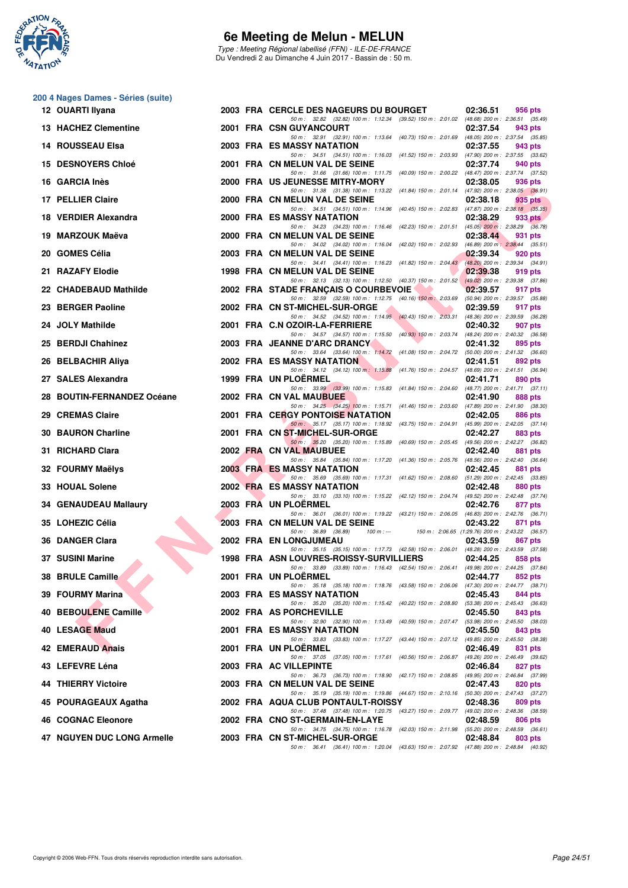

Type : Meeting Régional labellisé (FFN) - ILE-DE-FRANCE Du Vendredi 2 au Dimanche 4 Juin 2017 - Bassin de : 50 m.

| 200 4 Nages Dames - Séries (suite) |  |
|------------------------------------|--|
| 12 OUARTI Ilyana                   |  |

| 12 OUARTI Ilyana           |  | 2003 FRA CERCLE DES NAGEURS DU BOURGET<br>02:36.51<br>956 pts                                                                                              |
|----------------------------|--|------------------------------------------------------------------------------------------------------------------------------------------------------------|
| 13 HACHEZ Clementine       |  | 50 m: 32.82 (32.82) 100 m: 1:12.34 (39.52) 150 m: 2:01.02 (48.68) 200 m: 2:36.51 (35.49)<br>2001 FRA CSN GUYANCOURT<br>02:37.54<br>943 pts                 |
| 14 ROUSSEAU Elsa           |  | 50 m: 32.91 (32.91) 100 m: 1:13.64 (40.73) 150 m: 2:01.69 (48.05) 200 m: 2:37.54 (35.85)<br>2003 FRA ES MASSY NATATION<br>02:37.55<br>943 pts              |
| <b>15 DESNOYERS Chloé</b>  |  | 50 m: 34.51 (34.51) 100 m: 1:16.03 (41.52) 150 m: 2:03.93 (47.90) 200 m: 2:37.55 (33.62)<br>2001 FRA CN MELUN VAL DE SEINE<br>02:37.74<br>940 pts          |
| 16 GARCIA Inès             |  | 50 m: 31.66 (31.66) 100 m: 1:11.75 (40.09) 150 m: 2:00.22 (48.47) 200 m: 2:37.74 (37.52)<br>2000 FRA US JEUNESSE MITRY-MORY<br>02:38.05<br>936 pts         |
| 17 PELLIER Claire          |  | 50 m: 31.38 (31.38) 100 m: 1:13.22 (41.84) 150 m: 2:01.14 (47.92) 200 m: 2:38.05 (36.91)<br>2000 FRA CN MELUN VAL DE SEINE<br>02:38.18<br>935 pts          |
| 18 VERDIER Alexandra       |  | 50 m: 34.51 (34.51) 100 m: 1:14.96 (40.45) 150 m: 2:02.83 (47.87) 200 m: 2:38.18 (35.35)<br>2000 FRA ES MASSY NATATION<br>02:38.29<br>933 pts              |
| 19 MARZOUK Maëva           |  | 50 m: 34.23 (34.23) 100 m: 1:16.46 (42.23) 150 m: 2:01.51 (45.05) 200 m: 2:38.29 (36.78)<br>2000 FRA CN MELUN VAL DE SEINE<br>02:38.44<br>931 pts          |
| 20   GOMES Célia           |  | 50 m: 34.02 (34.02) 100 m: 1:16.04 (42.02) 150 m: 2:02.93 (46.89) 200 m: 2:38.44 (35.51)<br>2003 FRA CN MELUN VAL DE SEINE<br>02:39.34<br>920 pts          |
| 21 RAZAFY Elodie           |  | 50 m: 34.41 (34.41) 100 m: 1:16.23 (41.82) 150 m: 2:04.43 (48.20) 200 m: 2:39.34 (34.91)<br>1998 FRA CN MELUN VAL DE SEINE<br>02:39.38<br>919 pts          |
| 22 CHADEBAUD Mathilde      |  | 50 m: 32.13 (32.13) 100 m: 1:12.50 (40.37) 150 m: 2:01.52 (49.02) 200 m: 2:39.38 (37.86)<br>2002 FRA STADE FRANÇAIS O COURBEVOIE<br>02:39.57<br>917 pts    |
| 23 BERGER Paoline          |  | 50 m: 32.59 (32.59) 100 m: 1:12.75 (40.16) 150 m: 2:03.69 (50.94) 200 m: 2:39.57 (35.88)<br>2002 FRA CN ST-MICHEL-SUR-ORGE<br>02:39.59<br>917 pts          |
| 24 JOLY Mathilde           |  | 50 m: 34.52 (34.52) 100 m: 1:14.95 (40.43) 150 m: 2:03.31 (48.36) 200 m: 2:39.59 (36.28)<br>2001 FRA C.N OZOIR-LA-FERRIERE<br>02:40.32<br>907 pts          |
| 25 BERDJI Chahinez         |  | 50 m: 34.57 (34.57) 100 m: 1:15.50 (40.93) 150 m: 2:03.74 (48.24) 200 m: 2:40.32 (36.58)<br>2003 FRA JEANNE D'ARC DRANCY<br>02:41.32<br>895 pts            |
| 26 BELBACHIR Aliya         |  | 50 m: 33.64 (33.64) 100 m: 1:14.72 (41.08) 150 m: 2:04.72 (50.00) 200 m: 2:41.32 (36.60)<br>2002 FRA ES MASSY NATATION<br>02:41.51<br>892 pts              |
| 27 SALES Alexandra         |  | 50 m: 34.12 (34.12) 100 m: 1:15.88 (41.76) 150 m: 2:04.57 (48.69) 200 m: 2:41.51 (36.94)<br>1999 FRA UN PLOERMEL<br>02:41.71<br>890 pts                    |
| 28 BOUTIN-FERNANDEZ Océane |  | 50 m: 33.99 (33.99) 100 m: 1:15.83 (41.84) 150 m: 2:04.60 (48.77) 200 m: 2:41.71 (37.11)<br>2002 FRA CN VAL MAUBUEE<br>02:41.90<br>888 pts                 |
| 29 CREMAS Claire           |  | 50 m: 34.25 (34.25) 100 m: 1:15.71 (41.46) 150 m: 2:03.60 (47.89) 200 m: 2:41.90 (38.30)<br><b>2001 FRA CERGY PONTOISE NATATION</b><br>02:42.05<br>886 pts |
| 30 BAURON Charline         |  | 50 m: 35.17 (35.17) 100 m: 1:18.92 (43.75) 150 m: 2:04.91 (45.99) 200 m: 2:42.05 (37.14)<br>2001 FRA CN ST-MICHEL-SUR-ORGE<br>02:42.27<br>883 pts          |
| 31 RICHARD Clara           |  | 50 m: 35.20 (35.20) 100 m: 1:15.89 (40.69) 150 m: 2:05.45 (49.56) 200 m: 2:42.27 (36.82)<br>2002 FRA CN VAL MAUBUEE<br>02:42.40<br>881 pts                 |
| 32 FOURMY Maëlys           |  | 50 m: 35.84 (35.84) 100 m: 1:17.20 (41.36) 150 m: 2:05.76 (48.56) 200 m: 2:42.40 (36.64)<br><b>2003 FRA ES MASSY NATATION</b><br>02:42.45<br>881 pts       |
| <b>33 HOUAL Solene</b>     |  | 50 m: 35.69 (35.69) 100 m: 1:17.31 (41.62) 150 m: 2:08.60 (51.29) 200 m: 2:42.45 (33.85)<br><b>2002 FRA ES MASSY NATATION</b><br>02:42.48<br>880 pts       |
| 34 GENAUDEAU Mallaury      |  | 50 m: 33.10 (33.10) 100 m: 1:15.22 (42.12) 150 m: 2:04.74 (49.52) 200 m: 2:42.48 (37.74)<br>2003 FRA UN PLOERMEL<br>02:42.76<br>877 pts                    |
| 35 LOHEZIC Célia           |  | 50 m: 36.01 (36.01) 100 m: 1:19.22 (43.21) 150 m: 2:06.05 (46.83) 200 m: 2:42.76 (36.71)<br>2003 FRA CN MELUN VAL DE SEINE<br>02:43.22<br>871 pts          |
| 36 DANGER Clara            |  | 50 m : 36.89 (36.89)<br>$100 m: -$<br>150 m : 2:06.65 (1:29.76) 200 m : 2:43.22 (36.57)<br>2002 FRA EN LONGJUMEAU<br>02:43.59<br>867 pts                   |
| 37 SUSINI Marine           |  | 50 m: 35.15 (35.15) 100 m: 1:17.73 (42.58) 150 m: 2:06.01 (48.28) 200 m: 2:43.59 (37.58)<br>1998 FRA ASN LOUVRES-ROISSY-SURVILLIERS<br>02:44.25<br>858 pts |
| 38 BRULE Camille           |  | 50 m: 33.89 (33.89) 100 m: 1:16.43 (42.54) 150 m: 2:06.41 (49.98) 200 m: 2:44.25 (37.84)<br>2001 FRA UN PLOËRMEL<br>02:44.77<br>852 pts                    |
| 39 FOURMY Marina           |  | 50 m: 35.18 (35.18) 100 m: 1:18.76 (43.58) 150 m: 2:06.06 (47.30) 200 m: 2:44.77 (38.71)<br>2003 FRA ES MASSY NATATION<br>02:45.43<br>844 pts              |
| 40 BEBOULENE Camille       |  | 50 m: 35.20 (35.20) 100 m: 1:15.42 (40.22) 150 m: 2:08.80 (53.38) 200 m: 2:45.43 (36.63)<br>2002 FRA AS PORCHEVILLE<br>02:45.50<br>843 pts                 |
| 40 LESAGE Maud             |  | 50 m: 32.90 (32.90) 100 m: 1:13.49 (40.59) 150 m: 2:07.47 (53.98) 200 m: 2:45.50 (38.03)<br><b>2001 FRA ES MASSY NATATION</b><br>02:45.50<br>843 pts       |
| 42 EMERAUD Anais           |  | 50 m: 33.83 (33.83) 100 m: 1:17.27 (43.44) 150 m: 2:07.12 (49.85) 200 m: 2:45.50 (38.38)<br>2001 FRA UN PLOERMEL<br>02:46.49<br>831 pts                    |
| 43 LEFEVRE Léna            |  | 50 m: 37.05 (37.05) 100 m: 1:17.61 (40.56) 150 m: 2:06.87 (49.26) 200 m: 2:46.49 (39.62)<br>2003 FRA AC VILLEPINTE<br>02:46.84<br>827 pts                  |
| 44 THIERRY Victoire        |  | 50 m: 36.73 (36.73) 100 m: 1:18.90 (42.17) 150 m: 2:08.85 (49.95) 200 m: 2:46.84 (37.99)<br>2003 FRA CN MELUN VAL DE SEINE<br>02:47.43<br>820 pts          |
| 45 POURAGEAUX Agatha       |  | 50 m: 35.19 (35.19) 100 m: 1:19.86 (44.67) 150 m: 2:10.16 (50.30) 200 m: 2:47.43 (37.27)<br>2002 FRA AQUA CLUB PONTAULT-ROISSY<br>02:48.36<br>809 pts      |
| 46 COGNAC Eleonore         |  | 50 m: 37.48 (37.48) 100 m: 1:20.75 (43.27) 150 m: 2:09.77 (49.02) 200 m: 2:48.36 (38.59)<br>2002 FRA CNO ST-GERMAIN-EN-LAYE<br>02:48.59<br>806 pts         |
| 47 NGUYEN DUC LONG Armelle |  | 50 m: 34.75 (34.75) 100 m: 1:16.78 (42.03) 150 m: 2:11.98 (55.20) 200 m: 2:48.59 (36.61)<br>2003 FRA CN ST-MICHEL-SUR-ORGE<br>02:48.84<br>803 pts          |
|                            |  | 50 m: 36.41 (36.41) 100 m: 1:20.04 (43.63) 150 m: 2:07.92 (47.88) 200 m: 2:48.84 (40.92)                                                                   |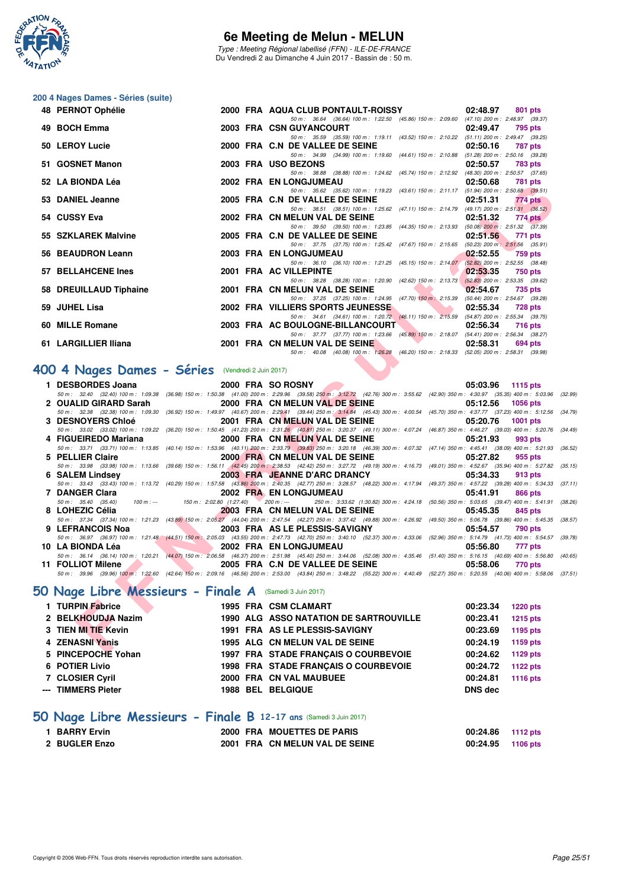

Type : Meeting Régional labellisé (FFN) - ILE-DE-FRANCE Du Vendredi 2 au Dimanche 4 Juin 2017 - Bassin de : 50 m.

#### **200 4 Nages Dames - Séries (suite)**

| 48 PERNOT Ophélie      |  | 2000 FRA AQUA CLUB PONTAULT-ROISSY 02:48.97                                              |          | 801 pts   |
|------------------------|--|------------------------------------------------------------------------------------------|----------|-----------|
|                        |  | 50 m: 36.64 (36.64) 100 m: 1:22.50 (45.86) 150 m: 2:09.60 (47.10) 200 m: 2:48.97 (39.37) |          |           |
| 49 BOCH Emma           |  | 2003 FRA CSN GUYANCOURT                                                                  | 02:49.47 | 795 pts   |
|                        |  | 50 m: 35.59 (35.59) 100 m: 1:19.11 (43.52) 150 m: 2:10.22 (51.11) 200 m: 2:49.47 (39.25) |          |           |
| 50 LEROY Lucie         |  | 2000 FRA C.N DE VALLEE DE SEINE 62:50.16                                                 |          | 787 pts   |
|                        |  | 50 m: 34.99 (34.99) 100 m: 1:19.60 (44.61) 150 m: 2:10.88 (51.28) 200 m: 2:50.16 (39.28) |          |           |
| 51 GOSNET Manon        |  | 2003 FRA USO BEZONS                                                                      | 02:50.57 | 783 pts   |
|                        |  | 50 m: 38.88 (38.88) 100 m: 1:24.62 (45.74) 150 m: 2:12.92 (48.30) 200 m: 2:50.57 (37.65) |          |           |
| 52 LA BIONDA Léa       |  | 2002 FRA EN LONGJUMEAU                                                                   | 02:50.68 | 781 pts   |
|                        |  | 50 m: 35.62 (35.62) 100 m: 1:19.23 (43.61) 150 m: 2:11.17 (51.94) 200 m: 2:50.68 (39.51) |          |           |
| 53 DANIEL Jeanne       |  | 2005 FRA C.N DE VALLEE DE SEINE                                                          | 02:51.31 | $774$ pts |
|                        |  | 50 m: 38.51 (38.51) 100 m: 1:25.62 (47.11) 150 m: 2:14.79 (49.17) 200 m: 2:51.31 (36.52) |          |           |
| 54 CUSSY Eva           |  | 2002 FRA CN MELUN VAL DE SEINE                                                           | 02:51.32 | 774 pts   |
|                        |  | 50 m: 39.50 (39.50) 100 m: 1:23.85 (44.35) 150 m: 2:13.93 (50.08) 200 m: 2:51.32 (37.39) |          |           |
| 55 SZKLAREK Malvine    |  | 2005 FRA C.N DE VALLEE DE SEINE                                                          | 02:51.56 | 771 pts   |
|                        |  | 50 m: 37.75 (37.75) 100 m: 1:25.42 (47.67) 150 m: 2:15.65 (50.23) 200 m: 2:51.56 (35.91) |          |           |
| 56 BEAUDRON Leann      |  | 2003 FRA EN LONGJUMEAU                                                                   | 02:52.55 | 759 pts   |
|                        |  | 50 m: 36.10 (36.10) 100 m: 1:21.25 (45.15) 150 m: 2:14.07 (52.82) 200 m: 2:52.55 (38.48) |          |           |
| 57 BELLAHCENE Ines     |  | 2001 FRA AC VILLEPINTE                                                                   | 02:53.35 | 750 pts   |
|                        |  | 50 m: 38.28 (38.28) 100 m: 1:20.90 (42.62) 150 m: 2:13.73 (52.83) 200 m: 2:53.35 (39.62) |          |           |
| 58 DREUILLAUD Tiphaine |  | 2001 FRA CN MELUN VAL DE SEINE 02:54.67                                                  |          | 735 pts   |
|                        |  | 50 m: 37.25 (37.25) 100 m: 1:24.95 (47.70) 150 m: 2:15.39 (50.44) 200 m: 2:54.67 (39.28) |          |           |
| 59 JUHEL Lisa          |  | 2002 FRA VILLIERS SPORTS JEUNESSE 2002 62:55.34                                          |          | 728 pts   |
|                        |  | 50 m: 34.61 (34.61) 100 m: 1:20.72 (46.11) 150 m: 2:15.59 (54.87) 200 m: 2:55.34 (39.75) |          |           |
| 60 MILLE Romane        |  | 2003 FRA AC BOULOGNE-BILLANCOURT 02:56.34                                                |          | 716 pts   |
|                        |  | 50 m: 37.77 (37.77) 100 m: 1:23.66 (45.89) 150 m: 2:18.07 (54.41) 200 m: 2:56.34 (38.27) |          |           |
| 61 LARGILLIER Iliana   |  | 2001 FRA CN MELUN VAL DE SEINE 1999 12:58.31                                             |          | 694 pts   |
|                        |  | 50 m: 40.08 (40.08) 100 m: 1:26.28 (46.20) 150 m: 2:18.33 (52.05) 200 m: 2:58.31 (39.98) |          |           |

# **[400 4 Nages Dames - Séries](http://www.ffnatation.fr/webffn/resultats.php?idact=nat&go=epr&idcpt=46973&idepr=42)** (Vendredi 2 Juin 2017)

| JZ LA DIVIVIA L <del>e</del> g                         |  | <b><i>LOUL FRA EN LONGJOWEAU</i></b><br><b>02.00.00</b> 101 PM                                                                                                                                                                                                |  |
|--------------------------------------------------------|--|---------------------------------------------------------------------------------------------------------------------------------------------------------------------------------------------------------------------------------------------------------------|--|
| 53 DANIEL Jeanne                                       |  | 50 m: 35.62 (35.62) 100 m: 1:19.23 (43.61) 150 m: 2:11.17 (51.94) 200 m: 2:50.68 (39.51)<br>2005 FRA C.N DE VALLEE DE SEINE<br>02:51.31<br>774 pts                                                                                                            |  |
|                                                        |  | 50 m: 38.51 (38.51) 100 m: 1:25.62 (47.11) 150 m: 2:14.79 (49.17) 200 m: 2:51.31 (36.52)                                                                                                                                                                      |  |
| 54 CUSSY Eva                                           |  | 2002 FRA CN MELUN VAL DE SEINE<br>02:51.32<br>774 pts<br>50 m: 39.50 (39.50) 100 m: 1:23.85 (44.35) 150 m: 2:13.93 (50.08) 200 m: 2:51.32 (37.39)                                                                                                             |  |
| 55 SZKLAREK Malvine                                    |  | 2005 FRA C.N DE VALLEE DE SEINE<br>02:51.56<br>771 pts                                                                                                                                                                                                        |  |
|                                                        |  | 50 m: 37.75 (37.75) 100 m: 1:25.42 (47.67) 150 m: 2:15.65 (50.23) 200 m: 2:51.56 (35.91)                                                                                                                                                                      |  |
| 56 BEAUDRON Leann                                      |  | 2003 FRA EN LONGJUMEAU<br>02:52.55<br>759 pts                                                                                                                                                                                                                 |  |
| <b>57 BELLAHCENE Ines</b>                              |  | 50 m: 36.10 (36.10) 100 m: 1:21.25 (45.15) 150 m: 2:14.07 (52.82) 200 m: 2:52.55 (38.48)<br>2001 FRA AC VILLEPINTE<br>02:53.35                                                                                                                                |  |
|                                                        |  | 750 pts<br>50 m: 38.28 (38.28) 100 m: 1:20.90 (42.62) 150 m: 2:13.73 (52.83) 200 m: 2:53.35 (39.62)                                                                                                                                                           |  |
| 58 DREUILLAUD Tiphaine                                 |  | <b>Service Contract Contract Contract</b><br>2001 FRA CN MELUN VAL DE SEINE<br>02:54.67<br>735 pts                                                                                                                                                            |  |
|                                                        |  | 50 m: 37.25 (37.25) 100 m: 1:24.95 (47.70) 150 m: 2:15.39 (50.44) 200 m: 2:54.67 (39.28)                                                                                                                                                                      |  |
| 59  JUHEL Lisa                                         |  | <b>The Contract of Street</b><br>2002 FRA VILLIERS SPORTS JEUNESSE<br>02:55.34<br>728 pts                                                                                                                                                                     |  |
| 60 MILLE Romane                                        |  | 50 m: 34.61 (34.61) 100 m: 1:20.72 (46.11) 150 m: 2:15.59 (54.87) 200 m: 2:55.34 (39.75)<br>2003 FRA AC BOULOGNE-BILLANCOURT<br>02:56.34<br>716 pts                                                                                                           |  |
|                                                        |  | 50 m: 37.77 (37.77) 100 m: 1:23.66 (45.89) 150 m: 2:18.07 (54.41) 200 m: 2:56.34 (38.27)                                                                                                                                                                      |  |
| 61 LARGILLIER Iliana                                   |  | 2001 FRA CN MELUN VAL DE SEINE<br><b>Contract Contract Contract Contract</b><br>02:58.31<br>694 pts                                                                                                                                                           |  |
|                                                        |  | 50 m: 40.08 (40.08) 100 m: 1:26.28 (46.20) 150 m: 2:18.33 (52.05) 200 m: 2:58.31 (39.98)                                                                                                                                                                      |  |
| 00 4 Nages Dames - Séries (Vendredi 2 Juin 2017)       |  |                                                                                                                                                                                                                                                               |  |
|                                                        |  |                                                                                                                                                                                                                                                               |  |
| 1 DESBORDES Joana                                      |  | 2000 FRA SO ROSNY<br>05:03.96 1115 pts                                                                                                                                                                                                                        |  |
| 2 OUALID GIRARD Sarah                                  |  | 50 m : 32.40 (32.40) 100 m : 1:09.38 (36.98) 150 m : 1:50.38 (41.00) 200 m : 2:29.96 (39.58) 250 m : 3:12.72 (42.76) 300 m : 3:55.62 (42.90) 350 m : 4:30.97 (35.35) 400 m : 5:03.96 (32.99)<br>2000 FRA CN MELUN VAL DE SEINE<br>05:12.56<br><b>1056 pts</b> |  |
|                                                        |  | 50 m: 32.38 (32.38) 100 m: 1:09.30 (36.92) 150 m: 1:49.97 (40.67) 200 m: 2:29.41 (39.44) 250 m: 3:14.84 (45.43) 300 m: 4:00.54 (45.70) 350 m: 4:37.77 (37.23) 400 m: 5:12.56 (34.79)                                                                          |  |
| <b>3 DESNOYERS Chloé</b>                               |  | 2001 FRA CN MELUN VAL DE SEINE<br>05:20.76<br>1001 pts                                                                                                                                                                                                        |  |
|                                                        |  | 50 m : 33.02 (33.02) 100 m : 1:09.22 (36.20) 150 m : 1:50.45 (41.23) 200 m : 2:31.26 (40.81) 250 m : 3:20.37 (49.11) 300 m : 4:07.24 (46.87) 350 m : 4:46.27 (39.03) 400 m : 5:20.76 (34.49)                                                                  |  |
| 4 FIGUEIREDO Mariana 2000 FRA CN MELUN VAL DE SEINE    |  | 05:21.93<br>993 pts                                                                                                                                                                                                                                           |  |
| 5 PELLIER Claire                                       |  | 50 m: 33.71 (33.71) 100 m: 1:13.85 (40.14) 150 m: 1:53.96 (40.11) 200 m: 2:33.79 (39.83) 250 m: 3:20.18 (46.39) 300 m: 4:07.32 (47.14) 350 m: 4:45.41 (38.09) 400 m: 5:21.93 (36.52)<br>2000 FRANCN MELUN VAL DE SEINE<br>05:27.82<br>955 pts                 |  |
|                                                        |  | 50 m: 33.98 (33.98) 100 m: 1:13.66 (39.68) 150 m: 1:56.11 (42.45) 200 m: 2:38.53 (42.42) 250 m: 3:27.72 (49.19) 300 m: 4:16.73 (49.01) 350 m: 4:52.67 (35.94) 400 m: 5:27.82 (35.15)                                                                          |  |
| 6 SALEM Lindsey                                        |  | 2003 FRA JEANNE D'ARC DRANCY<br>05:34.33<br>913 pts                                                                                                                                                                                                           |  |
|                                                        |  | 50 m: 33.43 (33.43) 100 m: 1:13.72 (40.29) 150 m: 1:57.58 (43.86) 200 m: 2:40.35 (42.77) 250 m: 3:28.57 (48.22) 300 m: 4:17.94 (49.37) 350 m: 4:57.22 (39.28) 400 m: 5:34.33 (37.11)                                                                          |  |
| 7 DANGER Clara                                         |  | 2002 FRA EN LONGJUMEAU<br>05:41.91<br>866 pts                                                                                                                                                                                                                 |  |
| 8 LOHEZIC Célia                                        |  | 50 m: 35.40 (35.40) 100 m: --- 150 m: 2:02.80 (1:27.40) 200 m: --- 250 m: 3:33.62 (1:30.82) 300 m: 4:24.18 (50.56) 350 m: 5:03.65 (39.47) 400 m: 5:41.91 (38.26)<br>2003 FRA CN MELUN VAL DE SEINE<br>05:45.35<br>845 pts                                     |  |
|                                                        |  | 50 m: 37.34 (37.34) 100 m: 1:21.23 (43.89) 150 m: 2:05.27 (44.04) 200 m: 2:47.54 (42.27) 250 m: 3:37.42 (49.88) 300 m: 4:26.92 (49.50) 350 m: 5:06.78 (39.86) 400 m: 5:45.35 (38.57)                                                                          |  |
| <b>The Contract of Street</b><br>9 LEFRANCOIS Noa      |  | 2003 FRA AS LE PLESSIS-SAVIGNY<br>05:54.57<br>790 pts                                                                                                                                                                                                         |  |
|                                                        |  | 50 m: 36.97 (36.97) 100 m: 1:21.48 (44.51) 150 m: 2:05.03 (43.55) 200 m: 2:47.73 (42.70) 250 m: 3:40.10 (52.37) 300 m: 4:33.06 (52.96) 350 m: 5:14.79 (41.73) 400 m: 5:54.57 (39.78)                                                                          |  |
| 10  LA BIONDA Léa                                      |  | 2002 FRA EN LONGJUMEAU<br>05:56.80<br>777 pts                                                                                                                                                                                                                 |  |
| 11 FOLLIOT Milene                                      |  | 50 m: 36.14 (36.14) 100 m: 1:20.21 (44.07) 150 m: 2:06.58 (46.37) 200 m: 2:51.98 (45.40) 250 m: 3:44.06 (52.08) 300 m: 4:35.46 (51.40) 350 m: 5:16.15 (40.69) 400 m: 5:56.80 (40.65)<br>2005 FRA C.N DE VALLEE DE SEINE<br>05:58.06<br>770 pts                |  |
|                                                        |  | 50 m : 39.96 (39.96) 100 m : 1:22.60 (42.64) 150 m : 2:09.16 (46.56) 200 m : 2:53.00 (43.84) 250 m : 3:48.22 (55.22) 300 m : 4:40.49 (52.27) 350 m : 5:20.55 (40.06) 400 m : 5:58.06 (37.51)                                                                  |  |
|                                                        |  |                                                                                                                                                                                                                                                               |  |
| O Nage Libre Messieurs - Finale A (Samedi 3 Juin 2017) |  |                                                                                                                                                                                                                                                               |  |
| 1 TURPIN Fabrice                                       |  | 1995 FRA CSM CLAMART<br>00:23.34<br><b>1220 pts</b>                                                                                                                                                                                                           |  |
|                                                        |  | 2 BELKHOUDJA Nazim 1990 ALG ASSO NATATION DE SARTROUVILLE<br>00:23.41<br>$1215$ pts                                                                                                                                                                           |  |
| 3 TIEN MI TIE Kevin                                    |  | 1991 FRA AS LE PLESSIS-SAVIGNY<br>00:23.69<br>1195 pts                                                                                                                                                                                                        |  |
| 4 ZENASNI Yanis                                        |  | 00:24.19<br>1995 ALG CN MELUN VAL DE SEINE<br>1159 pts                                                                                                                                                                                                        |  |
| E. DINCEDOCUE VALAN                                    |  | 1007 EDA, CTADE EDANCAIO O COUDDEVOIE                                                                                                                                                                                                                         |  |

# **[50 Nage Libre Messieurs - Finale A](http://www.ffnatation.fr/webffn/resultats.php?idact=nat&go=epr&idcpt=46973&idepr=51)** (Samedi 3 Juin 2017)

| 1 TURPIN Fabrice    |  | <b>1995 FRA CSM CLAMART</b>                   | 00:23.34       | <b>1220 pts</b> |
|---------------------|--|-----------------------------------------------|----------------|-----------------|
| 2 BELKHOUDJA Nazim  |  | <b>1990 ALG ASSO NATATION DE SARTROUVILLE</b> | 00:23.41       | <b>1215 pts</b> |
| 3 TIEN MI TIE Kevin |  | 1991 FRA AS LE PLESSIS-SAVIGNY                | 00:23.69       | 1195 pts        |
| 4 ZENASNI Yanis     |  | 1995 ALG CN MELUN VAL DE SEINE                | 00:24.19       | 1159 pts        |
| 5 PINCEPOCHE Yohan  |  | 1997 FRA STADE FRANCAIS O COURBEVOIE          | 00:24.62       | 1129 pts        |
| 6 POTIER Livio      |  | 1998 FRA STADE FRANCAIS O COURBEVOIE          | 00:24.72       | 1122 pts        |
| 7 CLOSIER Cyril     |  | 2000 FRA CN VAL MAUBUEE                       | 00:24.81       | 1116 pts        |
| --- TIMMERS Pieter  |  | 1988 BEL BELGIQUE                             | <b>DNS</b> dec |                 |

# **[50 Nage Libre Messieurs - Finale B](http://www.ffnatation.fr/webffn/resultats.php?idact=nat&go=epr&idcpt=46973&idepr=51) 12-17 ans** (Samedi 3 Juin 2017)

| 1 BARRY Ervin |  | 2000 FRA MOUETTES DE PARIS     | 00:24.86 1112 pts |  |
|---------------|--|--------------------------------|-------------------|--|
| 2 BUGLER Enzo |  | 2001 FRA CN MELUN VAL DE SEINE | 00:24.95 1106 pts |  |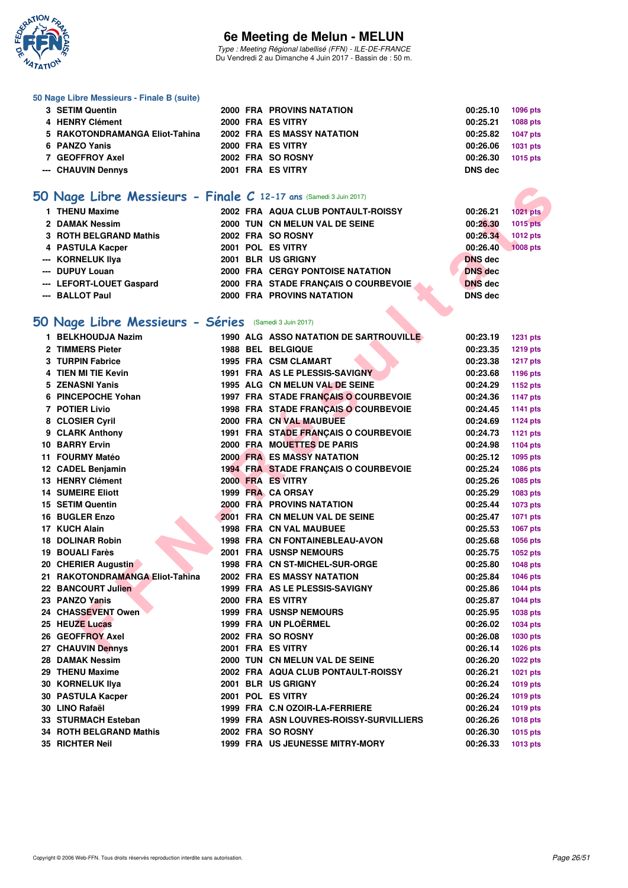

Type : Meeting Régional labellisé (FFN) - ILE-DE-FRANCE Du Vendredi 2 au Dimanche 4 Juin 2017 - Bassin de : 50 m.

#### **50 Nage Libre Messieurs - Finale B (suite)**

| 6 PANZO Yanis<br>7 GEOFFROY Axel<br>--- CHAUVIN Dennys |  | 2000 FRA ES VITRY<br>2002 FRA SO ROSNY<br>2001 FRA ES VITRY | 00:26.06<br>00:26.30<br><b>DNS</b> dec | 1031 pts<br>1015 pts |
|--------------------------------------------------------|--|-------------------------------------------------------------|----------------------------------------|----------------------|
| 4 HENRY Clément<br>5 RAKOTONDRAMANGA Eliot-Tahina      |  | 2000 FRA ES VITRY<br><b>2002 FRA ES MASSY NATATION</b>      | 00:25.21<br>00:25.82                   | 1088 pts<br>1047 pts |
| 3 SETIM Quentin                                        |  | <b>2000 FRA PROVINS NATATION</b>                            | 00:25.10                               | 1096 pts             |

# **[50 Nage Libre Messieurs - Finale C](http://www.ffnatation.fr/webffn/resultats.php?idact=nat&go=epr&idcpt=46973&idepr=51) 12-17 ans** (Samedi 3 Juin 2017)

| 1 THENU Maxime           |  | 2002 FRA AQUA CLUB PONTAULT-ROISSY      | 00:26.21       | 1021 pts |
|--------------------------|--|-----------------------------------------|----------------|----------|
| 2 DAMAK Nessim           |  | 2000 TUN CN MELUN VAL DE SEINE          | 00:26.30       | 1015 pts |
| 3 ROTH BELGRAND Mathis   |  | 2002 FRA SO ROSNY                       | 00:26.34       | 1012 pts |
| 4 PASTULA Kacper         |  | 2001 POL ES VITRY                       | 00:26.40       | 1008 pts |
| --- KORNELUK IIya        |  | 2001 BLR US GRIGNY                      | <b>DNS</b> dec |          |
| --- DUPUY Louan          |  | <b>2000 FRA CERGY PONTOISE NATATION</b> | <b>DNS</b> dec |          |
| --- LEFORT-LOUET Gaspard |  | 2000 FRA STADE FRANCAIS O COURBEVOIE    | <b>DNS</b> dec |          |
| --- BALLOT Paul          |  | <b>2000 FRA PROVINS NATATION</b>        | <b>DNS</b> dec |          |

# **[50 Nage Libre Messieurs - Séries](http://www.ffnatation.fr/webffn/resultats.php?idact=nat&go=epr&idcpt=46973&idepr=51)** (Samedi 3 Juin 2017)

| 50 Nage Libre Messieurs - Finale C 12-17 ans (Samedi 3 Juin 2017) |                                         |                             |
|-------------------------------------------------------------------|-----------------------------------------|-----------------------------|
| 1 THENU Maxime                                                    | 2002 FRA AQUA CLUB PONTAULT-ROISSY      | 00:26.21<br>1021 pts        |
| 2 DAMAK Nessim                                                    | 2000 TUN CN MELUN VAL DE SEINE          | 00:26.30<br><b>1015 pts</b> |
| 3 ROTH BELGRAND Mathis                                            | 2002 FRA SO ROSNY                       | 00:26.34<br>1012 pts        |
| <b>PASTULA Kacper</b><br>4                                        | 2001 POL ES VITRY                       | 00:26.40<br><b>1008 pts</b> |
| <b>KORNELUK IIya</b>                                              | 2001 BLR US GRIGNY                      | <b>DNS</b> dec              |
| <b>DUPUY Louan</b>                                                | <b>2000 FRA CERGY PONTOISE NATATION</b> | <b>DNS</b> dec              |
| <b>LEFORT-LOUET Gaspard</b>                                       | 2000 FRA STADE FRANÇAIS O COURBEVOIE    | <b>DNS</b> dec              |
| --- BALLOT Paul                                                   | <b>2000 FRA PROVINS NATATION</b>        | <b>DNS dec</b>              |
|                                                                   |                                         |                             |
| 50 Nage Libre Messieurs - Séries (Samedi 3 Juin 2017)             |                                         |                             |
| 1 BELKHOUDJA Nazim                                                | 1990 ALG ASSO NATATION DE SARTROUVILLE  | 00:23.19<br><b>1231 pts</b> |
| 2 TIMMERS Pieter                                                  | 1988 BEL BELGIQUE                       | 00:23.35<br>1219 pts        |
| <b>TURPIN Fabrice</b>                                             | 1995 FRA CSM CLAMART                    | 00:23.38<br><b>1217 pts</b> |
| <b>TIEN MI TIE Kevin</b><br>4                                     | 1991 FRA AS LE PLESSIS-SAVIGNY          | 00:23.68<br>1196 pts        |
| <b>ZENASNI Yanis</b><br>5                                         | 1995 ALG CN MELUN VAL DE SEINE          | 00:24.29<br>1152 pts        |
| <b>PINCEPOCHE Yohan</b><br>6                                      | 1997 FRA STADE FRANCAIS O COURBEVOIE    | 00:24.36<br><b>1147 pts</b> |
| 7 POTIER Livio                                                    | 1998 FRA STADE FRANÇAIS O COURBEVOIE    | 00:24.45<br>1141 pts        |
| 8 CLOSIER Cyril                                                   | 2000 FRA CN VAL MAUBUEE                 | 00:24.69<br>1124 pts        |
| 9 CLARK Anthony                                                   | 1991 FRA STADE FRANÇAIS O COURBEVOIE    | 00:24.73<br>1121 pts        |
| <b>10 BARRY Ervin</b>                                             | 2000 FRA MOUETTES DE PARIS              | 00:24.98<br>1104 pts        |
| 11 FOURMY Matéo                                                   | <b>2000 FRA ES MASSY NATATION</b>       | 00:25.12<br>1095 pts        |
| 12 CADEL Benjamin                                                 | 1994 FRA STADE FRANÇAIS O COURBEVOIE    | 00:25.24<br><b>1086 pts</b> |
| <b>13 HENRY Clément</b>                                           | 2000 FRA ES VITRY                       | 00:25.26<br>1085 pts        |
| <b>14 SUMEIRE Eliott</b>                                          | 1999 FRA CA ORSAY                       | 00:25.29<br>1083 pts        |
| 15 SETIM Quentin                                                  | 2000 FRA PROVINS NATATION               | 00:25.44<br><b>1073 pts</b> |
| 16 BUGLER Enzo                                                    | 2001 FRA CN MELUN VAL DE SEINE          | 00:25.47<br><b>1071 pts</b> |
| 17 KUCH Alain                                                     | <b>1998 FRA CN VAL MAUBUEE</b>          | 00:25.53                    |
| <b>18 DOLINAR Robin</b>                                           | <b>1998 FRA CN FONTAINEBLEAU-AVON</b>   | 1067 pts<br>00:25.68        |
|                                                                   |                                         | 1056 pts                    |
| 19 BOUALI Farès                                                   | <b>2001 FRA USNSP NEMOURS</b>           | 00:25.75<br><b>1052 pts</b> |
| 20 CHERIER Augustin                                               | 1998 FRA CN ST-MICHEL-SUR-ORGE          | 00:25.80<br>1048 pts        |
| 21 RAKOTONDRAMANGA Eliot-Tahina                                   | <b>2002 FRA ES MASSY NATATION</b>       | 00:25.84<br><b>1046 pts</b> |
| 22 BANCOURT Julien                                                | 1999 FRA AS LE PLESSIS-SAVIGNY          | 00:25.86<br><b>1044 pts</b> |
| 23 PANZO Yanis                                                    | 2000 FRA ES VITRY                       | 00:25.87<br><b>1044 pts</b> |
| 24 CHASSEVENT Owen                                                | <b>1999 FRA USNSP NEMOURS</b>           | 00:25.95<br>1038 pts        |
| 25 HEUZE Lucas                                                    | 1999 FRA UN PLOËRMEL                    | 00:26.02<br>1034 pts        |
| 26 GEOFFROY Axel                                                  | 2002 FRA SO ROSNY                       | 00:26.08<br>1030 pts        |
| 27 CHAUVIN Dennys                                                 | 2001 FRA ES VITRY                       | 00:26.14<br>1026 pts        |
| 28 DAMAK Nessim                                                   | <b>2000 TUN CN MELUN VAL DE SEINE</b>   | 00:26.20<br>1022 pts        |
| 29 THENU Maxime                                                   | 2002 FRA AQUA CLUB PONTAULT-ROISSY      | 00:26.21<br>1021 pts        |
| 30 KORNELUK IIya                                                  | 2001 BLR US GRIGNY                      | 00:26.24<br><b>1019 pts</b> |
| 30 PASTULA Kacper                                                 | 2001 POL ES VITRY                       | 00:26.24<br><b>1019 pts</b> |
| 30 LINO Rafaël                                                    | 1999 FRA C.N OZOIR-LA-FERRIERE          | 00:26.24<br><b>1019 pts</b> |
| 33 STURMACH Esteban                                               | 1999 FRA ASN LOUVRES-ROISSY-SURVILLIERS | 00:26.26<br><b>1018 pts</b> |
| 34 ROTH BELGRAND Mathis                                           | 2002 FRA SO ROSNY                       | 00:26.30<br><b>1015 pts</b> |
| 35 RICHTER Neil                                                   | 1999 FRA US JEUNESSE MITRY-MORY         | 00:26.33<br><b>1013 pts</b> |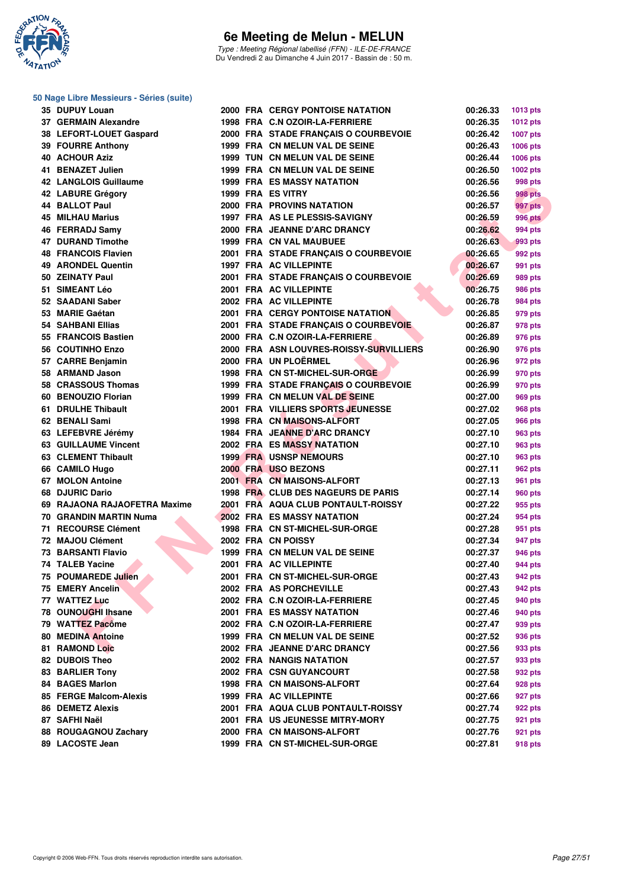

Type : Meeting Régional labellisé (FFN) - ILE-DE-FRANCE Du Vendredi 2 au Dimanche 4 Juin 2017 - Bassin de : 50 m.

#### **50 Nage Libre Messieurs - Séries (suite)**

| 35 | <b>DUPUY Louan</b>          |
|----|-----------------------------|
|    | 37 GERMAIN Alexandre        |
|    | 38 LEFORT-LOUET Gaspard     |
|    | 39 FOURRE Anthony           |
| 40 | <b>ACHOUR Aziz</b>          |
| 41 | <b>BENAZET Julien</b>       |
| 42 | <b>LANGLOIS Guillaume</b>   |
| 42 | <b>LABURE Grégory</b>       |
| 44 | <b>BALLOT Paul</b>          |
| 45 | <b>MILHAU Marius</b>        |
|    | 46 FERRADJ Samv             |
|    | 47 DURAND Timothe           |
|    | <b>48 FRANCOIS Flavien</b>  |
|    | 49 ARONDEL Quentin          |
| 50 | <b>ZEINATY Paul</b>         |
| 51 | <b>SIMEANT Léo</b>          |
| 52 | <b>SAADANI Saber</b>        |
|    | 53 MARIE Gaétan             |
| 54 | <b>SAHBANI Ellias</b>       |
|    | 55 FRANCOIS Bastien         |
|    | 56 COUTINHO Enzo            |
|    | 57 CARRE Benjamin           |
|    | 58 ARMAND Jason             |
|    | 58 CRASSOUS Thomas          |
| 60 | <b>BENOUZIO Florian</b>     |
| 61 | <b>DRULHE Thibault</b>      |
| 62 | <b>BENALI Sami</b>          |
|    | 63 LEFEBVRE Jérémy          |
|    | <b>63 GUILLAUME Vincent</b> |
|    | 63 CLEMENT Thibault         |
|    | 66 CAMILO Hugo              |
| 67 | <b>MOLON Antoine</b>        |
| 68 | <b>DJURIC Dario</b>         |
| 69 | RAJAONA RAJAOFETRA Max      |
|    |                             |
| 70 | <b>GRANDIN MARTIN Numa</b>  |
| 71 | <b>RECOURSE Clément</b>     |
|    | 72 MAJOU Clément            |
|    | 73 BARSANTI Flavio          |
|    | <b>74 TALEB Yacine</b>      |
| 75 | <b>POUMAREDE Julien</b>     |
| 75 | <b>EMERY Ancelin</b>        |
| 77 | <b>WATTEZ Luc</b>           |
| 78 | <b>OUNOUGHI Ihsane</b>      |
| 79 | <b>WATTEZ Pacôme</b>        |
| 80 | <b>MEDINA Antoine</b>       |
| 81 | <b>RAMOND Loic</b>          |
| 82 | <b>DUBOIS Theo</b>          |
| 83 | <b>BARLIER Tony</b>         |
| 84 | <b>BAGES Marlon</b>         |
| 85 | <b>FERGE Malcom-Alexis</b>  |
| 86 | <b>DEMETZ Alexis</b>        |
| 87 | <b>SAFHI Naël</b>           |
| 88 | <b>ROUGAGNOU Zachary</b>    |

| 35 DUPUY Louan               |  |                                         |          |                 |
|------------------------------|--|-----------------------------------------|----------|-----------------|
| 37 GERMAIN Alexandre         |  | <b>2000 FRA CERGY PONTOISE NATATION</b> | 00:26.33 | 1013 pts        |
|                              |  | 1998 FRA C.N OZOIR-LA-FERRIERE          | 00:26.35 | <b>1012 pts</b> |
| 38 LEFORT-LOUET Gaspard      |  | 2000 FRA STADE FRANÇAIS O COURBEVOIE    | 00:26.42 | 1007 pts        |
| 39 FOURRE Anthony            |  | 1999 FRA CN MELUN VAL DE SEINE          | 00:26.43 | <b>1006 pts</b> |
| <b>40 ACHOUR Aziz</b>        |  | 1999 TUN CN MELUN VAL DE SEINE          | 00:26.44 | 1006 pts        |
| 41 BENAZET Julien            |  | 1999 FRA CN MELUN VAL DE SEINE          | 00:26.50 | 1002 pts        |
| 42 LANGLOIS Guillaume        |  | <b>1999 FRA ES MASSY NATATION</b>       | 00:26.56 | 998 pts         |
| 42 LABURE Grégory            |  | 1999 FRA ES VITRY                       | 00:26.56 | 998 pts         |
| 44 BALLOT Paul               |  | 2000 FRA PROVINS NATATION               | 00:26.57 | 997 pts         |
| 45 MILHAU Marius             |  | 1997 FRA AS LE PLESSIS-SAVIGNY          | 00:26.59 | <b>996 pts</b>  |
| 46 FERRADJ Samv              |  | 2000 FRA JEANNE D'ARC DRANCY            | 00:26.62 | 994 pts         |
| 47 DURAND Timothe            |  | 1999 FRA CN VAL MAUBUEE                 | 00:26.63 | 993 pts         |
| 48 FRANCOIS Flavien          |  | 2001 FRA STADE FRANCAIS O COURBEVOIE    | 00:26.65 | 992 pts         |
| 49 ARONDEL Quentin           |  | 1997 FRA AC VILLEPINTE                  | 00:26.67 | 991 pts         |
| 50 ZEINATY Paul              |  | 2001 FRA STADE FRANÇAIS O COURBEVOIE    | 00:26.69 | 989 pts         |
| 51 SIMEANT Léo               |  | 2001 FRA AC VILLEPINTE                  | 00:26.75 | 986 pts         |
| 52 SAADANI Saber             |  | 2002 FRA AC VILLEPINTE                  | 00:26.78 | 984 pts         |
| 53 MARIE Gaétan              |  | <b>2001 FRA CERGY PONTOISE NATATION</b> | 00:26.85 | 979 pts         |
| 54 SAHBANI Ellias            |  | 2001 FRA STADE FRANCAIS O COURBEVOIE    | 00:26.87 | 978 pts         |
| 55 FRANCOIS Bastien          |  | 2000 FRA C.N OZOIR-LA-FERRIERE          | 00:26.89 | 976 pts         |
| 56 COUTINHO Enzo             |  | 2000 FRA ASN LOUVRES-ROISSY-SURVILLIERS | 00:26.90 | 976 pts         |
| 57 CARRE Benjamin            |  | 2000 FRA UN PLOËRMEL                    | 00:26.96 | 972 pts         |
| 58 ARMAND Jason              |  | 1998 FRA CN ST-MICHEL-SUR-ORGE          | 00:26.99 | 970 pts         |
| 58 CRASSOUS Thomas           |  | 1999 FRA STADE FRANCAIS O COURBEVOIE    | 00:26.99 | 970 pts         |
| 60 BENOUZIO Florian          |  | 1999 FRA CN MELUN VAL DE SEINE          | 00:27.00 | 969 pts         |
| 61 DRULHE Thibault           |  | 2001 FRA VILLIERS SPORTS JEUNESSE       | 00:27.02 | <b>968 pts</b>  |
| 62 BENALI Sami               |  | 1998 FRA CN MAISONS-ALFORT              | 00:27.05 | 966 pts         |
| 63 LEFEBVRE Jérémy           |  | 1984 FRA JEANNE D'ARC DRANCY            | 00:27.10 | 963 pts         |
| <b>63 GUILLAUME Vincent</b>  |  | <b>2002 FRA ES MASSY NATATION</b>       | 00:27.10 | 963 pts         |
| 63 CLEMENT Thibault          |  | <b>1999 FRA USNSP NEMOURS</b>           | 00:27.10 |                 |
| 66 CAMILO Hugo               |  | 2000 FRA USO BEZONS                     | 00:27.11 | 963 pts         |
| 67 MOLON Antoine             |  |                                         |          | 962 pts         |
|                              |  | 2001 FRA CN MAISONS-ALFORT              | 00:27.13 | 961 pts         |
| 68 DJURIC Dario              |  | 1998 FRA CLUB DES NAGEURS DE PARIS      | 00:27.14 | 960 pts         |
| 69 RAJAONA RAJAOFETRA Maxime |  | 2001 FRA AQUA CLUB PONTAULT-ROISSY      | 00:27.22 | 955 pts         |
| 70 GRANDIN MARTIN Numa       |  | <b>2002 FRA ES MASSY NATATION</b>       | 00:27.24 | 954 pts         |
| 71 RECOURSE Clément          |  | 1998 FRA CN ST-MICHEL-SUR-ORGE          | 00:27.28 | 951 pts         |
| 72 MAJOU Clément             |  | 2002 FRA CN POISSY                      | 00:27.34 | 947 pts         |
| 73 BARSANTI Flavio           |  | 1999 FRA CN MELUN VAL DE SEINE          | 00:27.37 | 946 pts         |
| 74 TALEB Yacine              |  | 2001 FRA AC VILLEPINTE                  | 00:27.40 | 944 pts         |
| 75 POUMAREDE Julien          |  | 2001 FRA CN ST-MICHEL-SUR-ORGE          | 00:27.43 | 942 pts         |
| 75 EMERY Ancelin             |  | 2002 FRA AS PORCHEVILLE                 | 00:27.43 | 942 pts         |
| 77 WATTEZ Luc                |  | 2002 FRA C.N OZOIR-LA-FERRIERE          | 00:27.45 | 940 pts         |
| 78 OUNOUGHI Ihsane           |  | <b>2001 FRA ES MASSY NATATION</b>       | 00:27.46 | 940 pts         |
| 79 WATTEZ Pacôme             |  | 2002 FRA C.N OZOIR-LA-FERRIERE          | 00:27.47 | 939 pts         |
| 80 MEDINA Antoine            |  | 1999 FRA CN MELUN VAL DE SEINE          | 00:27.52 | 936 pts         |
| 81 RAMOND Loic               |  | 2002 FRA JEANNE D'ARC DRANCY            | 00:27.56 | 933 pts         |
| <b>82 DUBOIS Theo</b>        |  | <b>2002 FRA NANGIS NATATION</b>         | 00:27.57 | 933 pts         |
| 83 BARLIER Tony              |  | 2002 FRA CSN GUYANCOURT                 | 00:27.58 | 932 pts         |
| 84 BAGES Marlon              |  | 1998 FRA CN MAISONS-ALFORT              | 00:27.64 | 928 pts         |
| 85 FERGE Malcom-Alexis       |  | 1999 FRA AC VILLEPINTE                  | 00:27.66 | 927 pts         |
| 86 DEMETZ Alexis             |  | 2001 FRA AQUA CLUB PONTAULT-ROISSY      | 00:27.74 | 922 pts         |
| 87 SAFHI Naël                |  | 2001 FRA US JEUNESSE MITRY-MORY         | 00:27.75 | 921 pts         |
| 88 ROUGAGNOU Zachary         |  | 2000 FRA CN MAISONS-ALFORT              | 00:27.76 | 921 pts         |

**89 LACOSTE Jean 1999 FRA CN ST-MICHEL-SUR-ORGE 00:27.81 918 pts**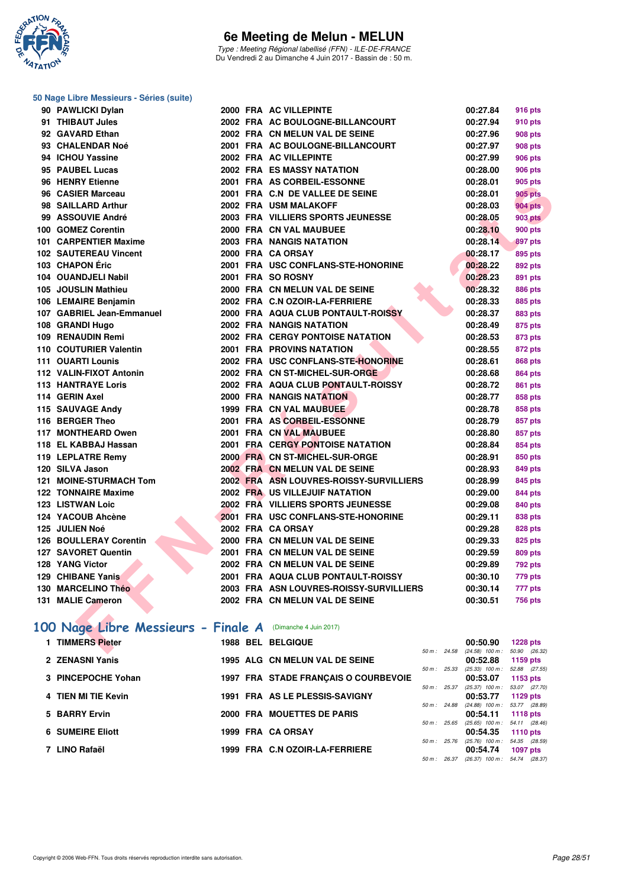

Type : Meeting Régional labellisé (FFN) - ILE-DE-FRANCE Du Vendredi 2 au Dimanche 4 Juin 2017 - Bassin de : 50 m.

#### **50 Nage Libre Messieurs - Séries (suite)**

| 90 PAWLICKI Dylan                                         |  | 2000 FRA AC VILLEPINTE                  | 00:27.84                                 | <b>916 pts</b>  |
|-----------------------------------------------------------|--|-----------------------------------------|------------------------------------------|-----------------|
| 91 THIBAUT Jules                                          |  | 2002 FRA AC BOULOGNE-BILLANCOURT        | 00:27.94                                 | 910 pts         |
| 92 GAVARD Ethan                                           |  | 2002 FRA CN MELUN VAL DE SEINE          | 00:27.96                                 | 908 pts         |
| 93 CHALENDAR Noé                                          |  | 2001 FRA AC BOULOGNE-BILLANCOURT        | 00:27.97                                 | <b>908 pts</b>  |
| 94 ICHOU Yassine                                          |  | 2002 FRA AC VILLEPINTE                  | 00:27.99                                 | <b>906 pts</b>  |
| 95 PAUBEL Lucas                                           |  | 2002 FRA ES MASSY NATATION              | 00:28.00                                 | <b>906 pts</b>  |
| 96 HENRY Etienne                                          |  | 2001 FRA AS CORBEIL-ESSONNE             | 00:28.01                                 | 905 pts         |
| 96 CASIER Marceau                                         |  | 2001 FRA C.N DE VALLEE DE SEINE         | 00:28.01                                 | 905 pts         |
| 98 SAILLARD Arthur                                        |  | 2002 FRA USM MALAKOFF                   | 00:28.03                                 | <b>904 pts</b>  |
| 99 ASSOUVIE André                                         |  | 2003 FRA VILLIERS SPORTS JEUNESSE       | 00:28.05                                 | <b>903 pts</b>  |
| 100 GOMEZ Corentin                                        |  | 2000 FRA CN VAL MAUBUEE                 | 00:28.10                                 | <b>900 pts</b>  |
| 101 CARPENTIER Maxime                                     |  | 2003 FRA NANGIS NATATION                | 00:28.14                                 | 897 pts         |
| 102 SAUTEREAU Vincent                                     |  | 2000 FRA CA ORSAY                       | 00:28.17                                 | 895 pts         |
| 103 CHAPON Éric                                           |  | 2001 FRA USC CONFLANS-STE-HONORINE      | 00:28.22                                 | 892 pts         |
| 104 OUANDJELI Nabil                                       |  | 2001 FRA SO ROSNY                       | 00:28.23                                 | 891 pts         |
| 105 JOUSLIN Mathieu                                       |  | 2000 FRA CN MELUN VAL DE SEINE          | 00:28.32                                 | <b>886 pts</b>  |
| 106 LEMAIRE Benjamin                                      |  | 2002 FRA C.N OZOIR-LA-FERRIERE          | 00:28.33                                 | 885 pts         |
| 107 GABRIEL Jean-Emmanuel                                 |  | 2000 FRA AQUA CLUB PONTAULT-ROISSY      | 00:28.37                                 | 883 pts         |
| 108 GRANDI Hugo                                           |  | 2002 FRA NANGIS NATATION                | 00:28.49                                 | 875 pts         |
| 109 RENAUDIN Remi                                         |  | 2002 FRA CERGY PONTOISE NATATION        | 00:28.53                                 | 873 pts         |
| 110 COUTURIER Valentin                                    |  | 2001 FRA PROVINS NATATION               | 00:28.55                                 | 872 pts         |
| 111 OUARTI Lounis                                         |  | 2002 FRA USC CONFLANS-STE-HONORINE      | 00:28.61                                 | <b>868 pts</b>  |
| 112 VALIN-FIXOT Antonin                                   |  | 2002 FRA CN ST-MICHEL-SUR-ORGE          | 00:28.68                                 | <b>864 pts</b>  |
| <b>113 HANTRAYE Loris</b>                                 |  | 2002 FRA AQUA CLUB PONTAULT-ROISSY      | 00:28.72                                 | 861 pts         |
| 114 GERIN Axel                                            |  | <b>2000 FRA NANGIS NATATION</b>         | 00:28.77                                 | 858 pts         |
| 115 SAUVAGE Andy                                          |  | 1999 FRA CN VAL MAUBUEE                 | 00:28.78                                 | 858 pts         |
| 116 BERGER Theo                                           |  | 2001 FRA AS CORBEIL-ESSONNE             | 00:28.79                                 | 857 pts         |
| 117 MONTHEARD Owen                                        |  | 2001 FRA CN VAL MAUBUEE                 | 00:28.80                                 | 857 pts         |
| 118 EL KABBAJ Hassan                                      |  | 2001 FRA CERGY PONTOISE NATATION        | 00:28.84                                 | 854 pts         |
| 119 LEPLATRE Remy                                         |  | 2000 FRA CN ST-MICHEL-SUR-ORGE          | 00:28.91                                 | 850 pts         |
| 120 SILVA Jason                                           |  | 2002 FRA CN MELUN VAL DE SEINE          | 00:28.93                                 | 849 pts         |
| 121 MOINE-STURMACH Tom                                    |  | 2002 FRA ASN LOUVRES-ROISSY-SURVILLIERS | 00:28.99                                 | 845 pts         |
| <b>122 TONNAIRE Maxime</b>                                |  | 2002 FRA US VILLEJUIF NATATION          | 00:29.00                                 | 844 pts         |
| <b>123 LISTWAN Loic</b>                                   |  | 2002 FRA VILLIERS SPORTS JEUNESSE       | 00:29.08                                 | 840 pts         |
| 124 YACOUB Ahcène                                         |  | 2001 FRA USC CONFLANS-STE-HONORINE      | 00:29.11                                 | 838 pts         |
| 125 JULIEN Noé                                            |  | 2002 FRA CA ORSAY                       | 00:29.28                                 | <b>828 pts</b>  |
| 126 BOULLERAY Corentin                                    |  | 2000 FRA CN MELUN VAL DE SEINE          | 00:29.33                                 | 825 pts         |
| 127 SAVORET Quentin                                       |  | 2001 FRA CN MELUN VAL DE SEINE          | 00:29.59                                 | <b>809 pts</b>  |
| 128 YANG Victor                                           |  | 2002 FRA CN MELUN VAL DE SEINE          | 00:29.89                                 | 792 pts         |
| 129 CHIBANE Yanis                                         |  | 2001 FRA AQUA CLUB PONTAULT-ROISSY      | 00:30.10                                 | 779 pts         |
| 130 MARCELINO Théo                                        |  | 2003 FRA ASN LOUVRES-ROISSY-SURVILLIERS | 00:30.14                                 | 777 pts         |
| 131 MALIE Cameron                                         |  | 2002 FRA CN MELUN VAL DE SEINE          | 00:30.51                                 | <b>756 pts</b>  |
|                                                           |  |                                         |                                          |                 |
| 00 Nage Libre Messieurs - Finale A (Dimanche 4 Juin 2017) |  |                                         |                                          |                 |
| 1 TIMMERS Pieter                                          |  | 1988 BEL BELGIQUE                       | 00:50.90                                 | <b>1228 pts</b> |
|                                                           |  |                                         | 50 m; 24.58 (24.58) 100 m; 50.90 (26.32) |                 |

# **[100 Nage Libre Messieurs - Finale A](http://www.ffnatation.fr/webffn/resultats.php?idact=nat&go=epr&idcpt=46973&idepr=52)** (Dimanche 4 Juin 2017)

| <b>TIMMERS Pieter</b>   | <b>1988 BEL BELGIQUE</b>             |                        | 00:50.90                          | $1228$ pts                  |
|-------------------------|--------------------------------------|------------------------|-----------------------------------|-----------------------------|
|                         |                                      | 50 m: 24.58            | $(24.58)$ 100 m :                 | 50.90 (26.32)               |
| 2 ZENASNI Yanis         | 1995 ALG CN MELUN VAL DE SEINE       |                        | 00:52.88                          | 1159 pts                    |
| 3 PINCEPOCHE Yohan      |                                      | $50 \text{ m}$ : 25.33 | $(25.33)$ 100 m :                 | 52.88 (27.55)               |
|                         | 1997 FRA STADE FRANÇAIS O COURBEVOIE | $50 m$ : 25.37         | 00:53.07<br>$(25.37)$ 100 m :     | 1153 $pts$<br>53.07 (27.70) |
| 4 TIEN MI TIE Kevin     | 1991 FRA AS LE PLESSIS-SAVIGNY       |                        | 00:53.77                          | 1129 pts                    |
|                         |                                      | 50 m: 24.88            | $(24.88)$ 100 m :                 | 53.77 (28.89)               |
| 5 BARRY Ervin           | 2000 FRA MOUETTES DE PARIS           |                        | 00:54.11                          | 1118 $pts$                  |
|                         |                                      | $50 m$ : 25.65         | $(25.65)$ 100 m :                 | 54.11 (28.46)               |
| <b>6 SUMEIRE Eliott</b> | 1999 FRA CA ORSAY                    |                        | 00:54.35                          | 1110 $pts$                  |
|                         |                                      | 50 m : 25.76           | $(25.76)$ 100 m : 54.35 $(28.59)$ |                             |
| 7 LINO Rafaël           | 1999 FRA C.N OZOIR-LA-FERRIERE       |                        | 00:54.74                          | <b>1097 pts</b>             |
|                         |                                      | $50 m$ : 26.37         | $(26.37)$ 100 m : 54.74 $(28.37)$ |                             |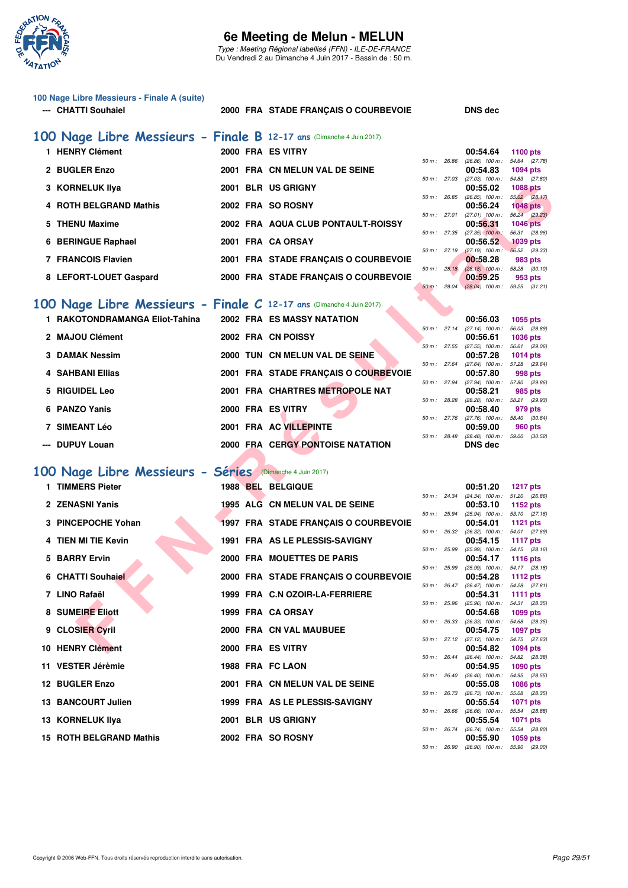

Type : Meeting Régional labellisé (FFN) - ILE-DE-FRANCE Du Vendredi 2 au Dimanche 4 Juin 2017 - Bassin de : 50 m.

| 100 Nage Libre Messieurs - Finale A (suite) |  |
|---------------------------------------------|--|
| --- CHATTI Souhaiel                         |  |

#### 2000 FRA STADE FRANÇAIS O COURBEVOIE DNS dec

| 100 Nage Libre Messieurs - Finale B 12-17 ans (Dimanche 4 Juin 2017) |                                      |          |              |                   |                 |  |
|----------------------------------------------------------------------|--------------------------------------|----------|--------------|-------------------|-----------------|--|
| 1 HENRY Clément                                                      | 2000 FRA ES VITRY                    |          |              | 00:54.64          | 1100 pts        |  |
|                                                                      |                                      |          | 50 m: 26.86  | $(26.86)$ 100 m : | 54.64 (27.78)   |  |
| 2 BUGLER Enzo                                                        | 2001 FRA CN MELUN VAL DE SEINE       |          |              | 00:54.83          | <b>1094 pts</b> |  |
|                                                                      |                                      |          | 50 m: 27.03  | $(27.03)$ 100 m : | 54.83 (27.80)   |  |
| 3 KORNELUK IIya                                                      | 2001 BLR US GRIGNY                   |          |              | 00:55.02          | <b>1088 pts</b> |  |
|                                                                      |                                      |          | 50 m : 26.85 | $(26.85)$ 100 m : | 55.02 (28.17)   |  |
| 4 ROTH BELGRAND Mathis                                               | 2002 FRA SO ROSNY                    |          |              | 00:56.24          | $1048$ pts      |  |
|                                                                      |                                      |          | 50 m: 27.01  | $(27.01)$ 100 m : | 56.24 (29.23)   |  |
| 5 THENU Maxime                                                       | 2002 FRA AQUA CLUB PONTAULT-ROISSY   |          |              | 00:56.31          | <b>1046 pts</b> |  |
|                                                                      |                                      |          | 50 m: 27.35  | $(27.35)$ 100 m:  | 56.31 (28.96)   |  |
| 6 BERINGUE Raphael                                                   | 2001 FRA CA ORSAY                    |          |              | 00:56.52          | <b>1039 pts</b> |  |
|                                                                      |                                      |          | 50 m: 27.19  | $(27.19)$ 100 m : | 56.52 (29.33)   |  |
| 7 FRANCOIS Flavien                                                   | 2001 FRA STADE FRANCAIS O COURBEVOIE |          |              | 00:58.28          | 983 pts         |  |
|                                                                      |                                      |          | 50 m: 28.18  | $(28.18)$ 100 m : | 58.28 (30.10)   |  |
| 8 LEFORT-LOUET Gaspard                                               | 2000 FRA STADE FRANÇAIS O COURBEVOIE |          |              | 00:59.25          | 953 pts         |  |
|                                                                      |                                      | $50 m$ : | 28.04        | $(28.04)$ 100 m : | 59.25 (31.21)   |  |
|                                                                      |                                      |          |              |                   |                 |  |

### **[100 Nage Libre Messieurs - Finale C](http://www.ffnatation.fr/webffn/resultats.php?idact=nat&go=epr&idcpt=46973&idepr=52) 12-17 ans** (Dimanche 4 Juin 2017)

| 1 RAKOTONDRAMANGA Eliot-Tahina |  | <b>2002 FRA ES MASSY NATATION</b>       |                        | 00:56.03                     | 1055 pts   |  |
|--------------------------------|--|-----------------------------------------|------------------------|------------------------------|------------|--|
|                                |  |                                         | $50 \text{ m}$ : 27.14 | $(27.14)$ 100 m :            | 56.03 (28. |  |
| 2 MAJOU Clément                |  | 2002 FRA CN POISSY                      |                        | 00:56.61                     | 1036 pts   |  |
|                                |  |                                         | $50 m$ : 27.55         | $(27.55)$ 100 m :            | 56.61 (29. |  |
| 3 DAMAK Nessim                 |  | 2000 TUN CN MELUN VAL DE SEINE          |                        | 00:57.28                     | 1014 pts   |  |
|                                |  |                                         | 50 m: 27.64            | (27.64) 100 m : 57.28 (29.   |            |  |
| 4 SAHBANI Ellias               |  | 2001 FRA STADE FRANCAIS O COURBEVOIE    |                        | 00:57.80                     | 998 pts    |  |
|                                |  |                                         | 50 m: 27.94            | $(27.94)$ 100 m : 57.80 (29. |            |  |
| 5 RIGUIDEL Leo                 |  | 2001 FRA CHARTRES METROPOLE NAT         |                        | 00:58.21                     | 985 pts    |  |
|                                |  |                                         | 50 m: 28.28            | $(28.28)$ 100 m : 58.21 (29. |            |  |
| 6 PANZO Yanis                  |  | 2000 FRA ES VITRY                       |                        | 00:58.40                     | 979 pts    |  |
|                                |  |                                         | 50 m: 27.76            | $(27.76)$ 100 m :            | 58.40 (30. |  |
| 7 SIMEANT Léo                  |  | 2001 FRA AC VILLEPINTE                  |                        | 00:59.00                     | 960 pts    |  |
|                                |  |                                         | $50 \text{ m}$ : 28.48 | $(28.48)$ 100 m : 59.00 (30. |            |  |
| --- DUPUY Louan                |  | <b>2000 FRA CERGY PONTOISE NATATION</b> |                        | <b>DNS</b> dec               |            |  |

### **[100 Nage Libre Messieurs - Séries](http://www.ffnatation.fr/webffn/resultats.php?idact=nat&go=epr&idcpt=46973&idepr=52)** (Dimanche 4 Juin 2017)

| 3 KORNELUK IIya                                                     |  | 2001 BLR US GRIGNY                      |              |              | 00:55.02                                                   | <b>1088 pts</b>                  |
|---------------------------------------------------------------------|--|-----------------------------------------|--------------|--------------|------------------------------------------------------------|----------------------------------|
| 4 ROTH BELGRAND Mathis                                              |  | 2002 FRA SO ROSNY                       |              | 50 m : 26.85 | $(26.85)$ 100 m :<br>00:56.24                              | 55.02 (28.17)<br><b>1048 pts</b> |
| 5 THENU Maxime                                                      |  | 2002 FRA AQUA CLUB PONTAULT-ROISSY      |              | 50 m : 27.01 | $(27.01)$ $100 m$ :<br>00:56.31                            | 56.24 (29.23)<br><b>1046 pts</b> |
| 6 BERINGUE Raphael                                                  |  | 2001 FRA CA ORSAY                       | 50 m: 27.35  |              | $(27.35)$ 100 m :<br>00:56.52                              | 56.31 (28.96)<br>1039 pts        |
| 7 FRANCOIS Flavien                                                  |  |                                         | 50 m: 27.19  |              | $(27.19)$ 100 m : 56.52 (29.33)                            |                                  |
|                                                                     |  | 2001 FRA STADE FRANÇAIS O COURBEVOIE    | 50 m: 28.18  |              | 00:58.28<br>$(28.18)$ 100 m : 58.28 $(30.10)$              | 983 pts                          |
| 8 LEFORT-LOUET Gaspard                                              |  | 2000 FRA STADE FRANÇAIS O COURBEVOIE    | 50 m : 28.04 |              | 00:59.25<br>$(28.04)$ 100 m : 59.25 $(31.21)$              | 953 pts                          |
|                                                                     |  |                                         |              |              |                                                            |                                  |
| 00 Nage Libre Messieurs - Finale C 12-17 ans (Dimanche 4 Juin 2017) |  |                                         |              |              |                                                            |                                  |
| 1 RAKOTONDRAMANGA Eliot-Tahina                                      |  | 2002 FRA ES MASSY NATATION              |              |              | 00:56.03                                                   | 1055 pts                         |
| 2 MAJOU Clément                                                     |  | 2002 FRA CN POISSY                      |              | 50 m: 27.14  | $(27.14)$ 100 m :<br>00:56.61                              | 56.03 (28.89)<br><b>1036 pts</b> |
| 3 DAMAK Nessim                                                      |  | 2000 TUN CN MELUN VAL DE SEINE          | 50 m: 27.55  |              | $(27.55)$ 100 m :<br>00:57.28                              | 56.61 (29.06)                    |
|                                                                     |  |                                         |              | 50 m : 27.64 | (27.64) 100 m: 57.28 (29.64)                               | 1014 pts                         |
| 4 SAHBANI Ellias                                                    |  | 2001 FRA STADE FRANÇAIS O COURBEVOIE    |              |              | 00:57.80                                                   | 998 pts                          |
| 5 RIGUIDEL Leo                                                      |  | 2001 FRA CHARTRES METROPOLE NAT         |              | 50 m : 27.94 | (27.94) 100 m: 57.80 (29.86)<br>00:58.21                   | 985 pts                          |
|                                                                     |  |                                         |              | 50 m : 28.28 | (28.28) 100 m: 58.21 (29.93)                               |                                  |
| 6 PANZO Yanis                                                       |  | 2000 FRA ES VITRY                       |              |              | 00:58.40<br>50 m: 27.76 (27.76) 100 m: 58.40 (30.64)       | 979 pts                          |
| 7 SIMEANT Léo                                                       |  | 2001 FRA AC VILLEPINTE                  |              |              | 00:59.00                                                   | 960 pts                          |
| --- DUPUY Louan                                                     |  | <b>2000 FRA CERGY PONTOISE NATATION</b> |              |              | 50 m: 28.48 (28.48) 100 m: 59.00 (30.52)<br><b>DNS</b> dec |                                  |
|                                                                     |  |                                         |              |              |                                                            |                                  |
| 00 Nage Libre Messieurs - Séries (Dimanche 4 Juin 2017)             |  |                                         |              |              |                                                            |                                  |
| 1 TIMMERS Pieter                                                    |  | 1988 BEL BELGIQUE                       |              |              | 00:51.20                                                   | <b>1217 pts</b>                  |
|                                                                     |  |                                         |              | 50 m : 24.34 | $(24.34)$ 100 m : 51.20 $(26.86)$                          |                                  |
| 2 ZENASNI Yanis                                                     |  | 1995 ALG CN MELUN VAL DE SEINE          | 50 m : 25.94 |              | 00:53.10<br>$(25.94)$ 100 m : 53.10 $(27.16)$              | 1152 pts                         |
| 3 PINCEPOCHE Yohan                                                  |  | 1997 FRA STADE FRANÇAIS O COURBEVOIE    |              |              | 00:54.01                                                   | <b>1121 pts</b>                  |
| 4 TIEN MI TIE Kevin                                                 |  | 1991 FRA AS LE PLESSIS-SAVIGNY          |              | 50 m : 26.32 | $(26.32)$ 100 m : 54.01 $(27.69)$<br>00:54.15              | <b>1117 pts</b>                  |
|                                                                     |  |                                         | 50 m: 25.99  |              | $(25.99)$ 100 m : 54.15 $(28.16)$                          |                                  |
| 5 BARRY Ervin                                                       |  | 2000 FRA MOUETTES DE PARIS              | 50 m : 25.99 |              | 00:54.17<br>(25.99) 100 m: 54.17 (28.18)                   | <b>1116 pts</b>                  |
| 6 CHATTI Souhaiel                                                   |  | 2000 FRA STADE FRANÇAIS O COURBEVOIE    |              |              | 00:54.28                                                   | <b>1112 pts</b>                  |
| 7 LINO Rafaël                                                       |  | 1999 FRA C.N OZOIR-LA-FERRIERE          |              | 50 m: 26.47  | (26.47) 100 m: 54.28 (27.81)<br>00:54.31                   | <b>1111 pts</b>                  |
|                                                                     |  |                                         | 50 m: 25.96  |              | $(25.96)$ 100 m :                                          | 54.31 (28.35)                    |
| 8 SUMEIRE Eliott                                                    |  | 1999 FRA CA ORSAY                       |              | 50 m : 26.33 | 00:54.68<br>(26.33) 100 m: 54.68 (28.35)                   | 1099 pts                         |
| 9 CLOSIER Cyril                                                     |  | 2000 FRA CN VAL MAUBUEE                 |              |              | 00:54.75                                                   | <b>1097 pts</b>                  |
| 10 HENRY Clément                                                    |  | 2000 FRA ES VITRY                       |              |              | 50 m : 27.12 (27.12) 100 m :<br>00:54.82                   | 54.75 (27.63)<br><b>1094 pts</b> |
|                                                                     |  |                                         |              |              | 50 m : 26.44 (26.44) 100 m : 54.82 (28.38)                 |                                  |
| 11 VESTER Jérèmie                                                   |  | 1988 FRA FC LAON                        |              |              | 00:54.95<br>50 m: 26.40 (26.40) 100 m: 54.95 (28.55)       | 1090 pts                         |
| 12 BUGLER Enzo                                                      |  | 2001 FRA CN MELUN VAL DE SEINE          |              |              | 00:55.08                                                   | <b>1086 pts</b>                  |
| 13 BANCOURT Julien                                                  |  | 1999 FRA AS LE PLESSIS-SAVIGNY          |              | 50 m : 26.73 | (26.73) 100 m : 55.08 (28.35)<br>00:55.54                  | <b>1071 pts</b>                  |
|                                                                     |  |                                         |              |              | 50 m: 26.66 (26.66) 100 m: 55.54 (28.88)                   |                                  |
| 13 KORNELUK Ilya                                                    |  | 2001 BLR US GRIGNY                      |              |              | 00:55.54<br>50 m : 26.74 (26.74) 100 m :                   | <b>1071 pts</b><br>55.54 (28.80) |
| 15 ROTH BELGRAND Mathis                                             |  | 2002 FRA SO ROSNY                       |              |              | 00:55.90                                                   | 1059 pts                         |

|                |       | 00:56.03          | 1055 pts        |
|----------------|-------|-------------------|-----------------|
| 50 m: 27.14    |       | $(27.14)$ 100 m : | 56.03 (28.89)   |
|                |       | 00:56.61          | <b>1036 pts</b> |
| $50 m$ : 27.55 |       | $(27.55)$ 100 m : | 56.61 (29.06)   |
|                |       | 00:57.28          | <b>1014 pts</b> |
| 50 m: 27.64    |       | $(27.64)$ 100 m : | 57.28 (29.64)   |
|                |       | 00:57.80          | 998 pts         |
| 50 m: 27.94    |       | $(27.94)$ 100 m : | 57.80 (29.86)   |
|                |       | 00:58.21          | 985 pts         |
| 50 m : 28.28   |       | $(28.28)$ 100 m : | 58.21 (29.93)   |
|                |       | 00:58.40          | 979 pts         |
| 50 m: 27.76    |       | $(27.76)$ 100 m : | 58.40 (30.64)   |
|                |       | 00:59.00          | 960 pts         |
| $50 m$ :       | 28.48 | $(28.48)$ 100 m : | 59.00 (30.52)   |
|                |       | <b>BUD J.J</b>    |                 |

|          |       | 00:51.20          | <b>1217 pts</b>  |
|----------|-------|-------------------|------------------|
| $50 m$ : | 24.34 | $(24.34)$ 100 m : | 51.20 (26.86)    |
|          |       | 00:53.10          | 1152 pts         |
| $50 m$ : | 25.94 | $(25.94)$ 100 m : | 53.10 (27.16)    |
|          |       | 00:54.01          | 1121 pts         |
| $50 m$ : | 26.32 | $(26.32)$ 100 m : | 54.01 (27.69)    |
|          |       | 00:54.15          | 1117 pts         |
| $50 m$ : | 25.99 | $(25.99)$ 100 m : | 54.15 (28.16)    |
|          |       | 00:54.17          | <b>1116 pts</b>  |
| $50 m$ : | 25.99 | $(25.99)$ 100 m : | 54.17 (28.18)    |
|          |       | 00:54.28          | 1112 $pts$       |
| $50 m$ : | 26.47 | $(26.47)$ 100 m : | 54.28 (27.81)    |
|          |       | 00:54.31          | 1111 pts         |
| $50 m$ : | 25.96 | $(25.96)$ 100 m : | 54.31 (28.35)    |
|          |       | 00:54.68          | 1099 pts         |
| $50 m$ : | 26.33 | $(26.33)$ 100 m : | 54.68 (28.35)    |
|          |       | 00:54.75          | 1097 pts         |
| $50 m$ : | 27.12 | $(27.12)$ 100 m : | 54.75 (27.63)    |
|          |       | 00:54.82          | <b>1094 pts</b>  |
| $50 m$ : | 26.44 | $(26.44)$ 100 m : | 54.82 (28.38)    |
|          |       | 00:54.95          | 1090 pts         |
| $50 m$ : | 26.40 | $(26.40)$ 100 m : | 54.95 (28.55)    |
|          |       | 00:55.08          | 1086 pts         |
| $50 m$ : | 26.73 | $(26.73)$ 100 m : | 55.08 (28.35)    |
|          |       | 00:55.54          | 1071 pts         |
| $50 m$ : | 26.66 | $(26.66)$ 100 m : | 55.54 (28.88)    |
|          |       | 00:55.54          | 1071 pts         |
| $50 m$ : | 26.74 | $(26.74)$ 100 m : | 55.54 (28.80)    |
|          |       | 00:55.90          | 1059 pts         |
| $50 m$ : | 26.90 | $(26.90)$ 100 m : | 55.90<br>(29.00) |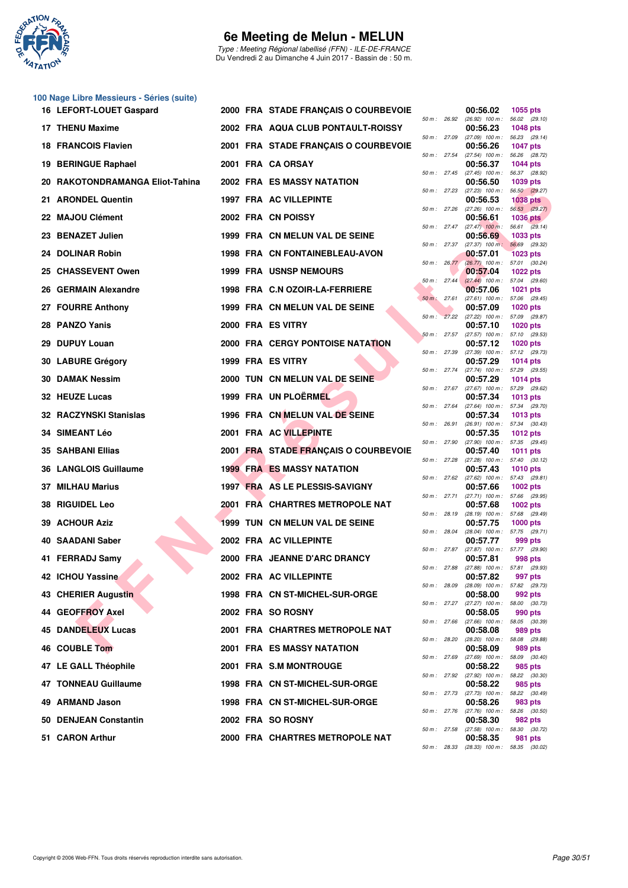

Type : Meeting Régional labellisé (FFN) - ILE-DE-FRANCE Du Vendredi 2 au Dimanche 4 Juin 2017 - Bassin de : 50 m.

|    | 100 Nage Libre Messieurs - Séries (suite) |  |                                       |                  |                                                        |                                  |
|----|-------------------------------------------|--|---------------------------------------|------------------|--------------------------------------------------------|----------------------------------|
|    | 16 LEFORT-LOUET Gaspard                   |  | 2000 FRA STADE FRANÇAIS O COURBEVOIE  | 50 m : 26.92     | 00:56.02<br>$(26.92)$ 100 m : 56.02 $(29.10)$          | 1055 pts                         |
|    | 17 THENU Maxime                           |  | 2002 FRA AQUA CLUB PONTAULT-ROISSY    | 50 m : 27.09     | 00:56.23<br>$(27.09)$ 100 m : 56.23 $(29.14)$          | <b>1048 pts</b>                  |
|    | <b>18 FRANCOIS Flavien</b>                |  | 2001 FRA STADE FRANÇAIS O COURBEVOIE  | 50 m: 27.54      | 00:56.26<br>$(27.54)$ 100 m :                          | <b>1047 pts</b><br>56.26 (28.72) |
|    | 19 BERINGUE Raphael                       |  | 2001 FRA CA ORSAY                     | 50 m: 27.45      | 00:56.37<br>(27.45) 100 m: 56.37 (28.92)               | <b>1044 pts</b>                  |
|    | 20 RAKOTONDRAMANGA Eliot-Tahina           |  | 2002 FRA ES MASSY NATATION            |                  | 00:56.50                                               | 1039 pts                         |
|    | 21 ARONDEL Quentin                        |  | 1997 FRA AC VILLEPINTE                | 50 m: 27.23      | (27.23) 100 m: 56.50 (29.27)<br>00:56.53               | <b>1038 pts</b>                  |
|    | 22 MAJOU Clément                          |  | 2002 FRA CN POISSY                    | 50 m : 27.26     | $(27.26)$ 100 m : 56.53 $(29.27)$<br>00:56.61          | <b>1036 pts</b>                  |
|    | 23 BENAZET Julien                         |  | 1999 FRA CN MELUN VAL DE SEINE        |                  | 50 m: 27.47 (27.47) 100 m: 56.61 (29.14)<br>00:56.69   | 1033 pts                         |
|    | 24 DOLINAR Robin                          |  | 1998 FRA CN FONTAINEBLEAU-AVON        | 50 m : 27.37     | $(27.37)$ 100 m:<br>00:57.01                           | 56.69 (29.32)<br><b>1023 pts</b> |
|    | 25 CHASSEVENT Owen                        |  | <b>1999 FRA USNSP NEMOURS</b>         | $50 m$ : $26.77$ | (26.77) 100 m: 57.01 (30.24)<br>00:57.04               | <b>1022 pts</b>                  |
|    | 26 GERMAIN Alexandre                      |  | 1998 FRA C.N OZOIR-LA-FERRIERE        | 50 m: 27.44      | $(27.44)$ 100 m : 57.04 (29.60)<br>00:57.06            | <b>1021 pts</b>                  |
|    | 27 FOURRE Anthony                         |  | 1999 FRA CN MELUN VAL DE SEINE        | 50 m: 27.61      | (27.61) 100 m: 57.06 (29.45)<br>00:57.09               | <b>1020 pts</b>                  |
|    | 28 PANZO Yanis                            |  | 2000 FRA ES VITRY                     |                  | 50 m : 27.22 (27.22) 100 m : 57.09 (29.87)<br>00:57.10 | <b>1020 pts</b>                  |
|    |                                           |  |                                       | 50 m: 27.57      | $(27.57)$ 100 m : 57.10 $(29.53)$                      |                                  |
| 29 | <b>DUPUY Louan</b>                        |  | 2000 FRA CERGY PONTOISE NATATION      | 50 m : 27.39     | 00:57.12<br>(27.39) 100 m: 57.12 (29.73)               | <b>1020 pts</b>                  |
|    | 30 LABURE Grégory                         |  | 1999 FRA ES VITRY                     | 50 m : 27.74     | 00:57.29<br>(27.74) 100 m: 57.29 (29.55)               | 1014 pts                         |
|    | <b>30 DAMAK Nessim</b>                    |  | 2000 TUN CN MELUN VAL DE SEINE        | 50 m : 27.67     | 00:57.29<br>(27.67) 100 m: 57.29 (29.62)               | 1014 pts                         |
|    | 32 HEUZE Lucas                            |  | 1999 FRA UN PLOËRMEL                  | 50 m: 27.64      | 00:57.34<br>(27.64) 100 m : 57.34 (29.70)              | <b>1013 pts</b>                  |
|    | 32 RACZYNSKI Stanislas                    |  | 1996 FRA CN MELUN VAL DE SEINE        | 50 m : 26.91     | 00:57.34<br>$(26.91)$ 100 m : 57.34 $(30.43)$          | 1013 pts                         |
|    | <b>34 SIMEANT Léo</b>                     |  | 2001 FRA AC VILLEPINTE                | 50 m : 27.90     | 00:57.35<br>$(27.90)$ 100 m : 57.35 $(29.45)$          | 1012 pts                         |
|    | <b>35 SAHBANI Ellias</b>                  |  | 2001 FRA STADE FRANÇAIS O COURBEVOIE  |                  | 00:57.40                                               | <b>1011 pts</b>                  |
|    | 36 LANGLOIS Guillaume                     |  | <b>1999 FRA ES MASSY NATATION</b>     | 50 m : 27.28     | $(27.28)$ 100 m : 57.40 $(30.12)$<br>00:57.43          | <b>1010 pts</b>                  |
| 37 | <b>MILHAU Marius</b>                      |  | 1997 FRA AS LE PLESSIS-SAVIGNY        |                  | 50 m: 27.62 (27.62) 100 m: 57.43 (29.81)<br>00:57.66   | 1002 pts                         |
|    | <b>38 RIGUIDEL Leo</b>                    |  | 2001 FRA CHARTRES METROPOLE NAT       | 50 m : 27.71     | (27.71) 100 m: 57.66 (29.95)<br>00:57.68               | 1002 pts                         |
| 39 | <b>ACHOUR Aziz</b>                        |  | <b>1999 TUN CN MELUN VAL DE SEINE</b> | 50 m: 28.19      | (28.19) 100 m: 57.68 (29.49)<br>00:57.75               | $1000$ pts                       |
|    | 40 SAADANI Saber                          |  | 2002 FRA AC VILLEPINTE                | 50 m : 28.04     | (28.04) 100 m: 57.75 (29.71)<br>00:57.77               | 999 pts                          |
|    | 41 FERRADJ Samy                           |  | 2000 FRA JEANNE D'ARC DRANCY          | 50 m : 27.87     | (27.87) 100 m : 57.77 (29.90)<br>00:57.81              | 998 pts                          |
|    | 42 ICHOU Yassine                          |  | 2002 FRA AC VILLEPINTE                | 50 m: 27.88      | (27.88) 100 m : 57.81 (29.93)<br>00:57.82              | 997 pts                          |
|    | 43 CHERIER Augustin                       |  | 1998 FRA CN ST-MICHEL-SUR-ORGE        | 50 m : 28.09     | (28.09) 100 m: 57.82 (29.73)<br>00:58.00               |                                  |
|    |                                           |  |                                       | 50 m: 27.27      | $(27.27)$ 100 m : 58.00 $(30.73)$                      | 992 pts                          |
|    | 44 GEOFFROY Axel                          |  | 2002 FRA SO ROSNY                     | 50 m: 27.66      | 00:58.05<br>$(27.66)$ 100 m : 58.05 $(30.39)$          | 990 pts                          |
|    | <b>45 DANDELEUX Lucas</b>                 |  | 2001 FRA CHARTRES METROPOLE NAT       | 50 m : 28.20     | 00:58.08<br>(28.20) 100 m: 58.08 (29.88)               | 989 pts                          |
|    | 46 COUBLE Tom                             |  | <b>2001 FRA ES MASSY NATATION</b>     | 50 m : 27.69     | 00:58.09<br>$(27.69)$ 100 m : 58.09 $(30.40)$          | 989 pts                          |
|    | 47 LE GALL Théophile                      |  | 2001 FRA S.M MONTROUGE                |                  | 00:58.22<br>50 m : 27.92 (27.92) 100 m : 58.22 (30.30) | 985 pts                          |
|    | <b>47 TONNEAU Guillaume</b>               |  | 1998 FRA CN ST-MICHEL-SUR-ORGE        | 50 m : 27.73     | 00:58.22<br>(27.73) 100 m: 58.22 (30.49)               | 985 pts                          |
|    | 49 ARMAND Jason                           |  | 1998 FRA CN ST-MICHEL-SUR-ORGE        | 50 m : 27.76     | 00:58.26<br>(27.76) 100 m: 58.26 (30.50)               | 983 pts                          |
|    | 50 DENJEAN Constantin                     |  | 2002 FRA SO ROSNY                     |                  | 00:58.30                                               | 982 pts                          |
|    | 51 CARON Arthur                           |  | 2000 FRA CHARTRES METROPOLE NAT       | 50 m: 27.58      | (27.58) 100 m: 58.30 (30.72)<br>00:58.35               | 981 pts                          |

| 50 m :      | 27.09 | $(27.09)$ 100 m :             |           | 56.23                            | (29.14)        |
|-------------|-------|-------------------------------|-----------|----------------------------------|----------------|
| 50 m: 27.54 |       | 00:56.26                      |           | <b>1047 pts</b>                  |                |
|             |       | $(27.54)$ 100 m :<br>00:56.37 |           | 56.26<br>1044 pts                | (28.72)        |
| $50 m$ :    | 27.45 | $(27.45)$ 100 m :             |           | 56.37 (28.92)                    |                |
|             |       | 00:56.50                      |           | 1039 pts                         |                |
| $50 m$ :    | 27.23 | (27.23) 100 m :               |           | 56.50 (29.27)                    |                |
| 50 m :      | 27.26 | 00:56.53<br>$(27.26)$ 100 m : |           | <b>1038 pts</b><br>56.53 (29.27) |                |
|             |       | 00:56.61                      |           | <b>1036 pts</b>                  |                |
| $50 m$ :    | 27.47 | $(27.47)$ 100 m :             |           | 56.61                            | (29.14)        |
|             |       | 00:56.69                      |           | 1033 pts                         |                |
| $50 m$ :    | 27.37 | $(27.37)$ 100 m;              |           | 56.69                            | (29.32)        |
| $50 m$ :    | 26.77 | 00:57.01<br>$(26.77)$ 100 m : |           | 1023 pts<br>57.01                | (30.24)        |
|             |       | 00:57.04                      |           | 1022 pts                         |                |
| $50 m$ :    | 27.44 | $(27.44)$ 100 m :             |           | 57.04                            | (29.60)        |
|             |       | 00:57.06                      |           | 1021 pts                         |                |
| $50 m$ :    | 27.61 | $(27.61)$ 100 m :             |           | 57.06 (29.45)                    |                |
| 50 m :      | 27.22 | 00:57.09<br>$(27.22)$ 100 m : |           | 1020 pts<br>57.09                | (29.87)        |
|             |       | 00:57.10                      |           | 1020 pts                         |                |
| $50 m$ :    | 27.57 | (27.57) 100 m :               |           | 57.10                            | (29.53)        |
|             |       | 00:57.12                      |           | 1020 pts                         |                |
| 50 m :      | 27.39 | $(27.39)$ 100 m :             |           | 57.12                            | (29.73)        |
|             | 27.74 | 00:57.29                      |           | 1014 pts                         |                |
| 50 m :      |       | $(27.74)$ 100 m :<br>00:57.29 |           | 57.29<br>1014 pts                | (29.55)        |
| $50 m$ :    | 27.67 | $(27.67)$ 100 m :             |           | 57.29                            | (29.62)        |
|             |       | 00:57.34                      |           | 1013 pts                         |                |
| $50 m$ :    | 27.64 | $(27.64)$ 100 m :             |           | 57.34                            | (29.70)        |
|             |       | 00:57.34                      |           | 1013 pts                         |                |
| 50 m :      | 26.91 | $(26.91)$ 100 m :<br>00:57.35 |           | 57.34 (30.43)<br>1012 pts        |                |
| 50 m :      | 27.90 | (27.90) 100 m :               |           | 57.35                            | (29.45)        |
|             |       | 00:57.40                      |           | 1011 pts                         |                |
| 50 m :      | 27.28 | $(27.28)$ 100 m :             |           | 57.40                            | (30.12)        |
|             |       | 00:57.43                      |           | 1010 pts                         |                |
| 50 m :      | 27.62 | $(27.62)$ 100 m :<br>00:57.66 |           | 57.43<br>1002 pts                | (29.81)        |
| $50 m$ :    | 27.71 | (27.71) 100 m :               |           | 57.66                            | (29.95)        |
|             |       | 00:57.68                      |           | 1002 pts                         |                |
| 50 m :      | 28.19 | $(28.19)$ 100 m :             |           | 57.68                            | (29.49)        |
|             |       | 00:57.75                      |           | 1000 pts                         |                |
| 50 m :      | 28.04 | $(28.04)$ 100 m :             |           | 57.75                            | (29.71)        |
| $50 m$ :    | 27.87 | 00:57.77<br>(27.87) 100 m :   |           | 999 pts<br>57.77 (29.90)         |                |
|             |       | 00:57.81                      |           | 998 pts                          |                |
| $50 m$ :    | 27.88 | $(27.88)$ 100 m :             |           | 57.81                            | (29.93)        |
|             |       | 00:57.82                      |           | 997 pts                          |                |
| 50 m :      | 28.09 | $(28.09)$ 100 m :             |           | 57.82                            | (29.73)        |
| 50 m: 27.27 |       | 00:58.00<br>$(27.27)$ 100 m : |           | 992 pts<br>58.00 (30.73)         |                |
|             |       | 00:58.05                      |           | 990 pts                          |                |
| $50 m$ :    | 27.66 | $(27.66)$ 100 m :             |           | 58.05                            | (30.39)        |
|             |       | 00:58.08                      |           | 989 pts                          |                |
| $50 m$ :    | 28.20 | $(28.20)$ 100 m :             |           | 58.08                            | (29.88)        |
|             |       | 00:58.09                      |           | 989 pts                          |                |
| $50 m$ :    | 27.69 | $(27.69)$ 100 m :<br>00:58.22 |           | 58.09<br>985                     | (30.40)<br>pts |
| $50 m$ :    | 27.92 | $(27.92)$ 100 m :             |           | 58.22                            | (30.30)        |
|             |       | 00:58.22                      |           | 985 pts                          |                |
| 50 m :      | 27.73 | $(27.73)$ 100 m :             |           | 58.22                            | (30.49)        |
|             |       | 00:58.26                      |           | 983 pts                          |                |
| $50 m$ :    | 27.76 | $(27.76)$ 100 m :<br>00:58.30 |           | 58.26<br>982 pts                 | (30.50)        |
| $50 m$ :    | 27.58 | $(27.58)$ 100 m :             |           | 58.30                            | (30.72)        |
|             |       | 00:58.35                      |           | 981                              | pts            |
| $50 m$ :    | 28.33 | (28.33)                       | $100 m$ : | 58.35                            | (30.02)        |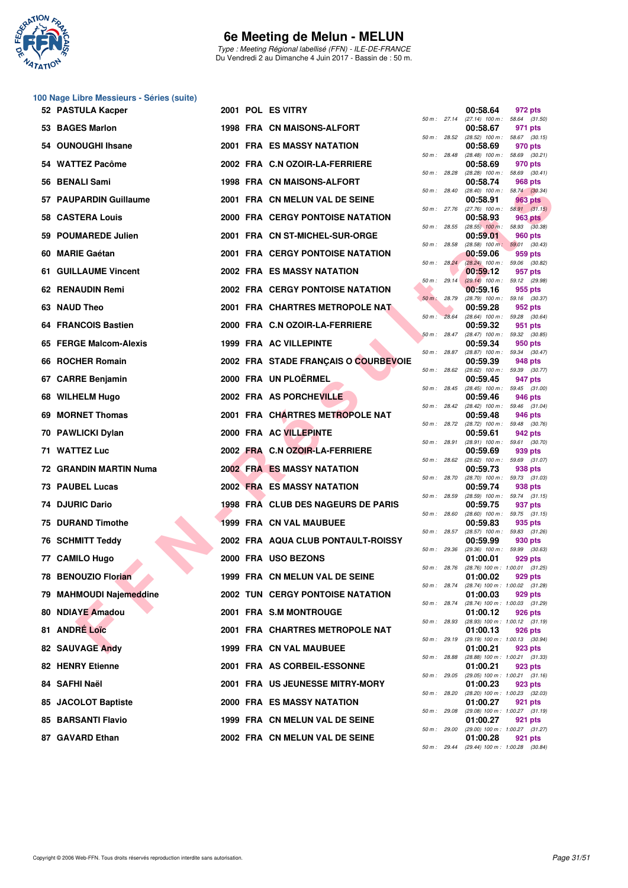

Type : Meeting Régional labellisé (FFN) - ILE-DE-FRANCE Du Vendredi 2 au Dimanche 4 Juin 2017 - Bassin de : 50 m.

|    | 100 Nage Libre Messieurs - Séries (suite) |  |                                         |                |              |                                                                           |                |  |
|----|-------------------------------------------|--|-----------------------------------------|----------------|--------------|---------------------------------------------------------------------------|----------------|--|
|    | 52 PASTULA Kacper                         |  | 2001 POL ES VITRY                       |                | 50 m: 27.14  | 00:58.64<br>$(27.14)$ 100 m : 58.64 $(31.50)$                             | 972 pts        |  |
|    | 53 BAGES Marlon                           |  | 1998 FRA CN MAISONS-ALFORT              |                |              | 00:58.67<br>50 m : 28.52 (28.52) 100 m : 58.67 (30.15)                    | 971 pts        |  |
|    | 54 OUNOUGHI Ihsane                        |  | <b>2001 FRA ES MASSY NATATION</b>       |                |              | 00:58.69                                                                  | 970 pts        |  |
|    | 54 WATTEZ Pacôme                          |  | 2002 FRA C.N OZOIR-LA-FERRIERE          | 50 m : 28.48   |              | $(28.48)$ 100 m : 58.69 $(30.21)$<br>00:58.69                             | 970 pts        |  |
|    | 56 BENALI Sami                            |  | 1998 FRA CN MAISONS-ALFORT              | 50 m: 28.28    |              | $(28.28)$ 100 m : 58.69 $(30.41)$<br>00:58.74                             | 968 pts        |  |
|    | 57 PAUPARDIN Guillaume                    |  | 2001 FRA CN MELUN VAL DE SEINE          | 50 m : 28.40   |              | $(28.40)$ 100 m : 58.74 $(30.34)$<br>00:58.91                             | 963 pts        |  |
|    | 58 CASTERA Louis                          |  | 2000 FRA CERGY PONTOISE NATATION        | 50 m: 27.76    |              | $(27.76)$ 100 m : 58.91 $(31.15)$<br>00:58.93                             | <b>963 pts</b> |  |
|    | 59 POUMAREDE Julien                       |  | 2001 FRA CN ST-MICHEL-SUR-ORGE          | 50 m : 28.55   |              | $(28.55)$ 100 m : 58.93 $(30.38)$<br>00:59.01                             | 960 pts        |  |
| 60 | <b>MARIE Gaétan</b>                       |  | 2001 FRA CERGY PONTOISE NATATION        | 50 m: 28.58    |              | $(28.58)$ 100 m; 59.01 $(30.43)$<br>00:59.06                              | 959 pts        |  |
|    | 61 GUILLAUME Vincent                      |  | 2002 FRA ES MASSY NATATION              |                | 50 m: 28.24  | $(28.24)$ 100 m : 59.06 (30.82)<br>00:59.12                               | 957 pts        |  |
|    | 62 RENAUDIN Remi                          |  | 2002 FRA CERGY PONTOISE NATATION        | $50 m$ : 29.14 |              | $(29.14)$ 100 m : 59.12 $(29.98)$<br>00:59.16                             | 955 pts        |  |
|    | 63 NAUD Theo                              |  | 2001 FRA CHARTRES METROPOLE NAT         | 50 m : 28.79   |              | (28.79) 100 m: 59.16 (30.37)<br>00:59.28                                  | 952 pts        |  |
|    | <b>64 FRANCOIS Bastien</b>                |  | 2000 FRA C.N OZOIR-LA-FERRIERE          | 50 m: 28.64    |              | $(28.64)$ 100 m : 59.28 $(30.64)$<br>00:59.32                             | 951 pts        |  |
|    | 65 FERGE Malcom-Alexis                    |  | 1999 FRA AC VILLEPINTE                  | 50 m: 28.47    |              | (28.47) 100 m: 59.32 (30.85)<br>00:59.34                                  | 950 pts        |  |
|    | <b>ROCHER Romain</b>                      |  | 2002 FRA STADE FRANÇAIS O COURBEVOIE    |                | 50 m : 28.87 | (28.87) 100 m: 59.34 (30.47)                                              |                |  |
| 66 |                                           |  | 2000 FRA UN PLOËRMEL                    | 50 m: 28.62    |              | 00:59.39<br>(28.62) 100 m : 59.39 (30.77)                                 | 948 pts        |  |
|    | 67 CARRE Benjamin                         |  |                                         | 50 m : 28.45   |              | 00:59.45<br>$(28.45)$ 100 m : 59.45 $(31.00)$                             | 947 pts        |  |
|    | 68 WILHELM Hugo                           |  | 2002 FRA AS PORCHEVILLE                 | 50 m: 28.42    |              | 00:59.46<br>(28.42) 100 m: 59.46 (31.04)                                  | 946 pts        |  |
| 69 | <b>MORNET Thomas</b>                      |  | 2001 FRA CHARTRES METROPOLE NAT         | 50 m : 28.72   |              | 00:59.48<br>(28.72) 100 m: 59.48 (30.76)                                  | 946 pts        |  |
|    | 70 PAWLICKI Dylan                         |  | 2000 FRA AC VILLEPINTE                  | 50 m : 28.91   |              | 00:59.61<br>(28.91) 100 m: 59.61 (30.70)                                  | 942 pts        |  |
|    | 71 WATTEZ Luc                             |  | 2002 FRA C.N OZOIR-LA-FERRIERE          | 50 m: 28.62    |              | 00:59.69<br>$(28.62)$ 100 m : 59.69 $(31.07)$                             | 939 pts        |  |
|    | 72 GRANDIN MARTIN Numa                    |  | <b>2002 FRA ES MASSY NATATION</b>       | 50 m : 28.70   |              | 00:59.73<br>(28.70) 100 m: 59.73 (31.03)                                  | 938 pts        |  |
|    | 73 PAUBEL Lucas                           |  | 2002 FRA ES MASSY NATATION              | 50 m: 28.59    |              | 00:59.74<br>$(28.59)$ 100 m : 59.74 $(31.15)$                             | 938 pts        |  |
|    | 74 DJURIC Dario                           |  | 1998 FRA CLUB DES NAGEURS DE PARIS      | 50 m: 28.60    |              | 00:59.75<br>$(28.60)$ 100 m : 59.75 $(31.15)$                             | 937 pts        |  |
| 75 | <b>DURAND Timothe</b>                     |  | 1999 FRA CN VAL MAUBUEE                 | 50 m: 28.57    |              | 00:59.83                                                                  | 935 pts        |  |
|    | <b>76 SCHMITT Teddy</b>                   |  | 2002 FRA AQUA CLUB PONTAULT-ROISSY      | 50 m: 29.36    |              | (28.57) 100 m : 59.83 (31.26)<br>00:59.99<br>(29.36) 100 m: 59.99 (30.63) | 930 pts        |  |
|    | 77 CAMILO Hugo                            |  | 2000 FRA USO BEZONS                     |                |              | 01:00.01                                                                  | 929 pts        |  |
|    | 78 BENOUZIO Florian                       |  | 1999 FRA CN MELUN VAL DE SEINE          | 50 m : 28.76   |              | (28.76) 100 m: 1:00.01 (31.25)<br>01:00.02                                | 929 pts        |  |
|    | 79 MAHMOUDI Najemeddine                   |  | <b>2002 TUN CERGY PONTOISE NATATION</b> | 50 m : 28.74   |              | (28.74) 100 m : 1:00.02 (31.28)<br>01:00.03                               | 929 pts        |  |
|    | 80 NDIAYE Amadou                          |  | 2001 FRA S.M MONTROUGE                  | 50 m : 28.74   |              | (28.74) 100 m: 1:00.03 (31.29)<br>01:00.12                                | 926 pts        |  |
|    | 81 ANDRE Loïc                             |  | 2001 FRA CHARTRES METROPOLE NAT         | 50 m : 28.93   |              | (28.93) 100 m: 1:00.12 (31.19)<br>01:00.13                                | 926 pts        |  |
|    | 82 SAUVAGE Andy                           |  | 1999 FRA CN VAL MAUBUEE                 | 50 m: 29.19    |              | $(29.19)$ 100 m : 1:00.13 $(30.94)$<br>01:00.21                           | 923 pts        |  |
|    | <b>82 HENRY Etienne</b>                   |  | 2001 FRA AS CORBEIL-ESSONNE             | 50 m : 28.88   |              | (28.88) 100 m: 1:00.21 (31.33)<br>01:00.21                                | 923 pts        |  |
|    | 84 SAFHI Naël                             |  | 2001 FRA US JEUNESSE MITRY-MORY         | 50 m : 29.05   |              | (29.05) 100 m: 1:00.21 (31.16)<br>01:00.23                                | 923 pts        |  |
|    | 85 JACOLOT Baptiste                       |  | 2000 FRA ES MASSY NATATION              | 50 m : 28.20   |              | (28.20) 100 m : 1:00.23 (32.03)<br>01:00.27                               | 921 pts        |  |
|    | 85 BARSANTI Flavio                        |  | 1999 FRA CN MELUN VAL DE SEINE          | 50 m : 29.08   |              | (29.08) 100 m: 1:00.27 (31.19)<br>01:00.27                                | 921 pts        |  |
|    | 87 GAVARD Ethan                           |  | 2002 FRA CN MELUN VAL DE SEINE          | 50 m: 29.00    |              | (29.00) 100 m: 1:00.27 (31.27)<br>01:00.28                                | 921 pts        |  |

|          |       | 00:58.64                      | <b>972 pts</b>     |                |
|----------|-------|-------------------------------|--------------------|----------------|
| 50 m :   | 27.14 | $(27.14)$ 100 m :             | 58.64              | (31.50)        |
|          |       | 00:58.67                      | 971                | pts            |
| $50 m$ : | 28.52 | $(28.52)$ 100 m :             | 58.67              | (30.15)        |
| 50 m :   | 28.48 | 00:58.69<br>$(28.48)$ 100 m : | 970 pts<br>58.69   | (30.21)        |
|          |       | 00:58.69                      | 970 pts            |                |
| $50 m$ : | 28.28 | $(28.28)$ 100 m :             | 58.69              | (30.41)        |
|          |       | 00:58.74                      | <b>968 pts</b>     |                |
| $50 m$ : | 28.40 | $(28.40)$ 100 m :             | 58.74              | (30.34)        |
| $50 m$ : | 27.76 | 00:58.91                      | 963                | pts            |
|          |       | (27.76) 100 m :<br>00:58.93   | 58.91<br>963.      | (31.15)<br>pts |
| $50 m$ : | 28.55 | $(28.55)$ 100 m :             | 58.93              | (30.38)        |
|          |       | 00:59.01                      | 960 pts            |                |
| $50 m$ : | 28.58 | $(28.58)$ 100 m;              | 59.01              | (30.43)        |
|          | 28.24 | 00:59.06                      | 959 pts            |                |
| $50 m$ : |       | $(28.24)$ 100 m :<br>00:59.12 | 59.06<br>957 pts   | (30.82)        |
| $50 m$ : | 29.14 | $(29.14)$ 100 m :             | 59.12              | (29.98)        |
|          |       | 00:59.16                      | 955 pts            |                |
| $50 m$ : | 28.79 | $(28.79)$ 100 m :             | 59.16              | (30.37)        |
|          |       | 00:59.28                      | 952 pts            |                |
| $50 m$ : | 28.64 | $(28.64)$ 100 m :<br>00:59.32 | 59.28<br>951       | (30.64)<br>pts |
| 50 m :   | 28.47 | $(28.47)$ 100 m :             | 59.32              | (30.85)        |
|          |       | 00:59.34                      | 950 pts            |                |
| $50 m$ : | 28.87 | $(28.87)$ 100 m :             | 59.34              | (30.47)        |
|          |       | 00:59.39                      | 948 pts            |                |
| 50 m :   | 28.62 | $(28.62)$ 100 m :<br>00:59.45 | 59.39<br>947 pts   | (30.77)        |
| $50 m$ : | 28.45 | $(28.45)$ 100 m :             | 59.45              | (31.00)        |
|          |       | 00:59.46                      | 946 pts            |                |
| $50 m$ : | 28.42 | $(28.42)$ 100 m :             | 59.46              | (31.04)        |
|          |       | 00:59.48                      | 946 pts            |                |
| 50 m :   | 28.72 | $(28.72)$ 100 m :<br>00:59.61 | 59.48<br>942 pts   | (30.76)        |
| $50 m$ : | 28.91 | $(28.91)$ 100 m :             | 59.61              | (30.70)        |
|          |       | 00:59.69                      | 939 pts            |                |
| 50 m :   | 28.62 | $(28.62)$ 100 m :             | 59.69              | (31.07)        |
|          |       | 00:59.73                      | 938 pts            |                |
| 50 m :   | 28.70 | (28.70) 100 m :<br>00:59.74   | 59.73<br>938 pts   | (31.03)        |
| $50 m$ : | 28.59 | $(28.59)$ 100 m :             | 59.74              | (31.15)        |
|          |       | 00:59.75                      | 937 pts            |                |
| 50 m :   | 28.60 | $(28.60)$ 100 m :             | 59.75              | (31.15)        |
| $50 m$ : | 28.57 | 00:59.83<br>$(28.57)$ 100 m : | 935<br>59.83       | pts<br>(31.26) |
|          |       | 00:59.99                      | 930 pts            |                |
| $50 m$ : | 29.36 | $(29.36)$ 100 m :             | 59.99              | (30.63)        |
|          |       | 01:00.01                      | 929 pts            |                |
| 50 m :   | 28.76 | $(28.76)$ 100 m :             | 1:00.01            | (31.25)        |
| 50 m :   | 28.74 | 01:00.02<br>(28.74) 100 m :   | 929 pts<br>1:00.02 | (31.28)        |
|          |       | 01:00.03                      | 929 pts            |                |
| $50 m$ : | 28.74 | (28.74) 100 m :               | 1:00.03            | (31.29)        |
|          |       | 01:00.12                      | 926 pts            |                |
| $50 m$ : | 28.93 | $(28.93) 100 m$ :<br>01:00.13 | 1:00.12<br>926     | (31.19)<br>pts |
| $50 m$ : | 29.19 | (29.19) 100 m :               | 1:00.13            | (30.94)        |
|          |       | 01:00.21                      | 923 pts            |                |
| $50 m$ : | 28.88 | $(28.88) 100 m$ :             | 1:00.21            | (31.33)        |
|          |       | 01:00.21                      | 923 pts            |                |
| 50 m :   | 29.05 | (29.05) 100 m :<br>01:00.23   | 1:00.21<br>923 pts | (31.16)        |
| $50 m$ : | 28.20 | (28.20) 100 m :               | 1:00.23            | (32.03)        |
|          |       | 01:00.27                      | 921                | pts            |
| $50 m$ : | 29.08 | $(29.08)$ 100 m :             | 1:00.27            | (31.19)        |
|          |       | 01:00.27                      | 921                | pts            |
| $50 m$ : | 29.00 | (29.00) 100 m :<br>01:00.28   | 1:00.27<br>921     | (31.27)<br>pts |
| $50 m$ : | 29.44 | (29.44) 100 m :               | 1:00.28            | (30.84)        |
|          |       |                               |                    |                |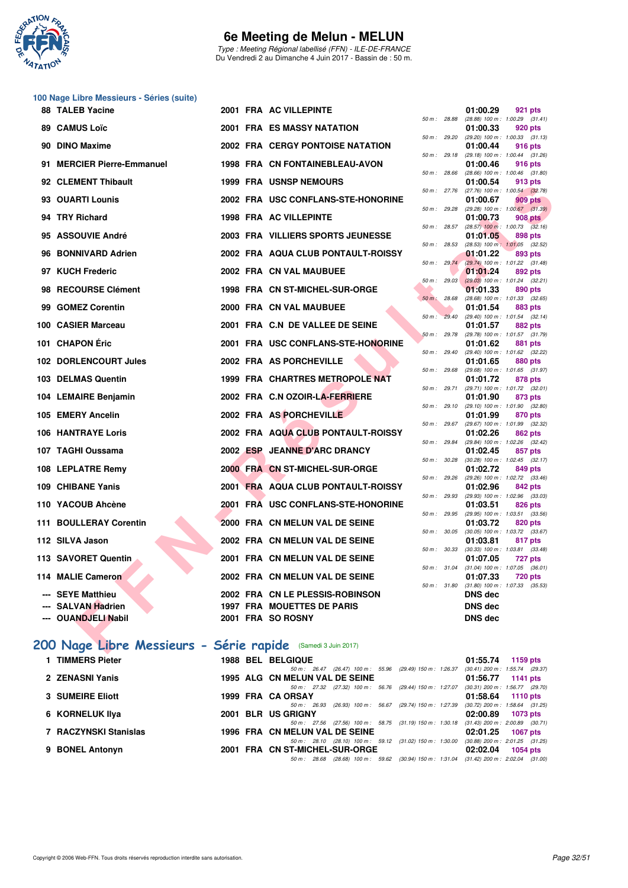

Type : Meeting Régional labellisé (FFN) - ILE-DE-FRANCE Du Vendredi 2 au Dimanche 4 Juin 2017 - Bassin de : 50 m.

| 89. | <b>88 TALEB Yacine</b>                       |  | 2001 FRA AC VILLEPINTE                          |                             |              |                                                                                                          |
|-----|----------------------------------------------|--|-------------------------------------------------|-----------------------------|--------------|----------------------------------------------------------------------------------------------------------|
|     |                                              |  |                                                 |                             |              | 01:00.29<br>921 pts                                                                                      |
|     | <b>CAMUS Loïc</b>                            |  | 2001 FRA ES MASSY NATATION                      | 50 m: 28.88                 |              | $(28.88)$ 100 m : 1:00.29 $(31.41)$<br>01:00.33<br>920 pts                                               |
| 90  | <b>DINO Maxime</b>                           |  | <b>2002 FRA CERGY PONTOISE NATATION</b>         | 50 m : 29.20<br>50 m: 29.18 |              | (29.20) 100 m: 1:00.33 (31.13)<br>01:00.44<br>916 pts                                                    |
|     | 91 MERCIER Pierre-Emmanuel                   |  | 1998 FRA CN FONTAINEBLEAU-AVON                  |                             |              | (29.18) 100 m: 1:00.44 (31.26)<br>01:00.46<br>916 pts                                                    |
|     | 92 CLEMENT Thibault                          |  | <b>1999 FRA USNSP NEMOURS</b>                   | 50 m: 28.66<br>50 m: 27.76  |              | $(28.66)$ 100 m : 1:00.46 $(31.80)$<br>01:00.54<br>913 pts<br>(27.76) 100 m : 1:00.54 (32.78)            |
|     | 93 OUARTI Lounis                             |  | 2002 FRA USC CONFLANS-STE-HONORINE              | 50 m : 29.28                |              | 01:00.67<br>909 pts                                                                                      |
| 94  | <b>TRY Richard</b>                           |  | 1998 FRA AC VILLEPINTE                          |                             | 50 m : 28.57 | $(29.28)$ 100 m : 1:00.67 $(31.39)$<br>01:00.73<br><b>908 pts</b><br>$(28.57)$ 100 m : 1:00.73 $(32.16)$ |
|     | 95 ASSOUVIE André                            |  | 2003 FRA VILLIERS SPORTS JEUNESSE               | 50 m: 28.53                 |              | 01:01.05<br>898 pts<br>(28.53) 100 m: 1:01.05 (32.52)                                                    |
|     | 96 BONNIVARD Adrien                          |  | 2002 FRA AQUA CLUB PONTAULT-ROISSY              |                             | 50 m: 29.74  | 01:01.22<br>893 pts<br>(29.74) 100 m: 1:01.22 (31.48)                                                    |
|     | 97 KUCH Frederic                             |  | 2002 FRA CN VAL MAUBUEE                         | 50 m : 29.03                |              | 01:01.24<br>892 pts<br>$(29.03)$ 100 m : 1:01.24 $(32.21)$                                               |
|     | 98 RECOURSE Clément                          |  | 1998 FRA CN ST-MICHEL-SUR-ORGE                  | 50 m: 28.68                 |              | 01:01.33<br>890 pts<br>(28.68) 100 m: 1:01.33 (32.65)                                                    |
| 99  | <b>GOMEZ Corentin</b>                        |  | 2000 FRA CN VAL MAUBUEE                         | 50 m: 29.40                 |              | 01:01.54<br>883 pts<br>(29.40) 100 m: 1:01.54 (32.14)                                                    |
|     | 100 CASIER Marceau                           |  | 2001 FRA C.N DE VALLEE DE SEINE                 | 50 m : 29.78                |              | 01:01.57<br>882 pts<br>(29.78) 100 m: 1:01.57 (31.79)                                                    |
|     | 101 CHAPON Éric                              |  | 2001 FRA USC CONFLANS-STE-HONORINE              | 50 m: 29.40                 |              | 01:01.62<br>881 pts<br>(29.40) 100 m : 1:01.62 (32.22)                                                   |
|     | 102 DORLENCOURT Jules                        |  | 2002 FRA AS PORCHEVILLE                         | 50 m : 29.68                |              | 01:01.65<br>880 pts<br>(29.68) 100 m: 1:01.65 (31.97)                                                    |
|     | 103 DELMAS Quentin                           |  | 1999 FRA CHARTRES METROPOLE NAT                 |                             | 50 m : 29.71 | 01:01.72<br>878 pts<br>(29.71) 100 m: 1:01.72 (32.01)                                                    |
|     | 104 LEMAIRE Benjamin                         |  | 2002 FRA C.N OZOIR-LA-FERRIERE                  | 50 m: 29.10                 |              | 01:01.90<br>873 pts<br>(29.10) 100 m: 1:01.90 (32.80)                                                    |
|     | 105 EMERY Ancelin                            |  | 2002 FRA AS PORCHEVILLE                         |                             | 50 m: 29.67  | 01:01.99<br>870 pts<br>(29.67) 100 m: 1:01.99 (32.32)                                                    |
|     | <b>106 HANTRAYE Loris</b>                    |  | 2002 FRA AQUA CLUB PONTAULT-ROISSY              |                             | 50 m : 29.84 | 01:02.26<br>862 pts<br>(29.84) 100 m : 1:02.26 (32.42)                                                   |
|     | 107 TAGHI Oussama                            |  | 2002 ESP JEANNE D'ARC DRANCY                    | 50 m: 30.28                 |              | 01:02.45<br>857 pts<br>$(30.28)$ 100 m : 1:02.45 $(32.17)$                                               |
|     | 108 LEPLATRE Remy                            |  | 2000 FRA CN ST-MICHEL-SUR-ORGE                  | 50 m: 29.26                 |              | 01:02.72<br>849 pts<br>(29.26) 100 m: 1:02.72 (33.46)                                                    |
|     | 109 CHIBANE Yanis                            |  | 2001 FRA AQUA CLUB PONTAULT-ROISSY              | 50 m: 29.93                 |              | 01:02.96<br>842 pts<br>(29.93) 100 m: 1:02.96 (33.03)                                                    |
|     | 110 YACOUB Ahcène                            |  | 2001 FRA USC CONFLANS-STE-HONORINE              | 50 m: 29.95                 |              | 01:03.51<br>826 pts<br>(29.95) 100 m: 1:03.51 (33.56)                                                    |
|     | 111 BOULLERAY Corentin                       |  | 2000 FRA CN MELUN VAL DE SEINE                  |                             | 50 m : 30.05 | 01:03.72<br>820 pts<br>$(30.05)$ 100 m : 1:03.72 $(33.67)$                                               |
|     | 112 SILVA Jason                              |  | 2002 FRA CN MELUN VAL DE SEINE                  | 50 m: 30.33                 |              | 01:03.81<br>817 pts<br>$(30.33)$ 100 m : 1:03.81 $(33.48)$                                               |
|     | 113 SAVORET Quentin                          |  | 2001 FRA CN MELUN VAL DE SEINE                  |                             |              | 01:07.05<br><b>727 pts</b><br>50 m : 31.04 (31.04) 100 m : 1:07.05 (36.01)                               |
|     | 114 MALIE Cameron                            |  | 2002 FRA CN MELUN VAL DE SEINE                  |                             | 50 m : 31.80 | 01:07.33<br><b>720 pts</b><br>$(31.80)$ 100 m : 1:07.33 $(35.53)$                                        |
|     | --- SEYE Matthieu                            |  | 2002 FRA CN LE PLESSIS-ROBINSON                 |                             |              | <b>DNS</b> dec                                                                                           |
|     | <b>SALVAN Hadrien</b><br>--- OUANDJELI Nabil |  | 1997 FRA MOUETTES DE PARIS<br>2001 FRA SO ROSNY |                             |              | DNS dec<br>DNS dec                                                                                       |

|          |       | 01:00.33          | 920 pts        |         |
|----------|-------|-------------------|----------------|---------|
| 50 m :   | 29.20 | (29.20) 100 m :   | 1:00.33        | (31.13) |
|          |       | 01:00.44          | 916            | pts     |
| $50 m$ : | 29.18 | $(29.18) 100 m$ : | 1:00.44        | (31.26) |
|          |       | 01:00.46          | 916 pts        |         |
| $50 m$ : | 28.66 | $(28.66)$ 100 m : | 1:00.46        | (31.80) |
|          |       | 01:00.54          | 913 pts        |         |
| $50 m$ : | 27.76 | (27.76) 100 m :   | 1:00.54        | (32.78) |
|          |       | 01:00.67          | 909            | pts     |
| $50 m$ : | 29.28 | (29.28) 100 m :   | 1:00.67        | (31.39) |
|          |       | 01:00.73          | 908.           | pts     |
| $50 m$ : | 28.57 | $(28.57)$ 100 m : | 1:00.73        | (32.16) |
|          |       | 01:01.05          | 898 pts        |         |
| $50 m$ : | 28.53 | $(28.53)$ 100 m : | 1:01.05        | (32.52) |
|          |       | 01:01.22          | 893            | pts     |
| $50 m$ : | 29.74 | $(29.74) 100 m$ : | 1:01.22        | (31.48) |
|          |       | 01:01.24          | 892 pts        |         |
| $50 m$ : | 29.03 | $(29.03)$ 100 m : | 1:01.24        | (32.21) |
|          |       | 01:01.33          | 890 pts        |         |
| $50 m$ : | 28.68 | $(28.68) 100 m$ : | 1:01.33        | (32.65) |
|          |       | 01:01.54          | 883            | pts     |
| $50 m$ : | 29.40 | $(29.40)$ 100 m : | 1:01.54        | (32.14) |
|          |       | 01:01.57          | <b>882 pts</b> |         |
| $50 m$ : | 29.78 | (29.78) 100 m :   | 1:01.57        | (31.79) |
|          |       | 01:01.62          | 881            | pts     |
| $50 m$ : | 29.40 | $(29.40)$ 100 m : | 1:01.62        | (32.22) |
|          |       | 01:01.65          | 880            | pts     |
| $50 m$ : | 29.68 | $(29.68) 100 m$ : | 1:01.65        | (31.97) |
|          |       | 01:01.72          | 878 pts        |         |
| $50 m$ : | 29.71 | (29.71) 100 m :   | 1:01.72        | (32.01) |
|          |       | 01:01.90          | 873 pts        |         |
| $50 m$ : | 29.10 | $(29.10) 100 m$ : | 1:01.90        | (32.80) |
|          |       | 01:01.99          | 870            | pts     |
| $50 m$ : | 29.67 | (29.67) 100 m :   | 1:01.99        | (32.32) |
|          |       | 01:02.26          | 862 pts        |         |
| 50 m :   | 29.84 | (29.84) 100 m :   | 1:02.26        | (32.42) |
|          |       | 01:02.45          | 857            | pts     |
| $50 m$ : | 30.28 | $(30.28)$ 100 m : | 1:02.45        | (32.17) |
|          |       | 01:02.72          | 849            | pts     |
| $50 m$ : | 29.26 | (29.26) 100 m :   | 1:02.72        | (33.46) |
|          |       | 01:02.96          | 842 pts        |         |
| $50 m$ : | 29.93 | (29.93) 100 m :   | 1:02.96        | (33.03) |
|          |       | 01:03.51          | 826 pts        |         |
| $50 m$ : | 29.95 | (29.95) 100 m :   | 1:03.51        | (33.56) |
|          |       | 01:03.72          | 820            | pts     |
| $50 m$ : | 30.05 | $(30.05)$ 100 m : | 1:03.72        | (33.67) |
|          |       | 01:03.81          | 817 pts        |         |
| $50 m$ : | 30.33 | $(30.33) 100 m$ : | 1:03.81        | (33.48) |
|          |       | 01:07.05          | 727            | pts     |
| $50 m$ : | 31.04 | $(31.04) 100 m$ : | 1:07.05        | (36.01) |
|          |       | 01:07.33          | 720            | pts     |
| $50 m$ : | 31.80 | $(31.80)$ 100 m : | 1:07.33        | (35.53) |
|          |       | DNS dec           |                |         |
|          |       | DNS dec           |                |         |
|          |       | DNS dec           |                |         |
|          |       |                   |                |         |

#### **[200 Nage Libre Messieurs - Série rapide](http://www.ffnatation.fr/webffn/resultats.php?idact=nat&go=epr&idcpt=46973&idepr=53)** (Samedi 3 Juin 2017)

| <b>TIMMERS Pieter</b> |  | <b>1988 BEL BELGIQUE</b>                                                     | 01:55.74 | 1159 $pts$                          |
|-----------------------|--|------------------------------------------------------------------------------|----------|-------------------------------------|
|                       |  | (29.49) 150 m : 1:26.37<br>$(26.47)$ 100 m : 55.96<br>$50 \text{ m}$ : 26.47 |          | $(30.41)$ 200 m : 1:55.74 $(29.37)$ |
| 2 ZENASNI Yanis       |  | 1995 ALG CN MELUN VAL DE SEINE                                               | 01:56.77 | 1141 pts                            |
|                       |  | $(29.44)$ 150 m : 1:27.07<br>$50 \text{ m}$ : 27.32 (27.32) 100 m :<br>56.76 |          | $(30.31)$ 200 m : 1:56.77 $(29.70)$ |
| 3 SUMEIRE Eliott      |  | 1999 FRA CA ORSAY                                                            |          | $01:58.64$ 1110 pts                 |
|                       |  | (29.74) 150 m : 1:27.39<br>$(26.93)$ 100 m : 56.67<br>$50 \text{ m}$ : 26.93 |          | $(30.72)$ 200 m : 1:58.64 $(31.25)$ |
| 6 KORNELUK IIya       |  | 2001 BLR US GRIGNY                                                           | 02:00.89 | 1073 pts                            |
|                       |  | (31.19) 150 m : 1:30.18<br>50 m: 27.56 (27.56) 100 m: 58.75                  |          | $(31.43)$ 200 m : 2:00.89 $(30.71)$ |
| 7 RACZYNSKI Stanislas |  | 1996 FRA CN MELUN VAL DE SEINE                                               | 02:01.25 | <b>1067 pts</b>                     |
|                       |  | $(31.02)$ 150 m : 1:30.00<br>50 m: 28.10 (28.10) 100 m: 59.12                |          | $(30.88)$ 200 m : 2:01.25 $(31.25)$ |
| 9 BONEL Antonyn       |  | 2001 FRA CN ST-MICHEL-SUR-ORGE                                               | 02:02.04 | $1054$ pts                          |
|                       |  | (30.94) 150 m : 1:31.04<br>50 m : 28.68 (28.68) 100 m : 59.62                |          | $(31.42)$ 200 m : 2:02.04 $(31.00)$ |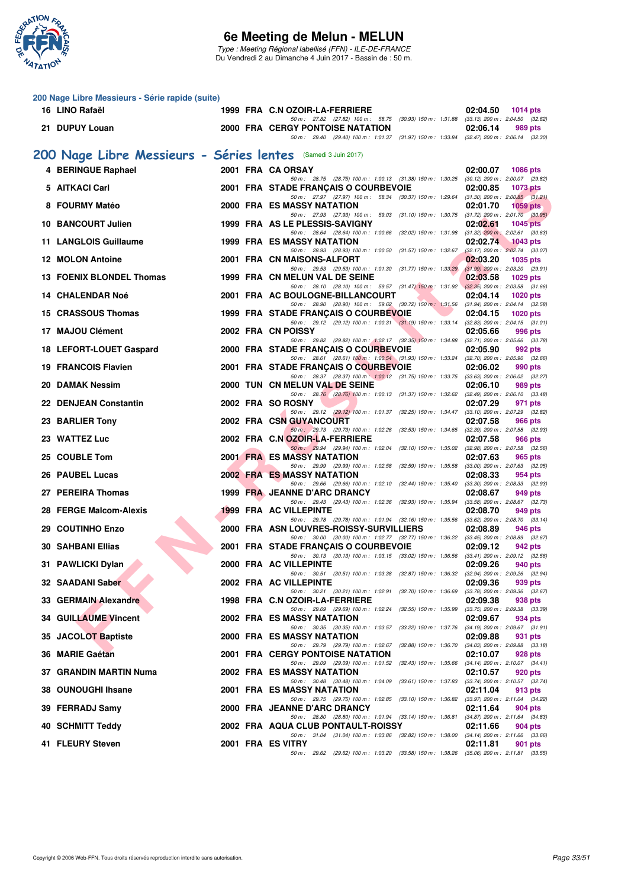

**200 Nage Libre Messieurs - Série rapide (suite)**

### **6e Meeting de Melun - MELUN**

Type : Meeting Régional labellisé (FFN) - ILE-DE-FRANCE Du Vendredi 2 au Dimanche 4 Juin 2017 - Bassin de : 50 m.

|     | 16 LINO Rafaël                                                |  | 1999 FRA C.N OZOIR-LA-FERRIERE                                                                                                                                                                                                | 02:04.50<br>1014 pts                                       |
|-----|---------------------------------------------------------------|--|-------------------------------------------------------------------------------------------------------------------------------------------------------------------------------------------------------------------------------|------------------------------------------------------------|
|     | 21 DUPUY Louan                                                |  | 50 m: 27.82 (27.82) 100 m: 58.75 (30.93) 150 m: 1:31.88 (33.13) 200 m: 2:04.50 (32.62)<br><b>2000 FRA CERGY PONTOISE NATATION</b><br>50 m: 29.40 (29.40) 100 m: 1:01.37 (31.97) 150 m: 1:33.84 (32.47) 200 m: 2:06.14 (32.30) | 02:06.14<br>989 pts                                        |
|     | 200 Nage Libre Messieurs - Séries lentes (Samedi 3 Juin 2017) |  |                                                                                                                                                                                                                               |                                                            |
|     | 4 BERINGUE Raphael                                            |  | 2001 FRA CA ORSAY                                                                                                                                                                                                             | 02:00.07<br>1086 pts                                       |
|     | 5 AITKACI Carl                                                |  | 50 m: 28.75 (28.75) 100 m: 1:00.13 (31.38) 150 m: 1:30.25 (30.12) 200 m: 2:00.07 (29.82)<br>2001 FRA STADE FRANÇAIS O COURBEVOIE                                                                                              | 02:00.85<br><b>1073 pts</b>                                |
|     | 8 FOURMY Matéo                                                |  | 50 m: 27.97 (27.97) 100 m: 58.34 (30.37) 150 m: 1:29.64 (31.30) 200 m: 2:00.85 (31.21)<br>2000 FRA ES MASSY NATATION                                                                                                          | 02:01.70<br>1059 pts                                       |
|     | 10 BANCOURT Julien                                            |  | 50 m: 27.93 (27.93) 100 m: 59.03 (31.10) 150 m: 1:30.75 (31.72) 200 m: 2:01.70 (30.95)<br>1999 FRA AS LE PLESSIS-SAVIGNY                                                                                                      | 02:02.61<br>$1045$ pts                                     |
|     | 11 LANGLOIS Guillaume                                         |  | 50 m: 28.64 (28.64) 100 m: 1:00.66 (32.02) 150 m: 1:31.98 (31.32) 200 m: 2:02.61 (30.63)<br>1999 FRA ES MASSY NATATION                                                                                                        | 02:02.74                                                   |
|     |                                                               |  | 50 m: 28.93 (28.93) 100 m: 1:00.50 (31.57) 150 m: 1:32.67                                                                                                                                                                     | 1043 pts<br>$(32.17)$ 200 m : 2:02.74 $(30.07)$            |
|     | 12 MOLON Antoine                                              |  | 2001 FRA CN MAISONS-ALFORT<br>50 m: 29.53 (29.53) 100 m: 1:01.30 (31.77) 150 m: 1:33.29 (31.99) 200 m: 2:03.20 (29.91)                                                                                                        | 02:03.20<br>1035 pts                                       |
|     | 13 FOENIX BLONDEL Thomas                                      |  | 1999 FRA CN MELUN VAL DE SEINE<br>50 m: 28.10 (28.10) 100 m: 59.57 (31.47) 150 m: 1:31.92 (32.35) 200 m: 2:03.58 (31.66)                                                                                                      | 02:03.58<br>$1029$ pts                                     |
|     | 14 CHALENDAR Noé                                              |  | 2001 FRA AC BOULOGNE-BILLANCOURT<br>50 m: 28.90 (28.90) 100 m: 59.62 (30.72) 150 m: 1:31.56 (31.94) 200 m: 2:04.14 (32.58)                                                                                                    | 02:04.14<br>$1020$ pts                                     |
|     | 15 CRASSOUS Thomas                                            |  | 1999 FRA STADE FRANÇAIS O COURBEVOIE<br>50 m: 29.12 (29.12) 100 m: 1:00.31 (31.19) 150 m: 1:33.14 (32.83) 200 m: 2:04.15 (31.01)                                                                                              | 02:04.15<br>$1020$ pts                                     |
|     | 17 MAJOU Clément                                              |  | 2002 FRA CN POISSY                                                                                                                                                                                                            | 02:05.66<br>996 pts                                        |
|     | 18 LEFORT-LOUET Gaspard                                       |  | 50 m : 29.82 (29.82) 100 m : 1:02.17 (32.35) 150 m : 1:34.88 (32.71) 200 m : 2:05.66 (30.78)<br>2000 FRA STADE FRANÇAIS O COURBEVOIE                                                                                          | 02:05.90<br>992 pts                                        |
|     | <b>19 FRANCOIS Flavien</b>                                    |  | 50 m: 28.61 (28.61) 100 m: 1:00.54 (31.93) 150 m: 1:33.24 (32.70) 200 m: 2:05.90 (32.66)<br>2001 FRA STADE FRANÇAIS O COURBEVOIE                                                                                              | 02:06.02<br>990 pts                                        |
| 20. | <b>DAMAK Nessim</b>                                           |  | 50 m: 28.37 (28.37) 100 m: 1:00.12 (31.75) 150 m: 1:33.75 (33.63) 200 m: 2:06.02 (32.27)<br>2000 TUN CN MELUN VAL DE SEINE                                                                                                    | 02:06.10<br>989 pts                                        |
|     | 22 DENJEAN Constantin                                         |  | 50 m: 28.76 (28.76) 100 m: 1:00.13 (31.37) 150 m: 1:32.62 (32.49) 200 m: 2:06.10 (33.48)<br>2002 FRA SO ROSNY                                                                                                                 | 02:07.29<br>971 pts                                        |
|     | 23 BARLIER Tony                                               |  | 50 m: 29.12 (29.12) 100 m: 1:01.37 (32.25) 150 m: 1:34.47 (33.10) 200 m: 2:07.29 (32.82)<br>2002 FRA CSN GUYANCOURT                                                                                                           | 02:07.58<br>966 pts                                        |
|     | 23 WATTEZ Luc                                                 |  | 50 m: 29.73 (29.73) 100 m: 1:02.26 (32.53) 150 m: 1:34.65 (32.39) 200 m: 2:07.58 (32.93)<br>2002 FRA C.N OZOIR-LA-FERRIERE                                                                                                    | 02:07.58<br>966 pts                                        |
|     |                                                               |  | 50 m: 29.94 (29.94) 100 m: 1:02.04 (32.10) 150 m: 1:35.02 (32.98) 200 m: 2:07.58 (32.56)                                                                                                                                      |                                                            |
|     | 25 COUBLE Tom                                                 |  | <b>2001 FRA ES MASSY NATATION</b><br>50 m: 29.99 (29.99) 100 m: 1:02.58 (32.59) 150 m: 1:35.58 (33.00) 200 m: 2:07.63 (32.05)                                                                                                 | 02:07.63<br>965 pts                                        |
|     | 26 PAUBEL Lucas                                               |  | <b>2002 FRA ES MASSY NATATION</b><br>50 m : 29.66 (29.66) 100 m : 1:02.10 (32.44) 150 m : 1:35.40 (33.30) 200 m : 2:08.33 (32.93)                                                                                             | 02:08.33<br>954 pts                                        |
|     | 27 PEREIRA Thomas                                             |  | 1999 FRA JEANNE D'ARC DRANCY<br>50 m : 29.43 (29.43) 100 m : 1:02.36 (32.93) 150 m : 1:35.94                                                                                                                                  | 02:08.67<br>949 pts<br>$(33.58)$ 200 m : 2:08.67 $(32.73)$ |
|     | 28 FERGE Malcom-Alexis                                        |  | <b>1999 FRA AC VILLEPINTE</b><br>50 m: 29.78 (29.78) 100 m: 1:01.94 (32.16) 150 m: 1:35.56 (33.62) 200 m: 2:08.70 (33.14)                                                                                                     | 02:08.70<br>949 pts                                        |
|     | 29 COUTINHO Enzo                                              |  | 2000 FRA ASN LOUVRES-ROISSY-SURVILLIERS<br>50 m: 30.00 (30.00) 100 m: 1:02.77 (32.77) 150 m: 1:36.22 (33.45) 200 m: 2:08.89 (32.67)                                                                                           | 02:08.89<br>946 pts                                        |
|     | <b>30 SAHBANI Ellias</b>                                      |  | 2001 FRA STADE FRANÇAIS O COURBEVOIE                                                                                                                                                                                          | 02:09.12<br>942 pts                                        |
|     | 31 PAWLICKI Dylan                                             |  | 50 m: 30.13 (30.13) 100 m: 1:03.15 (33.02) 150 m: 1:36.56 (33.41) 200 m: 2:09.12 (32.56)<br>2000 FRA AC VILLEPINTE                                                                                                            | 02:09.26<br>940 pts                                        |
|     | 32 SAADANI Saber                                              |  | 50 m: 30.51 (30.51) 100 m: 1:03.38 (32.87) 150 m: 1:36.32 (32.94) 200 m: 2:09.26 (32.94)<br>2002 FRA AC VILLEPINTE                                                                                                            | 02:09.36<br>939 pts                                        |
|     | 33 GERMAIN Alexandre                                          |  | 50 m : 30.21 (30.21) 100 m : 1:02.91 (32.70) 150 m : 1:36.69<br>1998 FRA C.N OZOIR-LA-FERRIERE                                                                                                                                | $(33.78)$ 200 m : 2:09.36 $(32.67)$<br>02:09.38<br>938 pts |
|     | <b>34 GUILLAUME Vincent</b>                                   |  | 50 m : 29.69 (29.69) 100 m : 1:02.24 (32.55) 150 m : 1:35.99<br>2002 FRA ES MASSY NATATION                                                                                                                                    | $(33.75)$ 200 m : 2:09.38 $(33.39)$<br>02:09.67<br>934 pts |
|     | 35 JACOLOT Baptiste                                           |  | 50 m : 30.35 (30.35) 100 m : 1:03.57 (33.22) 150 m : 1:37.76<br>2000 FRA ES MASSY NATATION                                                                                                                                    | $(34.19)$ 200 m : 2:09.67 $(31.91)$<br>02:09.88<br>931 pts |
|     | 36 MARIE Gaétan                                               |  | 50 m : 29.79 (29.79) 100 m : 1:02.67 (32.88) 150 m : 1:36.70<br><b>2001 FRA CERGY PONTOISE NATATION</b>                                                                                                                       | $(34.03)$ 200 m : 2:09.88 $(33.18)$<br>02:10.07<br>928 pts |
|     | 37 GRANDIN MARTIN Numa                                        |  | 50 m : 29.09 (29.09) 100 m : 1:01.52 (32.43) 150 m : 1:35.66<br><b>2002 FRA ES MASSY NATATION</b>                                                                                                                             | $(34.14)$ 200 m : 2:10.07 $(34.41)$<br>02:10.57<br>920 pts |
|     |                                                               |  | 50 m: 30.48 (30.48) 100 m: 1:04.09 (33.61) 150 m: 1:37.83                                                                                                                                                                     | (33.74) 200 m : 2:10.57 (32.74)                            |
|     | 38 OUNOUGHI Ihsane                                            |  | 2001 FRA ES MASSY NATATION<br>50 m : 29.75 (29.75) 100 m : 1:02.85 (33.10) 150 m : 1:36.82                                                                                                                                    | 02:11.04<br>913 pts<br>(33.97) 200 m : 2:11.04 (34.22)     |
|     | 39 FERRADJ Samy                                               |  | 2000 FRA JEANNE D'ARC DRANCY<br>50 m: 28.80 (28.80) 100 m: 1:01.94 (33.14) 150 m: 1:36.81 (34.87) 200 m: 2:11.64 (34.83)                                                                                                      | 02:11.64<br>904 pts                                        |
|     | 40 SCHMITT Teddy                                              |  | 2002 FRA AQUA CLUB PONTAULT-ROISSY<br>50 m: 31.04 (31.04) 100 m: 1:03.86 (32.82) 150 m: 1:38.00 (34.14) 200 m: 2:11.66 (33.66)                                                                                                | 02:11.66<br><b>904 pts</b>                                 |
|     | 41 FLEURY Steven                                              |  | 2001 FRA ES VITRY<br>50 m: 29.62 (29.62) 100 m: 1:03.20 (33.58) 150 m: 1:38.26 (35.06) 200 m: 2:11.81 (33.55)                                                                                                                 | 02:11.81<br>901 pts                                        |
|     |                                                               |  |                                                                                                                                                                                                                               |                                                            |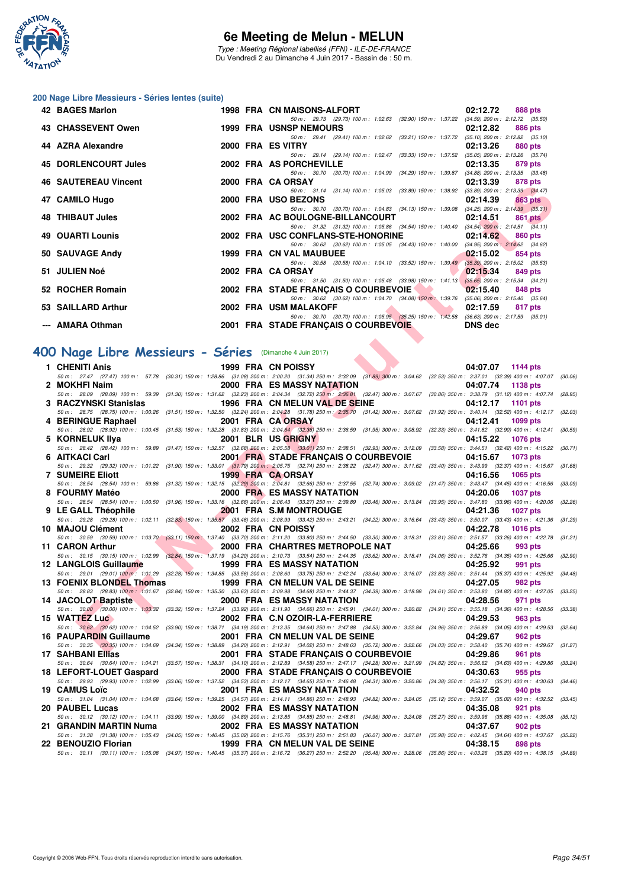

Type : Meeting Régional labellisé (FFN) - ILE-DE-FRANCE Du Vendredi 2 au Dimanche 4 Juin 2017 - Bassin de : 50 m.

#### **200 Nage Libre Messieurs - Séries lentes (suite)**

| 42 BAGES Marlon             |  | 1998 FRA CN MAISONS-ALFORT                                                                                                       | 02:12.72 | 888 pts |
|-----------------------------|--|----------------------------------------------------------------------------------------------------------------------------------|----------|---------|
|                             |  | 50 m: 29.73 (29.73) 100 m: 1:02.63 (32.90) 150 m: 1:37.22 (34.59) 200 m: 2:12.72 (35.50                                          |          |         |
| 43 CHASSEVENT Owen          |  | <b>1999 FRA USNSP NEMOURS</b>                                                                                                    | 02:12.82 | 886 pts |
|                             |  | 50 m: 29.41 (29.41) 100 m: 1:02.62 (33.21) 150 m: 1:37.72 (35.10) 200 m: 2:12.82 (35.10)                                         |          |         |
| 44 AZRA Alexandre           |  | 2000 FRA ES VITRY                                                                                                                | 02:13.26 | 880 pts |
|                             |  | 50 m : 29.14 (29.14) 100 m : 1:02.47 (33.33) 150 m : 1:37.52 (35.05) 200 m : 2:13.26 (35.74                                      |          |         |
| 45 DORLENCOURT Jules        |  | 2002 FRA AS PORCHEVILLE                                                                                                          | 02:13.35 | 879 pts |
|                             |  | 50 m: 30.70 (30.70) 100 m: 1:04.99 (34.29) 150 m: 1:39.87 (34.88) 200 m: 2:13.35 (33.48                                          |          |         |
| <b>46 SAUTEREAU Vincent</b> |  | 2000 FRA CA ORSAY                                                                                                                | 02:13.39 | 878 pts |
|                             |  | 50 m: 31.14 (31.14) 100 m: 1:05.03 (33.89) 150 m: 1:38.92 (33.89) 200 m: 2:13.39 (34.47                                          |          |         |
| 47 CAMILO Hugo              |  | 2000 FRA USO BEZONS                                                                                                              | 02:14.39 | 863 pts |
|                             |  | 50 m: 30.70 (30.70) 100 m: 1:04.83 (34.13) 150 m: 1:39.08 (34.25) 200 m: 2:14.39 (35.31                                          |          |         |
| 48 THIBAUT Jules            |  | 2002 FRA AC BOULOGNE-BILLANCOURT                                                                                                 | 02:14.51 | 861 pts |
|                             |  | 50 m: 31.32 (31.32) 100 m: 1:05.86 (34.54) 150 m: 1:40.40 (34.54) 200 m: 2:14.51 (34.11                                          |          |         |
| <b>49 OUARTI Lounis</b>     |  | 2002 FRA USC CONFLANS-STE-HONORINE                                                                                               | 02:14.62 | 860 pts |
|                             |  | 50 m: 30.62 (30.62) 100 m: 1:05.05 (34.43) 150 m: 1:40.00 (34.95) 200 m: 2:14.62 (34.62)                                         |          |         |
| 50 SAUVAGE Andy             |  | 1999 FRA CN VAL MAUBUEE                                                                                                          | 02:15.02 | 854 pts |
|                             |  | 50 m: 30.58 (30.58) 100 m: 1:04.10 (33.52) 150 m: 1:39.49 (35.39) 200 m: 2:15.02 (35.53                                          |          |         |
| 51 JULIEN Noé               |  | 2002 FRA CA ORSAY                                                                                                                | 02:15.34 | 849 pts |
| 52 ROCHER Romain            |  | 50 m: 31.50 (31.50) 100 m: 1:05.48 (33.98) 150 m: 1:41.13 (35.65) 200 m: 2:15.34 (34.21                                          |          |         |
|                             |  | 2002 FRA STADE FRANCAIS O COURBEVOIE<br>50 m: 30.62 (30.62) 100 m: 1:04.70 (34.08) 150 m: 1:39.76 (35.06) 200 m: 2:15.40 (35.64) | 02:15.40 | 848 pts |
| 53 SAILLARD Arthur          |  | 2002 FRA USM MALAKOFF                                                                                                            | 02:17.59 | 817 pts |
|                             |  | 50 m: 30.70 (30.70) 100 m: 1:05.95 (35.25) 150 m: 1:42.58 (36.63) 200 m: 2:17.59 (35.01                                          |          |         |
| --- AMARA Othman            |  |                                                                                                                                  |          |         |
|                             |  | 2001 FRA STADE FRANÇAIS O COURBEVOIE DNS dec                                                                                     |          |         |

# **[400 Nage Libre Messieurs - Séries](http://www.ffnatation.fr/webffn/resultats.php?idact=nat&go=epr&idcpt=46973&idepr=54)** (Dimanche 4 Juin 2017)

| <b>TU JAUILNEAU VIIILEIIL</b>                                                                                                                                                                                                                           |                                                 | <b><i>LUUU FRA UN URJAI</i></b>                                                                                                                                                                 |  | <b>UZ.10.00 010 PM</b>                                                                                          |         |
|---------------------------------------------------------------------------------------------------------------------------------------------------------------------------------------------------------------------------------------------------------|-------------------------------------------------|-------------------------------------------------------------------------------------------------------------------------------------------------------------------------------------------------|--|-----------------------------------------------------------------------------------------------------------------|---------|
| 47 CAMILO Hugo                                                                                                                                                                                                                                          |                                                 | 2000 FRA USO BEZONS                                                                                                                                                                             |  | 50 m: 31.14 (31.14) 100 m: 1:05.03 (33.89) 150 m: 1:38.92 (33.89) 200 m: 2:13.39 (34.47)<br>02:14.39<br>863 pts |         |
| 48   THIBAUT Jules                                                                                                                                                                                                                                      |                                                 | 2002 FRA AC BOULOGNE-BILLANCOURT                                                                                                                                                                |  | 50 m: 30.70 (30.70) 100 m: 1:04.83 (34.13) 150 m: 1:39.08 (34.25) 200 m: 2:14.39 (35.31)<br>02:14.51<br>861 pts |         |
|                                                                                                                                                                                                                                                         |                                                 |                                                                                                                                                                                                 |  | 50 m: 31.32 (31.32) 100 m: 1:05.86 (34.54) 150 m: 1:40.40 (34.54) 200 m: 2:14.51 (34.11)                        |         |
| 49   OUARTI Lounis                                                                                                                                                                                                                                      |                                                 | 2002 FRA USC CONFLANS-STE-HONORINE                                                                                                                                                              |  | 02:14.62<br>860 pts<br>50 m: 30.62 (30.62) 100 m: 1:05.05 (34.43) 150 m: 1:40.00 (34.95) 200 m: 2:14.62 (34.62) |         |
| 50  SAUVAGE Andy                                                                                                                                                                                                                                        |                                                 | 1999 FRA CN VAL MAUBUEE                                                                                                                                                                         |  | 02:15.02<br>854 pts                                                                                             |         |
|                                                                                                                                                                                                                                                         |                                                 |                                                                                                                                                                                                 |  | 50 m: 30.58 (30.58) 100 m: 1:04.10 (33.52) 150 m: 1:39.49 (35.39) 200 m: 2:15.02 (35.53)                        |         |
| 51   JULIEN Noé                                                                                                                                                                                                                                         |                                                 | 2002 FRA CA ORSAY                                                                                                                                                                               |  | 02:15.34<br>849 pts<br>50 m: 31.50 (31.50) 100 m: 1:05.48 (33.98) 150 m: 1:41.13 (35.65) 200 m: 2:15.34 (34.21) |         |
| 52 ROCHER Romain                                                                                                                                                                                                                                        |                                                 | 2002 FRA STADE FRANÇAIS O COURBEVOIE                                                                                                                                                            |  | 02:15.40<br>848 pts                                                                                             |         |
| 53 SAILLARD Arthur                                                                                                                                                                                                                                      |                                                 | 2002 FRA USM MALAKOFF                                                                                                                                                                           |  | 50 m: 30.62 (30.62) 100 m: 1:04.70 (34.08) 150 m: 1:39.76 (35.06) 200 m: 2:15.40 (35.64)<br>02:17.59<br>817 pts |         |
|                                                                                                                                                                                                                                                         |                                                 |                                                                                                                                                                                                 |  | 50 m: 30.70 (30.70) 100 m: 1:05.95 (35.25) 150 m: 1:42.58 (36.63) 200 m: 2:17.59 (35.01)                        |         |
| --- AMARA Othman                                                                                                                                                                                                                                        |                                                 | 2001 FRA STADE FRANCAIS O COURBEVOIE                                                                                                                                                            |  | <b>DNS</b> dec                                                                                                  |         |
|                                                                                                                                                                                                                                                         |                                                 |                                                                                                                                                                                                 |  |                                                                                                                 |         |
| 00 Nage Libre Messieurs - Séries (Dimanche 4 Juin 2017)                                                                                                                                                                                                 |                                                 |                                                                                                                                                                                                 |  |                                                                                                                 |         |
| 1 CHENITI Anis                                                                                                                                                                                                                                          |                                                 | 1999 FRA CN POISSY                                                                                                                                                                              |  | 04:07.07 1144 pts                                                                                               |         |
| 50 m: 27.47 (27.47) 100 m: 57.78 (30.31) 150 m: 1:28.86 (31.08) 200 m: 2:00.20 (31.34) 250 m: 2:32.09 (31.89) 300 m: 3:04.62 (32.53) 350 m: 3:37.01 (32.39) 400 m: 4:07.07 (30.06)<br>2 MOKHFI Naim                                                     |                                                 | <b>2000 FRA ES MASSY NATATION</b>                                                                                                                                                               |  | 04:07.74<br>1138 pts                                                                                            |         |
| 50 m : 28.09 (28.09) 100 m : 59.39 (31.30) 150 m : 1:31.62 (32.23) 200 m : 2:04.34 (32.72) 250 m : 2:36.81 (32.47) 300 m : 3:07.67 (30.86) 350 m : 3:38.79 (31.12) 400 m : 4:07.74 (28.95)                                                              |                                                 |                                                                                                                                                                                                 |  |                                                                                                                 |         |
| 3 RACZYNSKI Stanislas 1996 FRA CN MELUN VAL DE SEINE<br>50 m: 28.75 (28.75) 100 m: 1:00.26 (31.51) 150 m: 1:32.50 (32.24) 200 m: 2:04.28 (31.78) 250 m: 2:35.70 (31.42) 300 m: 3:07.62 (31.92) 350 m: 3:40.14 (32.52) 400 m: 4:12.17 (32.03)            |                                                 |                                                                                                                                                                                                 |  | 04:12.17<br><b>1101 pts</b>                                                                                     |         |
| 4 BERINGUE Raphael                                                                                                                                                                                                                                      |                                                 | 2001 FRA CAORSAY                                                                                                                                                                                |  | 04:12.41<br>1099 pts                                                                                            |         |
| 50 m: 28.92 (28.92) 100 m: 1:00.45 (31.53) 150 m: 1:32.28 (31.83) 200 m: 2:04.64 (32.36) 250 m: 2:36.59 (31.95) 300 m: 3:08.92 (32.33) 350 m: 3:41.82 (32.90) 400 m: 4:12.41 (30.59)                                                                    |                                                 |                                                                                                                                                                                                 |  |                                                                                                                 |         |
| 5 KORNELUK IIya<br>50 m: 28.42 (28.42) 100 m: 59.89 (31.47) 150 m: 1:32.57 (32.68) 200 m: 2:05.58 (33.01) 250 m: 2:38.51 (32.93) 300 m: 3:12.09 (33.58) 350 m: 3:44.51 (32.42) 400 m: 4:15.22 (30.71)                                                   |                                                 | 2001 BLR US GRIGNY                                                                                                                                                                              |  | 04:15.22<br><b>1076 pts</b>                                                                                     |         |
| 6 AITKACI Carl                                                                                                                                                                                                                                          |                                                 | 2001 FRA STADE FRANÇAIS O COURBEVOIE                                                                                                                                                            |  | 04:15.67<br>1073 pts                                                                                            |         |
| 50 m: 29.32 (29.32) 100 m: 1:01.22 (31.90) 150 m: 1:33.01 (31.79) 200 m: 2:05.75 (32.74) 250 m: 2:38.22 (32.47) 300 m: 3:11.62 (33.40) 350 m: 3:43.99 (32.37) 400 m: 4:15.67 (31.68)<br>7 SUMEIRE Eliott                                                |                                                 | 1999 FRA CA ORSAY                                                                                                                                                                               |  |                                                                                                                 |         |
| 50 m: 28.54 (28.54) 100 m: 59.86 (31.32) 150 m: 1:32.15 (32.29) 200 m: 2:04.81 (32.66) 250 m: 2:37.55 (32.74) 300 m: 3:09.02 (31.47) 350 m: 3:43.47 (34.45) 400 m: 4:16.56 (33.09)                                                                      |                                                 |                                                                                                                                                                                                 |  | 04:16.56<br>1065 pts                                                                                            |         |
| 8 FOURMY Matéo                                                                                                                                                                                                                                          |                                                 | 2000 FRAMES MASSY NATATION                                                                                                                                                                      |  | 04:20.06<br><b>1037 pts</b>                                                                                     |         |
| 50 m: 28.54 (28.54) 100 m: 1:00.50 (31.96) 150 m: 1:33.16 (32.66) 200 m: 2:06.43 (33.27) 250 m: 2:39.89 (33.46) 300 m: 3:13.84 (33.95) 350 m: 3:47.80 (33.96) 400 m: 4:20.06 (32.26)<br>9 LE GALL Théophile 2001 FRA S.M MONTROUGE                      |                                                 |                                                                                                                                                                                                 |  | 04:21.36<br><b>1027 pts</b>                                                                                     |         |
| 50 m: 29.28 (29.28) 100 m: 1:02.11 (32.83) 150 m: 1:35.57 (33.46) 200 m: 2:08.99 (33.42) 250 m: 2:43.21 (34.22) 300 m: 3:16.64 (33.43) 350 m: 3:50.07 (33.43) 400 m: 4:21.36 (31.29)                                                                    |                                                 |                                                                                                                                                                                                 |  |                                                                                                                 |         |
| 10 MAJOU Clément<br>50 m: 30.59 (30.59) 100 m: 1:03.70 (33.11) 150 m: 1:37.40 (33.70) 200 m: 2:11.20 (33.80) 250 m: 2:44.50 (33.30) 300 m: 3:18.31 (33.81) 350 m: 3:51.57 (33.26) 400 m: 4:22.78 (31.21)                                                | the contract of the contract of                 | 2002 FRA CN POISSY                                                                                                                                                                              |  | 04:22.78<br><b>1016 pts</b>                                                                                     |         |
| 11 CARON Arthur                                                                                                                                                                                                                                         |                                                 | 2000 FRA CHARTRES METROPOLE NAT                                                                                                                                                                 |  | 04:25.66<br>993 pts                                                                                             |         |
| 50 m: 30.15 (30.15) 100 m: 1:02.99 (32.84) 150 m: 1:37.19 (34.20) 200 m: 2:10.73 (33.54) 250 m: 2:44.35 (33.62) 300 m: 3:18.41 (34.06) 350 m: 3:52.76 (34.35) 400 m: 4:25.66 (32.90)                                                                    |                                                 |                                                                                                                                                                                                 |  |                                                                                                                 |         |
| 12 LANGLOIS Guillaume <b>1999 FRA ES MASSY NATATION</b><br>50 m : 29.01 (29.01) 100 m : 1:01.29 (32.28) 150 m : 1:34.85 (33.56) 200 m : 2:08.60 (33.75) 250 m : 2:42.24 (33.64) 300 m : 3:16.07 (33.83) 350 m : 3:51.44 (35.37) 400 m : 4:25.92 (34.48) |                                                 |                                                                                                                                                                                                 |  | 04:25.92<br>991 pts                                                                                             |         |
| 13 FOENIX BLONDEL Thomas 1999 FRA CN MELUN VAL DE SEINE                                                                                                                                                                                                 |                                                 |                                                                                                                                                                                                 |  | 04:27.05<br>982 pts                                                                                             |         |
| 50 m: 28.83 (28.83) 100 m: 1.01.67 (32.84) 150 m: 1:35.30 (33.63) 200 m: 2:09.98 (34.68) 250 m: 2:44.37 (34.39) 300 m: 3:18.98 (34.61) 350 m: 3:53.80 (34.82) 400 m: 4:27.05 (33.25)<br>14 JACOLOT Baptiste <b>12000 FRA</b> ES MASSY NATATION          |                                                 |                                                                                                                                                                                                 |  | 04:28.56<br>971 pts                                                                                             |         |
| 50 m: 30.00 (30.00) 100 m: 1:03.32 (33.32) 150 m: 1:37.24 (33.92) 200 m: 2:11.90 (34.66) 250 m: 2:45.91 (34.01) 300 m: 3:20.82 (34.91) 350 m: 3:55.18 (34.36) 400 m: 4:28.56 (33.38)                                                                    |                                                 |                                                                                                                                                                                                 |  |                                                                                                                 |         |
| 15 WATTEZ Luc<br>50 m: 30.62 (30.62) 100 m: 1:04.52 (33.90) 150 m: 1:38.71 (34.19) 200 m: 2:13.35 (34.64) 250 m: 2:47.88 (34.53) 300 m: 3:22.84 (34.96) 350 m: 3:56.89 (34.05) 400 m: 4:29.53 (32.64)                                                   | the contract of the contract of the contract of | 2002 FRA C.N OZOIR-LA-FERRIERE                                                                                                                                                                  |  | 04:29.53<br>963 pts                                                                                             |         |
| 16 PAUPARDIN Guillaume 2001 FRA CN MELUN VAL DE SEINE                                                                                                                                                                                                   |                                                 |                                                                                                                                                                                                 |  | 04:29.67<br>962 pts                                                                                             |         |
| 50 m: 30.35 (30.35) 100 m: 1:04.69 (34.34) 150 m: 1:38.89 (34.20) 200 m: 2:12.91 (34.02) 250 m: 2:48.63 (35.72) 300 m: 3:22.66 (34.03) 350 m: 3:58.40 (35.74) 400 m: 4:29.67 (31.27)                                                                    |                                                 |                                                                                                                                                                                                 |  |                                                                                                                 |         |
| 17 SAHBANI Ellias<br>50 m: 30.64 (30.64) 100 m: 1:04.21                                                                                                                                                                                                 |                                                 | 2001 FRA STADE FRANÇAIS O COURBEVOIE<br>(33.57) 150 m : 1:38.31 (34.10) 200 m : 2:12.89 (34.58) 250 m : 2:47.17 (34.28) 300 m : 3:21.99 (34.82) 350 m : 3:56.62 (34.63) 400 m : 4:29.86 (33.24) |  | 04:29.86<br>961 pts                                                                                             |         |
| 18 LEFORT-LOUET Gaspard                                                                                                                                                                                                                                 |                                                 | 2000 FRA STADE FRANÇAIS O COURBEVOIE                                                                                                                                                            |  | 04:30.63<br>955 pts                                                                                             |         |
| 50 m: 29.93 (29.93) 100 m: 1:02.99<br>19   CAMUS Loïc                                                                                                                                                                                                   |                                                 | $(33.06) 150 m : 1:37.52 \quad (34.53) 200 m : 2:12.17 \quad (34.65) 250 m : 2:46.48 \quad (34.31) 300 m : 3:20.86$<br><b>2001 FRA ES MASSY NATATION</b>                                        |  | $(34.38)$ 350 m : 3:56.17 $(35.31)$ 400 m : 4:30.63<br>04:32.52<br>940 pts                                      | (34.46) |
| 50 m: 31.04 (31.04) 100 m: 1:04.68                                                                                                                                                                                                                      |                                                 | (33.64) 150 m : 1:39.25 (34.57) 200 m : 2:14.11 (34.86) 250 m : 2:48.93 (34.82) 300 m : 3:24.05                                                                                                 |  | $(35.12)$ 350 m : 3:59.07 $(35.02)$ 400 m : 4:32.52                                                             | (33.45) |
| 20 PAUBEL Lucas                                                                                                                                                                                                                                         |                                                 | <b>2002 FRA ES MASSY NATATION</b>                                                                                                                                                               |  | 04:35.08<br>921 pts                                                                                             |         |
| 50 m : 30.12 (30.12) 100 m : 1:04.11<br>21   GRANDIN MARTIN Numa                                                                                                                                                                                        |                                                 | (33.99) 150 m: 1:39.00 (34.89) 200 m: 2:13.85 (34.85) 250 m: 2:48.81 (34.96) 300 m: 3:24.08<br>2002 FRA ES MASSY NATATION                                                                       |  | (35.27) 350 m: 3:59.96 (35.88) 400 m: 4:35.08 (35.12)<br>04:37.67<br>902 pts                                    |         |
| 50 m : 31.38 (31.38) 100 m : 1:05.43 (34.05) 150 m : 1:40.45 (35.02) 200 m : 2:15.76 (35.31) 250 m : 2:51.83 (36.07) 300 m : 3:27.81 (35.98) 350 m : 4:02.45 (34.64) 400 m : 4:37.67 (35.22)                                                            |                                                 |                                                                                                                                                                                                 |  |                                                                                                                 |         |
| 22 BENOUZIO Florian<br>50 m: 30.11 (30.11) 100 m: 1:05.08 (34.97) 150 m: 1:40.45 (35.37) 200 m: 2:16.72 (36.27) 250 m: 2:52.20 (35.48) 300 m: 3:28.06 (35.86) 350 m: 4:03.26 (35.20) 400 m: 4:38.15 (34.89)                                             |                                                 | 1999 FRA CN MELUN VAL DE SEINE                                                                                                                                                                  |  | 04:38.15<br>898 pts                                                                                             |         |
|                                                                                                                                                                                                                                                         |                                                 |                                                                                                                                                                                                 |  |                                                                                                                 |         |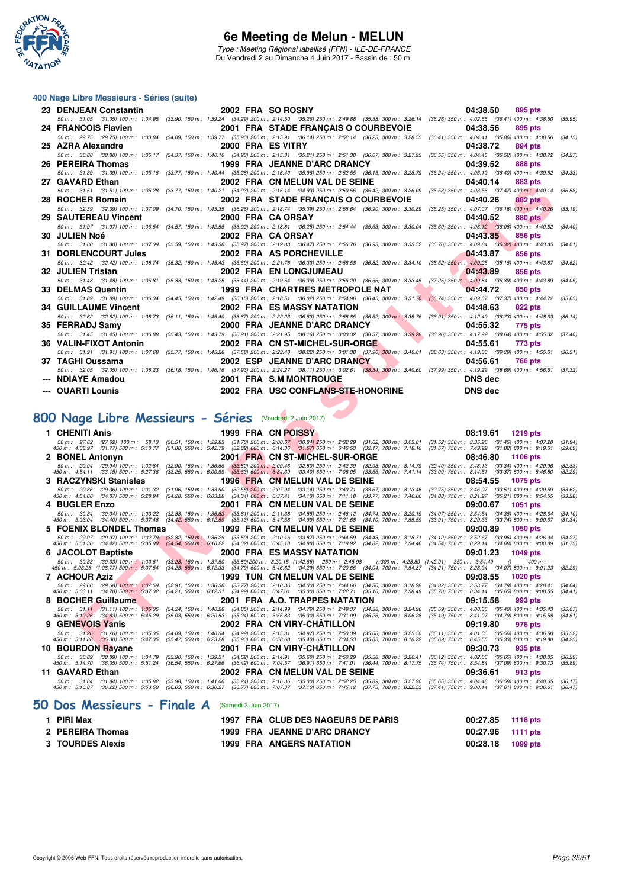

Type : Meeting Régional labellisé (FFN) - ILE-DE-FRANCE Du Vendredi 2 au Dimanche 4 Juin 2017 - Bassin de : 50 m.

#### **400 Nage Libre Messieurs - Séries (suite)**

| 23 DENJEAN Constantin       | 2002 FRA SO ROSNY                                                                                                                                                                            | 04:38.50<br>895 pts                                                       |
|-----------------------------|----------------------------------------------------------------------------------------------------------------------------------------------------------------------------------------------|---------------------------------------------------------------------------|
|                             | 50 m : 31.05 (31.05) 100 m : 1:04.95 (33.90) 150 m : 1:39.24 (34.29) 200 m : 2:14.50 (35.26) 250 m : 2:49.88 (35.38) 300 m : 3:26.14 (36.26) 350 m : 4:02.55 (36.41) 400 m : 4:38.50 (35.95) |                                                                           |
| 24 FRANCOIS Flavien         | 2001 FRA STADE FRANCAIS O COURBEVOIE                                                                                                                                                         | 04:38.56<br>895 pts                                                       |
|                             | 50 m: 29.75 (29.75) 100 m: 1:03.84 (34.09) 150 m: 1:39.77 (35.93) 200 m: 2:15.91 (36.14) 250 m: 2:52.14 (36.23) 300 m: 3:28.55 (36.41) 350 m: 4:04.41 (35.86) 400 m: 4:38.56                 | (34.15)                                                                   |
| 25 AZRA Alexandre           | 2000 FRA ES VITRY                                                                                                                                                                            | 04:38.72<br>894 pts                                                       |
|                             | 50 m: 30.80 (30.80) 100 m: 1:05.17 (34.37) 150 m: 1:40.10 (34.93) 200 m: 2:15.31 (35.21) 250 m: 2:51.38 (36.07) 300 m: 3:27.93 (36.55) 350 m: 4:04.45 (36.52) 400 m: 4:38.72                 | (34.27)                                                                   |
| 26 PEREIRA Thomas           | 1999 FRA JEANNE D'ARC DRANCY                                                                                                                                                                 | 04:39.52<br>888 pts                                                       |
|                             | 50 m: 31.39 (31.39) 100 m: 1:05.16 (33.77) 150 m: 1:40.44 (35.28) 200 m: 2:16.40 (35.96) 250 m: 2:52.55 (36.15) 300 m: 3:28.79 (36.24) 350 m: 4:05.19 (36.40) 400 m: 4:39.52 (34.33)         |                                                                           |
| 27 GAVARD Ethan             | 2002 FRA CN MELUN VAL DE SEINE                                                                                                                                                               | 04:40.14<br>883 pts                                                       |
|                             | 50 m: 31.51 (31.51) 100 m: 1:05.28 (33.77) 150 m: 1:40.21 (34.93) 200 m: 2:15.14 (34.93) 250 m: 2:50.56 (35.42) 300 m: 3:26.09 (35.53) 350 m: 4:03.56 (37.47) 400 m: 4:40.14 (36.58)         |                                                                           |
| 28 ROCHER Romain            | 2002 FRA STADE FRANÇAIS O COURBEVOIE                                                                                                                                                         | 04:40.26<br><b>882 pts</b>                                                |
|                             | 50 m : 32.39 (32.39) 100 m : 1:07.09 (34.70) 150 m : 1:43.35 (36.26) 200 m : 2:18.74 (35.39) 250 m : 2:55.64 (36.90) 300 m : 3:30.89 (35.25) 350 m : 4:07.07 (36.18) 400 m : 4:40.26         | (33.19)                                                                   |
| 29 SAUTEREAU Vincent        | 2000 FRA CA ORSAY                                                                                                                                                                            | 04:40.52<br>880 pts                                                       |
|                             | 50 m: 31.97 (31.97) 100 m: 1:06.54 (34.57) 150 m: 1:42.56 (36.02) 200 m: 2:18.81 (36.25) 250 m: 2:54.44 (35.63) 300 m: 3:30.04 (35.60) 350 m: 4:06.12 (36.08) 400 m: 4:40.52 (34.40)         |                                                                           |
| 30 JULIEN Noé               | 2002 FRA CA ORSAY                                                                                                                                                                            | 04:43.85<br>856 pts                                                       |
|                             | 50 m: 31.80 (31.80) 100 m: 1:07.39 (35.59) 150 m: 1:43.36 (35.97) 200 m: 2:19.83 (36.47) 250 m: 2:56.76 (36.93) 300 m: 3:33.52 (36.76) 350 m: 4:09.84 (36.32) 400 m: 4:43.85 (34.01)         |                                                                           |
| 31 DORLENCOURT Jules        | 2002 FRA AS PORCHEVILLE                                                                                                                                                                      | 04:43.87<br>856 pts                                                       |
|                             | 50 m: 32.42 (32.42) 100 m: 1:08.74 (36.32) 150 m: 1:45.43 (36.69) 200 m: 2:21.76 (36.33) 250 m: 2:58.58 (36.82) 300 m: 3:34.10 (35.52) 350 m: 4:09.25 (35.15) 400 m: 4:43.87 (34.62)         |                                                                           |
| 32 JULIEN Tristan           | 2002 FRA EN LONGJUMEAU                                                                                                                                                                       | 04:43.89<br>856 pts                                                       |
|                             | 50 m: 31.48 (31.48) 100 m: 1:06.81 (35.33) 150 m: 1:43.25 (36.44) 200 m: 2:19.64 (36.39) 250 m: 2:56.20 (36.56) 300 m: 3:33.45 (37.25) 350 m: 4:09.84 (36.39) 400 m: 4:43.89 (34.05)         |                                                                           |
| 33 DELMAS Quentin           | 1999 FRA CHARTRES METROPOLE NAT                                                                                                                                                              | <b>Service Contract Contract Contract Contract</b><br>04:44.72<br>850 pts |
|                             | 50 m: 31.89 (31.89) 100 m: 1:06.34 (34.45) 150 m: 1:42.49 (36.15) 200 m: 2:18.51 (36.02) 250 m: 2:54.96 (36.45) 300 m: 3:31.70 (36.74) 350 m: 4:09.07 (37.37) 400 m: 4:44.72                 | (35.65)                                                                   |
| <b>34 GUILLAUME Vincent</b> | 2002 FRA ES MASSY NATATION                                                                                                                                                                   | 04:48.63<br><b>822 pts</b>                                                |
|                             | 50 m : 32.62 (32.62) 100 m : 1:08.73 (36.11) 150 m : 1:45.40 (36.67) 200 m : 2:22.23 (36.83) 250 m : 2:58.85 (36.62) 300 m : 3:35.76 (36.91) 350 m : 4:12.49 (36.73) 400 m : 4:48.63         | (36.14)                                                                   |
| 35 FERRADJ Samv             | 2000 FRA JEANNE D'ARC DRANCY                                                                                                                                                                 | 04:55.32<br>775 pts                                                       |
|                             | 50 m: 31.45 (31.45) 100 m: 1:06.88 (35.43) 150 m: 1:43.79 (36.91) 200 m: 2:21.95 (38.16) 250 m: 3:00.32 (38.37) 300 m: 3:39.28 (38.96) 350 m: 4:17.92 (38.64) 400 m: 4:55.32                 | (37.40)                                                                   |
| 36 VALIN-FIXOT Antonin      | 2002 FRA CN ST-MICHEL-SUR-ORGENERY AND THE                                                                                                                                                   | 04:55.61<br>773 pts                                                       |
|                             | 50 m: 31.91 (31.91) 100 m: 1:07.68 (35.77) 150 m: 1:45.26 (37.58) 200 m: 2:23.48 (38.22) 250 m: 3:01.38 (37.90) 300 m: 3:40.01 (38.63) 350 m: 4:19.30 (39.29) 400 m: 4:55.61 (36.31)         |                                                                           |
| 37 TAGHI Oussama            | 2002 ESP JEANNE D'ARC DRANCY                                                                                                                                                                 | 04:56.61<br><b>766 pts</b>                                                |
|                             | 50 m: 32.05 (32.05) 100 m: 1:08.23 (36.18) 150 m: 1:46.16 (37.93) 200 m: 2:24.27 (38.11) 250 m: 3:02.61 (38.34) 300 m: 3:40.60 (37.99) 350 m: 4:19.29 (38.69) 400 m: 4:56.61 (37.32)         |                                                                           |
| --- NDIAYE Amadou           | 2001 FRA S.M MONTROUGE                                                                                                                                                                       | <b>DNS</b> dec                                                            |
| --- OUARTI Lounis           | 2002 FRA USC CONFLANS-STE-HONORINE                                                                                                                                                           | <b>DNS</b> dec                                                            |

#### **[800 Nage Libre Messieurs - Séries](http://www.ffnatation.fr/webffn/resultats.php?idact=nat&go=epr&idcpt=46973&idepr=55)** (Vendredi 2 Juin 2017)

**F FROMER DE ROOM CONTRACTE DE CARLES DE ROOM CONTRACTE DE CARLES DE ROOM CONTRACTE DE CARLES DE ROOM CONTRACTE DE CARLES DE ROOM CONTRACTE DE CARLES DE ROOM CONTRACTE DE CARLES DE ROOM CONTRACTE DE CARLES DE ROOM CONTRAC 1 CHENITI Anis 1999 FRA CN POISSY 08:19.61 1219 pts** 50 m; 27.62 (27.62) 100 m; 58.13 (30.51) 150 m; 1:29.83 (31.70) 200 m; 2:00.87 (50.84) 250 m; 250.89 (31.82) 350 m; 359.26 (31.45) 400 m; 4:38.26 (31.47) 400 m; 4:38.26 (31.47) 400 m; 4:39.26 (31.42) 400 m; 4:39.67 (31.82) **2 BONEL Antonyn 2001 FRA CN ST-MICHEL-SUR-ORGE 08:46.80 1106 pts** 50 m : 29.94 (29.94) 100 m : 1.02.84 (32.90) 150 m : 1.36.66 (33.82) 200 m 2.02.80 250 m : 2.42.39 (32.93) 300 m : 3:14.79 (32.40) 350 m : 3:18.13 (33.34) 400 m : 4:20.96 (32.83)<br>450 m : 4:5 **3 RACZYNSKI Stanislas** 1996 FRA CN MELUN VAL DE SEINE 08:54.55 1075 pts<br>
50 m : 29.36 (29.36) 100 m : 1:01.32 (31.96) 150 m : 1:33.90 (32.58) 200 m : 207.04 (33.14) 250 m : 240.71 (33.67) 300 m : 3:13.46 (32.75) 350 m : 3 50 m; 29.36 (29.36) 100 m; 1.01.32 (31.96) 150 m; 1.33,90 (32.59) 200 m; 2.07.04 (33.14) 250 m; 3.13.16 100 m; 3.13.46 (32.75) 350 m; 3.46.06 (34.68) 400 m; 4.54.55 (33.28) 400 m; 4.20.59 50 m; 3.46.96 (34.88) 750 m; 3.521 **4 BUGLER Enzo** 2001 FRA CN MELUN VAL DE SEINE 69:00.67 1051 pts<br>
50 m : 30.34 (30.34) 100 m : 1:03.22 (32.88) 150 m : 1:36.83 (33.61) 200 m : 2:11.38 (34.55) 250 m : 2:46.12 (34.74) 300 m : 3:20.19 (34.07) 350 m : 3:54.54 50 m; 30.34 (30.34) 100 m; 1.03.22 (32.89) 150 m; 1.38,83 (33.61) 200 m; 2:11.38 (34.59 250 m; 2:41) 300 m; 320.19 300 m; 320.49 400 m; 42.864 (34.40) 500 m; 4:28.44 (34.40) m; 4:28.49 (34.40) m; 4:28.49 (34.40) m; 4:28.4 **5 FOENIX BLONDEL Thomas** 1999 FRA CN MELUN VAL DE SEINE 09:00.89 1050 pts<br>
50 m: 29.97 (29.97) 100 m: 1:02.79 (32.82) 150 m: 1:36.29 (33.50) 200 m: 2:10.16 (33.87) 250 m: 2:44.59 (34.43) 300 m: 3:18.71 (34.12) 350 m: 3:52 50 m; 29.97 (29.97) 100 m; 1.02.79 (32.82) 150,m; 1.38.29 (39.50) 200 m; 2.10.16 (33.87) 250.44.59 (30.442) 300 m; 3.18.71 (34.89, 400 m; 3.03.99 (40.42) 500 m; 4.26.94 (3.482) 500 m; 4.26.94 (3.482) 500 m; 4.26.94 (3.482) **6 JACOLOT Baptiste** 2000 FRA ES MASSY NATATION 09:01.23 1049 pts<br>
50 m: 30.33 (30.33) 100 m; 1:03.61 (33.28) 150 m: 1:37.50 (33.89) 200 m: 3:20.15 (1:42.65) 250 m: 2:45.98 (1:30.89 (1:42.89) 60 m: 4:28.89 (1:42.91) 350 m: 50 m : 30.33 (30.33) 100 m : 1:03.61 (33.28) 150 m : 1:37.50 (33.89) 200 m : 3:20.15 (1:42.65) 250 m : 2:45.98<br>450 m : 5:03.26 (1:08.77) 500 m : 5:37.54 (34.28) 550 m : 6:12.33 (34.79) 600 m : 6:46.62 (34.29) 650 m : 7:20. 450 m : 5:03.26 (1:08.77) 500 m : 5:37.54 (34.28) 550 m : 6:12.33 (34.79) 600 m : 6:46.62 (34.29) 650 m : 7:20.66 (34.04) 700 m : 7:54.87 (34.21) 750 m : 8:28.94 (34.07) 800 m : 9:01.23 (32.29) **7 ACHOUR Aziz** 1999 TUN CN MELUN VAL DE SEINE 09:08.55 1020 pts<br>
50 m : 29.68 (29.68) 100 m : 1:02.59 (32.91) 150 m : 1:36.36 (33.77) 200 m : 2:10.36 (34.00) 250 m : 2:44.66 (34.30) 300 m : 3:18.98 (34.32) 350 m : 3:53.77 50 m · 29.68 (29.68) 100 m · 1 102.59 (32.91) 150 m · 1 38.36 (33.77) 200 m · 2:10.36 (34.406 (34.406 (34.30) 300 m · 3:10.99 300 m · 3:3.77 (34.78) 400 m · 4:02.47 (35.65) 800 m · 4:02.41 (35.65) 800 m · 4:02.41 (35.65) 8 **8 BOCHER Guillaume** 2001 FRA A.O. TRAPPES NATATION 09:15.58 993 pts<br>
50 m: 31.11 (31.11) 100 m: 1:05.35 (34.24) 150 m: 1:40.20 (34.85) 200 m: 2:14.99 (34.79) 250 m: 2:49.37 (34.39) 300 m: 3:24.96 (35.59) 350 m: 4:00.36 (3 .50 m; 31,11 (31,11) 100 m; 1°05/35 (34,24) 150 m; 140,20 (34,85) 200 m; 2:14,99 250 m; 244,97 (34,79) 300 m; 324,96 (35,19) 350 m; 400,36 (35,40) 400 m; 4:07,3543 (35,19) 500 m; 4:1,07<br>450 m; 5:10,26 (34,83) 500 m; 5:45,2 **9 GENEVOIS Yanis 2002 FRA CN VIRY-CHÂTILLON 09:19.80 976 pts** 50 m: 31.26 (31.26) 100 m: 1:05.35 (34.09) 150 m: 1:40.34 (34.99) 200 m: 2:15.31 (34.97) 250 m: 2:50.39 (35.08) 300 m: 3:25.50 (35.11) 350 m: 4:01.06 (35.56) 400 m: 4:36.58 (35.52)<br>450 m: 5:11.88 (35.30) 500 m: 5:47.35 (35 **10 BOURDON Rayane 2001 FRA CN VIRY-CHÂTILLON 09:30.73 935 pts** 50 m; 30.89 (30.89) 100 m; 1:04.79 (33.90) 150 m; 1:39.31 (34.52) 200 m; 2:14.91 (35.60) 2:56.29 (36.39) 300 m; 3:26.41 (36.12) 350 m; 4:02.06 (35.69) 400 m; 4:38.35 (36.74) 500 m; 4:38.35 (35.69) 400 m; 4:39.73 (35.69) 50 **11 GAVARD Ethan 2002 FRA CN MELUN VAL DE SEINE 09:36.51 913 pts**<br>
50 m: 31.84 (31.84) 100 m: 1:05.82 (33.98) 150 m: 1:41.06 (35.24) 200 m: 2:16.36 (35.30) 250 m: 2:52.25 (35.89) 300 m: 3:27.90 (35.65) 350 m: 4:04.48 ( 50 m: 31.84 (31.84) 100 m: 1:05.82 (33.98) 150 m: 1:41.06 (35.24) 200 m: 2:16.36 (35.30) 250 m: 2:52.25 (35.89) 300 m: 3:27.90 (35.65) 350 m: 4:04.48 (36.58) 400 m: 4:40.65 (36.17)<br>450 m: 5:16.87 (36.22) 500 m: 5:53.50 (36 **[50 Dos Messieurs - Finale A](http://www.ffnatation.fr/webffn/resultats.php?idact=nat&go=epr&idcpt=46973&idepr=61)** (Samedi 3 Juin 2017)

| 1 PIRI Max         |  | 1997 FRA CLUB DES NAGEURS DE PARIS | 00:27.85 1118 pts   |  |
|--------------------|--|------------------------------------|---------------------|--|
| 2 PEREIRA Thomas   |  | 1999 FRA JEANNE D'ARC DRANCY       | 00:27.96 1111 pts   |  |
| 3   TOURDES Alexis |  | <b>1999 FRA ANGERS NATATION</b>    | $00:28.18$ 1099 pts |  |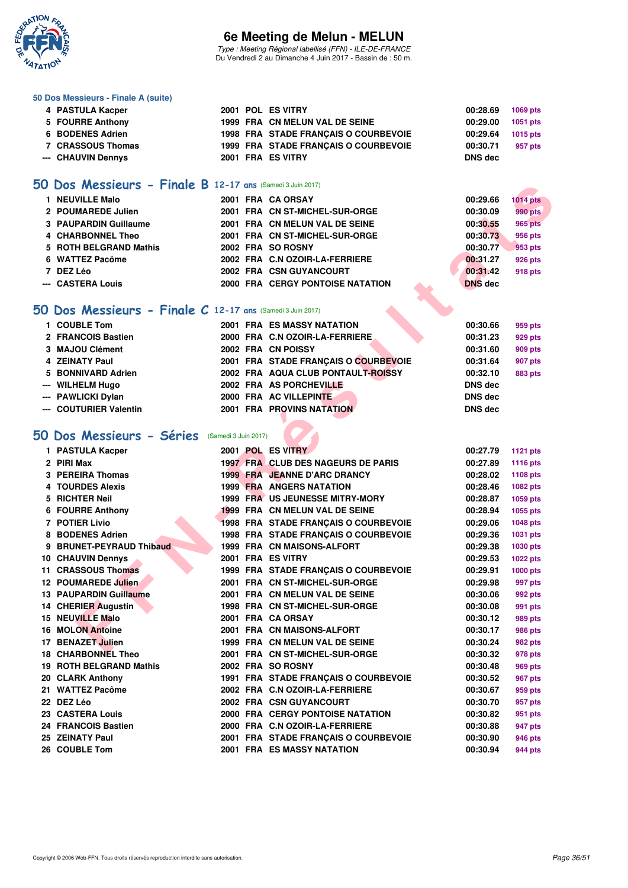

Type : Meeting Régional labellisé (FFN) - ILE-DE-FRANCE Du Vendredi 2 au Dimanche 4 Juin 2017 - Bassin de : 50 m.

#### **50 Dos Messieurs - Finale A (suite)**

| 4 PASTULA Kacper   |  | 2001 POL ES VITRY                    | 00:28.69 | 1069 pts |
|--------------------|--|--------------------------------------|----------|----------|
| 5 FOURRE Anthony   |  | 1999 FRA CN MELUN VAL DE SEINE       | 00:29.00 | 1051 pts |
| 6 BODENES Adrien   |  | 1998 FRA STADE FRANCAIS O COURBEVOIE | 00:29.64 | 1015 pts |
| 7 CRASSOUS Thomas  |  | 1999 FRA STADE FRANÇAIS O COURBEVOIE | 00:30.71 | 957 pts  |
| --- CHAUVIN Dennys |  | 2001 FRA ES VITRY                    | DNS dec  |          |
|                    |  |                                      |          |          |

#### **[50 Dos Messieurs - Finale B](http://www.ffnatation.fr/webffn/resultats.php?idact=nat&go=epr&idcpt=46973&idepr=61) 12-17 ans** (Samedi 3 Juin 2017)

| 1 NEUVILLE Malo        |  | 2001 FRA CA ORSAY                       | 00:29.66       | <b>1014 pts</b> |
|------------------------|--|-----------------------------------------|----------------|-----------------|
| 2 POUMAREDE Julien     |  | 2001 FRA CN ST-MICHEL-SUR-ORGE          | 00:30.09       | <b>990 pts</b>  |
| 3 PAUPARDIN Guillaume  |  | 2001 FRA CN MELUN VAL DE SEINE          | 00:30.55       | <b>965 pts</b>  |
| 4 CHARBONNEL Theo      |  | 2001 FRA CN ST-MICHEL-SUR-ORGE          | 00:30.73       | 956 pts         |
| 5 ROTH BELGRAND Mathis |  | 2002 FRA SO ROSNY                       | 00:30.77       | 953 pts         |
| 6 WATTEZ Pacôme        |  | 2002 FRA C.N OZOIR-LA-FERRIERE          | 00:31.27       | <b>926 pts</b>  |
| 7 DEZ Léo              |  | 2002 FRA CSN GUYANCOURT                 | 00:31.42       | 918 pts         |
| --- CASTERA Louis      |  | <b>2000 FRA CERGY PONTOISE NATATION</b> | <b>DNS</b> dec |                 |

#### **[50 Dos Messieurs - Finale C](http://www.ffnatation.fr/webffn/resultats.php?idact=nat&go=epr&idcpt=46973&idepr=61) 12-17 ans** (Samedi 3 Juin 2017)

| 1 COUBLE Tom           |  | 2001 FRA ES MASSY NATATION           | 00:30.66       | 959 pts        |
|------------------------|--|--------------------------------------|----------------|----------------|
| 2 FRANCOIS Bastien     |  | 2000 FRA C.N OZOIR-LA-FERRIERE       | 00:31.23       | 929 pts        |
| 3 MAJOU Clément        |  | 2002 FRA CN POISSY                   | 00:31.60       | 909 pts        |
| 4 ZEINATY Paul         |  | 2001 FRA STADE FRANCAIS O COURBEVOIE | 00:31.64       | 907 pts        |
| 5 BONNIVARD Adrien     |  | 2002 FRA AQUA CLUB PONTAULT-ROISSY   | 00:32.10       | <b>883 pts</b> |
| --- WILHELM Hugo       |  | 2002 FRA AS PORCHEVILLE              | <b>DNS</b> dec |                |
| --- PAWLICKI Dylan     |  | 2000 FRA AC VILLEPINTE               | <b>DNS</b> dec |                |
| --- COUTURIER Valentin |  | <b>2001 FRA PROVINS NATATION</b>     | <b>DNS</b> dec |                |

# **[50 Dos Messieurs - Séries](http://www.ffnatation.fr/webffn/resultats.php?idact=nat&go=epr&idcpt=46973&idepr=61)** (Samedi 3 Juin 2017)

| <b>DOS MESSIEUMS - FINGLE B</b> 12-17 ans (Samedi 3 Juin 2017) |  |                                         |                |                 |
|----------------------------------------------------------------|--|-----------------------------------------|----------------|-----------------|
| 1 NEUVILLE Malo                                                |  | 2001 FRA CA ORSAY                       | 00:29.66       | <b>1014 pts</b> |
| 2 POUMAREDE Julien                                             |  | 2001 FRA CN ST-MICHEL-SUR-ORGE          | 00:30.09       | <b>990 pts</b>  |
| 3 PAUPARDIN Guillaume                                          |  | 2001 FRA CN MELUN VAL DE SEINE          | 00:30.55       | <b>965 pts</b>  |
| 4 CHARBONNEL Theo                                              |  | 2001 FRA CN ST-MICHEL-SUR-ORGE          | 00:30.73       | <b>956 pts</b>  |
| 5 ROTH BELGRAND Mathis                                         |  | 2002 FRA SO ROSNY                       | 00:30.77       | 953 pts         |
| 6 WATTEZ Pacôme                                                |  | 2002 FRA C.N OZOIR-LA-FERRIERE          | 00:31.27       | 926 pts         |
| 7 DEZ Léo                                                      |  | 2002 FRA CSN GUYANCOURT                 | 00:31.42       | 918 pts         |
| --- CASTERA Louis                                              |  | 2000 FRA CERGY PONTOISE NATATION        | <b>DNS</b> dec |                 |
|                                                                |  |                                         |                |                 |
| O Dos Messieurs - Finale C 12-17 ans (Samedi 3 Juin 2017)      |  |                                         |                |                 |
| 1 COUBLE Tom                                                   |  | <b>2001 FRA ES MASSY NATATION</b>       | 00:30.66       | 959 pts         |
| 2 FRANCOIS Bastien                                             |  | 2000 FRA C.N OZOIR-LA-FERRIERE          | 00:31.23       | 929 pts         |
| 3 MAJOU Clément                                                |  | 2002 FRA CN POISSY                      | 00:31.60       | 909 pts         |
| <b>4 ZEINATY Paul</b>                                          |  | 2001 FRA STADE FRANÇAIS O COURBEVOIE    | 00:31.64       | 907 pts         |
| 5 BONNIVARD Adrien                                             |  | 2002 FRA AQUA CLUB PONTAULT-ROISSY      | 00:32.10       | 883 pts         |
| --- WILHELM Hugo                                               |  | 2002 FRA AS PORCHEVILLE                 | <b>DNS dec</b> |                 |
| --- PAWLICKI Dylan                                             |  | 2000 FRA AC VILLEPINTE                  | <b>DNS dec</b> |                 |
| --- COUTURIER Valentin                                         |  | <b>2001 FRA PROVINS NATATION</b>        | <b>DNS dec</b> |                 |
|                                                                |  |                                         |                |                 |
| O Dos Messieurs - Séries (Samedi 3 Juin 2017)                  |  |                                         |                |                 |
| 1 PASTULA Kacper                                               |  | 2001 POL ES VITRY                       | 00:27.79       | <b>1121 pts</b> |
| 2 PIRI Max                                                     |  | 1997 FRA CLUB DES NAGEURS DE PARIS      | 00:27.89       | 1116 pts        |
| 3 PEREIRA Thomas                                               |  | 1999 FRA JEANNE D'ARC DRANCY            | 00:28.02       | 1108 pts        |
| 4 TOURDES Alexis                                               |  | <b>1999 FRA ANGERS NATATION</b>         | 00:28.46       | 1082 pts        |
| 5 RICHTER Neil                                                 |  | 1999 FRA US JEUNESSE MITRY-MORY         | 00:28.87       | <b>1059 pts</b> |
| 6 FOURRE Anthony                                               |  | 1999 FRA CN MELUN VAL DE SEINE          | 00:28.94       | 1055 pts        |
| 7 POTIER Livio                                                 |  | 1998 FRA STADE FRANÇAIS O COURBEVOIE    | 00:29.06       | <b>1048 pts</b> |
| 8 BODENES Adrien                                               |  | 1998 FRA STADE FRANÇAIS O COURBEVOIE    | 00:29.36       | <b>1031 pts</b> |
| 9 BRUNET-PEYRAUD Thibaud                                       |  | 1999 FRA CN MAISONS-ALFORT              | 00:29.38       | 1030 pts        |
| <b>10 CHAUVIN Dennys</b>                                       |  | 2001 FRA ES VITRY                       | 00:29.53       | 1022 pts        |
| 11 CRASSOUS Thomas                                             |  | 1999 FRA STADE FRANÇAIS O COURBEVOIE    | 00:29.91       | 1000 pts        |
| 12 POUMAREDE Julien                                            |  | 2001 FRA CN ST-MICHEL-SUR-ORGE          | 00:29.98       | 997 pts         |
| 13 PAUPARDIN Guillaume                                         |  | 2001 FRA CN MELUN VAL DE SEINE          | 00:30.06       | 992 pts         |
| <b>14 CHERIER Augustin</b>                                     |  | 1998 FRA CN ST-MICHEL-SUR-ORGE          | 00:30.08       | 991 pts         |
| <b>15 NEUVILLE Malo</b>                                        |  | 2001 FRA CA ORSAY                       | 00:30.12       | 989 pts         |
| <b>16 MOLON Antoine</b>                                        |  | 2001 FRA CN MAISONS-ALFORT              | 00:30.17       | 986 pts         |
| 17 BENAZET Julien                                              |  | 1999 FRA CN MELUN VAL DE SEINE          | 00:30.24       | 982 pts         |
| 18 CHARBONNEL Theo                                             |  | 2001 FRA CN ST-MICHEL-SUR-ORGE          | 00:30.32       | 978 pts         |
| 19 ROTH BELGRAND Mathis                                        |  | 2002 FRA SO ROSNY                       | 00:30.48       | 969 pts         |
| 20 CLARK Anthony                                               |  | 1991 FRA STADE FRANÇAIS O COURBEVOIE    | 00:30.52       | 967 pts         |
| 21 WATTEZ Pacôme                                               |  | 2002 FRA C.N OZOIR-LA-FERRIERE          | 00:30.67       | 959 pts         |
| 22 DEZ Léo                                                     |  | 2002 FRA CSN GUYANCOURT                 | 00:30.70       | 957 pts         |
| 23 CASTERA Louis                                               |  | <b>2000 FRA CERGY PONTOISE NATATION</b> | 00:30.82       | 951 pts         |
| 24 FRANCOIS Bastien                                            |  | 2000 FRA C.N OZOIR-LA-FERRIERE          | 00:30.88       | 947 pts         |
| 25 ZEINATY Paul                                                |  | 2001 FRA STADE FRANÇAIS O COURBEVOIE    | 00:30.90       | 946 pts         |
| 26 COUBLE Tom                                                  |  | 2001 FRA ES MASSY NATATION              | 00:30.94       | 944 pts         |
|                                                                |  |                                         |                |                 |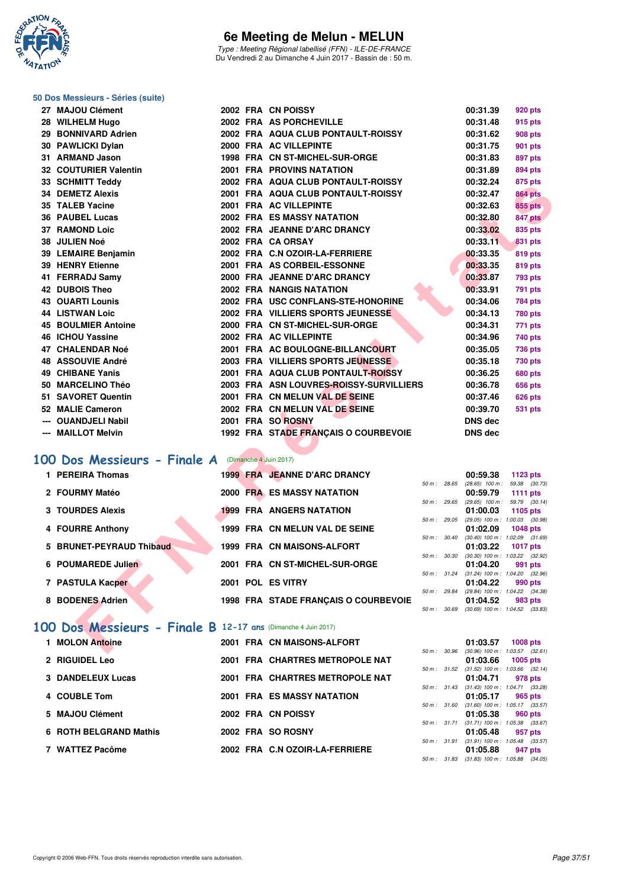

Type : Meeting Régional labellisé (FFN) - ILE-DE-FRANCE Du Vendredi 2 au Dimanche 4 Juin 2017 - Bassin de : 50 m.

#### **50 Dos Messieurs - Séries (suite)**

| 27 MAJOU Clément                                             |  | 2002 FRA CN POISSY                      |              | 00:31.39                                               | 920 pts         |  |
|--------------------------------------------------------------|--|-----------------------------------------|--------------|--------------------------------------------------------|-----------------|--|
| 28 WILHELM Hugo                                              |  | 2002 FRA AS PORCHEVILLE                 |              | 00:31.48                                               | 915 pts         |  |
| 29 BONNIVARD Adrien                                          |  | 2002 FRA AQUA CLUB PONTAULT-ROISSY      |              | 00:31.62                                               | 908 pts         |  |
| 30 PAWLICKI Dylan                                            |  | 2000 FRA AC VILLEPINTE                  |              | 00:31.75                                               | 901 pts         |  |
| 31 ARMAND Jason                                              |  | 1998 FRA CN ST-MICHEL-SUR-ORGE          |              | 00:31.83                                               | 897 pts         |  |
| 32 COUTURIER Valentin                                        |  | <b>2001 FRA PROVINS NATATION</b>        |              | 00:31.89                                               | 894 pts         |  |
| 33   SCHMITT Teddy                                           |  | 2002 FRA AQUA CLUB PONTAULT-ROISSY      |              | 00:32.24                                               | 875 pts         |  |
| <b>34 DEMETZ Alexis</b>                                      |  | 2001 FRA AQUA CLUB PONTAULT-ROISSY      |              | 00:32.47                                               | <b>864 pts</b>  |  |
| 35 TALEB Yacine                                              |  | 2001 FRA AC VILLEPINTE                  |              | 00:32.63                                               | <b>855 pts</b>  |  |
| 36 PAUBEL Lucas                                              |  | 2002 FRA ES MASSY NATATION              |              | 00:32.80                                               | 847 pts         |  |
| 37 RAMOND Loic                                               |  | 2002 FRA JEANNE D'ARC DRANCY            |              | 00:33.02                                               | 835 pts         |  |
| <b>38 JULIEN Noé</b>                                         |  | 2002 FRA CA ORSAY                       |              | 00:33.11                                               | <b>831 pts</b>  |  |
| 39 LEMAIRE Benjamin                                          |  | 2002 FRA C.N OZOIR-LA-FERRIERE          |              | 00:33.35                                               | 819 pts         |  |
| 39 HENRY Etienne                                             |  | 2001 FRA AS CORBEIL-ESSONNE             |              | 00:33.35                                               | <b>819 pts</b>  |  |
| 41 FERRADJ Samv                                              |  | 2000 FRA JEANNE D'ARC DRANCY            |              | 00:33.87                                               | 793 pts         |  |
| <b>42 DUBOIS Theo</b>                                        |  | 2002 FRA NANGIS NATATION                |              | 00:33.91                                               | 791 pts         |  |
| <b>43 OUARTI Lounis</b>                                      |  | 2002 FRA USC CONFLANS-STE-HONORINE      |              | 00:34.06                                               | 784 pts         |  |
| 44 LISTWAN Loic                                              |  | 2002 FRA VILLIERS SPORTS JEUNESSE       |              | 00:34.13                                               | <b>780 pts</b>  |  |
| 45 BOULMIER Antoine                                          |  | 2000 FRA CN ST-MICHEL-SUR-ORGE          |              | 00:34.31                                               | 771 pts         |  |
| 46  ICHOU Yassine                                            |  | 2002 FRA AC VILLEPINTE                  |              | 00:34.96                                               | 740 pts         |  |
| 47 CHALENDAR Noé                                             |  | 2001 FRA AC BOULOGNE-BILLANCOURT        |              | 00:35.05                                               | <b>736 pts</b>  |  |
| <b>48 ASSOUVIE André</b>                                     |  | 2003 FRA VILLIERS SPORTS JEUNESSE       |              | 00:35.18                                               | <b>730 pts</b>  |  |
| 49 CHIBANE Yanis                                             |  | 2001 FRA AQUA CLUB PONTAULT-ROISSY      |              | 00:36.25                                               | <b>680 pts</b>  |  |
| 50 MARCELINO Théo                                            |  | 2003 FRA ASN LOUVRES-ROISSY-SURVILLIERS |              | 00:36.78                                               | 656 pts         |  |
| 51 SAVORET Quentin                                           |  | 2001 FRA CN MELUN VAL DE SEINE          |              | 00:37.46                                               | 626 pts         |  |
| 52 MALIE Cameron                                             |  | 2002 FRA CN MELUN VAL DE SEINE          |              | 00:39.70                                               | 531 pts         |  |
| --- OUANDJELI Nabil                                          |  | 2001 FRA SO ROSNY                       |              | <b>DNS dec</b>                                         |                 |  |
| --- MAILLOT Melvin                                           |  | 1992 FRA STADE FRANÇAIS O COURBEVOIE    |              | <b>DNS</b> dec                                         |                 |  |
| <b>00 Dos Messieurs - Finale A</b> (Dimanche 4 Juin 2017)    |  |                                         |              |                                                        |                 |  |
| 1 PEREIRA Thomas                                             |  | <b>1999 FRA JEANNE D'ARC DRANCY</b>     |              | 00:59.38                                               | 1123 pts        |  |
|                                                              |  |                                         |              | 50 m: 28.65 (28.65) 100 m: 59.38 (30.73)               |                 |  |
| 2 FOURMY Matéo                                               |  | <b>2000 FRA ES MASSY NATATION</b>       |              | 00:59.79<br>50 m: 29.65 (29.65) 100 m: 59.79 (30.14)   | <b>1111 pts</b> |  |
| <b>3 TOURDES Alexis</b>                                      |  | <b>1999 FRA ANGERS NATATION</b>         |              | 01:00.03                                               | 1105 pts        |  |
|                                                              |  |                                         |              | 50 m : 29.05 (29.05) 100 m : 1:00.03 (30.98)           |                 |  |
| 4 FOURRE Anthony                                             |  | 1999 FRA CN MELUN VAL DE SEINE          | 50 m : 30.40 | 01:02.09<br>$(30.40)$ 100 m : 1:02.09 $(31.69)$        | <b>1048 pts</b> |  |
| 5 BRUNET-PEYRAUD Thibaud                                     |  | 1999 FRA CN MAISONS-ALFORT              |              | 01:03.22                                               | <b>1017 pts</b> |  |
|                                                              |  |                                         |              | 50 m: 30.30 (30.30) 100 m: 1:03.22 (32.92)             |                 |  |
| 6 POUMAREDE Julien                                           |  | 2001 FRA CN ST-MICHEL-SUR-ORGE          | 50 m: 31.24  | 01:04.20<br>$(31.24)$ 100 m : 1:04.20 $(32.96)$        | 991 pts         |  |
| 7 PASTULA Kacper                                             |  | 2001 POL ES VITRY                       |              | 01:04.22                                               | 990 pts         |  |
|                                                              |  |                                         |              | 50 m: 29.84 (29.84) 100 m: 1:04.22 (34.38)             |                 |  |
| 8 BODENES Adrien                                             |  | 1998 FRA STADE FRANÇAIS O COURBEVOIE    |              | 01:04.52<br>50 m: 30.69 (30.69) 100 m: 1:04.52 (33.83) | 983 pts         |  |
|                                                              |  |                                         |              |                                                        |                 |  |
| 00 Dos Messieurs - Finale B 12-17 ans (Dimanche 4 Juin 2017) |  |                                         |              |                                                        |                 |  |
| 1 MOLON Antoine                                              |  | 2001 FRA CN MAISONS-ALFORT              |              | 01:03.57 1008 pts                                      |                 |  |
|                                                              |  |                                         |              | 50 m : 30.96 (30.96) 100 m : 1:03.57 (32.61)           |                 |  |

### **[100 Dos Messieurs - Finale A](http://www.ffnatation.fr/webffn/resultats.php?idact=nat&go=epr&idcpt=46973&idepr=62)** (Dimanche 4 Juin 2017)

| 1 PEREIRA Thomas         | 1999 FRA JEANNE D'ARC DRANCY         |                        | 00:59.38                                        | 1123 $pts$                 |
|--------------------------|--------------------------------------|------------------------|-------------------------------------------------|----------------------------|
| 2 FOURMY Matéo           | 2000 FRA ES MASSY NATATION           | $50 m$ : 28.65         | $(28.65)$ 100 m :<br>00:59.79                   | 59.38 (30.73<br>1111 $pts$ |
|                          |                                      | 50 m: 29.65            | $(29.65)$ 100 m :                               | 59.79 (30.14)              |
| 3 TOURDES Alexis         | <b>1999 FRA ANGERS NATATION</b>      | 50 m: 29.05            | 01:00.03<br>(29.05) 100 m: 1:00.03 (30.98       | 1105 $pts$                 |
| 4 FOURRE Anthony         | 1999 FRA CN MELUN VAL DE SEINE       | $50 m$ : $30.40$       | 01:02.09<br>$(30.40)$ 100 m : 1:02.09 $(31.69)$ | <b>1048 pts</b>            |
| 5 BRUNET-PEYRAUD Thibaud | 1999 FRA CN MAISONS-ALFORT           |                        | 01:03.22                                        | 1017 pts                   |
| 6 POUMAREDE Julien       | 2001 FRA CN ST-MICHEL-SUR-ORGE       | 50 m: 30.30            | $(30.30)$ 100 m : 1:03.22 $(32.92)$<br>01:04.20 | 991 pts                    |
| 7 PASTULA Kacper         | 2001 POL ES VITRY                    | $50 \text{ m}$ : 31.24 | $(31.24)$ 100 m : 1:04.20 $(32.96)$<br>01:04.22 | 990 pts                    |
|                          |                                      | $50 m$ : 29.84         | (29.84) 100 m: 1:04.22 (34.38                   |                            |
| 8 BODENES Adrien         | 1998 FRA STADE FRANÇAIS O COURBEVOIE | 50 m: 30.69            | 01:04.52<br>$(30.69)$ 100 m : 1:04.52 $(33.83)$ | 983 pts                    |

# **[100 Dos Messieurs - Finale B](http://www.ffnatation.fr/webffn/resultats.php?idact=nat&go=epr&idcpt=46973&idepr=62) 12-17 ans** (Dimanche 4 Juin 2017)

| 1 MOLON Antoine          | 2001 FRA CN MAISONS-ALFORT        |                          | 01:03.57                                   | 1008 pts |  |
|--------------------------|-----------------------------------|--------------------------|--------------------------------------------|----------|--|
|                          |                                   | 50 m: 30.96              | $(30.96)$ 100 m : 1:03.57 $(32.$           |          |  |
| 2 RIGUIDEL Leo           | 2001 FRA CHARTRES METROPOLE NAT   |                          | 01:03.66                                   | 1005 pts |  |
|                          |                                   | $50 \text{ m}$ : $31.52$ | $(31.52)$ 100 m : 1:03.66 (32.             |          |  |
| <b>3 DANDELEUX Lucas</b> | 2001 FRA CHARTRES METROPOLE NAT   |                          | 01:04.71                                   | 978 pts  |  |
|                          | <b>2001 FRA ES MASSY NATATION</b> | 50 m : 31.43             | $(31.43)$ 100 m : 1:04.71 (33.             |          |  |
| 4 COUBLE Tom             |                                   | 50 m: 31.60              | 01:05.17<br>$(31.60)$ 100 m : 1:05.17 (33. | 965 pts  |  |
| 5 MAJOU Clément          | 2002 FRA CN POISSY                |                          | 01:05.38                                   | 960 pts  |  |
|                          |                                   | 50 m: 31.71              | $(31.71)$ 100 m : 1:05.38 (33.             |          |  |
| 6 ROTH BELGRAND Mathis   | 2002 FRA SO ROSNY                 |                          | 01:05.48                                   | 957 pts  |  |
|                          |                                   | 50 m: 31.91              | $(31.91)$ 100 m : 1:05.48 (33.             |          |  |
| 7 WATTEZ Pacôme          | 2002 FRA C.N OZOIR-LA-FERRIERE    |                          | 01:05.88                                   | 947 pts  |  |
|                          |                                   |                          |                                            |          |  |

|                  |                          | 01:03.57          | 1008 pts                                   |
|------------------|--------------------------|-------------------|--------------------------------------------|
|                  | 50 m: 30.96              | $(30.96)$ 100 m : | 1:03.57 (32.61)                            |
|                  |                          |                   | 01:03.66 1005 pts                          |
|                  | $50 m$ : $31.52$         | $(31.52) 100 m$ : | $1:03.66$ $(32.14)$                        |
|                  |                          |                   | 01:04.71 978 pts                           |
|                  | $50 \text{ m}$ : $31.43$ |                   | (31.43) 100 m: 1:04.71 (33.28)             |
|                  |                          |                   | 01:05.17 965 pts                           |
| $50 m$ : $31.60$ |                          | $(31.60) 100 m$ : | 1:05.17 (33.57)                            |
|                  |                          |                   | 01:05.38 960 pts                           |
| $50 m$ : 31.71   |                          | $(31.71)$ 100 m : | 1:05.38 (33.67)                            |
|                  |                          |                   | $01:05.48$ 957 pts                         |
|                  | 50 m: 31.91              |                   | (31.91) 100 m: 1:05.48 (33.57)             |
|                  |                          |                   | 01:05.88 947 pts                           |
|                  |                          |                   | 50 m: 31.83 (31.83) 100 m: 1:05.88 (34.05) |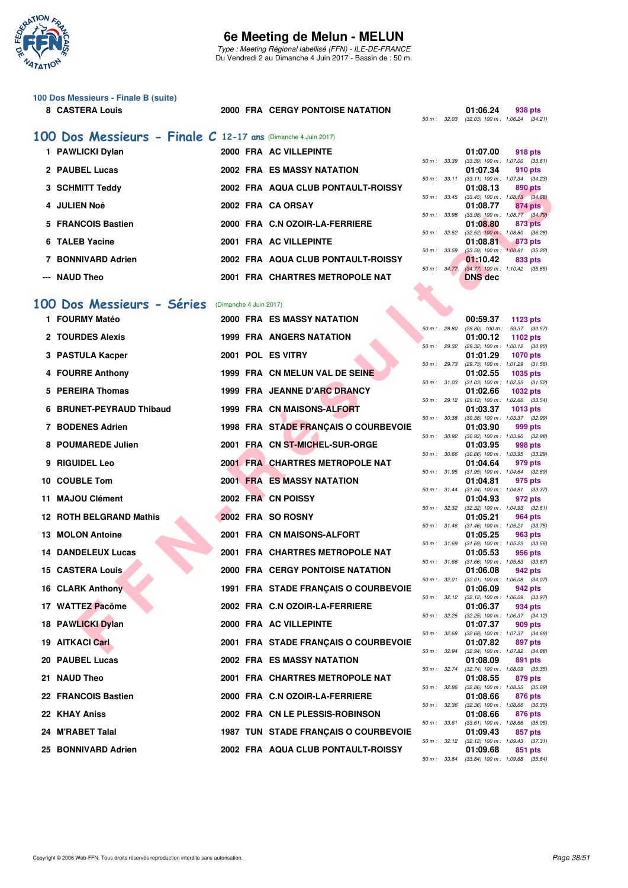

Type : Meeting Régional labellisé (FFN) - ILE-DE-FRANCE Du Vendredi 2 au Dimanche 4 Juin 2017 - Bassin de : 50 m.

# **100 Dos Messieurs - Finale B (suite)**

#### 8 CASTERA Louis 2000 FRA CERGY PONTOISE NATATION **01:06.24**

|  | 01:06.24                                     | 938 pts |
|--|----------------------------------------------|---------|
|  | 50 m : 32.03 (32.03) 100 m : 1:06.24 (34.21) |         |

# **[100 Dos Messieurs - Finale C](http://www.ffnatation.fr/webffn/resultats.php?idact=nat&go=epr&idcpt=46973&idepr=62) 12-17 ans** (Dimanche 4 Juin 2017)

| 1 PAWLICKI Dylan   |  | 2000 FRA AC VILLEPINTE             |                        | 01:07.00                                            |         | 918 pts |
|--------------------|--|------------------------------------|------------------------|-----------------------------------------------------|---------|---------|
| 2 PAUBEL Lucas     |  | 2002 FRA ES MASSY NATATION         | 50 m: 33.39            | $(33.39)$ 100 m : 1:07.00 $(33.$<br>01:07.34        |         |         |
|                    |  |                                    | 50 m: 33.11            | $(33.11)$ 100 m : 1:07.34 $(34)$                    |         | 910 pts |
| 3 SCHMITT Teddy    |  | 2002 FRA AQUA CLUB PONTAULT-ROISSY |                        | 01:08.13                                            |         | 890 pts |
| 4 JULIEN Noé       |  | 2002 FRA CA ORSAY                  |                        | 50 m: 33.45 (33.45) 100 m: 1:08.13 (34.<br>01:08.77 |         | 874 pts |
| 5 FRANCOIS Bastien |  | 2000 FRA C.N OZOIR-LA-FERRIERE     | 50 m : 33.98           | $(33.98)$ 100 m : 1:08.77 $(34.$<br>01:08.80        |         | 873 pts |
| 6 TALEB Yacine     |  | 2001 FRA AC VILLEPINTE             | 50 m : 32.52           | $(32.52)$ 100 m : 1:08.80 $(36.$<br>01:08.81        | 873 pts |         |
|                    |  |                                    | 50 m: 33.59            | $(33.59)$ 100 m : 1:08.81 (35.                      |         |         |
| 7 BONNIVARD Adrien |  | 2002 FRA AQUA CLUB PONTAULT-ROISSY | $50 \text{ m}$ : 34.77 | 01:10.42<br>$(34.77)$ 100 m : 1:10.42 (35.          |         | 833 pts |
| --- NAUD Theo      |  | 2001 FRA CHARTRES METROPOLE NAT    |                        | <b>DNS</b> dec                                      |         |         |

#### **[100 Dos Messieurs - Séries](http://www.ffnatation.fr/webffn/resultats.php?idact=nat&go=epr&idcpt=46973&idepr=62)** (Dimanche 4 Juin 2017)

| 3 SCHMITT Teddy           |                        | 2002 FRA AQUA CLUB PONTAULT-ROISSY          |              |              | 01:08.13       | 890 pts                                                 |
|---------------------------|------------------------|---------------------------------------------|--------------|--------------|----------------|---------------------------------------------------------|
| 4 JULIEN Noé              |                        | 2002 FRA CA ORSAY                           |              |              | 01:08.77       | 50 m : 33.45 (33.45) 100 m : 1:08.13 (34.68)<br>874 pts |
| 5 FRANCOIS Bastien        |                        | 2000 FRA C.N OZOIR-LA-FERRIERE              | 50 m : 33.98 |              | 01:08.80       | $(33.98)$ 100 m : 1:08.77 $(34.79)$<br>873 pts          |
| 6 TALEB Yacine            |                        | 2001 FRA AC VILLEPINTE                      | 50 m: 32.52  |              | 01:08.81       | $(32.52)$ 100 m : 1:08.80 $(36.28)$<br>873 pts          |
| 7 BONNIVARD Adrien        |                        | 2002 FRA AQUA CLUB PONTAULT-ROISSY          | 50 m : 33.59 |              | 01:10.42       | $(33.59)$ 100 m : 1:08.81 $(35.22)$<br>833 pts          |
| --- NAUD Theo             |                        | 2001 FRA CHARTRES METROPOLE NAT             |              | 50 m: 34.77  | <b>DNS</b> dec | $(34.77)$ 100 m : 1:10.42 $(35.65)$                     |
|                           |                        |                                             |              |              |                |                                                         |
| 00 Dos Messieurs - Séries | (Dimanche 4 Juin 2017) |                                             |              |              |                |                                                         |
| 1 FOURMY Matéo            |                        | 2000 FRA ES MASSY NATATION                  |              |              | 00:59.37       | 1123 pts                                                |
| 2 TOURDES Alexis          |                        | 1999 FRA ANGERS NATATION                    | 50 m : 28.80 |              | 01:00.12       | $(28.80)$ 100 m : 59.37 $(30.57)$<br>1102 pts           |
| 3 PASTULA Kacper          |                        | 2001 POL ES VITRY                           | 50 m: 29.32  |              | 01:01.29       | (29.32) 100 m : 1:00.12 (30.80)<br><b>1070 pts</b>      |
| 4 FOURRE Anthony          |                        | 1999 FRA CN MELUN VAL DE SEINE              |              | 50 m : 29.73 | 01:02.55       | $(29.73)$ 100 m : 1:01.29 $(31.56)$<br>1035 pts         |
|                           |                        |                                             |              |              |                | 50 m: 31.03 (31.03) 100 m: 1:02.55 (31.52)              |
| 5 PEREIRA Thomas          |                        | 1999 FRA JEANNE D'ARC DRANCY                |              |              | 01:02.66       | 1032 pts<br>50 m: 29.12 (29.12) 100 m: 1:02.66 (33.54)  |
| 6 BRUNET-PEYRAUD Thibaud  |                        | 1999 FRA CN MAISONS-ALFORT                  |              | 50 m : 30.38 | 01:03.37       | <b>1013 pts</b><br>$(30.38)$ 100 m : 1:03.37 $(32.99)$  |
| 7 BODENES Adrien          |                        | 1998 FRA STADE FRANÇAIS O COURBEVOIE        |              |              | 01:03.90       | 999 pts                                                 |
| 8 POUMAREDE Julien        |                        | 2001 FRA CN ST-MICHEL-SUR-ORGE              | 50 m: 30.92  |              | 01:03.95       | $(30.92)$ 100 m : 1:03.90 $(32.98)$<br>998 pts          |
| 9 RIGUIDEL Leo            |                        | 2001 FRA CHARTRES METROPOLE NAT             |              | 50 m : 30.66 | 01:04.64       | $(30.66)$ 100 m : 1:03.95 $(33.29)$<br>979 pts          |
|                           |                        | <b>2001 FRA ES MASSY NATATION</b>           |              |              |                | 50 m: 31.95 (31.95) 100 m: 1:04.64 (32.69)              |
| 10 COUBLE Tom             |                        |                                             |              |              | 01:04.81       | 975 pts<br>50 m: 31.44 (31.44) 100 m: 1:04.81 (33.37)   |
| 11 MAJOU Clément          |                        | 2002 FRA CN POISSY                          |              | 50 m : 32.32 | 01:04.93       | 972 pts<br>$(32.32)$ 100 m : 1:04.93 $(32.61)$          |
| 12 ROTH BELGRAND Mathis   |                        | 2002 FRA SO ROSNY                           |              |              | 01:05.21       | 964 pts<br>50 m: 31.46 (31.46) 100 m: 1:05.21 (33.75)   |
| 13 MOLON Antoine          |                        | 2001 FRA CN MAISONS-ALFORT                  |              |              | 01:05.25       | 963 pts                                                 |
| 14 DANDELEUX Lucas        |                        | 2001 FRA CHARTRES METROPOLE NAT             | 50 m : 31.69 |              | 01:05.53       | $(31.69)$ 100 m : 1:05.25 $(33.56)$<br>956 pts          |
| 15 CASTERA Louis          |                        | <b>2000 FRA CERGY PONTOISE NATATION</b>     | 50 m: 31.66  |              | 01:06.08       | $(31.66)$ 100 m : 1:05.53 $(33.87)$<br>942 pts          |
| 16 CLARK Anthony          |                        | 1991 FRA STADE FRANÇAIS O COURBEVOIE        |              | 50 m : 32.01 |                | $(32.01)$ 100 m : 1:06.08 $(34.07)$                     |
|                           |                        |                                             |              |              | 01:06.09       | 942 pts<br>50 m: 32.12 (32.12) 100 m: 1:06.09 (33.97)   |
| 17 WATTEZ Pacôme          |                        | 2002 FRA C.N OZOIR-LA-FERRIERE              |              | 50 m : 32.25 | 01:06.37       | 934 pts<br>$(32.25)$ 100 m : 1:06.37 $(34.12)$          |
| 18 PAWLICKI Dylan         |                        | 2000 FRA AC VILLEPINTE                      |              | 50 m : 32.68 | 01:07.37       | 909 pts<br>$(32.68)$ 100 m : 1:07.37 $(34.69)$          |
| 19 AITKACI Carl           |                        | 2001 FRA STADE FRANCAIS O COURBEVOIE        |              |              | 01:07.82       | 897 pts                                                 |
| 20 PAUBEL Lucas           |                        | <b>2002 FRA ES MASSY NATATION</b>           |              |              | 01:08.09       | 50 m: 32.94 (32.94) 100 m: 1:07.82 (34.88)<br>891 pts   |
| 21 NAUD Theo              |                        | 2001 FRA CHARTRES METROPOLE NAT             |              | 50 m : 32.74 | 01:08.55       | $(32.74)$ 100 m : 1:08.09 $(35.35)$<br>879 pts          |
| 22 FRANCOIS Bastien       |                        | 2000 FRA C.N OZOIR-LA-FERRIERE              |              |              |                | 50 m : 32.86 (32.86) 100 m : 1:08.55 (35.69)            |
|                           |                        |                                             |              | 50 m : 32.36 | 01:08.66       | 876 pts<br>$(32.36)$ 100 m : 1:08.66 $(36.30)$          |
| 22   KHAY Aniss           |                        | 2002 FRA CN LE PLESSIS-ROBINSON             |              | 50 m : 33.61 | 01:08.66       | 876 pts<br>$(33.61)$ 100 m : 1:08.66 $(35.05)$          |
| 24 M'RABET Talal          |                        | <b>1987 TUN STADE FRANÇAIS O COURBEVOIE</b> |              |              | 01:09.43       | 857 pts<br>50 m: 32.12 (32.12) 100 m: 1:09.43 (37.31)   |
| 25 BONNIVARD Adrien       |                        | 2002 FRA AQUA CLUB PONTAULT-ROISSY          |              |              | 01:09.68       | 851 pts                                                 |

|          |       | 01:07.00          | 918 pts                             |  |
|----------|-------|-------------------|-------------------------------------|--|
| $50 m$ : | 33.39 | $(33.39)$ 100 m : | 1:07.00 (33.61)                     |  |
|          |       | 01:07.34          | 910 pts                             |  |
| $50 m$ : | 33.11 | $(33.11)$ 100 m : | 1:07.34 (34.23)                     |  |
|          |       | 01:08.13          | <b>890 pts</b>                      |  |
| $50 m$ : | 33.45 | $(33.45)$ 100 m : | $1:08.13$ $(34.68)$                 |  |
|          |       | 01:08.77          | 874 pts                             |  |
| $50 m$ : | 33.98 | $(33.98) 100 m$ : | 1:08.77 (34.79)                     |  |
|          |       | 01:08.80          | 873 pts                             |  |
| $50 m$ : | 32.52 | $(32.52)$ 100 m:  | 1:08.80 (36.28)                     |  |
|          |       | 01:08.81          | 873 pts                             |  |
| $50 m$ : | 33.59 | $(33.59)$ 100 m : | $1:08.81$ (35.22)                   |  |
|          |       | 01:10.42          | <b>833 pts</b>                      |  |
| $50 m$ : | 34.77 |                   | $(34.77)$ 100 m : 1:10.42 $(35.65)$ |  |
|          |       | <b>DNS</b> dec    |                                     |  |

|          |       | 00:59.37          | 1123 pts |         |
|----------|-------|-------------------|----------|---------|
| 50 m :   | 28.80 | $(28.80)$ 100 m : | 59.37    | (30.57) |
|          |       | 01:00.12          | 1102 pts |         |
| $50 m$ : | 29.32 | (29.32) 100 m :   | 1:00.12  | (30.80) |
|          |       | 01:01.29          | 1070 pts |         |
| $50 m$ : | 29.73 | (29.73) 100 m :   | 1:01.29  | (31.56) |
|          |       | 01:02.55          | 1035 pts |         |
| $50 m$ : | 31.03 | $(31.03) 100 m$ : | 1:02.55  | (31.52) |
|          |       | 01:02.66          | 1032 pts |         |
| $50 m$ : | 29.12 | (29.12) 100 m :   | 1:02.66  | (33.54) |
|          |       | 01:03.37          | 1013 pts |         |
| $50 m$ : | 30.38 | $(30.38)$ 100 m : | 1:03.37  | (32.99) |
|          |       | 01:03.90          | 999 pts  |         |
| $50 m$ : | 30.92 | $(30.92)$ 100 m : | 1:03.90  | (32.98) |
|          |       | 01:03.95          | 998 pts  |         |
| $50 m$ : | 30.66 | $(30.66) 100 m$ : | 1:03.95  | (33.29) |
|          |       | 01:04.64          | 979 pts  |         |
| $50 m$ : | 31.95 | $(31.95) 100 m$ : | 1:04.64  | (32.69) |
|          |       | 01:04.81          | 975 pts  |         |
| $50 m$ : | 31.44 | $(31.44) 100 m$ : | 1:04.81  | (33.37) |
|          |       | 01:04.93          | 972 pts  |         |
| $50 m$ : | 32.32 | $(32.32)$ 100 m : | 1:04.93  | (32.61) |
|          |       | 01:05.21          | 964 pts  |         |
| $50 m$ : | 31.46 | $(31.46) 100 m$ : | 1:05.21  | (33.75) |
|          |       | 01:05.25          | 963 pts  |         |
| $50 m$ : | 31.69 | $(31.69) 100 m$ : | 1:05.25  | (33.56) |
|          |       | 01:05.53          | 956 pts  |         |
| $50 m$ : | 31.66 | $(31.66) 100 m$ : | 1:05.53  | (33.87) |
|          |       | 01:06.08          | 942 pts  |         |
| $50 m$ : | 32.01 | $(32.01)$ 100 m : | 1:06.08  | (34.07) |
|          |       | 01:06.09          | 942 pts  |         |
| $50 m$ : | 32.12 | $(32.12)$ 100 m : | 1:06.09  | (33.97) |
|          |       | 01:06.37          | 934 pts  |         |
| $50 m$ : | 32.25 | $(32.25)$ 100 m : | 1:06.37  | (34.12) |
|          |       | 01:07.37          | 909 pts  |         |
| $50 m$ : | 32.68 | $(32.68)$ 100 m : | 1:07.37  | (34.69) |
|          |       | 01:07.82          | 897      | pts     |
| $50 m$ : | 32.94 | $(32.94) 100 m$ : | 1:07.82  | (34.88) |
|          |       | 01:08.09          | 891      | pts     |
| $50 m$ : | 32.74 | $(32.74) 100 m$ : | 1:08.09  | (35.35) |
|          |       | 01:08.55          | 879 pts  |         |
| $50 m$ : | 32.86 | $(32.86)$ 100 m : | 1:08.55  | (35.69) |
|          |       | 01:08.66          | 876 pts  |         |
| $50 m$ : | 32.36 | $(32.36)$ 100 m : | 1:08.66  | (36.30) |
|          |       | 01:08.66          | 876 pts  |         |
| $50 m$ : | 33.61 | $(33.61)$ 100 m : | 1:08.66  | (35.05) |
|          |       | 01:09.43          | 857      | pts     |
| $50 m$ : | 32.12 | $(32.12) 100 m$ : | 1:09.43  | (37.31) |
|          |       | 01:09.68          | 851      | pts     |
| $50 m$ : | 33.84 | $(33.84) 100 m$ : | 1:09.68  | (35.84) |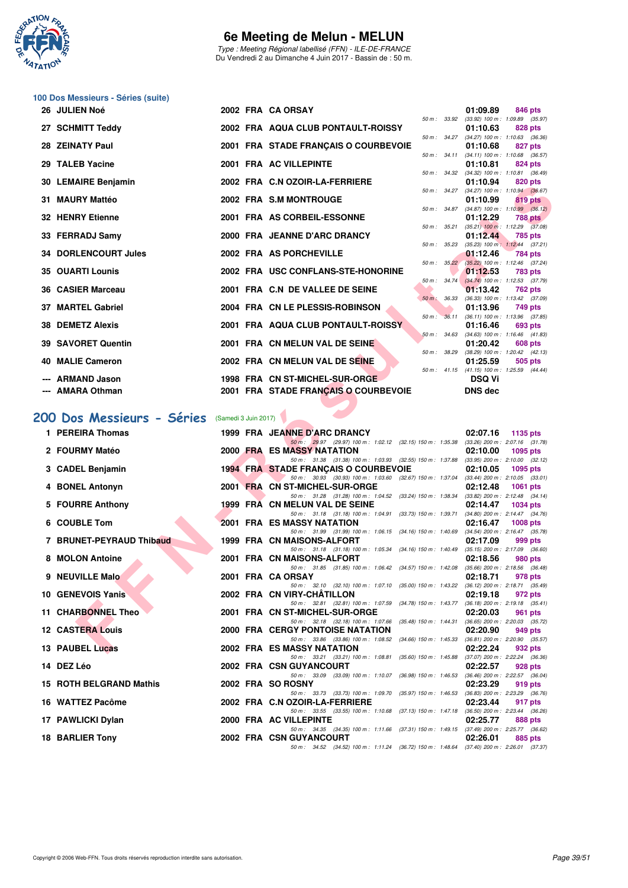

Type : Meeting Régional labellisé (FFN) - ILE-DE-FRANCE Du Vendredi 2 au Dimanche 4 Juin 2017 - Bassin de : 50 m.

# **100 Dos Messieurs - Séries (suite)**

| 26 JULIEN Noé               |  | 2002 FRA CA ORSAY                    |  | 01:09.89                                               |         | 846 pts |
|-----------------------------|--|--------------------------------------|--|--------------------------------------------------------|---------|---------|
|                             |  |                                      |  | 50 m: 33.92 (33.92) 100 m: 1:09.89 (35.97)             |         |         |
| 27 SCHMITT Teddy            |  | 2002 FRA AQUA CLUB PONTAULT-ROISSY   |  | 01:10.63<br>50 m: 34.27 (34.27) 100 m: 1:10.63 (36.36) |         | 828 pts |
| 28 ZEINATY Paul             |  | 2001 FRA STADE FRANÇAIS O COURBEVOIE |  | 01:10.68                                               | 827 pts |         |
|                             |  |                                      |  | 50 m: 34.11 (34.11) 100 m: 1:10.68 (36.57)             |         |         |
| 29 TALEB Yacine             |  | 2001 FRA AC VILLEPINTE               |  | 01:10.81                                               |         | 824 pts |
| 30 LEMAIRE Benjamin         |  | 2002 FRA C.N OZOIR-LA-FERRIERE       |  | 50 m: 34.32 (34.32) 100 m: 1:10.81 (36.49)<br>01:10.94 |         | 820 pts |
|                             |  |                                      |  | 50 m: 34.27 (34.27) 100 m: 1:10.94 (36.67)             |         |         |
| 31 MAURY Mattéo             |  | 2002 FRA S.M MONTROUGE               |  | 01:10.99                                               |         | 819 pts |
|                             |  |                                      |  | 50 m: 34.87 (34.87) 100 m: 1:10.99 (36.12)             |         |         |
| <b>32 HENRY Etienne</b>     |  | 2001 FRA AS CORBEIL-ESSONNE          |  | 01:12.29                                               |         | 788 pts |
| 33 FERRADJ Samy             |  | 2000 FRA JEANNE D'ARC DRANCY         |  | 50 m: 35.21 (35.21) 100 m: 1:12.29 (37.08)<br>01:12.44 |         | 785 pts |
|                             |  |                                      |  | 50 m: 35.23 (35.23) 100 m: 1:12.44 (37.21)             |         |         |
| <b>34 DORLENCOURT Jules</b> |  | 2002 FRA AS PORCHEVILLE              |  | 01:12.46                                               |         | 784 pts |
|                             |  |                                      |  | 50 m : 35.22 (35.22) 100 m : 1:12.46 (37.24)           |         |         |
| <b>35 OUARTI Lounis</b>     |  | 2002 FRA USC CONFLANS-STE-HONORINE   |  | 01:12.53<br>50 m: 34.74 (34.74) 100 m: 1:12.53 (37.79) |         | 783 pts |
| <b>36 CASIER Marceau</b>    |  | 2001 FRA C.N DE VALLEE DE SEINE      |  | 01:13.42                                               |         | 762 pts |
|                             |  |                                      |  | 50 m : 36.33 (36.33) 100 m : 1:13.42 (37.09)           |         |         |
| 37 MARTEL Gabriel           |  | 2004 FRA CN LE PLESSIS-ROBINSON      |  | 01:13.96                                               | 749 pts |         |
|                             |  |                                      |  | 50 m : 36.11 (36.11) 100 m : 1:13.96 (37.85)           |         |         |
| <b>38 DEMETZ Alexis</b>     |  | 2001 FRA AQUA CLUB PONTAULT-ROISSY   |  | 01:16.46<br>50 m: 34.63 (34.63) 100 m: 1:16.46 (41.83) |         | 693 pts |
| 39 SAVORET Quentin          |  | 2001 FRA CN MELUN VAL DE SEINE       |  | 01:20.42                                               |         | 608 pts |
|                             |  |                                      |  | 50 m: 38.29 (38.29) 100 m: 1:20.42 (42.13)             |         |         |
| 40 MALIE Cameron            |  | 2002 FRA CN MELUN VAL DE SEINE       |  | 01:25.59                                               |         | 505 pts |
|                             |  |                                      |  | 50 m: 41.15 (41.15) 100 m: 1:25.59 (44.44)             |         |         |
| --- ARMAND Jason            |  | 1998 FRA CN ST-MICHEL-SUR-ORGE       |  | <b>DSQ Vi</b>                                          |         |         |
| --- AMARA Othman            |  | 2001 FRA STADE FRANÇAIS O COURBEVOIE |  | <b>DNS dec</b>                                         |         |         |

# [200 Dos Messieurs - Séries](http://www.ffnatation.fr/webffn/resultats.php?idact=nat&go=epr&idcpt=46973&idepr=63) (Samedi 3 Juin 2017)

| <b>JU LEMAINE DENJANINI</b> |                      | <b>U.N UZUIN-LA-FERRIERE</b>                                                                                                   | 01.IV.J4<br><b>UZU DIS</b>                                        |
|-----------------------------|----------------------|--------------------------------------------------------------------------------------------------------------------------------|-------------------------------------------------------------------|
| 31 MAURY Mattéo             |                      | 2002 FRA S.M MONTROUGE                                                                                                         | 50 m: 34.27 (34.27) 100 m: 1:10.94 (36.67)<br>01:10.99<br>819 pts |
| 32 HENRY Etienne            |                      | 2001 FRA AS CORBEIL-ESSONNE                                                                                                    | 50 m: 34.87 (34.87) 100 m: 1:10.99 (36.12)<br>01:12.29<br>788 pts |
| 33 FERRADJ Samy             |                      | 2000 FRA JEANNE D'ARC DRANCY                                                                                                   | 50 m: 35.21 (35.21) 100 m: 1:12.29 (37.08)<br>01:12.44<br>785 pts |
| <b>34 DORLENCOURT Jules</b> |                      | 50 m: 35.23<br>2002 FRA AS PORCHEVILLE                                                                                         | $(35.23)$ 100 m : 1:12.44 $(37.21)$<br>01:12.46<br>784 pts        |
| <b>35 OUARTI Lounis</b>     |                      | $50 m$ : $35.22$<br>2002 FRA USC CONFLANS-STE-HONORINE                                                                         | $(35.22)$ 100 m : 1:12.46 $(37.24)$<br>01:12.53<br>783 pts        |
| 36 CASIER Marceau           |                      | $50 m$ : $34.74$<br>2001 FRA C.N DE VALLEE DE SEINE                                                                            | $(34.74)$ 100 m : 1:12.53 $(37.79)$                               |
|                             |                      | 50 m : 36.33                                                                                                                   | 01:13.42<br>762 pts<br>(36.33) 100 m: 1:13.42 (37.09)             |
| 37 MARTEL Gabriel           |                      | 2004 FRA CN LE PLESSIS-ROBINSON<br>50 m: 36.11                                                                                 | 01:13.96<br>749 pts<br>$(36.11)$ 100 m : 1:13.96 $(37.85)$        |
| 38 DEMETZ Alexis            |                      | 2001 FRA AQUA CLUB PONTAULT-ROISSY<br>50 m: 34.63                                                                              | 01:16.46<br>693 pts<br>$(34.63)$ 100 m : 1:16.46 $(41.83)$        |
| 39 SAVORET Quentin          |                      | 2001 FRA CN MELUN VAL DE SEINE<br>50 m : 38.29                                                                                 | 01:20.42<br>608 pts<br>$(38.29)$ 100 m : 1:20.42 $(42.13)$        |
| 40 MALIE Cameron            |                      | 2002 FRA CN MELUN VAL DE SEINE                                                                                                 | 01:25.59<br>505 pts                                               |
| --- ARMAND Jason            |                      | 1998 FRA CN ST-MICHEL-SUR-ORGE                                                                                                 | 50 m: 41.15 (41.15) 100 m: 1:25.59 (44.44)<br><b>DSQ Vi</b>       |
| --- AMARA Othman            |                      | 2001 FRA STADE FRANÇAIS O COURBEVOIE                                                                                           | <b>DNS dec</b>                                                    |
| 00 Dos Messieurs - Séries   | (Samedi 3 Juin 2017) |                                                                                                                                |                                                                   |
| 1 PEREIRA Thomas            |                      | 1999 FRA JEANNE D'ARC DRANCY                                                                                                   | 02:07.16<br>1135 pts                                              |
|                             |                      | 50 m: 29.97 (29.97) 100 m: 1:02.12 (32.15) 150 m: 1:35.38 (33.26) 200 m: 2:07.16 (31.78)                                       |                                                                   |
| 2 FOURMY Matéo              |                      | 2000 FRA ES MASSY NATATION<br>50 m: 31.38 (31.38) 100 m: 1:03.93 (32.55) 150 m: 1:37.88 (33.95) 200 m: 2:10.00 (32.12)         | 02:10.00<br>1095 pts                                              |
| 3 CADEL Benjamin            |                      | <b>1994 FRA STADE FRANCAIS O COURBEVOIE</b>                                                                                    | 02:10.05<br>1095 pts                                              |
| 4 BONEL Antonyn             |                      | 50 m: 30.93 (30.93) 100 m: 1:03.60 (32.67) 150 m: 1:37.04 (33.44) 200 m: 2:10.05 (33.01)<br>2001 FRA CN ST-MICHEL-SUR-ORGE     | 02:12.48<br><b>1061 pts</b>                                       |
| 5 FOURRE Anthony            |                      | 50 m: 31.28 (31.28) 100 m: 1:04.52 (33.24) 150 m: 1:38.34 (33.82) 200 m: 2:12.48 (34.14)<br>1999 FRA CN MELUN VAL DE SEINE     | 02:14.47<br><b>1034 pts</b>                                       |
| 6 COUBLE Tom                |                      | 50 m: 31.18 (31.18) 100 m: 1:04.91 (33.73) 150 m: 1:39.71 (34.80) 200 m: 2:14.47 (34.76)<br>2001 FRA ES MASSY NATATION         | 02:16.47<br><b>1008 pts</b>                                       |
| 7 BRUNET-PEYRAUD Thibaud    |                      | 50 m: 31.99 (31.99) 100 m: 1:06.15 (34.16) 150 m: 1:40.69 (34.54) 200 m: 2:16.47 (35.78)<br>1999 FRA CN MAISONS-ALFORT         | 02:17.09<br>999 pts                                               |
|                             |                      | 50 m: 31.18 (31.18) 100 m: 1:05.34 (34.16) 150 m: 1:40.49 (35.15) 200 m: 2:17.09 (36.60)                                       |                                                                   |
| 8 MOLON Antoine             |                      | 2001 FRA CN MAISONS-ALFORT<br>50 m: 31.85 (31.85) 100 m: 1:06.42<br>(34.57) 150 m : 1:42.08                                    | 02:18.56<br>980 pts<br>$(35.66)$ 200 m : 2:18.56 $(36.48)$        |
| 9 NEUVILLE Malo             |                      | 2001 FRA CA ORSAY<br>50 m: 32.10 (32.10) 100 m: 1:07.10<br>(35.00) 150 m : 1:43.22                                             | 02:18.71<br>978 pts<br>(36.12) 200 m : 2:18.71 (35.49)            |
| 10 GENEVOIS Yanis           |                      | 2002 FRA CN VIRY-CHATILLON                                                                                                     | 02:19.18<br>972 pts                                               |
| 11 CHARBONNEL Theo          |                      | 50 m : 32.81 (32.81) 100 m : 1:07.59 (34.78) 150 m : 1:43.77 (36.18) 200 m : 2:19.18 (35.41)<br>2001 FRA CN ST-MICHEL-SUR-ORGE | 02:20.03<br>961 pts                                               |
| <b>12 CASTERA Louis</b>     |                      | 50 m: 32.18 (32.18) 100 m: 1:07.66 (35.48) 150 m: 1:44.31 (36.65) 200 m: 2:20.03 (35.72)<br>2000 FRA CERGY PONTOISE NATATION   | 02:20.90<br>949 pts                                               |
| 13 PAUBEL Lucas             |                      | 50 m: 33.86 (33.86) 100 m: 1:08.52 (34.66) 150 m: 1:45.33 (36.81) 200 m: 2:20.90 (35.57)<br><b>2002 FRA ES MASSY NATATION</b>  | 02:22.24<br>932 pts                                               |
| 14 DEZ Léo                  |                      | 50 m: 33.21 (33.21) 100 m: 1:08.81<br>$(35.60)$ 150 m : 1:45.88<br>2002 FRA CSN GUYANCOURT                                     | $(37.07)$ 200 m : 2:22.24 $(36.36)$<br>02:22.57<br>928 pts        |
|                             |                      | 50 m: 33.09 (33.09) 100 m: 1:10.07<br>$(36.98)$ 150 m : 1:46.53                                                                | (36.46) 200 m : 2:22.57 (36.04)                                   |
| 15 ROTH BELGRAND Mathis     |                      | 2002 FRA SO ROSNY<br>50 m: 33.73 (33.73) 100 m: 1:09.70<br>$(35.97)$ 150 m : 1:46.53                                           | 02:23.29<br>919 pts<br>(36.83) 200 m : 2:23.29 (36.76)            |
| 16 WATTEZ Pacôme            |                      | 2002 FRA C.N OZOIR-LA-FERRIERE<br>50 m: 33.55 (33.55) 100 m: 1:10.68<br>(37.13) 150 m : 1:47.18                                | 02:23.44<br>917 pts<br>$(36.50)$ 200 m : 2:23.44 $(36.26)$        |
| 17 PAWLICKI Dylan           |                      | 2000 FRA AC VILLEPINTE<br>50 m: 34.35 (34.35) 100 m: 1:11.66<br>(37.31) 150 m : 1:49.15                                        | 02:25.77<br>888 pts<br>(37.49) 200 m : 2:25.77 (36.62)            |
| 18 BARLIER Tony             |                      | 2002 FRA CSN GUYANCOURT                                                                                                        | 02:26.01<br>885 pts                                               |
|                             |                      | 50 m: 34.52 (34.52) 100 m: 1:11.24 (36.72) 150 m: 1:48.64 (37.40) 200 m: 2:26.01 (37.37)                                       |                                                                   |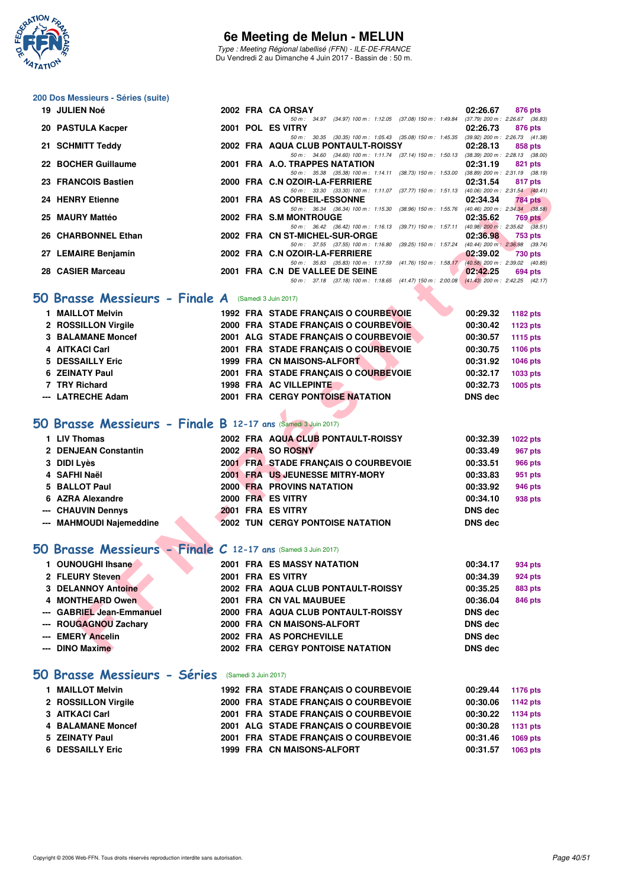

Type : Meeting Régional labellisé (FFN) - ILE-DE-FRANCE Du Vendredi 2 au Dimanche 4 Juin 2017 - Bassin de : 50 m.

# **200 Dos Messieurs - Séries (suite)**

| 19 JULIEN Noé                                                 | 2002 FRA CA ORSAY                                                                                                              | 02:26.67<br>876 pts                                        |
|---------------------------------------------------------------|--------------------------------------------------------------------------------------------------------------------------------|------------------------------------------------------------|
| 20 PASTULA Kacper                                             | 50 m: 34.97 (34.97) 100 m: 1:12.05 (37.08) 150 m: 1:49.84<br>2001 POL ES VITRY                                                 | $(37.79)$ 200 m : 2:26.67 $(36.83)$<br>02:26.73<br>876 pts |
|                                                               | 50 m: 30.35 (30.35) 100 m: 1:05.43 (35.08) 150 m: 1:45.35 (39.92) 200 m: 2:26.73 (41.38)                                       |                                                            |
| 21 SCHMITT Teddy                                              | 2002 FRA AQUA CLUB PONTAULT-ROISSY<br>50 m: 34.60 (34.60) 100 m: 1:11.74 (37.14) 150 m: 1:50.13 (38.39) 200 m: 2:28.13 (38.00) | 02:28.13<br>858 pts                                        |
| 22 BOCHER Guillaume                                           | 2001 FRA A.O. TRAPPES NATATION                                                                                                 | 02:31.19<br>821 pts                                        |
|                                                               | 50 m: 35.38 (35.38) 100 m: 1:14.11 (38.73) 150 m: 1:53.00 (38.89) 200 m: 2:31.19 (38.19)                                       |                                                            |
| 23 FRANCOIS Bastien                                           | 2000 FRA C.N OZOIR-LA-FERRIERE                                                                                                 | 02:31.54<br>817 pts                                        |
| 24 HENRY Etienne                                              | 50 m: 33.30 (33.30) 100 m: 1:11.07 (37.77) 150 m: 1:51.13 (40.06) 200 m: 2:31.54 (40.41)<br>2001 FRA AS CORBEIL-ESSONNE        | 02:34.34<br><b>784 pts</b>                                 |
|                                                               | 50 m: 36.34 (36.34) 100 m: 1:15.30 (38.96) 150 m: 1:55.76 (40.46) 200 m: 2:34.34 (38.58)                                       |                                                            |
| 25 MAURY Mattéo                                               | 2002 FRA S.M MONTROUGE                                                                                                         | 02:35.62<br><b>769 pts</b>                                 |
| 26 CHARBONNEL Ethan                                           | 50 m: 36.42 (36.42) 100 m: 1:16.13 (39.71) 150 m: 1:57.11 (40.98) 200 m: 2:35.62 (38.51)<br>2002 FRA CN ST-MICHEL-SUR-ORGE     | 02:36.98<br>753 pts                                        |
|                                                               | 50 m: 37.55 (37.55) 100 m: 1:16.80 (39.25) 150 m: 1:57.24 (40.44) 200 m: 2:36.98 (39.74)                                       |                                                            |
| 27 LEMAIRE Benjamin                                           | 2002 FRA C.N OZOIR-LA-FERRIERE                                                                                                 | 02:39.02<br>730 pts                                        |
|                                                               | 50 m: 35.83 (35.83) 100 m: 1:17.59 (41.76) 150 m: 1:58.17 (40.58) 200 m: 2:39.02 (40.85)                                       |                                                            |
| 28 CASIER Marceau                                             | 2001 FRA C.N DE VALLEE DE SEINE<br>50 m: 37.18 (37.18) 100 m: 1:18.65 (41.47) 150 m: 2:00.08 (41.43) 200 m: 2:42.25 (42.17)    | 02:42.25<br>694 pts                                        |
|                                                               |                                                                                                                                |                                                            |
| <b>iO Brasse Messieurs - Finale A</b> (Samedi 3 Juin 2017)    |                                                                                                                                |                                                            |
| 1 MAILLOT Melvin                                              | 1992 FRA STADE FRANÇAIS O COURBEVOIE                                                                                           | 00:29.32<br>1182 pts                                       |
| 2 ROSSILLON Virgile                                           | 2000 FRA STADE FRANÇAIS O COURBEVOIE                                                                                           | 00:30.42<br>1123 pts                                       |
| <b>3 BALAMANE Moncef</b>                                      | 2001 ALG STADE FRANÇAIS O COURBEVOIE                                                                                           | 00:30.57<br>1115 pts                                       |
| 4 AITKACI Carl                                                | 2001 FRA STADE FRANÇAIS O COURBEVOIE                                                                                           | 00:30.75<br>1106 pts                                       |
| 5 DESSAILLY Eric                                              | 1999 FRA CN MAISONS-ALFORT                                                                                                     | 00:31.92<br><b>1046 pts</b>                                |
| 6 ZEINATY Paul                                                | 2001 FRA STADE FRANÇAIS O COURBEVOIE                                                                                           | 00:32.17<br><b>1033 pts</b>                                |
| 7 TRY Richard                                                 | 1998 FRA AC VILLEPINTE                                                                                                         | 00:32.73<br>1005 pts                                       |
| --- LATRECHE Adam                                             | <b>2001 FRA CERGY PONTOISE NATATION</b>                                                                                        | <b>DNS dec</b>                                             |
|                                                               |                                                                                                                                |                                                            |
|                                                               |                                                                                                                                |                                                            |
| iO Brasse Messieurs - Finale B 12-17 ans (Samedi 3 Juin 2017) |                                                                                                                                |                                                            |
| 1 LIV Thomas                                                  | 2002 FRA AQUA CLUB PONTAULT-ROISSY                                                                                             | 00:32.39<br><b>1022 pts</b>                                |
| 2 DENJEAN Constantin                                          | 2002 FRA SO ROSNY                                                                                                              | 00:33.49<br><b>967 pts</b>                                 |
| 3 DIDI Lyès                                                   | 2001 FRA STADE FRANÇAIS O COURBEVOIE                                                                                           | 00:33.51<br><b>966 pts</b>                                 |
| 4 SAFHI Naël                                                  | 2001 FRA US JEUNESSE MITRY-MORY                                                                                                | 00:33.83<br>951 pts                                        |
| 5 BALLOT Paul                                                 | <b>2000 FRA PROVINS NATATION</b>                                                                                               | 00:33.92<br>946 pts                                        |
| 6 AZRA Alexandre                                              | 2000 FRA ES VITRY                                                                                                              | 00:34.10<br>938 pts                                        |
| --- CHAUVIN Dennys                                            | 2001 FRA ES VITRY                                                                                                              | <b>DNS dec</b>                                             |
| --- MAHMOUDI Najemeddine                                      | <b>2002 TUN CERGY PONTOISE NATATION</b>                                                                                        | <b>DNS dec</b>                                             |
|                                                               |                                                                                                                                |                                                            |
| iO Brasse Messieurs - Finale C 12-17 ans (Samedi 3 Juin 2017) |                                                                                                                                |                                                            |
| 1 OUNOUGHI Ihsane                                             | <b>2001 FRA ES MASSY NATATION</b>                                                                                              | 00:34.17<br>934 pts                                        |
| 2 FLEURY Steven                                               | 2001 FRA ES VITRY                                                                                                              | 00:34.39<br>924 pts                                        |
| <b>3 DELANNOY Antoine</b>                                     | 2002 FRA AQUA CLUB PONTAULT-ROISSY                                                                                             | 00:35.25<br>883 pts                                        |
| 4 MONTHEARD Owen                                              | 2001 FRA CN VAL MAUBUEE                                                                                                        | 00:36.04<br><b>846 pts</b>                                 |
| --- GABRIEL Jean-Emmanuel                                     | 2000 FRA AQUA CLUB PONTAULT-ROISSY                                                                                             | <b>DNS dec</b>                                             |
|                                                               | 2000 FRA CN MAISONS-ALFORT                                                                                                     |                                                            |
| --- ROUGAGNOU Zachary                                         |                                                                                                                                | <b>DNS dec</b>                                             |
| <b>EMERY Ancelin</b><br>---                                   | 2002 FRA AS PORCHEVILLE                                                                                                        | <b>DNS</b> dec                                             |
| --- DINO Maxime                                               | <b>2002 FRA CERGY PONTOISE NATATION</b>                                                                                        | <b>DNS dec</b>                                             |

#### **50 Brasse Messieurs - Finale A** (Samedi 3 Juin 2017)

| <b>MAILLOT Melvin</b>    |  | 1992 FRA STADE FRANCAIS O COURBEVOIE    | 00:29.32       | 1182 pts |
|--------------------------|--|-----------------------------------------|----------------|----------|
| 2 ROSSILLON Virgile      |  | 2000 FRA STADE FRANCAIS O COURBEVOIE    | 00:30.42       | 1123 pts |
| <b>3 BALAMANE Moncef</b> |  | 2001 ALG STADE FRANCAIS O COURBEVOIE    | 00:30.57       | 1115 pts |
| 4 AITKACI Carl           |  | 2001 FRA STADE FRANÇAIS O COURBEVOIE    | 00:30.75       | 1106 pts |
| 5 DESSAILLY Eric         |  | 1999 FRA CN MAISONS-ALFORT              | 00:31.92       | 1046 pts |
| 6 ZEINATY Paul           |  | 2001 FRA STADE FRANCAIS O COURBEVOIE    | 00:32.17       | 1033 pts |
| 7 TRY Richard            |  | 1998 FRA AC VILLEPINTE                  | 00:32.73       | 1005 pts |
| --- LATRECHE Adam        |  | <b>2001 FRA CERGY PONTOISE NATATION</b> | <b>DNS</b> dec |          |
|                          |  |                                         |                |          |

# **[50 Brasse Messieurs - Finale B](http://www.ffnatation.fr/webffn/resultats.php?idact=nat&go=epr&idcpt=46973&idepr=71) 12-17 ans** (Samedi 3 Juin 2017)

| 1 LIV Thomas             |  | 2002 FRA AQUA CLUB PONTAULT-ROISSY      | 00:32.39       | <b>1022 pts</b> |
|--------------------------|--|-----------------------------------------|----------------|-----------------|
| 2 DENJEAN Constantin     |  | 2002 FRA SO ROSNY                       | 00:33.49       | 967 pts         |
| 3 DIDI Lyès              |  | 2001 FRA STADE FRANCAIS O COURBEVOIE    | 00:33.51       | <b>966 pts</b>  |
| 4 SAFHI Naël             |  | 2001 FRA US JEUNESSE MITRY-MORY         | 00:33.83       | 951 pts         |
| 5 BALLOT Paul            |  | <b>2000 FRA PROVINS NATATION</b>        | 00:33.92       | 946 pts         |
| 6 AZRA Alexandre         |  | 2000 FRA ES VITRY                       | 00:34.10       | 938 pts         |
| --- CHAUVIN Dennys       |  | 2001 FRA ES VITRY                       | <b>DNS</b> dec |                 |
| --- MAHMOUDI Najemeddine |  | <b>2002 TUN CERGY PONTOISE NATATION</b> | <b>DNS</b> dec |                 |
|                          |  |                                         |                |                 |

### **[50 Brasse Messieurs - Finale C](http://www.ffnatation.fr/webffn/resultats.php?idact=nat&go=epr&idcpt=46973&idepr=71) 12-17 ans** (Samedi 3 Juin 2017)

| 1 OUNOUGHI Ihsane         |  | <b>2001 FRA ES MASSY NATATION</b>       | 00:34.17       | 934 pts |
|---------------------------|--|-----------------------------------------|----------------|---------|
| 2 FLEURY Steven           |  | 2001 FRA ES VITRY                       | 00:34.39       | 924 pts |
| <b>3 DELANNOY Antoine</b> |  | 2002 FRA AQUA CLUB PONTAULT-ROISSY      | 00:35.25       | 883 pts |
| 4 MONTHEARD Owen          |  | 2001 FRA CN VAL MAUBUEE                 | 00:36.04       | 846 pts |
| --- GABRIEL Jean-Emmanuel |  | 2000 FRA AQUA CLUB PONTAULT-ROISSY      | <b>DNS</b> dec |         |
| --- ROUGAGNOU Zachary     |  | 2000 FRA CN MAISONS-ALFORT              | DNS dec        |         |
| --- EMERY Ancelin         |  | 2002 FRA AS PORCHEVILLE                 | <b>DNS</b> dec |         |
| --- DINO Maxime           |  | <b>2002 FRA CERGY PONTOISE NATATION</b> | <b>DNS</b> dec |         |
|                           |  |                                         |                |         |

#### **[50 Brasse Messieurs - Séries](http://www.ffnatation.fr/webffn/resultats.php?idact=nat&go=epr&idcpt=46973&idepr=71)** (Samedi 3 Juin 2017)

| 1 MAILLOT Melvin        |  | 1992 FRA STADE FRANCAIS O COURBEVOIE | 00:29.44 | 1176 pts |
|-------------------------|--|--------------------------------------|----------|----------|
| 2 ROSSILLON Virgile     |  | 2000 FRA STADE FRANCAIS O COURBEVOIE | 00:30.06 | 1142 pts |
| 3 AITKACI Carl          |  | 2001 FRA STADE FRANÇAIS O COURBEVOIE | 00:30.22 | 1134 pts |
| 4 BALAMANE Moncef       |  | 2001 ALG STADE FRANCAIS O COURBEVOIE | 00:30.28 | 1131 pts |
| 5 ZEINATY Paul          |  | 2001 FRA STADE FRANCAIS O COURBEVOIE | 00:31.46 | 1069 pts |
| <b>6 DESSAILLY Eric</b> |  | 1999 FRA CN MAISONS-ALFORT           | 00:31.57 | 1063 pts |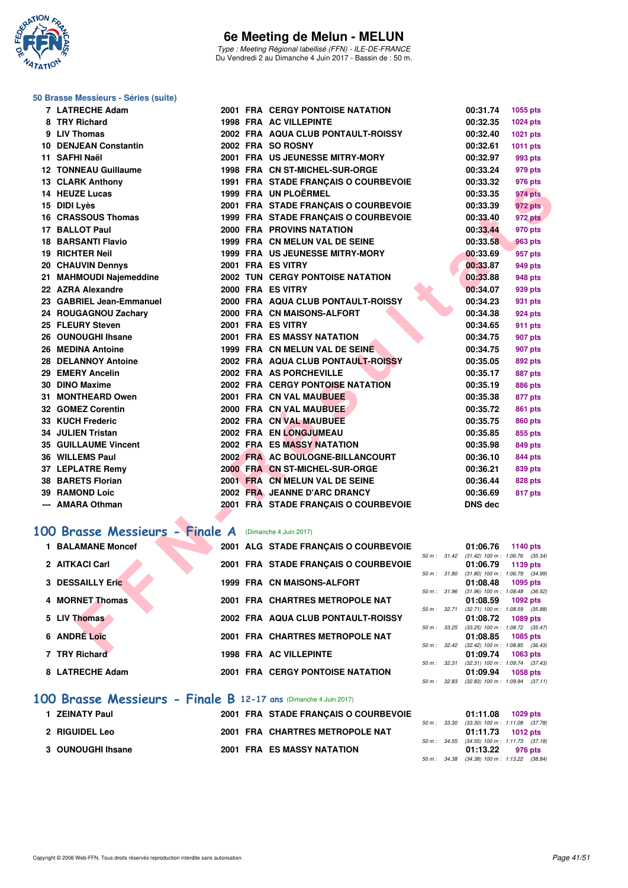

Type : Meeting Régional labellisé (FFN) - ILE-DE-FRANCE Du Vendredi 2 au Dimanche 4 Juin 2017 - Bassin de : 50 m.

**2001 FRA CERGY PONTOISE NATATION 00:31.74 1055 pts 8 8 TRA AC VILLEPINTE 00:32.35 1024 pts 9 LIV Thomas 2002 FRA AQUA CLUB PONTAULT-ROISSY 00:32.40 1021 pts 10 DENJEAN Constantin 2002 FRA SO ROSNY 00:32.61 1011 pts 11 SAFHI Naël 2001 FRA US JEUNESSE MITRY-MORY 00:32.97 993 pts 1998 FRA CN ST-MICHEL-SUR-ORGE 00:33.24 979 pts 1991 FRA STADE FRANÇAIS O COURBEVOIE 00:33.32 976 pts 1999 FRA UN PLOËRMEL 00:33.35 974 pts 15 DIDI Lyès 2001 FRA STADE FRANÇAIS O COURBEVOIE 00:33.39 972 pts 16 CRASSOUS Thomas 1999 FRA STADE FRANÇAIS O COURBEVOIE 00:33.40 972 pts 17 BALLOT Paul 2000 FRA PROVINS NATATION 00:33.44 970 pts 1999 FRA CN MELUN VAL DE SEINE 00:33.58 963 pts 1999 FRA US JEUNESSE MITRY-MORY 00:33.69 957 pts 2001 FRA ES VITRY 100:33.87 949 pts 2002 TUN CERGY PONTOISE NATATION 00:33.88** 948 pts **2000 FRA ES VITRY 100:34.07 939 pts 2000 FRA AQUA CLUB PONTAULT-ROISSY 00:34.23** 931 pts **2000 FRA CN MAISONS-ALFORT 00:34.38 924 pts 2001 FRA ES VITRY 00:34.65 911 pts 2001 FRA ES MASSY NATATION** 00:34.75 **907 pts 26 1999 FRA CN MELUN VAL DE SEINE 1999 FRA CN MELUN VAL DE SEINE 1907 pts 2002 FRA AQUA CLUB PONTAULT-ROISSY 00:35.05** 892 pts **2002 FRA AS PORCHEVILLE 00:35.17 887 pts 2002 FRA CERGY PONTOISE NATATION 00:35.19 886 pts 2001 FRA CN VAL MAUBUEE 00:35.38 877 pts 2000 FRA CN VAL MAUBUEE 00:35.72 861 pts 2002 FRA CN VAL MAUBUEE 00:35.75** 860 pts **2002 FRA EN LONGJUMEAU 00:35.85** 855 pts **35 GUILLAUME Vincent 2002 FRA ES MASSY NATATION 00:35.98 849 pts 2002 FRA AC BOULOGNE-BILLANCOURT 00:36.10 844 pts 37 LEPLATRE Remy 2000 FRA CN ST-MICHEL-SUR-ORGE 00:36.21 839 pts 38 BARETS Florian 2001 FRA CN MELUN VAL DE SEINE 00:36.44 828 pts 39 RAMOND Loic 2002 FRA JEANNE D'ARC DRANCY 00:36.69 817 pts**

#### **50 Brasse Messieurs - Séries (suite)**

| 7 LATRECHE Adam              |
|------------------------------|
| 8 TRY Richard                |
| 9 LIV Thomas                 |
| <b>10 DENJEAN Constantin</b> |
| 11 SAFHI Naël                |
| <b>12 TONNEAU Guillaume</b>  |
| <b>13 CLARK Anthony</b>      |
| 14 HEUZE Lucas               |
| 15 DIDI Lyès                 |
| <b>16 CRASSOUS Thomas</b>    |
| 17 BALLOT Paul               |
| <b>18 BARSANTI Flavio</b>    |
| 19 RICHTER Neil              |
| 20 CHAUVIN Dennys            |
| 21 MAHMOUDI Najemeddine      |
| 22 AZRA Alexandre            |
| 23 GABRIEL Jean-Emmanuel     |
| 24 ROUGAGNOU Zachary         |
| 25 FLEURY Steven             |
| 26 OUNOUGHI Ihsane           |
| 26 MEDINA Antoine            |
| 28 DELANNOY Antoine          |
| 29 EMERY Ancelin             |
| 30 DINO Maxime               |
| 31 MONTHEARD Owen            |
| 32 GOMEZ Corentin            |
| 33 KUCH Frederic             |
| 34 JULIEN Tristan            |
| <b>35 GUILLAUME Vincent</b>  |
| 36 WILLEMS Paul              |
| 37 LEPLATRE Remy             |
| 38 BARETS Florian            |
| <b>39 RAMOND Loic</b>        |
| --- AMARA Othman             |
|                              |

#### **[100 Brasse Messieurs - Finale A](http://www.ffnatation.fr/webffn/resultats.php?idact=nat&go=epr&idcpt=46973&idepr=72)** (Dimanche 4 Juin 2017)

| <b>13 ULANN ANUULY</b>         |  | <b>1991 FRA STADE FRANÇAIS O COURDEVOIE</b> |              | 00.JJ.JZ       | ອາບຸນເອ                                                |
|--------------------------------|--|---------------------------------------------|--------------|----------------|--------------------------------------------------------|
| 14 HEUZE Lucas                 |  | 1999 FRA UN PLOËRMEL                        |              | 00:33.35       | 974 pts                                                |
| 15 DIDI Lyès                   |  | 2001 FRA STADE FRANÇAIS O COURBEVOIE        |              | 00:33.39       | 972 pts                                                |
| 16 CRASSOUS Thomas             |  | 1999 FRA STADE FRANÇAIS O COURBEVOIE        |              | 00:33.40       | 972 pts                                                |
| 17 BALLOT Paul                 |  | 2000 FRA PROVINS NATATION                   |              | 00:33.44       | 970 pts                                                |
| <b>18 BARSANTI Flavio</b>      |  | 1999 FRA CN MELUN VAL DE SEINE              |              | 00:33.58       | 963 pts                                                |
| <b>19 RICHTER Neil</b>         |  | <b>1999 FRA US JEUNESSE MITRY-MORY</b>      |              | 00:33.69       | 957 pts                                                |
| 20 CHAUVIN Dennys              |  | 2001 FRA ES VITRY                           |              | 00:33.87       | 949 pts                                                |
| 21 MAHMOUDI Najemeddine        |  | <b>2002 TUN CERGY PONTOISE NATATION</b>     |              | 00:33.88       | <b>948 pts</b>                                         |
| 22 AZRA Alexandre              |  | 2000 FRA ES VITRY                           |              | 00:34.07       | 939 pts                                                |
| 23 GABRIEL Jean-Emmanuel       |  | 2000 FRA AQUA CLUB PONTAULT-ROISSY          |              | 00:34.23       | 931 pts                                                |
| 24 ROUGAGNOU Zachary           |  | 2000 FRA CN MAISONS-ALFORT                  |              | 00:34.38       | 924 pts                                                |
| 25 FLEURY Steven               |  | 2001 FRA ES VITRY                           |              | 00:34.65       | 911 pts                                                |
| 26 OUNOUGHI Ihsane             |  | <b>2001 FRA ES MASSY NATATION</b>           |              | 00:34.75       | 907 pts                                                |
| 26 MEDINA Antoine              |  | 1999 FRA CN MELUN VAL DE SEINE              |              | 00:34.75       | 907 pts                                                |
| 28 DELANNOY Antoine            |  | 2002 FRA AQUA CLUB PONTAULT-ROISSY          |              | 00:35.05       | 892 pts                                                |
| 29 EMERY Ancelin               |  | 2002 FRA AS PORCHEVILLE                     |              | 00:35.17       | <b>887 pts</b>                                         |
| 30 DINO Maxime                 |  | 2002 FRA CERGY PONTOISE NATATION            |              | 00:35.19       | <b>886 pts</b>                                         |
| 31 MONTHEARD Owen              |  | 2001 FRA CN VAL MAUBUEE                     |              | 00:35.38       | 877 pts                                                |
| 32 GOMEZ Corentin              |  | 2000 FRA CN VAL MAUBUEE                     |              | 00:35.72       | 861 pts                                                |
| 33 KUCH Frederic               |  | 2002 FRA CN VAL MAUBUEE                     |              | 00:35.75       | 860 pts                                                |
| 34 JULIEN Tristan              |  | 2002 FRA EN LONGJUMEAU                      |              | 00:35.85       | 855 pts                                                |
| <b>35 GUILLAUME Vincent</b>    |  | <b>2002 FRA ES MASSY NATATION</b>           |              | 00:35.98       | 849 pts                                                |
| <b>36 WILLEMS Paul</b>         |  | 2002 FRA AC BOULOGNE-BILLANCOURT            |              | 00:36.10       | 844 pts                                                |
| 37 LEPLATRE Remy               |  | 2000 FRA CN ST-MICHEL-SUR-ORGE              |              | 00:36.21       | 839 pts                                                |
| <b>38 BARETS Florian</b>       |  | 2001 FRA CN MELUN VAL DE SEINE              |              | 00:36.44       | 828 pts                                                |
| <b>39 RAMOND Loic</b>          |  | 2002 FRA JEANNE D'ARC DRANCY                |              | 00:36.69       | 817 pts                                                |
| --- AMARA Othman               |  | 2001 FRA STADE FRANÇAIS O COURBEVOIE        |              | <b>DNS dec</b> |                                                        |
|                                |  |                                             |              |                |                                                        |
| 00 Brasse Messieurs - Finale A |  | (Dimanche 4 Juin 2017)                      |              |                |                                                        |
| <b>1 BALAMANE Moncef</b>       |  | 2001 ALG STADE FRANÇAIS O COURBEVOIE        |              | 01:06.76       | 1140 pts                                               |
| 2 AITKACI Carl                 |  | 2001 FRA STADE FRANÇAIS O COURBEVOIE        |              | 01:06.79       | 50 m: 31.42 (31.42) 100 m: 1:06.76 (35.34)<br>1139 pts |
|                                |  |                                             | 50 m : 31.80 |                | $(31.80)$ 100 m : 1:06.79 $(34.99)$                    |
| 3 DESSAILLY Eric               |  | 1999 FRA CN MAISONS-ALFORT                  |              | 01:08.48       | 1095 pts                                               |
| 4 MORNET Thomas                |  | 2001 FRA CHARTRES METROPOLE NAT             |              | 01:08.59       | 50 m: 31.96 (31.96) 100 m: 1:08.48 (36.52)<br>1092 pts |
|                                |  |                                             | 50 m : 32.71 |                | $(32.71)$ 100 m : 1:08.59 $(35.88)$                    |
| 5 LIV Thomas                   |  | 2002 FRA AQUA CLUB PONTAULT-ROISSY          |              | 01:08.72       | <b>1089 pts</b>                                        |
| 6 ANDRÉ Loïc                   |  | 2001 FRA CHARTRES METROPOLE NAT             | 50 m: 33.25  | 01:08.85       | $(33.25)$ 100 m : 1:08.72 $(35.47)$<br><b>1085 pts</b> |
|                                |  |                                             |              |                | 50 m: 32.42 (32.42) 100 m: 1:08.85 (36.43)             |
| 7 TRY Richard                  |  | <b>1998 FRA AC VILLEPINTE</b>               |              | 01:09.74       | 1063 pts                                               |
| 8 LATRECHE Adam                |  | <b>2001 FRA CERGY PONTOISE NATATION</b>     | 50 m : 32.31 | 01:09.94       | $(32.31)$ 100 m : 1:09.74 $(37.43)$<br>1058 pts        |
|                                |  |                                             |              |                | 50 m: 32.83 (32.83) 100 m: 1:09.94 (37.11)             |
|                                |  |                                             |              |                |                                                        |

#### **[100 Brasse Messieurs - Finale B](http://www.ffnatation.fr/webffn/resultats.php?idact=nat&go=epr&idcpt=46973&idepr=72) 12-17 ans** (Dimanche 4 Juin 2017)

| 1 ZEINATY Paul    |  | 2001 FRA STADE FRANCAIS O COURBEVOIE |  | 01:11.08 1029 pts                          |         |
|-------------------|--|--------------------------------------|--|--------------------------------------------|---------|
|                   |  |                                      |  | 50 m: 33.30 (33.30) 100 m: 1:11.08 (37.78  |         |
| 2 RIGUIDEL Leo    |  | 2001 FRA CHARTRES METROPOLE NAT      |  | 01:11.73 1012 pts                          |         |
|                   |  |                                      |  | 50 m: 34.55 (34.55) 100 m: 1:11.73 (37.18) |         |
| 3 OUNOUGHI Ihsane |  | <b>2001 FRA ES MASSY NATATION</b>    |  | 01:13.22                                   | 976 pts |
|                   |  |                                      |  | 50 m: 34.38 (34.38) 100 m: 1:13.22 (38.84  |         |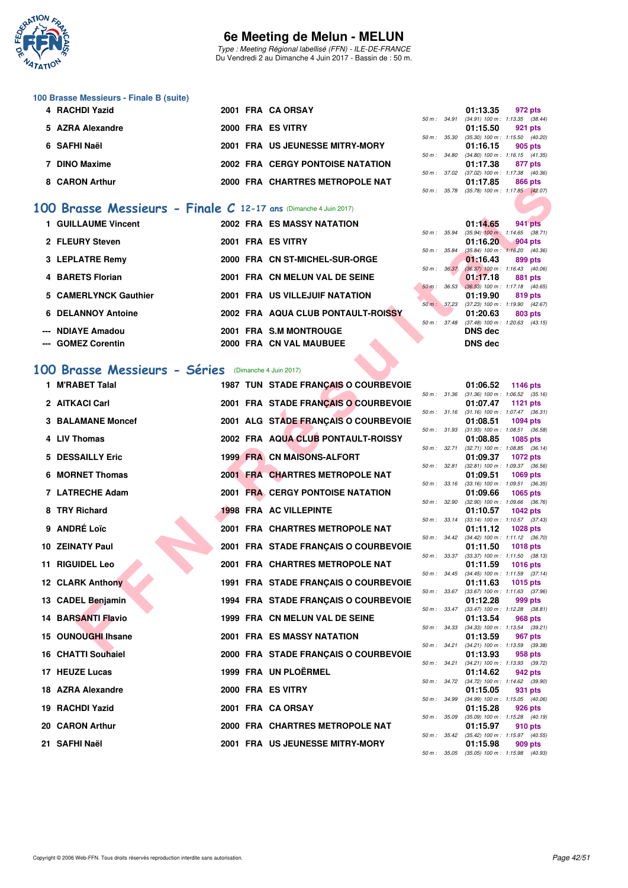

Type : Meeting Régional labellisé (FFN) - ILE-DE-FRANCE Du Vendredi 2 au Dimanche 4 Juin 2017 - Bassin de : 50 m.

# **100 Brasse Messieurs - Finale B (suite)**

| 4 RACHDI Yazid   |  | 2001 FRA CA ORSAY                       |              | 01:13.35                                     | 972 pts |  |
|------------------|--|-----------------------------------------|--------------|----------------------------------------------|---------|--|
|                  |  |                                         |              | 50 m: 34.91 (34.91) 100 m: 1:13.35 (38.44)   |         |  |
| 5 AZRA Alexandre |  | 2000 FRA ES VITRY                       |              | 01:15.50                                     | 921 pts |  |
|                  |  |                                         |              | 50 m : 35.30 (35.30) 100 m : 1:15.50 (40.20) |         |  |
| 6 SAFHI Naël     |  | 2001 FRA US JEUNESSE MITRY-MORY         |              | 01:16.15                                     | 905 pts |  |
|                  |  |                                         |              | 50 m: 34.80 (34.80) 100 m: 1:16.15 (41.35)   |         |  |
| 7 DINO Maxime    |  | <b>2002 FRA CERGY PONTOISE NATATION</b> |              | 01:17.38                                     | 877 pts |  |
|                  |  |                                         |              | 50 m: 37.02 (37.02) 100 m: 1:17.38 (40.36)   |         |  |
| 8 CARON Arthur   |  | 2000 FRA CHARTRES METROPOLE NAT         |              | 01:17.85                                     | 866 pts |  |
|                  |  |                                         | 50 m : 35.78 | $(35.78)$ 100 m : 1:17.85 $(42.07)$          |         |  |

#### **[100 Brasse Messieurs - Finale C](http://www.ffnatation.fr/webffn/resultats.php?idact=nat&go=epr&idcpt=46973&idepr=72) 12-17 ans** (Dimanche 4 Juin 2017)

| 1 GUILLAUME Vincent   |  | 2002 FRA ES MASSY NATATION         |              | 01:14.65                                        |           | 941 pts |
|-----------------------|--|------------------------------------|--------------|-------------------------------------------------|-----------|---------|
| 2 FLEURY Steven       |  | 2001 FRA ES VITRY                  | 50 m : 35.94 | $(35.94)$ 100 m : 1:14.65 $(38.71)$<br>01:16.20 | $904$ pts |         |
| 3 LEPLATRE Remy       |  | 2000 FRA CN ST-MICHEL-SUR-ORGE     | 50 m: 35.84  | $(35.84)$ 100 m : 1:16.20 $(40.36)$<br>01:16.43 | 899 pts   |         |
| 4 BARETS Florian      |  | 2001 FRA CN MELUN VAL DE SEINE     | 50 m: 36.37  | $(36.37)$ 100 m : 1:16.43 $(40.06)$<br>01:17.18 | 881 pts   |         |
| 5 CAMERLYNCK Gauthier |  | 2001 FRA US VILLEJUIF NATATION     | 50 m : 36.53 | $(36.53)$ 100 m : 1:17.18 $(40.65)$<br>01:19.90 | 819 pts   |         |
| 6 DELANNOY Antoine    |  | 2002 FRA AQUA CLUB PONTAULT-ROISSY | 50 m : 37.23 | $(37.23)$ 100 m : 1:19.90 $(42.67)$<br>01:20.63 | 803 pts   |         |
| --- NDIAYE Amadou     |  | 2001 FRA S.M MONTROUGE             | 50 m: 37.48  | $(37.48)$ 100 m : 1:20.63 $(43.15)$<br>DNS dec  |           |         |
| --- GOMEZ Corentin    |  | 2000 FRA CN VAL MAUBUEE            |              | <b>DNS dec</b>                                  |           |         |

#### **[100 Brasse Messieurs - Séries](http://www.ffnatation.fr/webffn/resultats.php?idact=nat&go=epr&idcpt=46973&idepr=72)** (Dimanche 4 Juin 2017)

| 00 Brasse Messieurs - Finale $C$ 12-17 ans (Dimanche 4 Juin 2017)<br>1 GUILLAUME Vincent<br>2 FLEURY Steven |                                                                                                                                                                                                                                                                                  |                                   |                                                                                                                                                                                                                                                                                                                                                                                                                                                                                                                                                                                                                                                                                                                                                                                                                                                                                                                                                                                                                      | 50 m : 35.78 |                                                                                                                                                  | $(35.78)$ 100 m : 1:17.85 $(42.07)$                                                                                                                                                                                                                                                                                                                                                                                                                                                                                                                                                                                                                                                                                                                                                                                                                                                                                                                                                                                          |
|-------------------------------------------------------------------------------------------------------------|----------------------------------------------------------------------------------------------------------------------------------------------------------------------------------------------------------------------------------------------------------------------------------|-----------------------------------|----------------------------------------------------------------------------------------------------------------------------------------------------------------------------------------------------------------------------------------------------------------------------------------------------------------------------------------------------------------------------------------------------------------------------------------------------------------------------------------------------------------------------------------------------------------------------------------------------------------------------------------------------------------------------------------------------------------------------------------------------------------------------------------------------------------------------------------------------------------------------------------------------------------------------------------------------------------------------------------------------------------------|--------------|--------------------------------------------------------------------------------------------------------------------------------------------------|------------------------------------------------------------------------------------------------------------------------------------------------------------------------------------------------------------------------------------------------------------------------------------------------------------------------------------------------------------------------------------------------------------------------------------------------------------------------------------------------------------------------------------------------------------------------------------------------------------------------------------------------------------------------------------------------------------------------------------------------------------------------------------------------------------------------------------------------------------------------------------------------------------------------------------------------------------------------------------------------------------------------------|
|                                                                                                             |                                                                                                                                                                                                                                                                                  |                                   |                                                                                                                                                                                                                                                                                                                                                                                                                                                                                                                                                                                                                                                                                                                                                                                                                                                                                                                                                                                                                      |              |                                                                                                                                                  |                                                                                                                                                                                                                                                                                                                                                                                                                                                                                                                                                                                                                                                                                                                                                                                                                                                                                                                                                                                                                              |
|                                                                                                             |                                                                                                                                                                                                                                                                                  | <b>2002 FRA ES MASSY NATATION</b> |                                                                                                                                                                                                                                                                                                                                                                                                                                                                                                                                                                                                                                                                                                                                                                                                                                                                                                                                                                                                                      |              | 01:14.65                                                                                                                                         | 941 pts                                                                                                                                                                                                                                                                                                                                                                                                                                                                                                                                                                                                                                                                                                                                                                                                                                                                                                                                                                                                                      |
|                                                                                                             |                                                                                                                                                                                                                                                                                  |                                   | 50 m : 35.94                                                                                                                                                                                                                                                                                                                                                                                                                                                                                                                                                                                                                                                                                                                                                                                                                                                                                                                                                                                                         |              |                                                                                                                                                  | $(35.94)$ 100 m : 1:14.65 $(38.71)$                                                                                                                                                                                                                                                                                                                                                                                                                                                                                                                                                                                                                                                                                                                                                                                                                                                                                                                                                                                          |
|                                                                                                             |                                                                                                                                                                                                                                                                                  | 2001 FRA ES VITRY                 | 50 m : 35.84                                                                                                                                                                                                                                                                                                                                                                                                                                                                                                                                                                                                                                                                                                                                                                                                                                                                                                                                                                                                         |              | 01:16.20                                                                                                                                         | 904 pts<br>$(35.84)$ 100 m : 1:16.20 $(40.36)$                                                                                                                                                                                                                                                                                                                                                                                                                                                                                                                                                                                                                                                                                                                                                                                                                                                                                                                                                                               |
|                                                                                                             |                                                                                                                                                                                                                                                                                  |                                   |                                                                                                                                                                                                                                                                                                                                                                                                                                                                                                                                                                                                                                                                                                                                                                                                                                                                                                                                                                                                                      |              | 01:16.43                                                                                                                                         | 899 pts                                                                                                                                                                                                                                                                                                                                                                                                                                                                                                                                                                                                                                                                                                                                                                                                                                                                                                                                                                                                                      |
|                                                                                                             |                                                                                                                                                                                                                                                                                  |                                   |                                                                                                                                                                                                                                                                                                                                                                                                                                                                                                                                                                                                                                                                                                                                                                                                                                                                                                                                                                                                                      |              |                                                                                                                                                  | 881 pts                                                                                                                                                                                                                                                                                                                                                                                                                                                                                                                                                                                                                                                                                                                                                                                                                                                                                                                                                                                                                      |
|                                                                                                             |                                                                                                                                                                                                                                                                                  |                                   |                                                                                                                                                                                                                                                                                                                                                                                                                                                                                                                                                                                                                                                                                                                                                                                                                                                                                                                                                                                                                      |              |                                                                                                                                                  | $(36.53)$ 100 m : 1:17.18 $(40.65)$                                                                                                                                                                                                                                                                                                                                                                                                                                                                                                                                                                                                                                                                                                                                                                                                                                                                                                                                                                                          |
|                                                                                                             |                                                                                                                                                                                                                                                                                  |                                   |                                                                                                                                                                                                                                                                                                                                                                                                                                                                                                                                                                                                                                                                                                                                                                                                                                                                                                                                                                                                                      |              |                                                                                                                                                  | 819 pts                                                                                                                                                                                                                                                                                                                                                                                                                                                                                                                                                                                                                                                                                                                                                                                                                                                                                                                                                                                                                      |
| <b>6 DELANNOY Antoine</b>                                                                                   |                                                                                                                                                                                                                                                                                  |                                   |                                                                                                                                                                                                                                                                                                                                                                                                                                                                                                                                                                                                                                                                                                                                                                                                                                                                                                                                                                                                                      |              | 01:20.63                                                                                                                                         | 803 pts                                                                                                                                                                                                                                                                                                                                                                                                                                                                                                                                                                                                                                                                                                                                                                                                                                                                                                                                                                                                                      |
| --- NDIAYE Amadou                                                                                           |                                                                                                                                                                                                                                                                                  |                                   |                                                                                                                                                                                                                                                                                                                                                                                                                                                                                                                                                                                                                                                                                                                                                                                                                                                                                                                                                                                                                      |              | <b>DNS dec</b>                                                                                                                                   |                                                                                                                                                                                                                                                                                                                                                                                                                                                                                                                                                                                                                                                                                                                                                                                                                                                                                                                                                                                                                              |
| --- GOMEZ Corentin                                                                                          |                                                                                                                                                                                                                                                                                  |                                   |                                                                                                                                                                                                                                                                                                                                                                                                                                                                                                                                                                                                                                                                                                                                                                                                                                                                                                                                                                                                                      |              | <b>DNS dec</b>                                                                                                                                   |                                                                                                                                                                                                                                                                                                                                                                                                                                                                                                                                                                                                                                                                                                                                                                                                                                                                                                                                                                                                                              |
|                                                                                                             |                                                                                                                                                                                                                                                                                  |                                   |                                                                                                                                                                                                                                                                                                                                                                                                                                                                                                                                                                                                                                                                                                                                                                                                                                                                                                                                                                                                                      |              |                                                                                                                                                  |                                                                                                                                                                                                                                                                                                                                                                                                                                                                                                                                                                                                                                                                                                                                                                                                                                                                                                                                                                                                                              |
|                                                                                                             |                                                                                                                                                                                                                                                                                  |                                   |                                                                                                                                                                                                                                                                                                                                                                                                                                                                                                                                                                                                                                                                                                                                                                                                                                                                                                                                                                                                                      |              |                                                                                                                                                  |                                                                                                                                                                                                                                                                                                                                                                                                                                                                                                                                                                                                                                                                                                                                                                                                                                                                                                                                                                                                                              |
| 1 M'RABET Talal                                                                                             |                                                                                                                                                                                                                                                                                  |                                   |                                                                                                                                                                                                                                                                                                                                                                                                                                                                                                                                                                                                                                                                                                                                                                                                                                                                                                                                                                                                                      |              | 01:06.52                                                                                                                                         | 1146 pts                                                                                                                                                                                                                                                                                                                                                                                                                                                                                                                                                                                                                                                                                                                                                                                                                                                                                                                                                                                                                     |
|                                                                                                             |                                                                                                                                                                                                                                                                                  |                                   |                                                                                                                                                                                                                                                                                                                                                                                                                                                                                                                                                                                                                                                                                                                                                                                                                                                                                                                                                                                                                      |              |                                                                                                                                                  | <b>1121 pts</b>                                                                                                                                                                                                                                                                                                                                                                                                                                                                                                                                                                                                                                                                                                                                                                                                                                                                                                                                                                                                              |
|                                                                                                             |                                                                                                                                                                                                                                                                                  |                                   |                                                                                                                                                                                                                                                                                                                                                                                                                                                                                                                                                                                                                                                                                                                                                                                                                                                                                                                                                                                                                      |              |                                                                                                                                                  |                                                                                                                                                                                                                                                                                                                                                                                                                                                                                                                                                                                                                                                                                                                                                                                                                                                                                                                                                                                                                              |
|                                                                                                             |                                                                                                                                                                                                                                                                                  |                                   |                                                                                                                                                                                                                                                                                                                                                                                                                                                                                                                                                                                                                                                                                                                                                                                                                                                                                                                                                                                                                      |              |                                                                                                                                                  | <b>1094 pts</b>                                                                                                                                                                                                                                                                                                                                                                                                                                                                                                                                                                                                                                                                                                                                                                                                                                                                                                                                                                                                              |
| 4 LIV Thomas                                                                                                |                                                                                                                                                                                                                                                                                  |                                   |                                                                                                                                                                                                                                                                                                                                                                                                                                                                                                                                                                                                                                                                                                                                                                                                                                                                                                                                                                                                                      |              | 01:08.85                                                                                                                                         | 1085 pts                                                                                                                                                                                                                                                                                                                                                                                                                                                                                                                                                                                                                                                                                                                                                                                                                                                                                                                                                                                                                     |
|                                                                                                             |                                                                                                                                                                                                                                                                                  |                                   |                                                                                                                                                                                                                                                                                                                                                                                                                                                                                                                                                                                                                                                                                                                                                                                                                                                                                                                                                                                                                      |              |                                                                                                                                                  | <b>1072 pts</b>                                                                                                                                                                                                                                                                                                                                                                                                                                                                                                                                                                                                                                                                                                                                                                                                                                                                                                                                                                                                              |
|                                                                                                             |                                                                                                                                                                                                                                                                                  |                                   |                                                                                                                                                                                                                                                                                                                                                                                                                                                                                                                                                                                                                                                                                                                                                                                                                                                                                                                                                                                                                      |              |                                                                                                                                                  | $(32.81)$ 100 m : 1:09.37 $(36.56)$                                                                                                                                                                                                                                                                                                                                                                                                                                                                                                                                                                                                                                                                                                                                                                                                                                                                                                                                                                                          |
|                                                                                                             |                                                                                                                                                                                                                                                                                  |                                   |                                                                                                                                                                                                                                                                                                                                                                                                                                                                                                                                                                                                                                                                                                                                                                                                                                                                                                                                                                                                                      |              |                                                                                                                                                  | <b>1069 pts</b><br>$(33.16)$ 100 m : 1:09.51 $(36.35)$                                                                                                                                                                                                                                                                                                                                                                                                                                                                                                                                                                                                                                                                                                                                                                                                                                                                                                                                                                       |
| 7 LATRECHE Adam                                                                                             |                                                                                                                                                                                                                                                                                  |                                   |                                                                                                                                                                                                                                                                                                                                                                                                                                                                                                                                                                                                                                                                                                                                                                                                                                                                                                                                                                                                                      |              | 01:09.66                                                                                                                                         | 1065 pts                                                                                                                                                                                                                                                                                                                                                                                                                                                                                                                                                                                                                                                                                                                                                                                                                                                                                                                                                                                                                     |
| 8 TRY Richard                                                                                               |                                                                                                                                                                                                                                                                                  |                                   |                                                                                                                                                                                                                                                                                                                                                                                                                                                                                                                                                                                                                                                                                                                                                                                                                                                                                                                                                                                                                      |              | 01:10.57                                                                                                                                         | <b>1042 pts</b>                                                                                                                                                                                                                                                                                                                                                                                                                                                                                                                                                                                                                                                                                                                                                                                                                                                                                                                                                                                                              |
|                                                                                                             |                                                                                                                                                                                                                                                                                  |                                   |                                                                                                                                                                                                                                                                                                                                                                                                                                                                                                                                                                                                                                                                                                                                                                                                                                                                                                                                                                                                                      |              |                                                                                                                                                  |                                                                                                                                                                                                                                                                                                                                                                                                                                                                                                                                                                                                                                                                                                                                                                                                                                                                                                                                                                                                                              |
|                                                                                                             |                                                                                                                                                                                                                                                                                  |                                   |                                                                                                                                                                                                                                                                                                                                                                                                                                                                                                                                                                                                                                                                                                                                                                                                                                                                                                                                                                                                                      |              |                                                                                                                                                  | <b>1028 pts</b>                                                                                                                                                                                                                                                                                                                                                                                                                                                                                                                                                                                                                                                                                                                                                                                                                                                                                                                                                                                                              |
| 10 ZEINATY Paul                                                                                             |                                                                                                                                                                                                                                                                                  |                                   |                                                                                                                                                                                                                                                                                                                                                                                                                                                                                                                                                                                                                                                                                                                                                                                                                                                                                                                                                                                                                      |              | 01:11.50                                                                                                                                         | <b>1018 pts</b>                                                                                                                                                                                                                                                                                                                                                                                                                                                                                                                                                                                                                                                                                                                                                                                                                                                                                                                                                                                                              |
| <b>11 RIGUIDEL Leo</b>                                                                                      |                                                                                                                                                                                                                                                                                  |                                   |                                                                                                                                                                                                                                                                                                                                                                                                                                                                                                                                                                                                                                                                                                                                                                                                                                                                                                                                                                                                                      |              | 01:11.59                                                                                                                                         | 1016 $pts$                                                                                                                                                                                                                                                                                                                                                                                                                                                                                                                                                                                                                                                                                                                                                                                                                                                                                                                                                                                                                   |
|                                                                                                             |                                                                                                                                                                                                                                                                                  |                                   |                                                                                                                                                                                                                                                                                                                                                                                                                                                                                                                                                                                                                                                                                                                                                                                                                                                                                                                                                                                                                      |              |                                                                                                                                                  | <b>1015 pts</b>                                                                                                                                                                                                                                                                                                                                                                                                                                                                                                                                                                                                                                                                                                                                                                                                                                                                                                                                                                                                              |
|                                                                                                             |                                                                                                                                                                                                                                                                                  |                                   |                                                                                                                                                                                                                                                                                                                                                                                                                                                                                                                                                                                                                                                                                                                                                                                                                                                                                                                                                                                                                      |              |                                                                                                                                                  | $(33.67)$ 100 m : 1:11.63 $(37.96)$                                                                                                                                                                                                                                                                                                                                                                                                                                                                                                                                                                                                                                                                                                                                                                                                                                                                                                                                                                                          |
|                                                                                                             |                                                                                                                                                                                                                                                                                  |                                   |                                                                                                                                                                                                                                                                                                                                                                                                                                                                                                                                                                                                                                                                                                                                                                                                                                                                                                                                                                                                                      |              |                                                                                                                                                  | 999 pts                                                                                                                                                                                                                                                                                                                                                                                                                                                                                                                                                                                                                                                                                                                                                                                                                                                                                                                                                                                                                      |
| 14 BARSANTI Flavio                                                                                          |                                                                                                                                                                                                                                                                                  |                                   |                                                                                                                                                                                                                                                                                                                                                                                                                                                                                                                                                                                                                                                                                                                                                                                                                                                                                                                                                                                                                      |              | 01:13.54                                                                                                                                         | 968 pts                                                                                                                                                                                                                                                                                                                                                                                                                                                                                                                                                                                                                                                                                                                                                                                                                                                                                                                                                                                                                      |
|                                                                                                             |                                                                                                                                                                                                                                                                                  |                                   |                                                                                                                                                                                                                                                                                                                                                                                                                                                                                                                                                                                                                                                                                                                                                                                                                                                                                                                                                                                                                      |              |                                                                                                                                                  | 967 pts                                                                                                                                                                                                                                                                                                                                                                                                                                                                                                                                                                                                                                                                                                                                                                                                                                                                                                                                                                                                                      |
|                                                                                                             |                                                                                                                                                                                                                                                                                  |                                   |                                                                                                                                                                                                                                                                                                                                                                                                                                                                                                                                                                                                                                                                                                                                                                                                                                                                                                                                                                                                                      |              |                                                                                                                                                  | $(34.21)$ 100 m : 1:13.59 $(39.38)$                                                                                                                                                                                                                                                                                                                                                                                                                                                                                                                                                                                                                                                                                                                                                                                                                                                                                                                                                                                          |
|                                                                                                             |                                                                                                                                                                                                                                                                                  |                                   |                                                                                                                                                                                                                                                                                                                                                                                                                                                                                                                                                                                                                                                                                                                                                                                                                                                                                                                                                                                                                      |              |                                                                                                                                                  | 958 pts                                                                                                                                                                                                                                                                                                                                                                                                                                                                                                                                                                                                                                                                                                                                                                                                                                                                                                                                                                                                                      |
| 17 HEUZE Lucas                                                                                              |                                                                                                                                                                                                                                                                                  |                                   |                                                                                                                                                                                                                                                                                                                                                                                                                                                                                                                                                                                                                                                                                                                                                                                                                                                                                                                                                                                                                      |              | 01:14.62                                                                                                                                         | 942 pts                                                                                                                                                                                                                                                                                                                                                                                                                                                                                                                                                                                                                                                                                                                                                                                                                                                                                                                                                                                                                      |
| 18 AZRA Alexandre                                                                                           |                                                                                                                                                                                                                                                                                  |                                   |                                                                                                                                                                                                                                                                                                                                                                                                                                                                                                                                                                                                                                                                                                                                                                                                                                                                                                                                                                                                                      |              | 01:15.05                                                                                                                                         | 931 pts                                                                                                                                                                                                                                                                                                                                                                                                                                                                                                                                                                                                                                                                                                                                                                                                                                                                                                                                                                                                                      |
|                                                                                                             |                                                                                                                                                                                                                                                                                  |                                   |                                                                                                                                                                                                                                                                                                                                                                                                                                                                                                                                                                                                                                                                                                                                                                                                                                                                                                                                                                                                                      |              |                                                                                                                                                  |                                                                                                                                                                                                                                                                                                                                                                                                                                                                                                                                                                                                                                                                                                                                                                                                                                                                                                                                                                                                                              |
|                                                                                                             |                                                                                                                                                                                                                                                                                  |                                   |                                                                                                                                                                                                                                                                                                                                                                                                                                                                                                                                                                                                                                                                                                                                                                                                                                                                                                                                                                                                                      |              |                                                                                                                                                  | 926 pts                                                                                                                                                                                                                                                                                                                                                                                                                                                                                                                                                                                                                                                                                                                                                                                                                                                                                                                                                                                                                      |
| 20 CARON Arthur                                                                                             |                                                                                                                                                                                                                                                                                  |                                   |                                                                                                                                                                                                                                                                                                                                                                                                                                                                                                                                                                                                                                                                                                                                                                                                                                                                                                                                                                                                                      |              | 01:15.97                                                                                                                                         | 910 pts                                                                                                                                                                                                                                                                                                                                                                                                                                                                                                                                                                                                                                                                                                                                                                                                                                                                                                                                                                                                                      |
| 21 SAFHI Naël                                                                                               |                                                                                                                                                                                                                                                                                  |                                   |                                                                                                                                                                                                                                                                                                                                                                                                                                                                                                                                                                                                                                                                                                                                                                                                                                                                                                                                                                                                                      |              | 01:15.98                                                                                                                                         | 909 pts                                                                                                                                                                                                                                                                                                                                                                                                                                                                                                                                                                                                                                                                                                                                                                                                                                                                                                                                                                                                                      |
|                                                                                                             | 3 LEPLATRE Remy<br>4 BARETS Florian<br>5 CAMERLYNCK Gauthier<br>2 AITKACI Carl<br><b>3 BALAMANE Moncef</b><br>5 DESSAILLY Eric<br><b>6 MORNET Thomas</b><br>9 ANDRÉ Loïc<br>12 CLARK Anthony<br>13 CADEL Benjamin<br>15 OUNOUGHI Ihsane<br>16 CHATTI Souhaiel<br>19 RACHDI Yazid |                                   | 2000 FRA CN ST-MICHEL-SUR-ORGE<br>2001 FRA CN MELUN VAL DE SEINE<br>2001 FRA US VILLEJUIF NATATION<br>2002 FRA AQUA CLUB PONTAULT-ROISSY<br>2001 FRA S.M MONTROUGE<br>2000 FRA CN VAL MAUBUEE<br>00 Brasse Messieurs - Séries (Dimanche 4 Juin 2017)<br>1987 TUN STADE FRANÇAIS O COURBEVOIE<br>2001 FRA STADE FRANÇAIS O COURBEVOIE<br>2001 ALG STADE FRANCAIS O COURBEVOIE<br>2002 FRA AQUA CLUB PONTAULT-ROISSY<br><b>1999 FRA CN MAISONS-ALFORT</b><br>2001 FRA CHARTRES METROPOLE NAT<br><b>2001 FRA CERGY PONTOISE NATATION</b><br><b>1998 FRA AC VILLEPINTE</b><br>2001 FRA CHARTRES METROPOLE NAT<br>2001 FRA STADE FRANÇAIS O COURBEVOIE<br>2001 FRA CHARTRES METROPOLE NAT<br>1991 FRA STADE FRANÇAIS O COURBEVOIE<br>1994 FRA STADE FRANÇAIS O COURBEVOIE<br>1999 FRA CN MELUN VAL DE SEINE<br>2001 FRA ES MASSY NATATION<br>2000 FRA STADE FRANÇAIS O COURBEVOIE<br>1999 FRA UN PLOËRMEL<br>2000 FRA ES VITRY<br>2001 FRA CA ORSAY<br>2000 FRA CHARTRES METROPOLE NAT<br>2001 FRA US JEUNESSE MITRY-MORY |              | 50 m : 36.37<br>$50 m$ : $36.53$<br>50 m : 37.23<br>50 m : 32.71<br>50 m : 32.81<br>50 m : 33.16<br>50 m : 32.90<br>50 m : 33.67<br>50 m : 34.21 | $(36.37)$ 100 m : 1:16.43 $(40.06)$<br>01:17.18<br>01:19.90<br>$(37.23)$ 100 m : 1:19.90 $(42.67)$<br>50 m: 37.48 (37.48) 100 m: 1:20.63 (43.15)<br>50 m: 31.36 (31.36) 100 m: 1:06.52 (35.16)<br>01:07.47<br>50 m: 31.16 (31.16) 100 m: 1:07.47 (36.31)<br>01:08.51<br>50 m: 31.93 (31.93) 100 m: 1:08.51 (36.58)<br>$(32.71)$ 100 m : 1:08.85 $(36.14)$<br>01:09.37<br>01:09.51<br>$(32.90)$ 100 m : 1:09.66 $(36.76)$<br>50 m: 33.14 (33.14) 100 m: 1:10.57 (37.43)<br>01:11.12<br>50 m: 34.42 (34.42) 100 m: 1:11.12 (36.70)<br>50 m: 33.37 (33.37) 100 m: 1:11.50 (38.13)<br>50 m: 34.45 (34.45) 100 m: 1:11.59 (37.14)<br>01:11.63<br>01:12.28<br>50 m: 33.47 (33.47) 100 m: 1:12.28 (38.81)<br>50 m: 34.33 (34.33) 100 m: 1:13.54 (39.21)<br>01:13.59<br>01:13.93<br>50 m: 34.21 (34.21) 100 m: 1:13.93 (39.72)<br>50 m: 34.72 (34.72) 100 m: 1:14.62 (39.90)<br>50 m : 34.99 (34.99) 100 m : 1:15.05 (40.06)<br>01:15.28<br>50 m: 35.09 (35.09) 100 m: 1:15.28 (40.19)<br>50 m: 35.42 (35.42) 100 m: 1:15.97 (40.55) |

|          |       | 01:06.52          | 1146 pts        |         |
|----------|-------|-------------------|-----------------|---------|
| $50 m$ : | 31.36 | $(31.36) 100 m$ : | 1:06.52         | (35.16) |
|          |       | 01:07.47          | 1121 pts        |         |
| $50 m$ : | 31.16 | $(31.16) 100 m$ : | 1:07.47         | (36.31) |
|          |       | 01:08.51          | 1094 pts        |         |
| $50 m$ : | 31.93 | $(31.93) 100 m$ : | 1:08.51         | (36.58) |
|          |       | 01:08.85          | 1085 pts        |         |
| $50 m$ : | 32.71 | $(32.71)$ 100 m : | 1:08.85         | (36.14) |
|          |       | 01:09.37          | <b>1072 pts</b> |         |
| $50 m$ : | 32.81 | $(32.81)$ 100 m : | 1:09.37         | (36.56) |
|          |       | 01:09.51          | 1069 pts        |         |
| $50 m$ : | 33.16 | $(33.16) 100 m$ : | 1:09.51         | (36.35) |
|          |       | 01:09.66          | 1065 pts        |         |
| $50 m$ : | 32.90 | $(32.90)$ 100 m : | 1:09.66         | (36.76) |
|          |       | 01:10.57          | 1042 pts        |         |
| $50 m$ : | 33.14 | $(33.14) 100 m$ : | 1:10.57         | (37.43) |
|          |       | 01:11.12          | 1028 pts        |         |
| $50 m$ : | 34.42 | $(34.42)$ 100 m : | 1:11.12         | (36.70) |
|          |       | 01:11.50          | 1018 pts        |         |
| $50 m$ : | 33.37 | $(33.37)$ 100 m : | 1:11.50         | (38.13) |
|          |       | 01:11.59          | 1016 pts        |         |
| $50 m$ : | 34.45 | $(34.45) 100 m$ : | 1:11.59         | (37.14) |
|          |       | 01:11.63          | 1015 pts        |         |
| $50 m$ : | 33.67 | $(33.67) 100 m$ : | 1:11.63         | (37.96) |
|          |       | 01:12.28          | 999 pts         |         |
| $50 m$ : | 33.47 | $(33.47)$ 100 m : | 1:12.28         | (38.81) |
|          |       | 01:13.54          | 968 pts         |         |
| $50 m$ : | 34.33 | $(34.33) 100 m$ : | 1:13.54         | (39.21) |
|          |       | 01:13.59          | 967             | pts     |
| $50 m$ : | 34.21 | $(34.21)$ 100 m : | 1:13.59         | (39.38) |
|          |       | 01:13.93          | 958 pts         |         |
| $50 m$ : | 34.21 | $(34.21)$ 100 m : | 1:13.93         | (39.72) |
|          |       | 01:14.62          | 942 pts         |         |
| $50 m$ : | 34.72 | $(34.72) 100 m$ : | 1:14.62         | (39.90) |
|          |       | 01:15.05          | 931             | pts     |
| $50 m$ : | 34.99 | $(34.99)$ 100 m : | 1:15.05         | (40.06) |
|          |       | 01:15.28          | 926             | pts     |
| $50 m$ : | 35.09 | $(35.09)$ 100 m : | 1:15.28         | (40.19) |
|          |       | 01:15.97          | 910 pts         |         |
| $50 m$ : | 35.42 | $(35.42)$ 100 m : | 1:15.97         | (40.55) |
|          |       | 01:15.98          | 909             | pts     |
| $50 m$ : | 35.05 | $(35.05)$ 100 m : | 1:15.98         | (40.93) |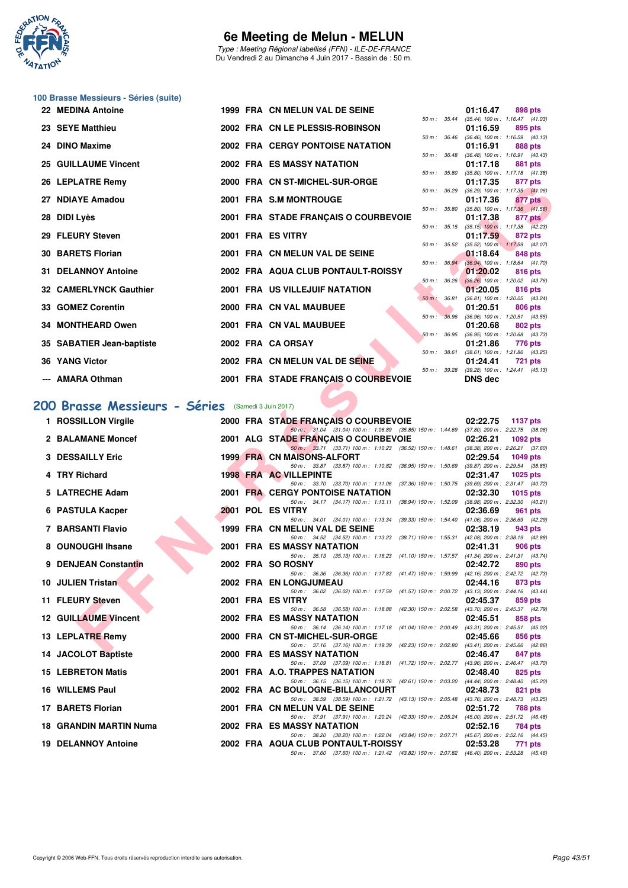

Type : Meeting Régional labellisé (FFN) - ILE-DE-FRANCE Du Vendredi 2 au Dimanche 4 Juin 2017 - Bassin de : 50 m.

| 100 Brasse Messieurs - Séries (suite) |  |  |  |
|---------------------------------------|--|--|--|
|---------------------------------------|--|--|--|

| 22 MEDINA Antoine             |  | 1999 FRA CN MELUN VAL DE SEINE          |                  |                          | 01:16.47                                               |         | 898 pts        |
|-------------------------------|--|-----------------------------------------|------------------|--------------------------|--------------------------------------------------------|---------|----------------|
|                               |  |                                         | 50 m : 35.44     |                          | $(35.44)$ 100 m : 1:16.47 $(41.03)$                    |         |                |
| 23 SEYE Matthieu              |  | 2002 FRA CN LE PLESSIS-ROBINSON         |                  |                          | 01:16.59<br>50 m: 36.46 (36.46) 100 m: 1:16.59 (40.13) |         | 895 pts        |
| 24 DINO Maxime                |  | <b>2002 FRA CERGY PONTOISE NATATION</b> |                  |                          | 01:16.91                                               | 888 pts |                |
|                               |  |                                         | $50 m$ : $36.48$ |                          | $(36.48)$ 100 m : 1:16.91 $(40.43)$                    |         |                |
| 25 GUILLAUME Vincent          |  | 2002 FRA ES MASSY NATATION              |                  |                          | 01:17.18                                               |         | 881 pts        |
|                               |  |                                         | 50 m : 35.80     |                          | $(35.80)$ 100 m : 1:17.18 $(41.38)$                    |         |                |
| 26 LEPLATRE Remy              |  | 2000 FRA CN ST-MICHEL-SUR-ORGE          |                  |                          | 01:17.35                                               |         | 877 pts        |
| 27 NDIAYE Amadou              |  | 2001 FRA S.M MONTROUGE                  |                  |                          | 50 m: 36.29 (36.29) 100 m: 1:17.35 (41.06)<br>01:17.36 |         | 877 pts        |
|                               |  |                                         |                  |                          | 50 m: 35.80 (35.80) 100 m: 1:17.36 (41.56)             |         |                |
| 28 DIDI Lyès                  |  | 2001 FRA STADE FRANÇAIS O COURBEVOIE    |                  |                          | 01:17.38                                               |         | 877 pts        |
|                               |  |                                         |                  | 50 m : 35.15             | $(35.15)$ 100 m : 1:17.38 $(42.23)$                    |         |                |
| 29 FLEURY Steven              |  | 2001 FRA ES VITRY                       |                  |                          | 01:17.59                                               |         | 872 pts        |
| <b>30 BARETS Florian</b>      |  | 2001 FRA CN MELUN VAL DE SEINE          | 50 m: 35.52      |                          | $(35.52)$ 100 m : 1:17.59 $(42.07)$<br>01:18.64        |         |                |
|                               |  |                                         |                  | $50 \text{ m}$ : $36.94$ | $(36.94)$ 100 m : 1:18.64 $(41.70)$                    |         | 848 pts        |
| <b>31 DELANNOY Antoine</b>    |  | 2002 FRA AQUA CLUB PONTAULT-ROISSY      |                  |                          | 01:20.02                                               |         | 816 pts        |
|                               |  |                                         |                  | 50 m: 36.26              | $(36.26)$ 100 m : 1:20.02 $(43.76)$                    |         |                |
| <b>32 CAMERLYNCK Gauthier</b> |  | 2001 FRA US VILLEJUIF NATATION          |                  |                          | 01:20.05                                               |         | <b>816 pts</b> |
|                               |  |                                         | 50 m : 36.81     |                          | $(36.81)$ 100 m : 1:20.05 $(43.24)$                    |         |                |
| 33 GOMEZ Corentin             |  | 2000 FRA CN VAL MAUBUEE                 | 50 m: 36.96      |                          | 01:20.51<br>$(36.96)$ 100 m : 1:20.51 $(43.55)$        |         | <b>806 pts</b> |
| 34 MONTHEARD Owen             |  | 2001 FRA CN VAL MAUBUEE                 |                  |                          | 01:20.68                                               |         | 802 pts        |
|                               |  |                                         |                  |                          | 50 m: 36.95 (36.95) 100 m: 1:20.68 (43.73)             |         |                |
| 35 SABATIER Jean-baptiste     |  | 2002 FRA CA ORSAY                       |                  |                          | 01:21.86                                               |         | 776 pts        |
|                               |  |                                         | 50 m : 38.61     |                          | $(38.61)$ 100 m : 1:21.86 $(43.25)$                    |         |                |
| 36 YANG Victor                |  | 2002 FRA CN MELUN VAL DE SEINE          |                  |                          | 01:24.41                                               |         | 721 pts        |
| --- AMARA Othman              |  |                                         | 50 m: 39.28      |                          | $(39.28)$ 100 m : 1:24.41 $(45.13)$<br><b>DNS</b> dec  |         |                |
|                               |  | 2001 FRA STADE FRANÇAIS O COURBEVOIE    |                  |                          |                                                        |         |                |

# **[200 Brasse Messieurs - Séries](http://www.ffnatation.fr/webffn/resultats.php?idact=nat&go=epr&idcpt=46973&idepr=73)** (Samedi 3 Juin 2017)

| ZU LEFLAINE N <del>e</del> iliy                   |  | <b>FRA CN SI-MICHEL-SUR-URGE</b>                                                                                                 |                  |                  | 01.17.33       | on pis                                                 |
|---------------------------------------------------|--|----------------------------------------------------------------------------------------------------------------------------------|------------------|------------------|----------------|--------------------------------------------------------|
| 27 NDIAYE Amadou                                  |  | 2001 FRA S.M MONTROUGE                                                                                                           |                  | 50 m : 36.29     | 01:17.36       | $(36.29)$ 100 m : 1:17.35 $(41.06)$<br>877 pts         |
| 28 DIDI Lyès                                      |  | 2001 FRA STADE FRANÇAIS O COURBEVOIE                                                                                             | 50 m : 35.80     |                  | 01:17.38       | $(35.80)$ 100 m : 1:17.36 $(41.56)$<br>877 pts         |
| 29 FLEURY Steven                                  |  | 2001 FRA ES VITRY                                                                                                                |                  |                  | 01:17.59       | 50 m: 35.15 (35.15) 100 m: 1:17.38 (42.23)<br>872 pts  |
|                                                   |  |                                                                                                                                  | 50 m: 35.52      |                  |                | $(35.52)$ 100 m : 1:17.59 $(42.07)$                    |
| 30 BARETS Florian                                 |  | 2001 FRA CN MELUN VAL DE SEINE                                                                                                   |                  | 50 m: 36.94      | 01:18.64       | 848 pts<br>$(36.94)$ 100 m : 1:18.64 $(41.70)$         |
| <b>31 DELANNOY Antoine</b>                        |  | 2002 FRA AQUA CLUB PONTAULT-ROISSY                                                                                               |                  | $50 m$ : $36.26$ | 01:20.02       | 816 pts<br>$(36.26)$ 100 m : 1:20.02 $(43.76)$         |
| 32 CAMERLYNCK Gauthier                            |  | 2001 FRA US VILLEJUIF NATATION                                                                                                   |                  |                  | 01:20.05       | 816 pts                                                |
| 33 GOMEZ Corentin                                 |  | 2000 FRA CN VAL MAUBUEE                                                                                                          | $50 m$ : $36.81$ |                  | 01:20.51       | $(36.81)$ 100 m : 1:20.05 $(43.24)$<br>806 pts         |
| 34 MONTHEARD Owen                                 |  | 2001 FRA CN VAL MAUBUEE                                                                                                          |                  | 50 m: 36.96      | 01:20.68       | $(36.96)$ 100 m : 1:20.51 $(43.55)$<br>802 pts         |
|                                                   |  |                                                                                                                                  |                  | 50 m : 36.95     |                | $(36.95)$ 100 m : 1:20.68 $(43.73)$                    |
| 35 SABATIER Jean-baptiste                         |  | 2002 FRA CA ORSAY                                                                                                                |                  | 50 m : 38.61     | 01:21.86       | 776 pts<br>$(38.61)$ 100 m : 1:21.86 $(43.25)$         |
| 36 YANG Victor                                    |  | 2002 FRA CN MELUN VAL DE SEINE                                                                                                   |                  |                  | 01:24.41       | <b>721 pts</b>                                         |
| --- AMARA Othman                                  |  | 2001 FRA STADE FRANÇAIS O COURBEVOIE                                                                                             |                  |                  | <b>DNS dec</b> | 50 m: 39.28 (39.28) 100 m: 1:24.41 (45.13)             |
|                                                   |  |                                                                                                                                  |                  |                  |                |                                                        |
| OO Brasse Messieurs - Séries (Samedi 3 Juin 2017) |  |                                                                                                                                  |                  |                  |                |                                                        |
| 1 ROSSILLON Virgile                               |  | 2000 FRA STADE FRANÇAIS O COURBEVOIE                                                                                             |                  |                  | 02:22.75       | 1137 pts                                               |
| 2 BALAMANE Moncef                                 |  | 50 m: 31.04 (31.04) 100 m: 1:06.89 (35.85) 150 m: 1:44.69 (37.80) 200 m: 2:22.75 (38.06)<br>2001 ALG STADE FRANÇAIS O COURBEVOIE |                  |                  | 02:26.21       | 1092 $pts$                                             |
| <b>3 DESSAILLY Eric</b>                           |  | 50 m: 33.71 (33.71) 100 m: 1:10.23 (36.52) 150 m: 1:48.61 (38.38) 200 m: 2:26.21 (37.60)<br><b>1999 FRA CN MAISONS-ALFORT</b>    |                  |                  | 02:29.54       | $1049$ pts                                             |
|                                                   |  | 50 m: 33.87 (33.87) 100 m: 1:10.82 (36.95) 150 m: 1:50.69                                                                        |                  |                  |                | $(39.87)$ 200 m : 2:29.54 $(38.85)$                    |
| 4 TRY Richard                                     |  | <b>1998 FRA AC VILLEPINTE</b><br>50 m: 33.70 (33.70) 100 m: 1:11.06 (37.36) 150 m: 1:50.75 (39.69) 200 m: 2:31.47 (40.72)        |                  |                  | 02:31.47       | 1025 $p$ ts                                            |
| 5 LATRECHE Adam                                   |  | <b>2001 FRA CERGY PONTOISE NATATION</b><br>50 m: 34.17 (34.17) 100 m: 1:13.11 (38.94) 150 m: 1:52.09                             |                  |                  | 02:32.30       | <b>1015 pts</b><br>$(38.98)$ 200 m : 2:32.30 $(40.21)$ |
| 6 PASTULA Kacper                                  |  | 2001 POL ES VITRY                                                                                                                |                  |                  | 02:36.69       | 961 pts                                                |
| 7 BARSANTI Flavio                                 |  | 50 m: 34.01 (34.01) 100 m: 1:13.34 (39.33) 150 m: 1:54.40 (41.06) 200 m: 2:36.69 (42.29)<br>1999 FRA CN MELUN VAL DE SEINE       |                  |                  | 02:38.19       | 943 pts                                                |
| 8 OUNOUGHI Ihsane                                 |  | 50 m: 34.52 (34.52) 100 m: 1:13.23 (38.71) 150 m: 1:55.31 (42.08) 200 m: 2:38.19 (42.88)<br><b>2001 FRA ES MASSY NATATION</b>    |                  |                  | 02:41.31       | 906 pts                                                |
|                                                   |  | 50 m: 35.13 (35.13) 100 m: 1:16.23 (41.10) 150 m: 1:57.57 (41.34) 200 m: 2:41.31 (43.74)                                         |                  |                  |                |                                                        |
| 9 DENJEAN Constantin                              |  | 2002 FRA SO ROSNY<br>50 m: 36.36 (36.36) 100 m: 1:17.83 (41.47) 150 m: 1:59.99 (42.16) 200 m: 2:42.72 (42.73)                    |                  |                  | 02:42.72       | 890 pts                                                |
| 10 JULIEN Tristan                                 |  | 2002 FRA EN LONGJUMEAU                                                                                                           |                  |                  | 02:44.16       | 873 pts                                                |
| 11 FLEURY Steven                                  |  | 50 m: 36.02 (36.02) 100 m: 1:17.59 (41.57) 150 m: 2:00.72 (43.13) 200 m: 2:44.16 (43.44)<br>2001 FRA ES VITRY                    |                  |                  | 02:45.37       | 859 pts                                                |
| <b>12 GUILLAUME Vincent</b>                       |  | 50 m: 36.58 (36.58) 100 m: 1:18.88 (42.30) 150 m: 2:02.58 (43.70) 200 m: 2:45.37 (42.79)<br>2002 FRA ES MASSY NATATION           |                  |                  | 02:45.51       | 858 pts                                                |
|                                                   |  | 50 m: 36.14 (36.14) 100 m: 1:17.18 (41.04) 150 m: 2:00.49 (43.31) 200 m: 2:45.51 (45.02)<br>2000 FRA CN ST-MICHEL-SUR-ORGE       |                  |                  |                |                                                        |
| 13 LEPLATRE Remy                                  |  | 50 m: 37.16 (37.16) 100 m: 1:19.39 (42.23) 150 m: 2:02.80 (43.41) 200 m: 2:45.66 (42.86)                                         |                  |                  | 02:45.66       | 856 pts                                                |
| 14 JACOLOT Baptiste                               |  | 2000 FRA ES MASSY NATATION<br>50 m: 37.09 (37.09) 100 m: 1:18.81 (41.72) 150 m: 2:02.77 (43.96) 200 m: 2:46.47 (43.70)           |                  |                  | 02:46.47       | 847 pts                                                |
| <b>15 LEBRETON Matis</b>                          |  | 2001 FRA A.O. TRAPPES NATATION                                                                                                   |                  |                  | 02:48.40       | 825 pts                                                |
| <b>16 WILLEMS Paul</b>                            |  | 50 m: 36.15 (36.15) 100 m: 1:18.76 (42.61) 150 m: 2:03.20 (44.44) 200 m: 2:48.40 (45.20)<br>2002 FRA AC BOULOGNE-BILLANCOURT     |                  |                  | 02:48.73       | 821 pts                                                |
| 17 BARETS Florian                                 |  | 50 m: 38.59 (38.59) 100 m: 1:21.72 (43.13) 150 m: 2:05.48 (43.76) 200 m: 2:48.73 (43.25)<br>2001 FRA CN MELUN VAL DE SEINE       |                  |                  | 02:51.72       | 788 pts                                                |
|                                                   |  | 50 m: 37.91 (37.91) 100 m: 1:20.24 (42.33) 150 m: 2:05.24 (45.00) 200 m: 2:51.72 (46.48)                                         |                  |                  |                |                                                        |
| 18 GRANDIN MARTIN Numa                            |  | 2002 FRA ES MASSY NATATION<br>50 m: 38.20 (38.20) 100 m: 1:22.04 (43.84) 150 m: 2:07.71 (45.67) 200 m: 2:52.16 (44.45)           |                  |                  | 02:52.16       | 784 pts                                                |
| <b>19 DELANNOY Antoine</b>                        |  | 2002 FRA AQUA CLUB PONTAULT-ROISSY<br>50 m: 37.60 (37.60) 100 m: 1:21.42 (43.82) 150 m: 2:07.82 (46.40) 200 m: 2:53.28 (45.46)   |                  |                  | 02:53.28       | 771 pts                                                |
|                                                   |  |                                                                                                                                  |                  |                  |                |                                                        |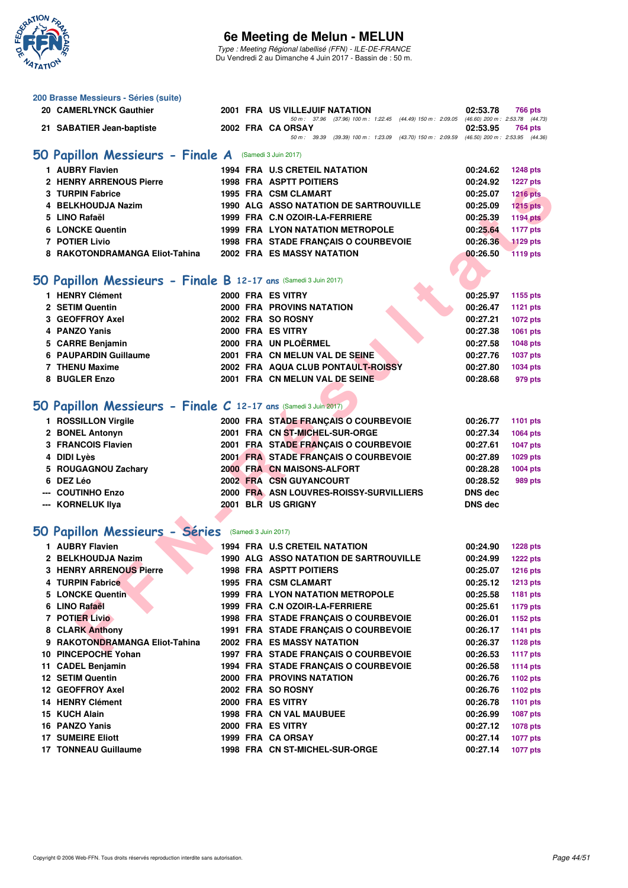

Type : Meeting Régional labellisé (FFN) - ILE-DE-FRANCE Du Vendredi 2 au Dimanche 4 Juin 2017 - Bassin de : 50 m.

| 200 Brasse Messieurs - Séries (suite)                           |  |                                                                                                                            |                |                 |
|-----------------------------------------------------------------|--|----------------------------------------------------------------------------------------------------------------------------|----------------|-----------------|
| 20 CAMERLYNCK Gauthier                                          |  | 2001 FRA US VILLEJUIF NATATION<br>50 m: 37.96 (37.96) 100 m: 1:22.45 (44.49) 150 m: 2:09.05 (46.60) 200 m: 2:53.78 (44.73) | 02:53.78       | 766 pts         |
| 21 SABATIER Jean-baptiste                                       |  | 2002 FRA CA ORSAY                                                                                                          | 02:53.95       | 764 pts         |
|                                                                 |  | 50 m: 39.39 (39.39) 100 m: 1:23.09 (43.70) 150 m: 2:09.59 (46.50) 200 m: 2:53.95 (44.36)                                   |                |                 |
| 50 Papillon Messieurs - Finale A (Samedi 3 Juin 2017)           |  |                                                                                                                            |                |                 |
| 1 AUBRY Flavien                                                 |  | <b>1994 FRA U.S CRETEIL NATATION</b>                                                                                       | 00:24.62       | <b>1248 pts</b> |
| 2 HENRY ARRENOUS Pierre                                         |  | <b>1998 FRA ASPTT POITIERS</b>                                                                                             | 00:24.92       | <b>1227 pts</b> |
| 3 TURPIN Fabrice                                                |  | 1995 FRA CSM CLAMART                                                                                                       | 00:25.07       | <b>1216 pts</b> |
| 4 BELKHOUDJA Nazim                                              |  | 1990 ALG ASSO NATATION DE SARTROUVILLE                                                                                     | 00:25.09       | $1215$ pts      |
| 5 LINO Rafaël                                                   |  | 1999 FRA C.N OZOIR-LA-FERRIERE                                                                                             | 00:25.39       | <b>1194 pts</b> |
| <b>6 LONCKE Quentin</b>                                         |  | <b>1999 FRA LYON NATATION METROPOLE</b>                                                                                    | 00:25.64       | <b>1177 pts</b> |
| 7 POTIER Livio                                                  |  | 1998 FRA STADE FRANÇAIS O COURBEVOIE                                                                                       | 00:26.36       | <b>1129 pts</b> |
| 8 RAKOTONDRAMANGA Eliot-Tahina                                  |  | <b>2002 FRA ES MASSY NATATION</b>                                                                                          | 00:26.50       | <b>1119 pts</b> |
|                                                                 |  |                                                                                                                            |                |                 |
| 50 Papillon Messieurs - Finale B 12-17 ans (Samedi 3 Juin 2017) |  |                                                                                                                            |                |                 |
| 1 HENRY Clément                                                 |  | 2000 FRA ES VITRY                                                                                                          | 00:25.97       | 1155 pts        |
| 2 SETIM Quentin                                                 |  | 2000 FRA PROVINS NATATION                                                                                                  | 00:26.47       | <b>1121 pts</b> |
| 3 GEOFFROY Axel                                                 |  | 2002 FRA SO ROSNY                                                                                                          | 00:27.21       | 1072 pts        |
| 4 PANZO Yanis                                                   |  | 2000 FRA ES VITRY                                                                                                          | 00:27.38       | 1061 pts        |
| 5 CARRE Benjamin                                                |  | 2000 FRA UN PLOËRMEL                                                                                                       | 00:27.58       | 1048 pts        |
| 6 PAUPARDIN Guillaume                                           |  | 2001 FRA CN MELUN VAL DE SEINE                                                                                             | 00:27.76       | <b>1037 pts</b> |
| 7 THENU Maxime                                                  |  | 2002 FRA AQUA CLUB PONTAULT-ROISSY                                                                                         | 00:27.80       | 1034 pts        |
| 8 BUGLER Enzo                                                   |  | 2001 FRA CN MELUN VAL DE SEINE                                                                                             | 00:28.68       | 979 pts         |
|                                                                 |  |                                                                                                                            |                |                 |
| 50 Papillon Messieurs - Finale C 12-17 ans (Samedi 3 Juin 2017) |  |                                                                                                                            |                |                 |
| 1 ROSSILLON Virgile                                             |  | 2000 FRA STADE FRANÇAIS O COURBEVOIE                                                                                       | 00:26.77       | <b>1101 pts</b> |
| 2 BONEL Antonyn                                                 |  | 2001 FRA CN ST-MICHEL-SUR-ORGE                                                                                             | 00:27.34       | 1064 pts        |
| 3 FRANCOIS Flavien                                              |  | 2001 FRA STADE FRANÇAIS O COURBEVOIE                                                                                       | 00:27.61       | <b>1047 pts</b> |
| 4 DIDI Lyès                                                     |  | 2001 FRA STADE FRANÇAIS O COURBEVOIE                                                                                       | 00:27.89       | 1029 pts        |
| 5 ROUGAGNOU Zachary                                             |  | 2000 FRA CN MAISONS-ALFORT                                                                                                 | 00:28.28       | 1004 pts        |
| 6 DEZ Léo                                                       |  | 2002 FRA CSN GUYANCOURT                                                                                                    | 00:28.52       | 989 pts         |
| --- COUTINHO Enzo                                               |  | 2000 FRA ASN LOUVRES-ROISSY-SURVILLIERS                                                                                    | <b>DNS dec</b> |                 |
| --- KORNELUK Ilya                                               |  | 2001 BLR US GRIGNY                                                                                                         | <b>DNS</b> dec |                 |
|                                                                 |  |                                                                                                                            |                |                 |
| 50 Papillon Messieurs - Séries (Samedi 3 Juin 2017)             |  |                                                                                                                            |                |                 |
| 1 AUBRY Flavien                                                 |  | 1994 FRA U.S CRETEIL NATATION                                                                                              | 00:24.90       | <b>1228 pts</b> |
| 2 BELKHOUDJA Nazim                                              |  | <b>1990 ALG ASSO NATATION DE SARTROUVILLE</b>                                                                              | 00:24.99       | <b>1222 pts</b> |
| <b>3 HENRY ARRENOUS Pierre</b>                                  |  | <b>1998 FRA ASPTT POITIERS</b>                                                                                             | 00:25.07       | <b>1216 pts</b> |
| 4 TURPIN Fabrice                                                |  | 1995 FRA CSM CLAMART                                                                                                       | 00:25.12       | <b>1213 pts</b> |
| <b>5 LONCKE Quentin</b>                                         |  | <b>1999 FRA LYON NATATION METROPOLE</b>                                                                                    | 00:25.58       | <b>1181 pts</b> |
| 6 LINO Rafaël                                                   |  | 1999 FRA C.N OZOIR-LA-FERRIERE                                                                                             | 00:25.61       | <b>1179 pts</b> |
| <b>7 POTIER Livio</b>                                           |  | 1998 FRA STADE FRANÇAIS O COURBEVOIE                                                                                       | 00:26.01       | 1152 pts        |
| 8 CLARK Anthony                                                 |  | 1991 FRA STADE FRANCAIS O COURBEVOIE                                                                                       | 00:26.17       | <b>1141 pts</b> |
| 9 RAKOTONDRAMANGA Eliot-Tahina                                  |  | <b>2002 FRA ES MASSY NATATION</b>                                                                                          | 00:26.37       | <b>1128 pts</b> |
| 10 PINCEPOCHE Yohan                                             |  | 1997 FRA STADE FRANCAIS O COURBEVOIE                                                                                       | 00:26.53       | <b>1117 pts</b> |
| 11 CADEL Benjamin                                               |  | 1994 FRA STADE FRANÇAIS O COURBEVOIE                                                                                       | 00:26.58       | <b>1114 pts</b> |
| <b>12 SETIM Quentin</b>                                         |  | 2000 FRA PROVINS NATATION                                                                                                  | 00:26.76       | 1102 pts        |
| 12 GEOFFROY Axel                                                |  | 2002 FRA SO ROSNY                                                                                                          | 00:26.76       | 1102 pts        |
| <b>14 HENRY Clément</b>                                         |  | 2000 FRA ES VITRY                                                                                                          | 00:26.78       | <b>1101 pts</b> |
| 15 KUCH Alain                                                   |  | 1998 FRA CN VAL MAUBUEE                                                                                                    | 00:26.99       | 1087 pts        |
| 16 PANZO Yanis                                                  |  | 2000 FRA ES VITRY                                                                                                          | 00:27.12       | 1078 pts        |
| <b>17 SUMEIRE Eliott</b>                                        |  | 1999 FRA CA ORSAY                                                                                                          | 00:27.14       | <b>1077 pts</b> |
| <b>17 TONNEAU Guillaume</b>                                     |  | 1998 FRA CN ST-MICHEL-SUR-ORGE                                                                                             | 00:27.14       | <b>1077 pts</b> |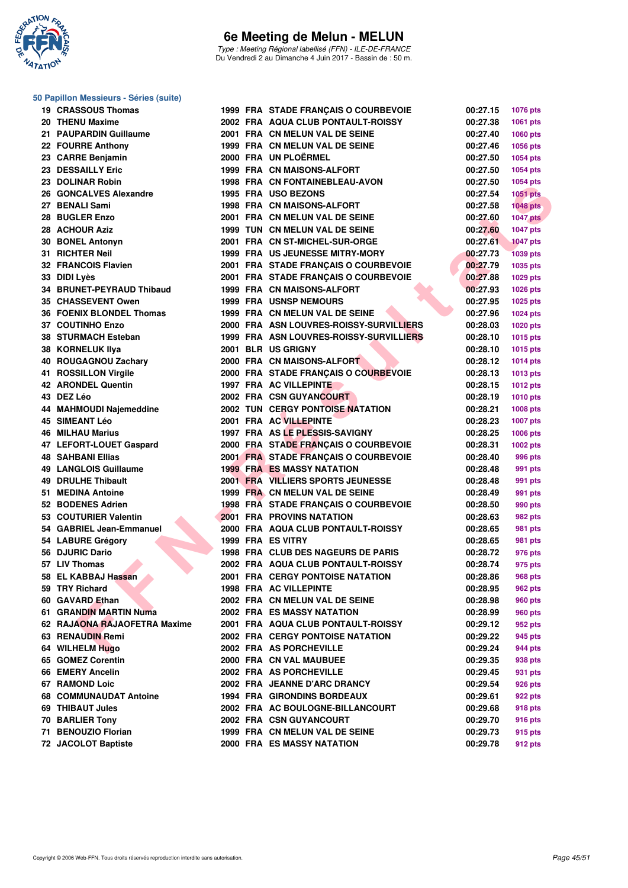

Type : Meeting Régional labellisé (FFN) - ILE-DE-FRANCE Du Vendredi 2 au Dimanche 4 Juin 2017 - Bassin de : 50 m.

#### **50 Papillon Messieurs - Séries (suite)**

| 19 CRASSOUS Thomas           |  | 1999 FRA STADE FRANÇAIS O COURBEVOIE    | 00:27.15 | <b>1076 pts</b> |
|------------------------------|--|-----------------------------------------|----------|-----------------|
| 20 THENU Maxime              |  | 2002 FRA AQUA CLUB PONTAULT-ROISSY      | 00:27.38 | 1061 pts        |
| 21 PAUPARDIN Guillaume       |  | 2001 FRA CN MELUN VAL DE SEINE          | 00:27.40 | 1060 pts        |
| 22 FOURRE Anthony            |  | 1999 FRA CN MELUN VAL DE SEINE          | 00:27.46 | 1056 pts        |
| 23 CARRE Benjamin            |  | 2000 FRA UN PLOËRMEL                    | 00:27.50 | <b>1054 pts</b> |
| <b>23 DESSAILLY Eric</b>     |  | 1999 FRA CN MAISONS-ALFORT              | 00:27.50 | <b>1054 pts</b> |
| 23 DOLINAR Robin             |  | 1998 FRA CN FONTAINEBLEAU-AVON          | 00:27.50 | 1054 pts        |
| 26 GONCALVES Alexandre       |  | 1995 FRA USO BEZONS                     | 00:27.54 | 1051 pts        |
| 27 BENALI Sami               |  | 1998 FRA CN MAISONS-ALFORT              | 00:27.58 | $1048$ pts      |
| 28 BUGLER Enzo               |  | 2001 FRA CN MELUN VAL DE SEINE          | 00:27.60 | <b>1047 pts</b> |
| 28 ACHOUR Aziz               |  | 1999 TUN CN MELUN VAL DE SEINE          | 00:27.60 | <b>1047 pts</b> |
| 30 BONEL Antonyn             |  | 2001 FRA CN ST-MICHEL-SUR-ORGE          | 00:27.61 | <b>1047 pts</b> |
| 31 RICHTER Neil              |  | <b>1999 FRA US JEUNESSE MITRY-MORY</b>  | 00:27.73 | <b>1039 pts</b> |
| 32 FRANCOIS Flavien          |  | 2001 FRA STADE FRANÇAIS O COURBEVOIE    | 00:27.79 | 1035 pts        |
| 33 DIDI Lyès                 |  | 2001 FRA STADE FRANÇAIS O COURBEVOIE    | 00:27.88 | 1029 pts        |
| 34 BRUNET-PEYRAUD Thibaud    |  | 1999 FRA CN MAISONS-ALFORT              | 00:27.93 | <b>1026 pts</b> |
| <b>35 CHASSEVENT Owen</b>    |  | <b>1999 FRA USNSP NEMOURS</b>           | 00:27.95 | <b>1025 pts</b> |
| 36 FOENIX BLONDEL Thomas     |  | 1999 FRA CN MELUN VAL DE SEINE          | 00:27.96 | <b>1024 pts</b> |
| 37 COUTINHO Enzo             |  | 2000 FRA ASN LOUVRES-ROISSY-SURVILLIERS | 00:28.03 | 1020 pts        |
| 38 STURMACH Esteban          |  | 1999 FRA ASN LOUVRES-ROISSY-SURVILLIERS | 00:28.10 | <b>1015 pts</b> |
| 38 KORNELUK Ilya             |  | 2001 BLR US GRIGNY                      | 00:28.10 | <b>1015 pts</b> |
| 40 ROUGAGNOU Zachary         |  | 2000 FRA CN MAISONS-ALFORT              | 00:28.12 | $1014$ pts      |
| 41 ROSSILLON Virgile         |  | 2000 FRA STADE FRANÇAIS O COURBEVOIE    | 00:28.13 | 1013 pts        |
| 42 ARONDEL Quentin           |  | 1997 FRA AC VILLEPINTE                  | 00:28.15 | <b>1012 pts</b> |
| 43 DEZ Léo                   |  | 2002 FRA CSN GUYANCOURT                 | 00:28.19 | <b>1010 pts</b> |
| 44 MAHMOUDI Najemeddine      |  | <b>2002 TUN CERGY PONTOISE NATATION</b> | 00:28.21 | <b>1008 pts</b> |
| <b>45 SIMEANT Léo</b>        |  | 2001 FRA AC VILLEPINTE                  | 00:28.23 | <b>1007 pts</b> |
| 46 MILHAU Marius             |  | 1997 FRA AS LE PLESSIS-SAVIGNY          | 00:28.25 | 1006 pts        |
| 47 LEFORT-LOUET Gaspard      |  | 2000 FRA STADE FRANÇAIS O COURBEVOIE    | 00:28.31 | 1002 pts        |
| 48   SAHBANI Ellias          |  | 2001 FRA STADE FRANÇAIS O COURBEVOIE    | 00:28.40 | 996 pts         |
| 49 LANGLOIS Guillaume        |  | <b>1999 FRA ES MASSY NATATION</b>       | 00:28.48 | 991 pts         |
| 49 DRULHE Thibault           |  | 2001 FRA VILLIERS SPORTS JEUNESSE       | 00:28.48 | 991 pts         |
| 51 MEDINA Antoine            |  | 1999 FRA CN MELUN VAL DE SEINE          | 00:28.49 | 991 pts         |
| 52 BODENES Adrien            |  | 1998 FRA STADE FRANÇAIS O COURBEVOIE    | 00:28.50 | 990 pts         |
| 53 COUTURIER Valentin        |  | <b>2001 FRA PROVINS NATATION</b>        | 00:28.63 | 982 pts         |
| 54 GABRIEL Jean-Emmanuel     |  | 2000 FRA AQUA CLUB PONTAULT-ROISSY      | 00:28.65 | 981 pts         |
| 54 LABURE Grégory            |  | 1999 FRA ES VITRY                       | 00:28.65 | 981 pts         |
| 56 DJURIC Dario              |  | 1998 FRA CLUB DES NAGEURS DE PARIS      | 00:28.72 | 976 pts         |
| 57 LIV Thomas                |  | 2002 FRA AQUA CLUB PONTAULT-ROISSY      | 00:28.74 | 975 pts         |
| 58 EL KABBAJ Hassan          |  | <b>2001 FRA CERGY PONTOISE NATATION</b> | 00:28.86 | <b>968 pts</b>  |
| 59 TRY Richard               |  | <b>1998 FRA AC VILLEPINTE</b>           | 00:28.95 | 962 pts         |
| 60 GAVARD Ethan              |  | 2002 FRA CN MELUN VAL DE SEINE          | 00:28.98 | 960 pts         |
| 61 GRANDIN MARTIN Numa       |  | 2002 FRA ES MASSY NATATION              | 00:28.99 | 960 pts         |
| 62 RAJAONA RAJAOFETRA Maxime |  | 2001 FRA AQUA CLUB PONTAULT-ROISSY      | 00:29.12 | 952 pts         |
| 63 RENAUDIN Remi             |  | 2002 FRA CERGY PONTOISE NATATION        | 00:29.22 | 945 pts         |
| 64 WILHELM Hugo              |  | 2002 FRA AS PORCHEVILLE                 | 00:29.24 | 944 pts         |
| 65 GOMEZ Corentin            |  | 2000 FRA CN VAL MAUBUEE                 | 00:29.35 | 938 pts         |
| 66 EMERY Ancelin             |  | 2002 FRA AS PORCHEVILLE                 | 00:29.45 | 931 pts         |
| 67 RAMOND Loic               |  | 2002 FRA JEANNE D'ARC DRANCY            | 00:29.54 | 926 pts         |
| 68 COMMUNAUDAT Antoine       |  | <b>1994 FRA GIRONDINS BORDEAUX</b>      | 00:29.61 | 922 pts         |
| 69 THIBAUT Jules             |  | 2002 FRA AC BOULOGNE-BILLANCOURT        | 00:29.68 | 918 pts         |
| 70 BARLIER Tony              |  | 2002 FRA CSN GUYANCOURT                 | 00:29.70 | 916 pts         |
| 71 BENOUZIO Florian          |  | 1999 FRA CN MELUN VAL DE SEINE          | 00:29.73 | 915 pts         |
| 72 JACOLOT Baptiste          |  | 2000 FRA ES MASSY NATATION              | 00:29.78 | 912 pts         |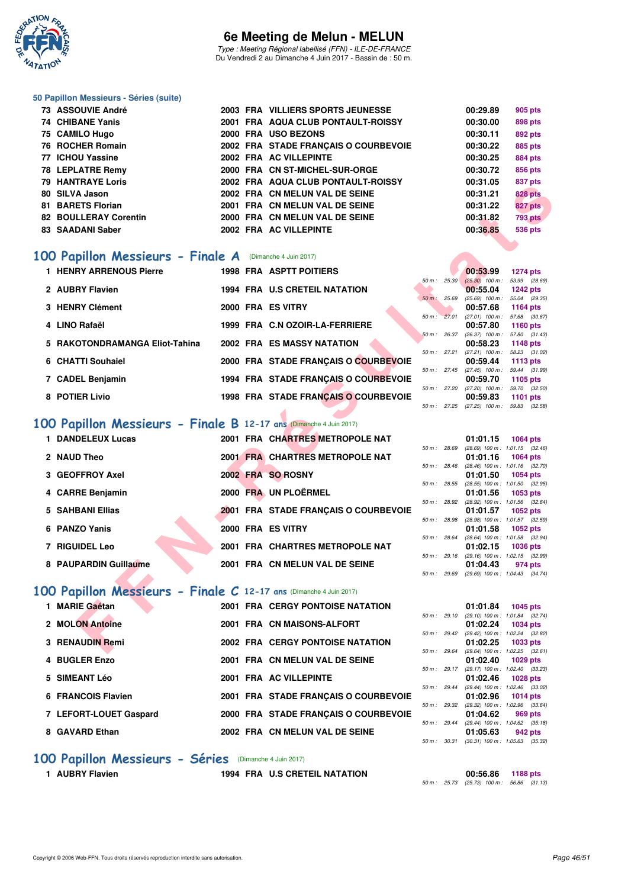

Type : Meeting Régional labellisé (FFN) - ILE-DE-FRANCE Du Vendredi 2 au Dimanche 4 Juin 2017 - Bassin de : 50 m.

#### **50 Papillon Messieurs - Séries (suite)**

| 73 ASSOUVIE André            |  | 2003 FRA VILLIERS SPORTS JEUNESSE    | 00:29.89 | 905 pts        |
|------------------------------|--|--------------------------------------|----------|----------------|
| 74 CHIBANE Yanis             |  | 2001 FRA AQUA CLUB PONTAULT-ROISSY   | 00:30.00 | 898 pts        |
| 75 CAMILO Hugo               |  | 2000 FRA USO BEZONS                  | 00:30.11 | 892 pts        |
| 76 ROCHER Romain             |  | 2002 FRA STADE FRANCAIS O COURBEVOIE | 00:30.22 | 885 pts        |
| 77 ICHOU Yassine             |  | 2002 FRA AC VILLEPINTE               | 00:30.25 | 884 pts        |
| 78 LEPLATRE Remy             |  | 2000 FRA CN ST-MICHEL-SUR-ORGE       | 00:30.72 | 856 pts        |
| <b>79 HANTRAYE Loris</b>     |  | 2002 FRA AQUA CLUB PONTAULT-ROISSY   | 00:31.05 | 837 pts        |
| 80 SILVA Jason               |  | 2002 FRA CN MELUN VAL DE SEINE       | 00:31.21 | <b>828 pts</b> |
| 81 BARETS Florian            |  | 2001 FRA CN MELUN VAL DE SEINE       | 00:31.22 | 827 pts        |
| <b>82 BOULLERAY Corentin</b> |  | 2000 FRA CN MELUN VAL DE SEINE       | 00:31.82 | <b>793 pts</b> |
| 83 SAADANI Saber             |  | 2002 FRA AC VILLEPINTE               | 00:36.85 | <b>536 pts</b> |

# **[100 Papillon Messieurs - Finale A](http://www.ffnatation.fr/webffn/resultats.php?idact=nat&go=epr&idcpt=46973&idepr=82)** (Dimanche 4 Juin 2017)

| 73 IIANINA IE LUIS                                                |  | ZUUZ FRA AWUA CLUD FUNTAULI-RUIJJI      |             |              | UU.JI.UJ                                               | oo <i>r</i> pis |
|-------------------------------------------------------------------|--|-----------------------------------------|-------------|--------------|--------------------------------------------------------|-----------------|
| 80 SILVA Jason                                                    |  | 2002 FRA CN MELUN VAL DE SEINE          |             |              | 00:31.21                                               | <b>828 pts</b>  |
| 81 BARETS Florian                                                 |  | 2001 FRA CN MELUN VAL DE SEINE          |             |              | 00:31.22                                               | 827 pts         |
| <b>82 BOULLERAY Corentin</b>                                      |  | 2000 FRA CN MELUN VAL DE SEINE          |             |              | 00:31.82                                               | <b>793 pts</b>  |
| 83 SAADANI Saber                                                  |  | 2002 FRA AC VILLEPINTE                  |             |              | 00:36.85                                               | <b>536 pts</b>  |
|                                                                   |  |                                         |             |              |                                                        |                 |
|                                                                   |  |                                         |             |              |                                                        |                 |
| 00 Papillon Messieurs - Finale A (Dimanche 4 Juin 2017)           |  |                                         |             |              |                                                        |                 |
| 1 HENRY ARRENOUS Pierre                                           |  | 1998 FRA ASPTT POITIERS                 |             |              | 00:53.99                                               | <b>1274 pts</b> |
| 2 AUBRY Flavien                                                   |  | 1994 FRA U.S CRETEIL NATATION           |             | 50 m: 25.30  | $(25.30)$ 100 m : 53.99 (28.69)<br>00:55.04            | <b>1242 pts</b> |
|                                                                   |  |                                         |             | 50 m: 25.69  | $(25.69)$ 100 m : 55.04 $(29.35)$                      |                 |
| 3 HENRY Clément                                                   |  | 2000 FRA ES VITRY                       |             |              | 00:57.68                                               | <b>1164 pts</b> |
|                                                                   |  |                                         |             |              | 50 m: 27.01 (27.01) 100 m: 57.68 (30.67)               |                 |
| 4 LINO Rafaël                                                     |  | 1999 FRA C.N OZOIR-LA-FERRIERE          |             | 50 m: 26.37  | 00:57.80<br>$(26.37)$ 100 m : 57.80 $(31.43)$          | <b>1160 pts</b> |
| 5 RAKOTONDRAMANGA Eliot-Tahina                                    |  | <b>2002 FRA ES MASSY NATATION</b>       |             |              | 00:58.23                                               | <b>1148 pts</b> |
|                                                                   |  |                                         |             | 50 m : 27.21 | $(27.21)$ 100 m : 58.23 $(31.02)$                      |                 |
| 6 CHATTI Souhaiel                                                 |  | 2000 FRA STADE FRANÇAIS O COURBEVOIE    |             |              | 00:59.44                                               | <b>1113 pts</b> |
| 7 CADEL Benjamin                                                  |  | 1994 FRA STADE FRANÇAIS O COURBEVOIE    |             |              | 50 m: 27.45 (27.45) 100 m: 59.44 (31.99)<br>00:59.70   | 1105 pts        |
|                                                                   |  |                                         |             |              | 50 m: 27.20 (27.20) 100 m: 59.70 (32.50)               |                 |
| 8 POTIER Livio                                                    |  | 1998 FRA STADE FRANÇAIS O COURBEVOIE    |             |              | 00:59.83                                               | <b>1101 pts</b> |
|                                                                   |  |                                         |             |              | 50 m: 27.25 (27.25) 100 m: 59.83 (32.58)               |                 |
| 00 Papillon Messieurs - Finale B 12-17 ans (Dimanche 4 Juin 2017) |  |                                         |             |              |                                                        |                 |
|                                                                   |  |                                         |             |              |                                                        |                 |
| 1 DANDELEUX Lucas                                                 |  | 2001 FRA CHARTRES METROPOLE NAT         |             |              | 01:01.15                                               | <b>1064 pts</b> |
| 2 NAUD Theo                                                       |  | 2001 FRA CHARTRES METROPOLE NAT         |             | 50 m : 28.69 | $(28.69)$ 100 m : 1:01.15 $(32.46)$<br>01:01.16        | <b>1064 pts</b> |
|                                                                   |  |                                         |             |              | 50 m : 28.46 (28.46) 100 m : 1:01.16 (32.70)           |                 |
| 3 GEOFFROY Axel                                                   |  | 2002 FRA SO ROSNY                       |             |              | 01:01.50                                               | <b>1054 pts</b> |
|                                                                   |  |                                         | 50 m: 28.55 |              | (28.55) 100 m: 1:01.50 (32.95)                         |                 |
| 4 CARRE Benjamin                                                  |  | 2000 FRA UN PLOËRMEL                    |             | 50 m : 28.92 | 01:01.56<br>(28.92) 100 m: 1:01.56 (32.64)             | 1053 pts        |
| <b>5 SAHBANI Ellias</b>                                           |  | 2001 FRA STADE FRANÇAIS O COURBEVOIE    |             |              | 01:01.57                                               | <b>1052 pts</b> |
|                                                                   |  |                                         |             | 50 m : 28.98 | (28.98) 100 m: 1:01.57 (32.59)                         |                 |
| 6 PANZO Yanis                                                     |  | 2000 FRA ES VITRY                       |             |              | 01:01.58                                               | 1052 pts        |
| <b>7 RIGUIDEL Leo</b>                                             |  | 2001 FRA CHARTRES METROPOLE NAT         |             | 50 m : 28.64 | (28.64) 100 m: 1:01.58 (32.94)<br>01:02.15             | <b>1036 pts</b> |
|                                                                   |  |                                         |             |              | 50 m: 29.16 (29.16) 100 m: 1:02.15 (32.99)             |                 |
| 8 PAUPARDIN Guillaume                                             |  | 2001 FRA CN MELUN VAL DE SEINE          |             |              | 01:04.43                                               | 974 pts         |
|                                                                   |  |                                         |             |              | 50 m: 29.69 (29.69) 100 m: 1:04.43 (34.74)             |                 |
| 00 Papillon Messieurs - Finale C 12-17 ans (Dimanche 4 Juin 2017) |  |                                         |             |              |                                                        |                 |
|                                                                   |  |                                         |             |              |                                                        |                 |
| 1 MARIE Gaétan                                                    |  | <b>2001 FRA CERGY PONTOISE NATATION</b> |             |              | 01:01.84<br>50 m: 29.10 (29.10) 100 m: 1:01.84 (32.74) | <b>1045 pts</b> |
| 2 MOLON Antoine                                                   |  | 2001 FRA CN MAISONS-ALFORT              |             |              | 01:02.24                                               | <b>1034 pts</b> |
|                                                                   |  |                                         |             |              | 50 m : 29.42 (29.42) 100 m : 1:02.24 (32.82)           |                 |
| 3 RENAUDIN Remi                                                   |  | <b>2002 FRA CERGY PONTOISE NATATION</b> |             |              | 01:02.25                                               | 1033 pts        |
|                                                                   |  |                                         |             |              | 50 m: 29.64 (29.64) 100 m: 1:02.25 (32.61)             |                 |

# **[100 Papillon Messieurs - Finale B](http://www.ffnatation.fr/webffn/resultats.php?idact=nat&go=epr&idcpt=46973&idepr=82) 12-17 ans** (Dimanche 4 Juin 2017)

| 1 DANDELEUX Lucas     |                   | 2001 FRA CHARTRES METROPOLE NAT      |              |                | 01:01.15                                          | 1064 pts |  |
|-----------------------|-------------------|--------------------------------------|--------------|----------------|---------------------------------------------------|----------|--|
| 2 NAUD Theo           |                   | 2001 FRA CHARTRES METROPOLE NAT      | 50 m: 28.69  |                | $(28.69)$ 100 m : 1:01.15 $(32.$<br>01:01.16      | 1064 pts |  |
| 3 GEOFFROY Axel       | 2002 FRA SO ROSNY |                                      |              | 50 m: 28.46    | $(28.46)$ 100 m : 1:01.16 (32.<br>01:01.50        | 1054 pts |  |
|                       |                   |                                      |              | $50 m$ : 28.55 | $(28.55)$ 100 m : 1:01.50 $(32.$                  |          |  |
| 4 CARRE Benjamin      |                   | 2000 FRA UN PLOËRMEL                 |              | 50 m: 28.92    | 01:01.56 1053 pts<br>(28.92) 100 m : 1:01.56 (32. |          |  |
| 5 SAHBANI Ellias      |                   | 2001 FRA STADE FRANCAIS O COURBEVOIE | 50 m : 28.98 |                | 01:01.57<br>$(28.98)$ 100 m : 1:01.57 (32.        | 1052 pts |  |
| 6 PANZO Yanis         | 2000 FRA ES VITRY |                                      |              | 50 m: 28.64    | 01:01.58 1052 pts                                 |          |  |
| <b>7 RIGUIDEL Leo</b> |                   | 2001 FRA CHARTRES METROPOLE NAT      |              |                | (28.64) 100 m : 1:01.58 (32.<br>01:02.15          | 1036 pts |  |
| 8 PAUPARDIN Guillaume |                   | 2001 FRA CN MELUN VAL DE SEINE       | 50 m: 29.16  |                | $(29.16)$ 100 m : 1:02.15 $(32.16)$<br>01:04.43   | 974 pts  |  |

# **[100 Papillon Messieurs - Finale C](http://www.ffnatation.fr/webffn/resultats.php?idact=nat&go=epr&idcpt=46973&idepr=82) 12-17 ans** (Dimanche 4 Juin 2017)

| 1 MARIE Gaétan         |  | <b>2001 FRA CERGY PONTOISE NATATION</b> |             |                        | 01:01.84                                 | 1045 pts |         |
|------------------------|--|-----------------------------------------|-------------|------------------------|------------------------------------------|----------|---------|
|                        |  |                                         | 50 m: 29.10 |                        | $(29.10)$ 100 m : 1.01.84 $(32.$         |          |         |
| 2 MOLON Antoine        |  | 2001 FRA CN MAISONS-ALFORT              |             |                        | 01:02.24                                 | 1034 pts |         |
|                        |  |                                         |             | $50 \text{ m}$ : 29.42 | (29.42) 100 m : 1:02.24 (32.             |          |         |
| 3 RENAUDIN Remi        |  | <b>2002 FRA CERGY PONTOISE NATATION</b> |             | 50 m: 29.64            | 01:02.25<br>(29.64) 100 m : 1:02.25 (32. | 1033 pts |         |
| 4 BUGLER Enzo          |  | 2001 FRA CN MELUN VAL DE SEINE          |             |                        | 01:02.40                                 | 1029 pts |         |
|                        |  |                                         |             | $50 m$ : 29.17         | $(29.17)$ 100 m : 1:02.40 (33.           |          |         |
| 5 SIMEANT Léo          |  | 2001 FRA AC VILLEPINTE                  |             |                        | 01:02.46                                 | 1028 pts |         |
|                        |  |                                         |             | $50 \text{ m}$ : 29.44 | (29.44) 100 m : 1:02.46 (33.             |          |         |
| 6 FRANCOIS Flavien     |  | 2001 FRA STADE FRANCAIS O COURBEVOIE    |             |                        | 01:02.96                                 | 1014 pts |         |
|                        |  |                                         |             |                        | 50 m: 29.32 (29.32) 100 m: 1:02.96 (33.  |          |         |
| 7 LEFORT-LOUET Gaspard |  | 2000 FRA STADE FRANCAIS O COURBEVOIE    | 50 m: 29.44 |                        | 01:04.62<br>(29.44) 100 m: 1:04.62 (35.  |          | 969 pts |
| 8 GAVARD Ethan         |  | 2002 FRA CN MELUN VAL DE SEINE          |             |                        | 01:05.63                                 |          | 942 pts |
|                        |  |                                         |             |                        |                                          |          |         |

#### **[100 Papillon Messieurs - Séries](http://www.ffnatation.fr/webffn/resultats.php?idact=nat&go=epr&idcpt=46973&idepr=82)** (Dimanche 4 Juin 2017)

**1 AUBRY Flavien 1994 FRA U.S CRETEIL NATATION 00:56.86 1188 pts**

| 50 m : 25.30           | $(25.30)$ 100 m : | 53.99 (28.69)   |
|------------------------|-------------------|-----------------|
|                        | 00:55.04          | <b>1242 pts</b> |
| $50 \text{ m}$ : 25.69 | $(25.69)$ 100 m : | 55.04 (29.35)   |
|                        | 00:57.68          | 1164 pts        |
| 50 m: 27.01            | $(27.01)$ 100 m : | 57.68 (30.67)   |
|                        | 00:57.80          | 1160 $pts$      |
| $50 m$ : 26.37         | $(26.37)$ 100 m : | 57.80 (31.43)   |
|                        | 00:58.23          | 1148 pts        |
| $50 m$ : 27.21         | $(27.21)$ 100 m : | 58.23 (31.02)   |
|                        | 00:59.44          | 1113 pts        |
| $50 m$ : 27.45         | $(27.45)$ 100 m : | 59.44 (31.99)   |
|                        | 00:59.70          | $1105$ pts      |
| 50 m: 27.20            | $(27.20)$ 100 m : | 59.70 (32.50)   |
|                        | 00:59.83          | 1101 pts        |
| 50 m: 27.25            | $(27.25)$ 100 m : | 59.83 (32.58)   |
|                        |                   |                 |

|                |                | 01:01.15          | <b>1064 pts</b>     |
|----------------|----------------|-------------------|---------------------|
| 50 m: 28.69    |                | $(28.69)$ 100 m : | $1:01.15$ $(32.46)$ |
|                |                | 01:01.16          | 1064 pts            |
| 50 m: 28.46    |                | $(28.46)$ 100 m : | $1:01.16$ $(32.70)$ |
|                |                | 01:01.50          | 1054 pts            |
| $50 m$ : 28.55 |                | $(28.55)$ 100 m : | 1:01.50 (32.95)     |
|                |                | 01:01.56          | 1053 pts            |
| 50 m: 28.92    |                | $(28.92)$ 100 m : | 1:01.56 (32.64)     |
|                |                | 01:01.57 1052 pts |                     |
| 50 m: 28.98    |                | $(28.98)$ 100 m : | 1:01.57 (32.59)     |
|                |                | 01:01.58          | 1052 pts            |
| 50 m : 28.64   |                | $(28.64)$ 100 m : | 1:01.58 (32.94)     |
|                |                | 01:02.15 1036 pts |                     |
|                | $50 m$ : 29.16 | $(29.16) 100 m$ : | $1:02.15$ $(32.99)$ |
|                |                | 01:04.43 974 pts  |                     |
| $50 m$ :       | 29.69          | $(29.69)$ 100 m : | $1:04.43$ $(34.74)$ |

|             |       | 01:01.84          | 1045 pts            |  |
|-------------|-------|-------------------|---------------------|--|
| 50 m: 29.10 |       | $(29.10)$ 100 m : | $1:01.84$ $(32.74)$ |  |
|             |       | 01:02.24          | <b>1034 pts</b>     |  |
| 50 m: 29.42 |       | $(29.42)$ 100 m : | 1:02.24 (32.82)     |  |
|             |       | 01:02.25          | 1033 pts            |  |
| 50 m: 29.64 |       | $(29.64)$ 100 m : | $1:02.25$ $(32.61)$ |  |
|             |       | 01:02.40          | 1029 pts            |  |
| 50 m: 29.17 |       | $(29.17)$ 100 m : | 1:02.40 (33.23)     |  |
|             |       | 01:02.46          | 1028 pts            |  |
| 50 m: 29.44 |       | $(29.44)$ 100 m : | 1:02.46 (33.02)     |  |
|             |       | 01:02.96          | 1014 pts            |  |
| 50 m: 29.32 |       | $(29.32)$ 100 m : | 1:02.96 (33.64)     |  |
|             |       | 01:04.62          | 969 pts             |  |
| 50 m: 29.44 |       | $(29.44)$ 100 m : | $1:04.62$ $(35.18)$ |  |
|             |       | 01:05.63          | 942 pts             |  |
| $50 m$ :    | 30.31 | $(30.31)$ 100 m : | 1:05.63 (35.32)     |  |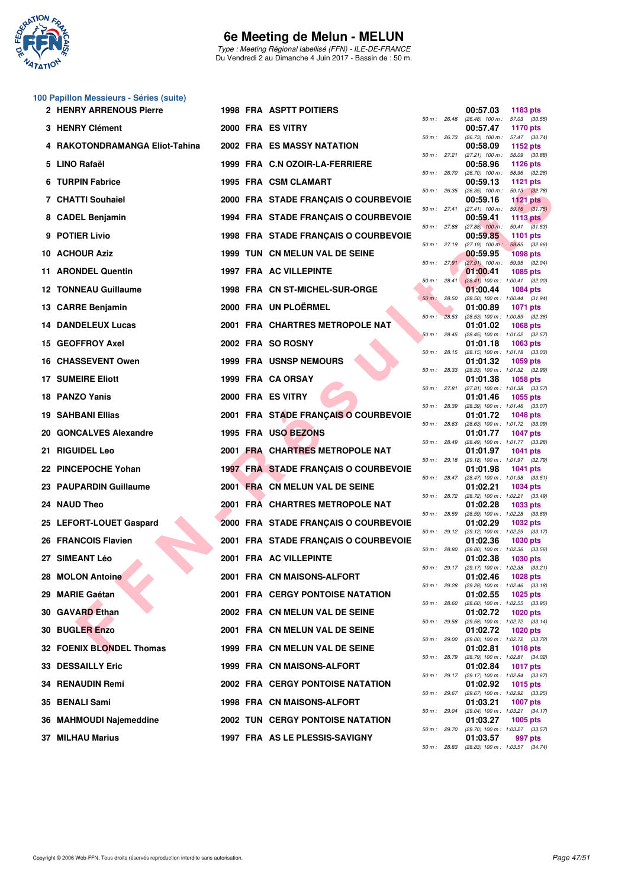

Type : Meeting Régional labellisé (FFN) - ILE-DE-FRANCE Du Vendredi 2 au Dimanche 4 Juin 2017 - Bassin de : 50 m.

#### **100 Papillon Messieurs - Séries (suite)**

| 2 HENRY ARRENOUS Pierre         |  | <b>1998 FRA ASPTT POITIERS</b>          |              |                | 00:57.03                                               | 1183 pts                         |  |
|---------------------------------|--|-----------------------------------------|--------------|----------------|--------------------------------------------------------|----------------------------------|--|
| 3 HENRY Clément                 |  | 2000 FRA ES VITRY                       | 50 m: 26.48  |                | $(26.48)$ 100 m :<br>00:57.47                          | 57.03 (30.55)<br><b>1170 pts</b> |  |
| 4 RAKOTONDRAMANGA Eliot-Tahina  |  | 2002 FRA ES MASSY NATATION              | 50 m : 26.73 |                | $(26.73)$ 100 m : 57.47 $(30.74)$<br>00:58.09          | 1152 pts                         |  |
| 5 LINO Rafaël                   |  | 1999 FRA C.N OZOIR-LA-FERRIERE          | 50 m : 27.21 |                | $(27.21)$ 100 m : 58.09 $(30.88)$<br>00:58.96          | <b>1126 pts</b>                  |  |
| 6 TURPIN Fabrice                |  | 1995 FRA CSM CLAMART                    | 50 m : 26.70 |                | $(26.70)$ 100 m : 58.96 $(32.26)$<br>00:59.13          | <b>1121 pts</b>                  |  |
| 7 CHATTI Souhaiel               |  | 2000 FRA STADE FRANÇAIS O COURBEVOIE    | 50 m : 26.35 |                | $(26.35)$ 100 m : 59.13 $(32.78)$<br>00:59.16          | <b>1121 pts</b>                  |  |
| 8 CADEL Benjamin                |  | 1994 FRA STADE FRANÇAIS O COURBEVOIE    |              | 50 m : 27.41   | $(27.41)$ 100 m :<br>00:59.41                          | 59.16 (31.75)<br>1113 pts        |  |
| 9 POTIER Livio                  |  | 1998 FRA STADE FRANÇAIS O COURBEVOIE    | 50 m : 27.88 |                | $(27.88)$ 100 m :<br>00:59.85                          | $59.41$ $(31.53)$<br>1101 $pts$  |  |
| 10 ACHOUR Aziz                  |  | 1999 TUN CN MELUN VAL DE SEINE          | 50 m : 27.19 |                | $(27.19)$ 100 m :<br>00:59.95                          | 59.85 (32.66)<br><b>1098 pts</b> |  |
| 11 ARONDEL Quentin              |  | 1997 FRA AC VILLEPINTE                  |              | 50 m : 27.91   | $(27.91)$ 100 m : 59.95 (32.04)<br>01:00.41            | 1085 pts                         |  |
| 12 TONNEAU Guillaume            |  | 1998 FRA CN ST-MICHEL-SUR-ORGE          |              | $50 m$ : 28.41 | $(28.41)$ 100 m : 1:00.41 (32.00)<br>01:00.44          | <b>1084 pts</b>                  |  |
| 13 CARRE Benjamin               |  | 2000 FRA UN PLOËRMEL                    | 50 m: 28.50  |                | (28.50) 100 m: 1:00.44 (31.94)<br>01:00.89             | <b>1071 pts</b>                  |  |
|                                 |  |                                         | 50 m: 28.53  |                | $(28.53)$ 100 m : 1:00.89 $(32.36)$                    |                                  |  |
| <b>14 DANDELEUX Lucas</b>       |  | 2001 FRA CHARTRES METROPOLE NAT         | 50 m: 28.45  |                | 01:01.02<br>(28.45) 100 m: 1:01.02 (32.57)             | <b>1068 pts</b>                  |  |
| 15 GEOFFROY Axel                |  | 2002 FRA SO ROSNY                       | 50 m : 28.15 |                | 01:01.18<br>(28.15) 100 m: 1:01.18 (33.03)             | 1063 pts                         |  |
| <b>16 CHASSEVENT Owen</b>       |  | <b>1999 FRA USNSP NEMOURS</b>           | 50 m : 28.33 |                | 01:01.32<br>(28.33) 100 m : 1:01.32 (32.99)            | 1059 pts                         |  |
| <b>17 SUMEIRE Eliott</b>        |  | 1999 FRA CA ORSAY                       | 50 m : 27.81 |                | 01:01.38<br>(27.81) 100 m: 1:01.38 (33.57)             | <b>1058 pts</b>                  |  |
| 18 PANZO Yanis                  |  | 2000 FRA ES VITRY                       | 50 m : 28.39 |                | 01:01.46<br>(28.39) 100 m: 1:01.46 (33.07)             | 1055 pts                         |  |
| <b>19 SAHBANI Ellias</b>        |  | 2001 FRA STADE FRANÇAIS O COURBEVOIE    | 50 m : 28.63 |                | 01:01.72<br>(28.63) 100 m: 1:01.72 (33.09)             | <b>1048 pts</b>                  |  |
| 20 GONCALVES Alexandre          |  | 1995 FRA USO BEZONS                     |              |                | 01:01.77<br>(28.49) 100 m: 1:01.77 (33.28)             | <b>1047 pts</b>                  |  |
| 21 RIGUIDEL Leo                 |  | 2001 FRA CHARTRES METROPOLE NAT         | 50 m : 28.49 |                | 01:01.97                                               | <b>1041 pts</b>                  |  |
| 22 PINCEPOCHE Yohan             |  | 1997 FRA STADE FRANÇAIS O COURBEVOIE    | 50 m : 29.18 |                | (29.18) 100 m: 1:01.97 (32.79)<br>01:01.98             | <b>1041 pts</b>                  |  |
| 23 PAUPARDIN Guillaume          |  | 2001 FRA CN MELUN VAL DE SEINE          |              | 50 m : 28.47   | (28.47) 100 m: 1:01.98 (33.51)<br>01:02.21             | <b>1034 pts</b>                  |  |
| 24 NAUD Theo                    |  | 2001 FRA CHARTRES METROPOLE NAT         |              | 50 m : 28.72   | (28.72) 100 m : 1:02.21 (33.49)<br>01:02.28            | 1033 pts                         |  |
| 25 LEFORT-LOUET Gaspard         |  | 2000 FRA STADE FRANÇAIS O COURBEVOIE    | 50 m : 28.59 |                | (28.59) 100 m: 1:02.28 (33.69)<br>01:02.29             | <b>1032 pts</b>                  |  |
| 26 FRANCOIS Flavien             |  | 2001 FRA STADE FRANÇAIS O COURBEVOIE    |              |                | 50 m: 29.12 (29.12) 100 m: 1:02.29 (33.17)<br>01:02.36 | 1030 pts                         |  |
| 27 SIMEANT Léo                  |  | 2001 FRA AC VILLEPINTE                  | 50 m: 28.80  |                | $(28.80)$ 100 m : 1:02.36 $(33.56)$<br>01:02.38        | 1030 pts                         |  |
| 28 MOLON Antoine                |  | 2001 FRA CN MAISONS-ALFORT              | 50 m: 29.17  |                | (29.17) 100 m: 1:02.38 (33.21)<br>01:02.46             | <b>1028 pts</b>                  |  |
| 29 MARIE Gaétan                 |  | <b>2001 FRA CERGY PONTOISE NATATION</b> | 50 m: 29.28  |                | $(29.28)$ 100 m : 1:02.46 $(33.18)$<br>01:02.55        | <b>1025 pts</b>                  |  |
| 30 GAVARD Ethan                 |  | 2002 FRA CN MELUN VAL DE SEINE          | 50 m : 28.60 |                | (28.60) 100 m: 1:02.55 (33.95)<br>01:02.72             | <b>1020 pts</b>                  |  |
| <b>30 BUGLER Enzo</b>           |  | 2001 FRA CN MELUN VAL DE SEINE          | 50 m : 29.58 |                | (29.58) 100 m: 1:02.72 (33.14)<br>01:02.72             | 1020 pts                         |  |
| <b>32 FOENIX BLONDEL Thomas</b> |  | 1999 FRA CN MELUN VAL DE SEINE          | 50 m: 29.00  |                | (29.00) 100 m: 1:02.72 (33.72)<br>01:02.81             | 1018 pts                         |  |
| <b>33 DESSAILLY Eric</b>        |  | 1999 FRA CN MAISONS-ALFORT              | 50 m : 28.79 |                | (28.79) 100 m: 1:02.81 (34.02)                         |                                  |  |
|                                 |  |                                         | 50 m : 29.17 |                | 01:02.84<br>(29.17) 100 m: 1:02.84 (33.67)             | <b>1017 pts</b>                  |  |
| <b>34 RENAUDIN Remi</b>         |  | <b>2002 FRA CERGY PONTOISE NATATION</b> | 50 m : 29.67 |                | 01:02.92<br>(29.67) 100 m: 1:02.92 (33.25)             | 1015 pts                         |  |
| 35 BENALI Sami                  |  | <b>1998 FRA CN MAISONS-ALFORT</b>       | 50 m : 29.04 |                | 01:03.21<br>(29.04) 100 m: 1:03.21 (34.17)             | <b>1007 pts</b>                  |  |
| 36 MAHMOUDI Najemeddine         |  | <b>2002 TUN CERGY PONTOISE NATATION</b> | 50 m : 29.70 |                | 01:03.27<br>(29.70) 100 m: 1:03.27 (33.57)             | 1005 pts                         |  |
| <b>37 MILHAU Marius</b>         |  | 1997 FRA AS LE PLESSIS-SAVIGNY          |              |                | 01:03.57                                               | 997 pts                          |  |

|          |       | 00:57.03                      | 1183 pts                   |                |
|----------|-------|-------------------------------|----------------------------|----------------|
| $50 m$ : | 26.48 | $(26.48)$ 100 m :<br>00:57.47 | 57.03<br>1170 pts          | (30.55)        |
| 50 m :   | 26.73 | $(26.73)$ 100 m :             | 57.47                      | (30.74)        |
| $50 m$ : | 27.21 | 00:58.09<br>$(27.21)$ 100 m : | 1152 pts<br>58.09          | (30.88)        |
|          |       | 00:58.96                      | 1126 pts                   |                |
| $50 m$ : | 26.70 | $(26.70)$ 100 m :             | 58.96                      | (32.26)        |
| 50 m :   | 26.35 | 00:59.13<br>$(26.35)$ 100 m : | 1121 pts<br>59.13          | (32.78)        |
|          |       | 00:59.16                      | <b>1121 pts</b>            |                |
| $50 m$ : | 27.41 | $(27.41)$ 100 m :<br>00:59.41 | 59.16<br>1113 pts          | (31.75)        |
| $50 m$ : | 27.88 | $(27.88)$ 100 m :             | 59.41                      | (31.53)        |
|          |       | 00:59.85                      | 1101                       | pts            |
| 50 m :   | 27.19 | $(27.19)$ 100 m;<br>00:59.95  | 59.85<br><b>1098 pts</b>   | (32.66)        |
| $50 m$ : | 27.91 | $(27.91)$ 100 m :             | 59.95                      | (32.04)        |
| $50 m$ : | 28.41 | 01:00.41<br>$(28.41)$ 100 m : | 1085 pts                   |                |
|          |       | 01:00.44                      | 1:00.41<br>1084 pts        | (32.00)        |
| $50 m$ : | 28.50 | $(28.50)$ 100 m :             | 1:00.44                    | (31.94)        |
| $50 m$ : | 28.53 | 01:00.89<br>$(28.53) 100 m$ : | 1071<br>1:00.89            | pts<br>(32.36) |
|          |       | 01:01.02                      | 1068 pts                   |                |
| $50 m$ : | 28.45 | $(28.45)$ 100 m :             | 1:01.02                    | (32.57)        |
| 50 m :   | 28.15 | 01:01.18<br>$(28.15) 100 m$ : | 1063 pts<br>1:01.18        | (33.03)        |
|          |       | 01:01.32                      | 1059 pts                   |                |
| $50 m$ : | 28.33 | (28.33) 100 m :<br>01:01.38   | 1:01.32<br>1058 pts        | (32.99)        |
| $50 m$ : | 27.81 | $(27.81)$ 100 m :             | 1:01.38                    | (33.57)        |
|          | 28.39 | 01:01.46<br>$(28.39) 100 m$ : | 1055 pts                   |                |
| 50 m :   |       | 01:01.72                      | 1:01.46<br>1048 pts        | (33.07)        |
| $50 m$ : | 28.63 | $(28.63) 100 m$ :             | 1:01.72                    | (33.09)        |
| $50 m$ : | 28.49 | 01:01.77<br>(28.49) 100 m :   | <b>1047 pts</b><br>1:01.77 | (33.28)        |
|          |       | 01:01.97                      | 1041                       | pts            |
| 50 m :   | 29.18 | $(29.18) 100 m$ :<br>01:01.98 | 1:01.97<br>1041            | (32.79)        |
| $50 m$ : | 28.47 | (28.47) 100 m :               | 1:01.98                    | pts<br>(33.51) |
|          |       | 01:02.21                      | 1034 pts                   |                |
| $50 m$ : | 28.72 | (28.72) 100 m :<br>01:02.28   | 1:02.21<br>1033 pts        | (33.49)        |
| 50 m :   | 28.59 | $(28.59)$ 100 m :             | 1:02.28                    | (33.69)        |
| $50 m$ : | 29.12 | 01:02.29<br>$(29.12)$ 100 m : | 1032 pts<br>1:02.29        | (33.17)        |
|          |       | 01:02.36                      | 1030 pts                   |                |
| $50 m$ : | 28.80 | (28.80) 100 m :               | 1:02.36                    | (33.56)        |
| 50 m :   | 29.17 | 01:02.38<br>$(29.17)$ 100 m : | 1030 pts<br>1:02.38        | (33.21)        |
|          |       | 01:02.46                      | 1028 pts                   |                |
| $50 m$ : | 29.28 | (29.28) 100 m :<br>01:02.55   | 1:02.46<br>1025 pts        | (33.18)        |
| $50 m$ : | 28.60 | $(28.60)$ 100 m :             | 1:02.55                    | (33.95)        |
| $50 m$ : | 29.58 | 01:02.72<br>(29.58) 100 m :   | 1020 pts<br>1:02.72        | (33.14)        |
|          |       | 01:02.72                      | 1020 pts                   |                |
| $50 m$ : | 29.00 | (29.00) 100 m :               | 1:02.72                    | (33.72)        |
| $50 m$ : | 28.79 | 01:02.81<br>(28.79) 100 m :   | <b>1018 pts</b><br>1:02.81 | (34.02)        |
|          |       | 01:02.84                      | <b>1017 pts</b>            |                |
| $50 m$ : | 29.17 | (29.17) 100 m :<br>01:02.92   | 1:02.84<br>1015 pts        | (33.67)        |
| $50 m$ : | 29.67 | (29.67) 100 m :               | 1:02.92                    | (33.25)        |
|          |       | 01:03.21                      | 1007 pts                   |                |
| $50 m$ : | 29.04 | (29.04) 100 m :<br>01:03.27   | 1:03.21<br>1005 pts        | (34.17)        |
| $50 m$ : | 29.70 | (29.70) 100 m :               | 1:03.27                    | (33.57)        |
| $50 m$ : | 28.83 | 01:03.57<br>$(28.83)$ 100 m : | 997 pts<br>1:03.57         | (34.74)        |
|          |       |                               |                            |                |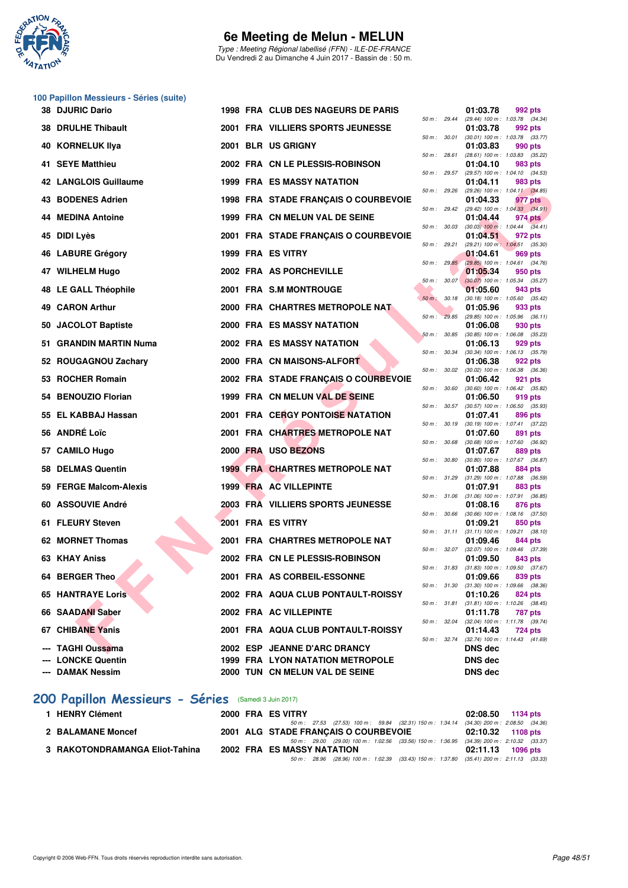

Type : Meeting Régional labellisé (FFN) - ILE-DE-FRANCE Du Vendredi 2 au Dimanche 4 Juin 2017 - Bassin de : 50 m.

|     | 100 Papillon Messieurs - Séries (suite)<br><b>38 DJURIC Dario</b> |  | 1998 FRA CLUB DES NAGEURS DE PARIS       |                  |       | 01:03.78                                                            |
|-----|-------------------------------------------------------------------|--|------------------------------------------|------------------|-------|---------------------------------------------------------------------|
|     |                                                                   |  |                                          | 50 m : 29.44     |       | 992 pts<br>(29.44) 100 m: 1:03.78 (34.34)                           |
|     | <b>38 DRULHE Thibault</b>                                         |  | 2001 FRA VILLIERS SPORTS JEUNESSE        | 50 m: 30.01      |       | 01:03.78<br>992 pts<br>$(30.01)$ 100 m : 1:03.78 $(33.77)$          |
| 40  | <b>KORNELUK IIya</b>                                              |  | 2001 BLR US GRIGNY                       | 50 m: 28.61      |       | 01:03.83<br>990 pts<br>(28.61) 100 m: 1:03.83 (35.22)               |
|     | 41 SEYE Matthieu                                                  |  | 2002 FRA CN LE PLESSIS-ROBINSON          |                  |       | 01:04.10<br>983 pts                                                 |
|     | <b>42 LANGLOIS Guillaume</b>                                      |  | 1999 FRA ES MASSY NATATION               | 50 m: 29.57      |       | (29.57) 100 m: 1:04.10 (34.53)<br>01:04.11<br>983 pts               |
| 43. | <b>BODENES Adrien</b>                                             |  | 1998 FRA STADE FRANÇAIS O COURBEVOIE     | 50 m: 29.26      |       | (29.26) 100 m: 1:04.11 (34.85)<br>01:04.33<br>977 pts               |
| 44  | <b>MEDINA Antoine</b>                                             |  | 1999 FRA CN MELUN VAL DE SEINE           | 50 m: 29.42      |       | $(29.42)$ 100 m : 1:04.33 $(34.91)$<br>01:04.44<br>974 pts          |
| 45  | <b>DIDI Lyès</b>                                                  |  | 2001 FRA STADE FRANCAIS O COURBEVOIE     | 50 m : 30.03     |       | $(30.03)$ 100 m : 1:04.44 $(34.41)$<br>01:04.51<br>972 pts          |
| 46  | <b>LABURE Grégory</b>                                             |  | 1999 FRA ES VITRY                        | 50 m: 29.21      |       | (29.21) 100 m: 1:04.51 (35.30)<br>01:04.61<br>969 pts               |
| 47  | <b>WILHELM Hugo</b>                                               |  | 2002 FRA AS PORCHEVILLE                  | 50 m: 29.85      |       | (29.85) 100 m: 1:04.61 (34.76)<br>01:05.34<br>950 pts               |
|     | 48 LE GALL Théophile                                              |  | 2001 FRA S.M MONTROUGE                   | 50 m: 30.07      |       | $(30.07)$ 100 m : 1:05.34 $(35.27)$<br>01:05.60<br>943 pts          |
| 49  | <b>CARON Arthur</b>                                               |  | 2000 FRA CHARTRES METROPOLE NAT          | $50 m$ :         | 30.18 | $(30.18)$ 100 m : 1:05.60 $(35.42)$<br>01:05.96<br>933 pts          |
|     |                                                                   |  |                                          | 50 m: 29.85      |       | $(29.85)$ 100 m : 1:05.96 $(36.11)$                                 |
| 50. | <b>JACOLOT Baptiste</b>                                           |  | 2000 FRA ES MASSY NATATION               | 50 m: 30.85      |       | 01:06.08<br>930 pts<br>(30.85) 100 m: 1:06.08 (35.23)               |
| 51. | <b>GRANDIN MARTIN Numa</b>                                        |  | 2002 FRA ES MASSY NATATION               | 50 m : 30.34     |       | 01:06.13<br>929 pts<br>$(30.34)$ 100 m : 1:06.13 $(35.79)$          |
|     | 52 ROUGAGNOU Zachary                                              |  | 2000 FRA CN MAISONS-ALFORT               | 50 m: 30.02      |       | 01:06.38<br>922 pts<br>$(30.02)$ 100 m : 1:06.38 $(36.36)$          |
|     | 53 ROCHER Romain                                                  |  | 2002 FRA STADE FRANÇAIS O COURBEVOIE     |                  |       | 01:06.42<br>921 pts                                                 |
| 54. | <b>BENOUZIO Florian</b>                                           |  | 1999 FRA CN MELUN VAL DE SEINE           | 50 m : 30.60     |       | (30.60) 100 m: 1:06.42 (35.82)<br>01:06.50<br>919 pts               |
|     | 55 EL KABBAJ Hassan                                               |  | <b>2001 FRA CERGY PONTOISE NATATION</b>  | 50 m: 30.57      |       | $(30.57)$ 100 m : 1:06.50 $(35.93)$<br>01:07.41<br>896 pts          |
|     | 56 ANDRÉ Loïc                                                     |  | 2001 FRA CHARTRES METROPOLE NAT          | 50 m : 30.19     |       | (30.19) 100 m: 1:07.41 (37.22)<br>01:07.60<br>891 pts               |
| 57. | <b>CAMILO Hugo</b>                                                |  | 2000 FRA USO BEZONS                      | 50 m : 30.68     |       | (30.68) 100 m: 1:07.60 (36.92)<br>01:07.67<br>889 pts               |
| 58  | <b>DELMAS Quentin</b>                                             |  | <b>1999 FRA CHARTRES METROPOLE NAT</b>   | 50 m : 30.80     |       | (30.80) 100 m: 1:07.67 (36.87)<br>01:07.88<br>884 pts               |
|     | 59 FERGE Malcom-Alexis                                            |  | 1999 FRA AC VILLEPINTE                   | 50 m: 31.29      |       | $(31.29)$ 100 m : 1:07.88 $(36.59)$<br>01:07.91<br>883 pts          |
|     |                                                                   |  |                                          | 50 m: 31.06      |       | $(31.06)$ 100 m : 1:07.91 $(36.85)$                                 |
|     | 60 ASSOUVIE André                                                 |  | <b>2003 FRA VILLIERS SPORTS JEUNESSE</b> | 50 m : 30.66     |       | 01:08.16<br>876 pts<br>$(30.66)$ 100 m : 1:08.16 $(37.50)$          |
|     | 61 FLEURY Steven                                                  |  | 2001 FRA ES VITRY                        | $50 m$ : $31.11$ |       | 01:09.21<br>850 pts<br>$(31.11)$ 100 m : 1:09.21 $(38.10)$          |
|     | 62 MORNET Thomas                                                  |  | 2001 FRA CHARTRES METROPOLE NAT          | 50 m : 32.07     |       | 01:09.46<br>844 pts<br>(32.07) 100 m : 1:09.46 (37.39)              |
|     | 63 KHAY Aniss                                                     |  | 2002 FRA CN LE PLESSIS-ROBINSON          |                  |       | 01:09.50<br>843 pts                                                 |
|     | 64 BERGER Theo                                                    |  | 2001 FRA AS CORBEIL-ESSONNE              |                  |       | 50 m : 31.83 (31.83) 100 m : 1:09.50 (37.67)<br>01:09.66<br>839 pts |
|     | <b>65 HANTRAYE Loris</b>                                          |  | 2002 FRA AQUA CLUB PONTAULT-ROISSY       | 50 m : 31.30     |       | $(31.30)$ 100 m : 1:09.66 $(38.36)$<br>01:10.26<br>824 pts          |
|     | 66 SAADANI Saber                                                  |  | 2002 FRA AC VILLEPINTE                   | 50 m : 31.81     |       | $(31.81)$ 100 m : 1:10.26 $(38.45)$<br>01:11.78<br>787 pts          |
|     | 67 CHIBANE Yanis                                                  |  | 2001 FRA AQUA CLUB PONTAULT-ROISSY       | 50 m : 32.04     |       | (32.04) 100 m: 1:11.78 (39.74)<br>01:14.43<br>724 pts               |
|     | <b>TAGHI Oussama</b>                                              |  | 2002 ESP JEANNE D'ARC DRANCY             | 50 m : 32.74     |       | (32.74) 100 m: 1:14.43 (41.69)<br><b>DNS</b> dec                    |
|     | <b>LONCKE Quentin</b>                                             |  | <b>1999 FRA LYON NATATION METROPOLE</b>  |                  |       | <b>DNS dec</b>                                                      |
|     | <b>DAMAK Nessim</b>                                               |  | 2000 TUN CN MELUN VAL DE SEINE           |                  |       | <b>DNS dec</b>                                                      |

#### **[200 Papillon Messieurs - Séries](http://www.ffnatation.fr/webffn/resultats.php?idact=nat&go=epr&idcpt=46973&idepr=83)** (Samedi 3 Juin 2017)

| 1 HENRY Clément                |  | 2000 FRA ES VITRY                                                                           | 02:08.50 1134 pts   |
|--------------------------------|--|---------------------------------------------------------------------------------------------|---------------------|
|                                |  | 50 m : 27.53 (27.53) 100 m : 59.84 (32.31) 150 m : 1:34.14 (34.30) 200 m : 2:08.50 (34.36   |                     |
| 2 BALAMANE Moncef              |  | 2001 ALG STADE FRANCAIS O COURBEVOIE                                                        | 02:10.32 1108 pts   |
|                                |  | 50 m : 29.00 (29.00) 100 m : 1:02.56 (33.56) 150 m : 1:36.95 (34.39) 200 m : 2:10.32 (33.37 |                     |
| 3 RAKOTONDRAMANGA Eliot-Tahina |  | 2002 FRA ES MASSY NATATION                                                                  | $02:11.13$ 1096 pts |
|                                |  | 50 m : 28.96 (28.96) 100 m : 1:02.39 (33.43) 150 m : 1:37.80 (35.41) 200 m : 2:11.13 (33.33 |                     |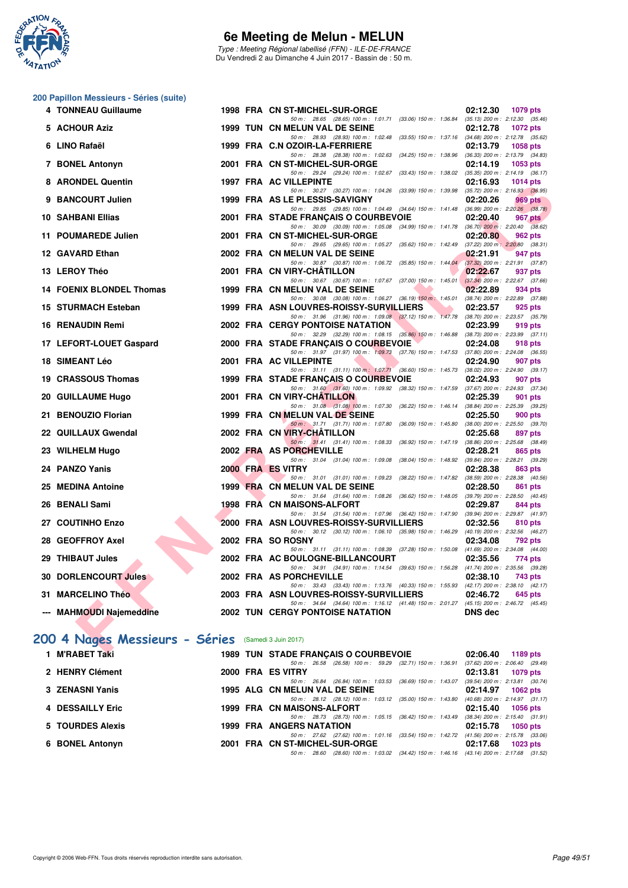

Type : Meeting Régional labellisé (FFN) - ILE-DE-FRANCE Du Vendredi 2 au Dimanche 4 Juin 2017 - Bassin de : 50 m.

#### **200 Papillon Messieurs - Séries (suite)**

| 4 TONNEAU Guillaume                                |  | 1998 FRA CN ST-MICHEL-SUR-ORGE                                                                                                           | 02:12.30                 | 1079 pts                                       |
|----------------------------------------------------|--|------------------------------------------------------------------------------------------------------------------------------------------|--------------------------|------------------------------------------------|
| 5 ACHOUR Aziz                                      |  | 50 m: 28.65 (28.65) 100 m: 1:01.71 (33.06) 150 m: 1:36.84 (35.13) 200 m: 2:12.30 (35.46)<br>1999 TUN CN MELUN VAL DE SEINE               | 02:12.78                 | 1072 pts                                       |
| 6 LINO Rafaël                                      |  | 50 m: 28.93 (28.93) 100 m: 1:02.48 (33.55) 150 m: 1:37.16 (34.68) 200 m: 2:12.78 (35.62)<br>1999 FRA C.N OZOIR-LA-FERRIERE               | 02:13.79                 | <b>1058 pts</b>                                |
|                                                    |  | 50 m: 28.38 (28.38) 100 m: 1:02.63 (34.25) 150 m: 1:38.96 (36.33) 200 m: 2:13.79 (34.83)                                                 |                          |                                                |
| 7 BONEL Antonyn                                    |  | 2001 FRA CN ST-MICHEL-SUR-ORGE<br>50 m: 29.24 (29.24) 100 m: 1.02.67 (33.43) 150 m: 1.38.02 (35.35) 200 m: 2.14.19 (36.17)               | 02:14.19                 | $1053$ pts                                     |
| 8 ARONDEL Quentin                                  |  | 1997 FRA AC VILLEPINTE                                                                                                                   | 02:16.93                 | 1014 $pts$                                     |
| 9 BANCOURT Julien                                  |  | 50 m: 30.27 (30.27) 100 m: 1:04.26 (33.99) 150 m: 1:39.98 (35.72) 200 m: 2:16.93 (36.95)<br>1999 FRA AS LE PLESSIS-SAVIGNY               | 02:20.26                 | 969 pts                                        |
|                                                    |  | 50 m: 29.85 (29.85) 100 m: 1:04.49 (34.64) 150 m: 1:41.48 (36.99) 200 m: 2:20.26 (38.78)                                                 |                          |                                                |
| 10 SAHBANI Ellias                                  |  | 2001 FRA STADE FRANÇAIS O COURBEVOIE                                                                                                     | 02:20.40                 | 967 pts                                        |
| 11 POUMAREDE Julien                                |  | 50 m: 30.09 (30.09) 100 m: 1:05.08 (34.99) 150 m: 1:41.78 (36.70) 200 m: 2:20.40 (38.62)<br>2001 FRA CN ST-MICHEL-SUR-ORGE               | 02:20.80                 | 962 pts                                        |
|                                                    |  | 50 m: 29.65 (29.65) 100 m: 1:05.27 (35.62) 150 m: 1:42.49 (37.22) 200 m: 2:20.80 (38.31)                                                 |                          |                                                |
| 12 GAVARD Ethan                                    |  | 2002 FRA CN MELUN VAL DE SEINE<br>50 m: 30.87 (30.87) 100 m: 1:06.72 (35.85) 150 m: 1:44.04 (37.32) 200 m: 2:21.91 (37.87)               | 02:21.91                 | 947 pts                                        |
| 13 LEROY Théo                                      |  | 2001 FRA CN VIRY-CHATILLON                                                                                                               | 02:22.67                 | 937 pts                                        |
| 14 FOENIX BLONDEL Thomas                           |  | 50 m: 30.67 (30.67) 100 m: 1:07.67 (37.00) 150 m: 1:45.01 (37.34) 200 m: 2:22.67 (37.66)<br>1999 FRA CN MELUN VAL DE SEINE<br><u>and</u> | 02:22.89                 | 934 pts                                        |
|                                                    |  | 50 m: 30.08 (30.08) 100 m: 1:06.27 (36.19) 150 m: 1:45.01 (38.74) 200 m: 2:22.89 (37.88)                                                 |                          |                                                |
| 15 STURMACH Esteban                                |  | 1999 FRA ASN LOUVRES-ROISSY-SURVILLIERS<br><b>The Second Service</b>                                                                     | 02:23.57                 | 925 pts                                        |
| 16 RENAUDIN Remi                                   |  | 50 m: 31.96 (31.96) 100 m: 1:09.08 (37.12) 150 m: 1:47.78 (38.70) 200 m: 2:23.57 (35.79)<br><b>2002 FRA CERGY PONTOISE NATATION</b>      | 02:23.99                 | 919 pts                                        |
|                                                    |  | 50 m: 32.29 (32.29) 100 m: 1:08.15 (35.86) 150 m: 1:46.88 (38.73) 200 m: 2:23.99 (37.11)                                                 |                          |                                                |
| 17 LEFORT-LOUET Gaspard                            |  | 2000 FRA STADE FRANCAIS O COURBEVOIE<br>50 m: 31.97 (31.97) 100 m: 1:09.73 (37.76) 150 m: 1:47.53 (37.80) 200 m: 2:24.08 (36.55)         | 02:24.08                 | 918 pts                                        |
| 18 SIMEANT Léo                                     |  | 2001 FRA AC VILLEPINTE                                                                                                                   | 02:24.90                 | 907 pts                                        |
| 19 CRASSOUS Thomas                                 |  | 50 m: 31.11 (31.11) 100 m: 1:07.71 (36.60) 150 m: 1:45.73 (38.02) 200 m: 2:24.90 (39.17)<br>1999 FRA STADE FRANCAIS O COURBEVOIE         | 02:24.93                 | 907 pts                                        |
|                                                    |  | 50 m: 31.60 (31.60) 100 m: 1:09.92 (38.32) 150 m: 1:47.59 (37.67) 200 m: 2:24.93 (37.34)                                                 |                          |                                                |
| 20 GUILLAUME Hugo                                  |  | 2001 FRA CN VIRY-CHATILLON<br>50 m: 31.08 (31.08) 100 m: 1:07.30 (36.22) 150 m: 1:46.14 (38.84) 200 m: 2:25.39 (39.25)                   | 02:25.39                 | 901 pts                                        |
| 21 BENOUZIO Florian                                |  | 1999 FRA CN MELUN VAL DE SEINE                                                                                                           | 02:25.50                 | 900 pts                                        |
|                                                    |  | 50 m: 31.71 (31.71) 100 m: 1:07.80 (36.09) 150 m: 1:45.80                                                                                |                          | $(38.00)$ 200 m : 2:25.50 $(39.70)$            |
| 22 QUILLAUX Gwendal                                |  | 2002 FRA CN VIRY-CHATILLON<br>50 m: 31.41 (31.41) 100 m: 1:08.33 (36.92) 150 m: 1:47.19                                                  | 02:25.68                 | 897 pts<br>$(38.86)$ 200 m : 2:25.68 $(38.49)$ |
| 23 WILHELM Hugo                                    |  | 2002 FRA AS PORCHEVILLE                                                                                                                  | 02:28.21                 | 865 pts                                        |
| 24 PANZO Yanis                                     |  | 50 m: 31.04 (31.04) 100 m: 1:09.08 (38.04) 150 m: 1:48.92 (39.84) 200 m: 2:28.21 (39.29)<br>2000 FRA ES VITRY                            | 02:28.38                 | 863 pts                                        |
|                                                    |  | 50 m: 31.01 (31.01) 100 m: 1:09.23 (38.22) 150 m: 1:47.82 (38.59) 200 m: 2:28.38 (40.56)                                                 |                          |                                                |
| 25 MEDINA Antoine                                  |  | 1999 FRA CN MELUN VAL DE SEINE<br>50 m: 31.64 (31.64) 100 m: 1:08.26 (36.62) 150 m: 1:48.05 (39.79) 200 m: 2:28.50 (40.45)               | 02:28.50                 | 861 pts                                        |
| 26 BENALI Sami                                     |  | <b>1998 FRA CN MAISONS-ALFORT</b>                                                                                                        | 02:29.87                 | 844 pts                                        |
| 27 COUTINHO Enzo                                   |  | 50 m: 31.54 (31.54) 100 m: 1:07.96 (36.42) 150 m: 1:47.90 (39.94) 200 m: 2:29.87 (41.97)<br>2000 FRA ASN LOUVRES-ROISSY-SURVILLIERS      | 02:32.56                 | 810 pts                                        |
|                                                    |  | 50 m: 30.12 (30.12) 100 m: 1:06.10 (35.98) 150 m: 1:46.29 (40.19) 200 m: 2:32.56 (46.27)                                                 |                          |                                                |
| 28 GEOFFROY Axel                                   |  | 2002 FRA SO ROSNY                                                                                                                        | 02:34.08                 | <b>792 pts</b>                                 |
| 29 THIBAUT Jules                                   |  | 50 m: 31.11 (31.11) 100 m: 1:08.39 (37.28) 150 m: 1:50.08 (41.69) 200 m: 2:34.08 (44.00)<br>2002 FRA AC BOULOGNE-BILLANCOURT             | 02:35.56                 | 774 pts                                        |
|                                                    |  | 50 m: 34.91 (34.91) 100 m: 1:14.54 (39.63) 150 m: 1:56.28 (41.74) 200 m: 2:35.56 (39.28)                                                 |                          |                                                |
| <b>30 DORLENCOURT Jules</b>                        |  | 2002 FRA AS PORCHEVILLE<br>50 m: 33.43 (33.43) 100 m: 1:13.76 (40.33) 150 m: 1:55.93 (42.17) 200 m: 2:38.10 (42.17)                      | 02:38.10                 | 743 pts                                        |
| 31 MARCELINO Théo                                  |  | 2003 FRA ASN LOUVRES-ROISSY-SURVILLIERS                                                                                                  | 02:46.72                 | 645 pts                                        |
|                                                    |  | 50 m: 34.64 (34.64) 100 m: 1:16.12 (41.48) 150 m: 2:01.27 (45.15) 200 m: 2:46.72 (45.45)                                                 |                          |                                                |
| --- MAHMOUDI Najemeddine                           |  | <b>2002 TUN CERGY PONTOISE NATATION</b>                                                                                                  | <b>DNS</b> dec           |                                                |
|                                                    |  |                                                                                                                                          |                          |                                                |
| 00 4 Nages Messieurs - Séries (Samedi 3 Juin 2017) |  |                                                                                                                                          |                          |                                                |
| <b>INDADETTAL!</b>                                 |  | 1000 TIBL CTABE EBANQAIC O COUPDEVOIE                                                                                                    | $00.00.40 - 4400 \ldots$ |                                                |

# **[200 4 Nages Messieurs - Séries](http://www.ffnatation.fr/webffn/resultats.php?idact=nat&go=epr&idcpt=46973&idepr=91)** (Samedi 3 Juin 2017)

| 1 M'RABET Taki   |  | <b>1989 TUN STADE FRANCAIS O COURBEVOIE</b>                                                 | 02:06.40                            | 1189 $pts$                      |
|------------------|--|---------------------------------------------------------------------------------------------|-------------------------------------|---------------------------------|
|                  |  | 50 m: 26.58 (26.58) 100 m: 59.29 (32.71) 150 m: 1:36.91                                     | (37.62) 200 m : 2:06.40 (29.49      |                                 |
| 2 HENRY Clément  |  | 2000 FRA ES VITRY                                                                           |                                     | 02:13.81 1079 pts               |
|                  |  | 50 m: 26.84 (26.84) 100 m: 1:03.53 (36.69) 150 m: 1:43.07                                   | (39.54) 200 m : 2:13.81 (30.74      |                                 |
| 3 ZENASNI Yanis  |  | 1995 ALG CN MELUN VAL DE SEINE                                                              | 02:14.97                            | $1062$ pts                      |
|                  |  | 50 m: 28.12 (28.12) 100 m: 1:03.12 (35.00) 150 m: 1:43.80                                   |                                     | (40.68) 200 m : 2:14.97 (31.17) |
| 4 DESSAILLY Eric |  | 1999 FRA CN MAISONS-ALFORT                                                                  | 02:15.40                            | 1056 pts                        |
|                  |  | 50 m: 28.73 (28.73) 100 m: 1:05.15 (36.42) 150 m: 1:43.49                                   |                                     | (38.34) 200 m : 2:15.40 (31.91) |
| 5 TOURDES Alexis |  | <b>1999 FRA ANGERS NATATION</b>                                                             |                                     | 02:15.78 1050 pts               |
|                  |  | 50 m: 27.62 (27.62) 100 m: 1:01.16 (33.54) 150 m: 1:42.72                                   | $(41.56)$ 200 m : 2:15.78 $(33.06)$ |                                 |
| 6 BONEL Antonyn  |  | 2001 FRA CN ST-MICHEL-SUR-ORGE                                                              | 02:17.68                            | <b>1023 pts</b>                 |
|                  |  | 50 m : 28.60 (28.60) 100 m : 1:03.02 (34.42) 150 m : 1:46.16 (43.14) 200 m : 2:17.68 (31.52 |                                     |                                 |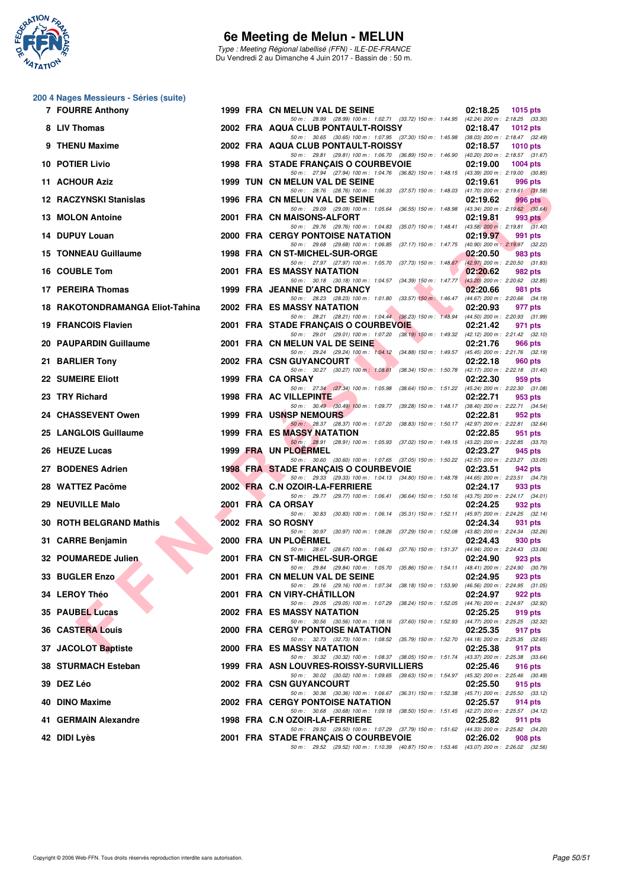

Type : Meeting Régional labellisé (FFN) - ILE-DE-FRANCE Du Vendredi 2 au Dimanche 4 Juin 2017 - Bassin de : 50 m.

|           | 200 4 Nages Messieurs - Séries (suite) |  |
|-----------|----------------------------------------|--|
| ------- - |                                        |  |

| 7 FOURRE Anthony                |  | 1999 FRA CN MELUN VAL DE SEINE                                                                                                      | 02:18.25<br><b>1015 pts</b> |
|---------------------------------|--|-------------------------------------------------------------------------------------------------------------------------------------|-----------------------------|
| 8 LIV Thomas                    |  | 50 m: 28.99 (28.99) 100 m: 1:02.71 (33.72) 150 m: 1:44.95 (42.24) 200 m: 2:18.25 (33.30)<br>2002 FRA AQUA CLUB PONTAULT-ROISSY      | 02:18.47<br><b>1012 pts</b> |
| 9 THENU Maxime                  |  | 50 m: 30.65 (30.65) 100 m: 1:07.95 (37.30) 150 m: 1:45.98 (38.03) 200 m: 2:18.47 (32.49)<br>2002 FRA AQUA CLUB PONTAULT-ROISSY      | 02:18.57<br><b>1010 pts</b> |
| 10 POTIER Livio                 |  | 50 m: 29.81 (29.81) 100 m: 1:06.70 (36.89) 150 m: 1:46.90 (40.20) 200 m: 2:18.57 (31.67)<br>1998 FRA STADE FRANÇAIS O COURBEVOIE    | 02:19.00<br>1004 $pts$      |
| 11 ACHOUR Aziz                  |  | 50 m: 27.94 (27.94) 100 m: 1:04.76 (36.82) 150 m: 1:48.15 (43.39) 200 m: 2:19.00 (30.85)<br>1999 TUN CN MELUN VAL DE SEINE          | 02:19.61<br>996 pts         |
| <b>12 RACZYNSKI Stanislas</b>   |  | 50 m: 28.76 (28.76) 100 m: 1:06.33 (37.57) 150 m: 1:48.03 (41.70) 200 m: 2:19.61 (31.58)<br>1996 FRA CN MELUN VAL DE SEINE          | 02:19.62<br>996 pts         |
| 13 MOLON Antoine                |  | 50 m: 29.09 (29.09) 100 m: 1:05.64 (36.55) 150 m: 1:48.98 (43.34) 200 m: 2:19.62 (30.64)<br>2001 FRA CN MAISONS-ALFORT              | 02:19.81<br>993 pts         |
| 14 DUPUY Louan                  |  | 50 m: 29.76 (29.76) 100 m: 1:04.83 (35.07) 150 m: 1:48.41 (43.58) 200 m: 2:19.81 (31.40)<br><b>2000 FRA CERGY PONTOISE NATATION</b> | 02:19.97<br>991 pts         |
| 15 TONNEAU Guillaume            |  | 50 m: 29.68 (29.68) 100 m: 1:06.85 (37.17) 150 m: 1:47.75 (40.90) 200 m: 2:19.97 (32.22)<br>1998 FRA CN ST-MICHEL-SUR-ORGE          | 02:20.50<br>983 pts         |
| 16 COUBLE Tom                   |  | 50 m: 27.97 (27.97) 100 m: 1:05.70 (37.73) 150 m: 1:48.67 (42.97) 200 m: 2:20.50 (31.83)<br>2001 FRA ES MASSY NATATION              | 02:20.62<br>982 pts         |
| 17 PEREIRA Thomas               |  | 50 m: 30.18 (30.18) 100 m: 1:04.57 (34.39) 150 m: 1:47.77 (43.20) 200 m: 2:20.62 (32.85)<br>1999 FRA JEANNE D'ARC DRANCY            | 02:20.66<br>981 pts         |
| 18 RAKOTONDRAMANGA Eliot-Tahina |  | 50 m: 28.23 (28.23) 100 m: 1:01.80 (33.57) 150 m: 1:46.47 (44.67) 200 m: 2:20.66 (34.19)<br>2002 FRA ES MASSY NATATION              | 02:20.93<br>977 pts         |
| <b>19 FRANCOIS Flavien</b>      |  | 50 m: 28.21 (28.21) 100 m: 1:04.44 (36.23) 150 m: 1:48.94 (44.50) 200 m: 2:20.93 (31.99)<br>2001 FRA STADE FRANÇAIS O COURBEVOIE    | 02:21.42<br>971 pts         |
| 20 PAUPARDIN Guillaume          |  | 50 m: 29.01 (29.01) 100 m: 1:07.20 (38.19) 150 m: 1:49.32 (42.12) 200 m: 2:21.42 (32.10)<br>2001 FRA CN MELUN VAL DE SEINE          | 02:21.76<br>966 pts         |
| 21 BARLIER Tony                 |  | 50 m: 29.24 (29.24) 100 m: 1:04.12 (34.88) 150 m: 1:49.57 (45.45) 200 m: 2:21.76 (32.19)<br>2002 FRA CSN GUYANCOURT                 | 02:22.18<br>960 pts         |
| <b>22 SUMEIRE Eliott</b>        |  | 50 m: 30.27 (30.27) 100 m: 1:08.61 (38.34) 150 m: 1:50.78 (42.17) 200 m: 2:22.18 (31.40)<br>1999 FRA CA ORSAY                       | 02:22.30<br>959 pts         |
| 23 TRY Richard                  |  | 50 m: 27.34 (27.34) 100 m: 1:05.98 (38.64) 150 m: 1:51.22 (45.24) 200 m: 2:22.30 (31.08)<br>1998 FRA AC VILLEPINTE                  | 02:22.71<br>953 pts         |
| 24 CHASSEVENT Owen              |  | 50 m: 30.49 (30.49) 100 m: 1:09.77 (39.28) 150 m: 1:48.17 (38.40) 200 m: 2:22.71 (34.54)<br><b>1999 FRA USNSP NEMOURS</b>           | 02:22.81<br>952 pts         |
| 25 LANGLOIS Guillaume           |  | 50 m: 28.37 (28.37) 100 m: 1:07.20 (38.83) 150 m: 1:50.17 (42.97) 200 m: 2:22.81 (32.64)<br>1999 FRA ES MASSY NATATION              | 02:22.85<br>951 pts         |
| 26 HEUZE Lucas                  |  | 50 m: 28.91 (28.91) 100 m: 1:05.93 (37.02) 150 m: 1:49.15 (43.22) 200 m: 2:22.85 (33.70)<br>1999 FRA UN PLOERMEL                    | 02:23.27<br>945 pts         |
| 27 BODENES Adrien               |  | 50 m: 30.60 (30.60) 100 m: 1:07.65 (37.05) 150 m: 1:50.22 (42.57) 200 m: 2:23.27 (33.05)<br>1998 FRA STADE FRANÇAIS O COURBEVOIE    | 02:23.51<br>942 pts         |
| 28 WATTEZ Pacôme                |  | 50 m: 29.33 (29.33) 100 m: 1:04.13 (34.80) 150 m: 1:48.78 (44.65) 200 m: 2:23.51 (34.73)<br>2002 FRA C.N OZOIR-LA-FERRIERE          | 02:24.17<br>933 pts         |
| 29 NEUVILLE Malo                |  | 50 m: 29.77 (29.77) 100 m: 1:06.41 (36.64) 150 m: 1:50.16 (43.75) 200 m: 2:24.17 (34.01)<br>2001 FRA CA ORSAY                       | 02:24.25<br>932 pts         |
| 30 ROTH BELGRAND Mathis         |  | 50 m: 30.83 (30.83) 100 m: 1:06.14 (35.31) 150 m: 1:52.11 (45.97) 200 m: 2:24.25 (32.14)<br>2002 FRA SO ROSNY                       | 02:24.34<br>931 pts         |
| 31 CARRE Benjamin               |  | 50 m: 30.97 (30.97) 100 m: 1:08.26 (37.29) 150 m: 1:52.08 (43.82) 200 m: 2:24.34 (32.26)<br>2000 FRA UN PLOERMEL                    | 02:24.43<br>930 pts         |
| 32 POUMAREDE Julien             |  | 50 m: 28.67 (28.67) 100 m: 1:06.43 (37.76) 150 m: 1:51.37 (44.94) 200 m: 2:24.43 (33.06)<br>2001 FRA CN ST-MICHEL-SUR-ORGE          | 02:24.90<br>923 pts         |
| 33 BUGLER Enzo                  |  | 50 m: 29.84 (29.84) 100 m: 1:05.70 (35.86) 150 m: 1:54.11 (48.41) 200 m: 2:24.90 (30.79)<br>2001 FRA CN MELUN VAL DE SEINE          | 02:24.95<br>923 pts         |
| 34 LEROY Théo                   |  | 50 m : 29.16 (29.16) 100 m : 1:07.34 (38.18) 150 m : 1:53.90 (46.56) 200 m : 2:24.95 (31.05)<br>2001 FRA CN VIRY-CHATILLON          | 02:24.97<br>922 pts         |
| 35 PAUBEL Lucas                 |  | 50 m: 29.05 (29.05) 100 m: 1:07.29 (38.24) 150 m: 1:52.05 (44.76) 200 m: 2:24.97 (32.92)<br><b>2002 FRA ES MASSY NATATION</b>       | 02:25.25<br>919 pts         |
| <b>36 CASTERA Louis</b>         |  | 50 m: 30.56 (30.56) 100 m: 1:08.16 (37.60) 150 m: 1:52.93 (44.77) 200 m: 2:25.25 (32.32)<br><b>2000 FRA CERGY PONTOISE NATATION</b> | 02:25.35<br>917 pts         |
| 37 JACOLOT Baptiste             |  | 50 m: 32.73 (32.73) 100 m: 1:08.52 (35.79) 150 m: 1:52.70 (44.18) 200 m: 2:25.35 (32.65)<br>2000 FRA ES MASSY NATATION              | 02:25.38<br>917 pts         |
| 38 STURMACH Esteban             |  | 50 m: 30.32 (30.32) 100 m: 1:08.37 (38.05) 150 m: 1:51.74 (43.37) 200 m: 2:25.38 (33.64)<br>1999 FRA ASN LOUVRES-ROISSY-SURVILLIERS | 02:25.46<br>916 pts         |
| 39 DEZ Léo                      |  | 50 m: 30.02 (30.02) 100 m: 1:09.65 (39.63) 150 m: 1:54.97 (45.32) 200 m: 2:25.46 (30.49)<br>2002 FRA CSN GUYANCOURT                 | 02:25.50<br>915 pts         |
| 40 DINO Maxime                  |  | 50 m: 30.36 (30.36) 100 m: 1:06.67 (36.31) 150 m: 1:52.38 (45.71) 200 m: 2:25.50 (33.12)<br><b>2002 FRA CERGY PONTOISE NATATION</b> | 02:25.57<br>914 pts         |
| 41 GERMAIN Alexandre            |  | 50 m: 30.68 (30.68) 100 m: 1:09.18 (38.50) 150 m: 1:51.45 (42.27) 200 m: 2:25.57 (34.12)<br>1998 FRA C.N OZOIR-LA-FERRIERE          | 02:25.82<br>911 pts         |
| 42 DIDI Lyès                    |  | 50 m: 29.50 (29.50) 100 m: 1:07.29 (37.79) 150 m: 1:51.62 (44.33) 200 m: 2:25.82 (34.20)<br>2001 FRA STADE FRANÇAIS O COURBEVOIE    | 02:26.02<br>908 pts         |
|                                 |  | 50 m: 29.52 (29.52) 100 m: 1:10.39 (40.87) 150 m: 1:53.46 (43.07) 200 m: 2:26.02 (32.56)                                            |                             |